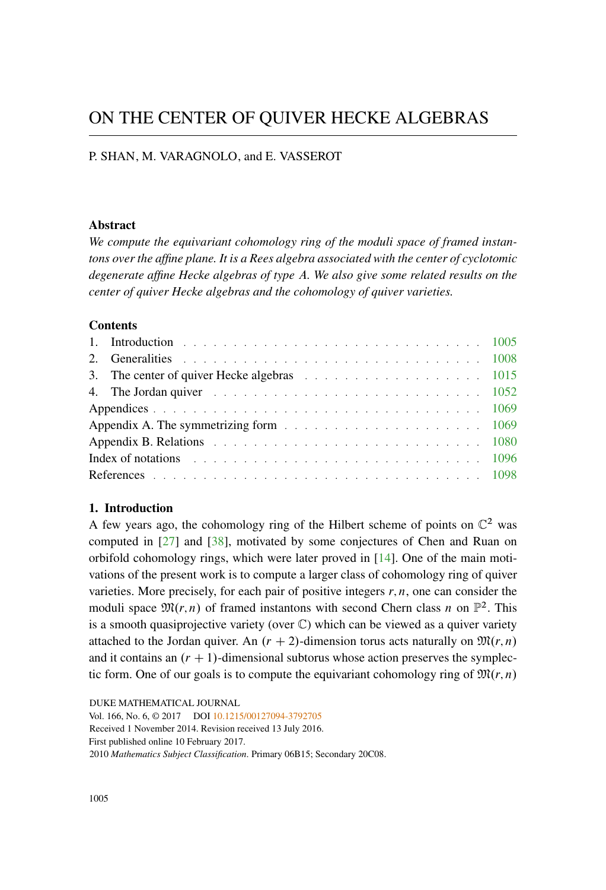# ON THE CENTER OF QUIVER HECKE ALGEBRAS

## P. SHAN, M. VARAGNOLO, and E. VASSEROT

## **Abstract**

*We compute the equivariant cohomology ring of the moduli space of framed instantons over the affine plane. It is a Rees algebra associated with the center of cyclotomic degenerate affine Hecke algebras of type* A*. We also give some related results on the center of quiver Hecke algebras and the cohomology of quiver varieties.*

## **Contents**

| 3. The center of quiver Hecke algebras 1015                                                                     |  |
|-----------------------------------------------------------------------------------------------------------------|--|
| 4. The Jordan quiver $\ldots \ldots \ldots \ldots \ldots \ldots \ldots \ldots \ldots \ldots \ldots \ldots 1052$ |  |
|                                                                                                                 |  |
| Appendix A. The symmetrizing form example and a series of the symmetrizing form                                 |  |
|                                                                                                                 |  |
| Index of notations $\ldots \ldots \ldots \ldots \ldots \ldots \ldots \ldots \ldots \ldots \ldots \ldots 1096$   |  |
|                                                                                                                 |  |

## <span id="page-0-0"></span>**1. Introduction**

A few years ago, the cohomology ring of the Hilbert scheme of points on  $\mathbb{C}^2$  was computed in [\[27\]](#page-95-0) and [\[38](#page-95-1)], motivated by some conjectures of Chen and Ruan on orbifold cohomology rings, which were later proved in [\[14](#page-94-0)]. One of the main motivations of the present work is to compute a larger class of cohomology ring of quiver varieties. More precisely, for each pair of positive integers  $r, n$ , one can consider the moduli space  $\mathfrak{M}(r,n)$  of framed instantons with second Chern class n on  $\mathbb{P}^2$ . This is a smooth quasiprojective variety (over  $\mathbb{C}$ ) which can be viewed as a quiver variety attached to the Jordan quiver. An  $(r + 2)$ -dimension torus acts naturally on  $\mathfrak{M}(r, n)$ and it contains an  $(r + 1)$ -dimensional subtorus whose action preserves the symplectic form. One of our goals is to compute the equivariant cohomology ring of  $\mathfrak{M}(r,n)$ 

DUKE MATHEMATICAL JOURNAL Vol. 166, No. 6, © 2017 DOI [10.1215/00127094-3792705](http://dx.doi.org/10.1215/00127094-3792705) Received 1 November 2014. Revision received 13 July 2016. First published online 10 February 2017. 2010 *Mathematics Subject Classification*. Primary 06B15; Secondary 20C08.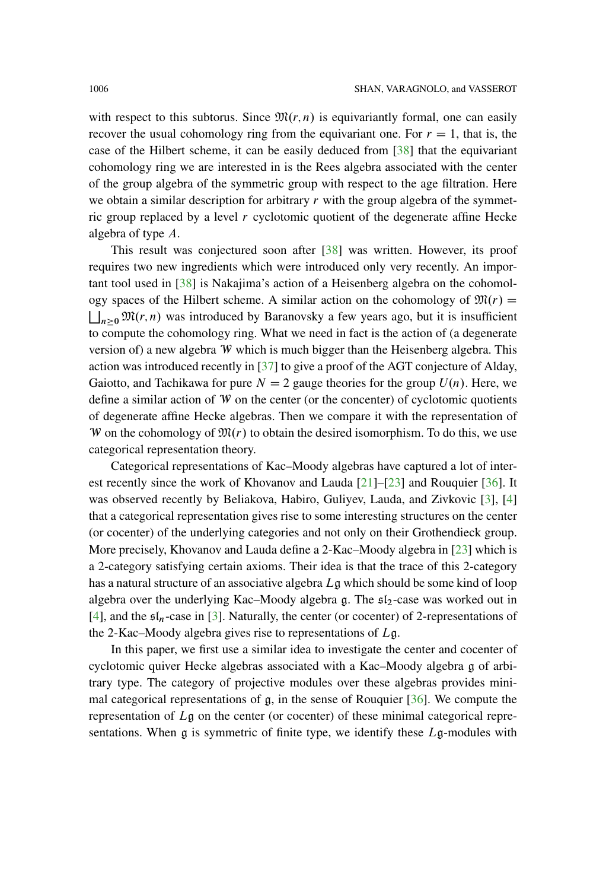with respect to this subtorus. Since  $\mathfrak{M}(r,n)$  is equivariantly formal, one can easily recover the usual cohomology ring from the equivariant one. For  $r = 1$ , that is, the case of the Hilbert scheme, it can be easily deduced from [\[38\]](#page-95-1) that the equivariant cohomology ring we are interested in is the Rees algebra associated with the center of the group algebra of the symmetric group with respect to the age filtration. Here we obtain a similar description for arbitrary  $r$  with the group algebra of the symmetric group replaced by a level  $r$  cyclotomic quotient of the degenerate affine Hecke algebra of type A.

This result was conjectured soon after [\[38\]](#page-95-1) was written. However, its proof requires two new ingredients which were introduced only very recently. An important tool used in [\[38](#page-95-1)] is Nakajima's action of a Heisenberg algebra on the cohomology spaces of the Hilbert scheme. A similar action on the cohomology of  $\mathfrak{M}(r)$  =  $n \geq 0$   $\mathfrak{M}(r, n)$  was introduced by Baranovsky a few years ago, but it is insufficient to compute the cohomology ring. What we need in fact is the action of (a degenerate version of) a new algebra W which is much bigger than the Heisenberg algebra. This action was introduced recently in [\[37\]](#page-95-2) to give a proof of the AGT conjecture of Alday, Gaiotto, and Tachikawa for pure  $N = 2$  gauge theories for the group  $U(n)$ . Here, we define a similar action of W on the center (or the concenter) of cyclotomic quotients of degenerate affine Hecke algebras. Then we compare it with the representation of W on the cohomology of  $\mathfrak{M}(r)$  to obtain the desired isomorphism. To do this, we use categorical representation theory.

Categorical representations of Kac–Moody algebras have captured a lot of interest recently since the work of Khovanov and Lauda  $[21]$  $[21]$ – $[23]$  $[23]$  and Rouquier  $[36]$  $[36]$ . It was observed recently by Beliakova, Habiro, Guliyev, Lauda, and Zivkovic [\[3](#page-93-1)], [\[4](#page-93-2)] that a categorical representation gives rise to some interesting structures on the center (or cocenter) of the underlying categories and not only on their Grothendieck group. More precisely, Khovanov and Lauda define a 2-Kac–Moody algebra in [\[23\]](#page-95-3) which is a 2-category satisfying certain axioms. Their idea is that the trace of this 2-category has a natural structure of an associative algebra  $L\mathfrak{g}$  which should be some kind of loop algebra over the underlying Kac–Moody algebra g. The  $5l_2$ -case was worked out in [\[4](#page-93-2)], and the  $\mathfrak{sl}_n$ -case in [\[3\]](#page-93-1). Naturally, the center (or cocenter) of 2-representations of the 2-Kac–Moody algebra gives rise to representations of  $Lg$ .

In this paper, we first use a similar idea to investigate the center and cocenter of cyclotomic quiver Hecke algebras associated with a Kac–Moody algebra g of arbitrary type. The category of projective modules over these algebras provides minimal categorical representations of g, in the sense of Rouquier [\[36\]](#page-95-4). We compute the representation of Lg on the center (or cocenter) of these minimal categorical representations. When  $g$  is symmetric of finite type, we identify these  $Lg$ -modules with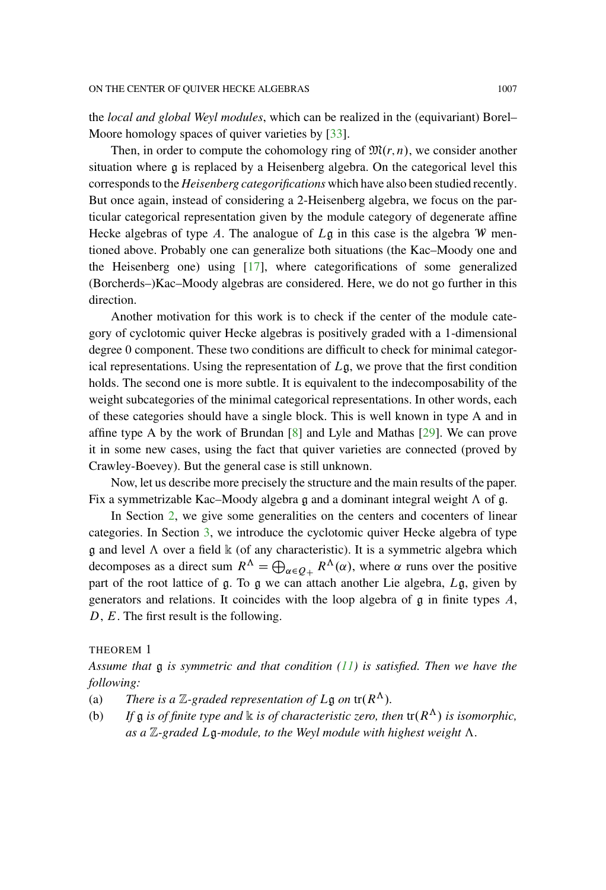the *local and global Weyl modules*, which can be realized in the (equivariant) Borel– Moore homology spaces of quiver varieties by [\[33](#page-95-5)].

Then, in order to compute the cohomology ring of  $\mathfrak{M}(r,n)$ , we consider another situation where g is replaced by a Heisenberg algebra. On the categorical level this corresponds to the *Heisenberg categorifications* which have also been studied recently. But once again, instead of considering a 2-Heisenberg algebra, we focus on the particular categorical representation given by the module category of degenerate affine Hecke algebras of type A. The analogue of  $L\mathfrak{g}$  in this case is the algebra W mentioned above. Probably one can generalize both situations (the Kac–Moody one and the Heisenberg one) using [\[17\]](#page-94-3), where categorifications of some generalized (Borcherds–)Kac–Moody algebras are considered. Here, we do not go further in this direction.

Another motivation for this work is to check if the center of the module category of cyclotomic quiver Hecke algebras is positively graded with a 1-dimensional degree 0 component. These two conditions are difficult to check for minimal categorical representations. Using the representation of  $L\mathfrak{g}$ , we prove that the first condition holds. The second one is more subtle. It is equivalent to the indecomposability of the weight subcategories of the minimal categorical representations. In other words, each of these categories should have a single block. This is well known in type A and in affine type A by the work of Brundan  $[8]$  and Lyle and Mathas  $[29]$  $[29]$ . We can prove it in some new cases, using the fact that quiver varieties are connected (proved by Crawley-Boevey). But the general case is still unknown.

Now, let us describe more precisely the structure and the main results of the paper. Fix a symmetrizable Kac–Moody algebra g and a dominant integral weight  $\Lambda$  of g.

In Section [2,](#page-3-0) we give some generalities on the centers and cocenters of linear categories. In Section [3,](#page-10-0) we introduce the cyclotomic quiver Hecke algebra of type  $\mathfrak g$  and level  $\Lambda$  over a field  $\mathbb k$  (of any characteristic). It is a symmetric algebra which decomposes as a direct sum  $R^{\Lambda} = \bigoplus_{\alpha \in Q_+} R^{\Lambda}(\alpha)$ , where  $\alpha$  runs over the positive part of the root lattice of g. To g we can attach another Lie algebra, Lg, given by generators and relations. It coincides with the loop algebra of g in finite types A, D, E. The first result is the following.

THEOREM 1

*Assume that* g *is symmetric and that condition [\(11\)](#page-20-0) is satisfied. Then we have the following:*

- (a) *There is a*  $\mathbb{Z}$ -graded representation of  $L\mathfrak{g}$  on tr( $R^{\Lambda}$ ).
- (b) If  $\mathfrak g$  *is of finite type and*  $\mathbb k$  *is of characteristic zero, then*  $tr(R^\Lambda)$  *is isomorphic,* as a  $\mathbb{Z}$ -graded  $L\mathfrak{g}$ -module, to the Weyl module with highest weight  $\Lambda$ .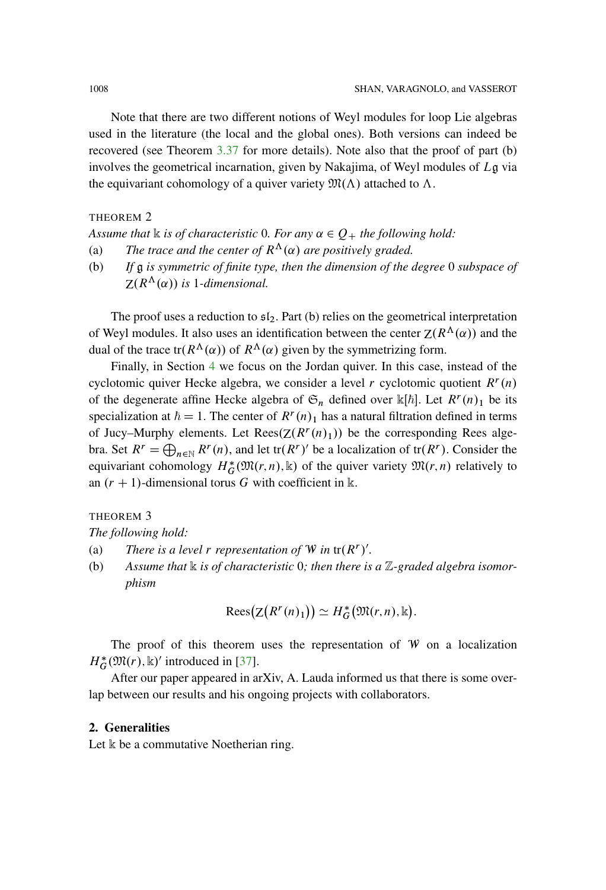Note that there are two different notions of Weyl modules for loop Lie algebras used in the literature (the local and the global ones). Both versions can indeed be recovered (see Theorem [3.37](#page-42-0) for more details). Note also that the proof of part (b) involves the geometrical incarnation, given by Nakajima, of Weyl modules of  $L\mathfrak{g}$  via the equivariant cohomology of a quiver variety  $\mathfrak{M}(\Lambda)$  attached to  $\Lambda$ .

THEOREM 2

*Assume that*  $\Bbbk$  *is of characteristic* 0*. For any*  $\alpha \in Q_+$  *the following hold:* 

- (a) *The trace and the center of*  $R^{\Lambda}(\alpha)$  *are positively graded.*
- (b) *If* g *is symmetric of finite type, then the dimension of the degree* 0 *subspace of*  $Z(R^{\Lambda}(\alpha))$  is 1-dimensional.

The proof uses a reduction to  $\mathfrak{sl}_2$ . Part (b) relies on the geometrical interpretation of Weyl modules. It also uses an identification between the center  $Z(R^{\Lambda}(\alpha))$  and the dual of the trace tr( $R^{\Lambda}(\alpha)$ ) of  $R^{\Lambda}(\alpha)$  given by the symmetrizing form.

Finally, in Section [4](#page-47-0) we focus on the Jordan quiver. In this case, instead of the cyclotomic quiver Hecke algebra, we consider a level r cyclotomic quotient  $R<sup>r</sup>(n)$ of the degenerate affine Hecke algebra of  $\mathfrak{S}_n$  defined over  $\mathbb{K}[\hbar]$ . Let  $R^r(n)_1$  be its specialization at  $\hbar = 1$ . The center of  $R^r(n)_1$  has a natural filtration defined in terms of Jucy–Murphy elements. Let  $\text{Rees}(Z(R^r(n)_1))$  be the corresponding Rees algebra. Set  $R^r = \bigoplus_{n \in \mathbb{N}} R^r(n)$ , and let tr $(R^r)$  be a localization of tr $(R^r)$ . Consider the equivariant cohomology  $H_G^*(\mathfrak{M}(r,n), \mathbb{k})$  of the quiver variety  $\mathfrak{M}(r,n)$  relatively to an  $(r + 1)$ -dimensional torus G with coefficient in k.

THEOREM 3

*The following hold:*

- (a) *There is a level r representation of*  $W$  *in*  $tr(R^r)'$ *.*
- (b) Assume that  $\&$  is of characteristic 0; then there is a  $\mathbb{Z}$ -graded algebra isomor*phism*

$$
\mathrm{Rees}\big(\mathrm{Z}\big(R^r(n)_1\big)\big)\simeq H_G^*\big(\mathfrak{M}(r,n),\Bbbk\big).
$$

The proof of this theorem uses the representation of  $W$  on a localization  $H_G^*(\mathfrak{M}(r), \mathbb{k})'$  introduced in [\[37](#page-95-2)].

After our paper appeared in arXiv, A. Lauda informed us that there is some overlap between our results and his ongoing projects with collaborators.

#### <span id="page-3-0"></span>**2. Generalities**

Let  $\Bbbk$  be a commutative Noetherian ring.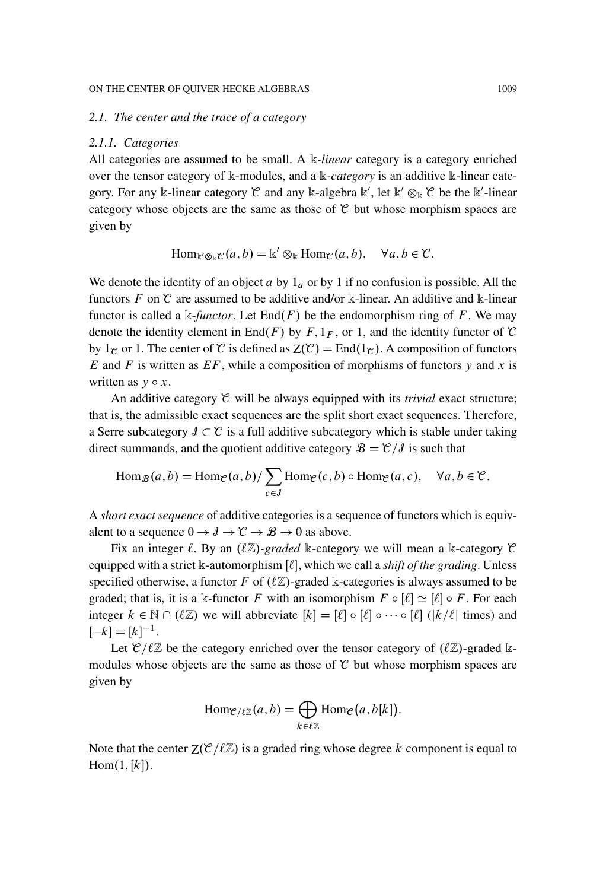#### *2.1. The center and the trace of a category*

#### *2.1.1. Categories*

All categories are assumed to be small. A k*-linear* category is a category enriched over the tensor category of k-modules, and a k-*category* is an additive k-linear category. For any k-linear category  $\mathcal C$  and any k-algebra  $\mathbb k'$ , let  $\mathbb k' \otimes_{\mathbb k} \mathcal C$  be the  $\mathbb k'$ -linear category whose objects are the same as those of  $C$  but whose morphism spaces are given by

$$
\operatorname{Hom}_{\Bbbk'\otimes_{\Bbbk}\mathcal{C}}(a,b)=\Bbbk'\otimes_{\Bbbk}\operatorname{Hom}_{\mathcal{C}}(a,b),\quad\forall a,b\in\mathcal{C}.
$$

We denote the identity of an object  $a$  by  $1_a$  or by 1 if no confusion is possible. All the functors F on  $\mathcal C$  are assumed to be additive and/or k-linear. An additive and k-linear functor is called a k-*functor*. Let  $End(F)$  be the endomorphism ring of F. We may denote the identity element in End(F) by F,  $1_F$ , or 1, and the identity functor of C by 1<sub>C</sub> or 1. The center of C is defined as  $Z(\mathcal{C}) = \text{End}(1_{\mathcal{C}})$ . A composition of functors E and F is written as  $EF$ , while a composition of morphisms of functors y and x is written as  $v \circ x$ .

An additive category  $\mathcal C$  will be always equipped with its *trivial* exact structure; that is, the admissible exact sequences are the split short exact sequences. Therefore, a Serre subcategory  $\mathcal{J} \subset \mathcal{C}$  is a full additive subcategory which is stable under taking direct summands, and the quotient additive category  $\mathcal{B} = \mathcal{C}/\mathcal{J}$  is such that

$$
\operatorname{Hom}_{\mathcal{B}}(a,b) = \operatorname{Hom}_{\mathcal{C}}(a,b)/\sum_{c \in J} \operatorname{Hom}_{\mathcal{C}}(c,b) \circ \operatorname{Hom}_{\mathcal{C}}(a,c), \quad \forall a,b \in \mathcal{C}.
$$

A *short exact sequence* of additive categories is a sequence of functors which is equivalent to a sequence  $0 \to \mathcal{J} \to \mathcal{C} \to \mathcal{B} \to 0$  as above.

Fix an integer  $\ell$ . By an  $(\ell \mathbb{Z})$ -graded k-category we will mean a k-category  $\mathfrak C$ equipped with a strict k-automorphism [ $\ell$ ], which we call a *shift of the grading*. Unless specified otherwise, a functor F of  $(\ell \mathbb{Z})$ -graded k-categories is always assumed to be graded; that is, it is a k-functor F with an isomorphism  $F \circ [\ell] \simeq [\ell] \circ F$ . For each integer  $k \in \mathbb{N} \cap (\ell \mathbb{Z})$  we will abbreviate  $[k] = [\ell] \circ [\ell] \circ \cdots \circ [\ell]$  ( $|k/\ell|$  times) and  $[-k] = [k]^{-1}.$ 

Let  $\mathcal{C}/\ell\mathbb{Z}$  be the category enriched over the tensor category of  $(\ell\mathbb{Z})$ -graded kmodules whose objects are the same as those of  $C$  but whose morphism spaces are given by

$$
\operatorname{Hom}_{\mathcal{C}/\ell\mathbb{Z}}(a,b) = \bigoplus_{k \in \ell\mathbb{Z}} \operatorname{Hom}_{\mathcal{C}}(a,b[k]).
$$

Note that the center  $Z(\mathcal{C}/\ell \mathbb{Z})$  is a graded ring whose degree k component is equal to  $Hom(1,[k]).$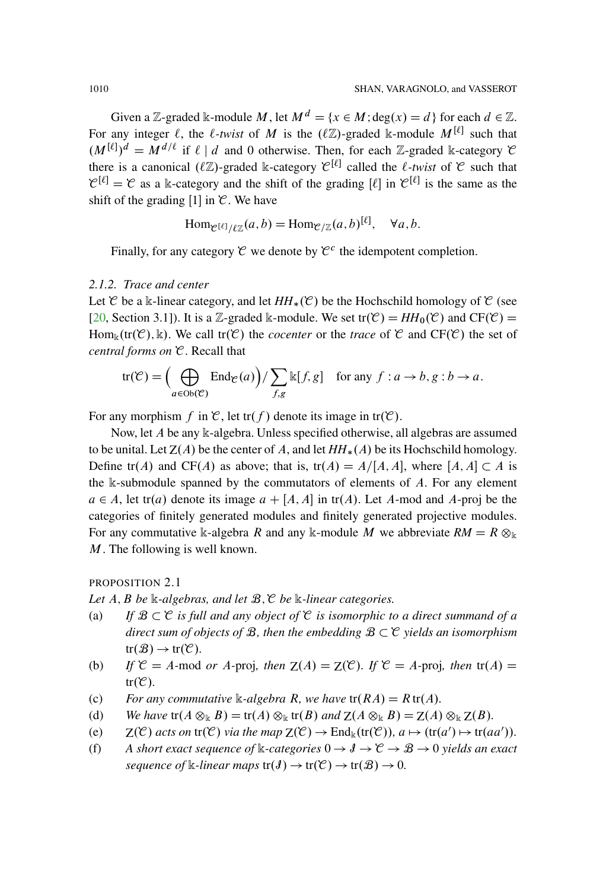Given a Z-graded k-module M, let  $M^d = \{x \in M : \text{deg}(x) = d\}$  for each  $d \in \mathbb{Z}$ . For any integer  $\ell$ , the  $\ell$ -twist of M is the  $(\ell \mathbb{Z})$ -graded k-module  $M^{[\ell]}$  such that  $(M^{[\ell]})^d = M^{d/\ell}$  if  $\ell \mid d$  and 0 otherwise. Then, for each Z-graded k-category  $\mathcal C$ there is a canonical  $(\ell \mathbb{Z})$ -graded k-category  $\mathcal{C}^{[\ell]}$  called the  $\ell$ -twist of  $\mathcal C$  such that  $\mathcal{C}^{[\ell]} = \mathcal{C}$  as a k-category and the shift of the grading  $[\ell]$  in  $\mathcal{C}^{[\ell]}$  is the same as the shift of the grading [1] in  $\mathcal C$ . We have

$$
\text{Hom}_{\mathcal{C}^{[\ell]}/\ell \mathbb{Z}}(a,b) = \text{Hom}_{\mathcal{C}/\mathbb{Z}}(a,b)^{[\ell]}, \quad \forall a,b.
$$

Finally, for any category  $\mathcal C$  we denote by  $\mathcal C^c$  the idempotent completion.

## *2.1.2. Trace and center*

Let  $\mathcal C$  be a k-linear category, and let  $HH_*(\mathcal C)$  be the Hochschild homology of  $\mathcal C$  (see [\[20,](#page-94-5) Section 3.1]). It is a Z-graded k-module. We set tr $(\mathcal{C}) = HH_0(\mathcal{C})$  and  $CF(\mathcal{C}) =$  $\text{Hom}_{\mathbb{k}}(\text{tr}(\mathcal{C}), \mathbb{k})$ . We call  $\text{tr}(\mathcal{C})$  the *cocenter* or the *trace* of  $\mathcal{C}$  and  $CF(\mathcal{C})$  the set of *central forms on* C. Recall that

$$
\text{tr}(\mathcal{C}) = \Big(\bigoplus_{a \in \text{Ob}(\mathcal{C})} \text{End}_{\mathcal{C}}(a)\Big) / \sum_{f,g} \mathbb{k}[f,g] \quad \text{for any } f : a \to b, g : b \to a.
$$

For any morphism f in C, let tr(f) denote its image in tr(C).

Now, let A be any k-algebra. Unless specified otherwise, all algebras are assumed to be unital. Let  $Z(A)$  be the center of A, and let  $HH_*(A)$  be its Hochschild homology. Define tr(A) and CF(A) as above; that is, tr(A) =  $A/[A, A]$ , where  $[A, A] \subset A$  is the  $\Bbbk$ -submodule spanned by the commutators of elements of  $A$ . For any element  $a \in A$ , let tr(a) denote its image  $a + [A, A]$  in tr(A). Let A-mod and A-proj be the categories of finitely generated modules and finitely generated projective modules. For any commutative k-algebra R and any k-module M we abbreviate  $RM = R \otimes_{\mathbb{k}}$ M. The following is well known.

#### <span id="page-5-0"></span>PROPOSITION 2.1

*Let* A; B *be* k*-algebras, and let* B;C *be* k*-linear categories.*

- (a) If  $\mathcal{B} \subset \mathcal{C}$  *is full and any object of*  $\mathcal{C}$  *is isomorphic to a direct summand of a* direct sum of objects of  $\mathcal B$ , then the embedding  $\mathcal B \subset \mathcal C$  yields an isomorphism  $tr(\mathcal{B}) \rightarrow tr(\mathcal{C})$ *.*
- (b) If  $\mathcal{C} = A$ -mod *or* A-proj, then  $Z(A) = Z(\mathcal{C})$ *. If*  $\mathcal{C} = A$ -proj, then  $tr(A) =$  $tr(\mathcal{C})$ .
- (c) *For any commutative* k-*algebra* R, we have  $tr(RA) = R tr(A)$ *.*
- (d) *We have*  $\text{tr}(A \otimes_{\mathbb{k}} B) = \text{tr}(A) \otimes_{\mathbb{k}} \text{tr}(B)$  *and*  $\text{Z}(A \otimes_{\mathbb{k}} B) = \text{Z}(A) \otimes_{\mathbb{k}} \text{Z}(B)$ *.*
- (e)  $Z(\mathcal{C})$  *acts on*  $tr(\mathcal{C})$  *via the map*  $Z(\mathcal{C}) \to End_k(tr(\mathcal{C})), a \mapsto (tr(a') \mapsto tr(aa')).$
- (f) A short exact sequence of  $\Bbbk$ -categories  $0 \to \mathcal{J} \to \mathcal{C} \to \mathcal{B} \to 0$  yields an exact *sequence of* k-linear maps  $tr(J) \rightarrow tr(\mathcal{C}) \rightarrow tr(\mathcal{B}) \rightarrow 0$ .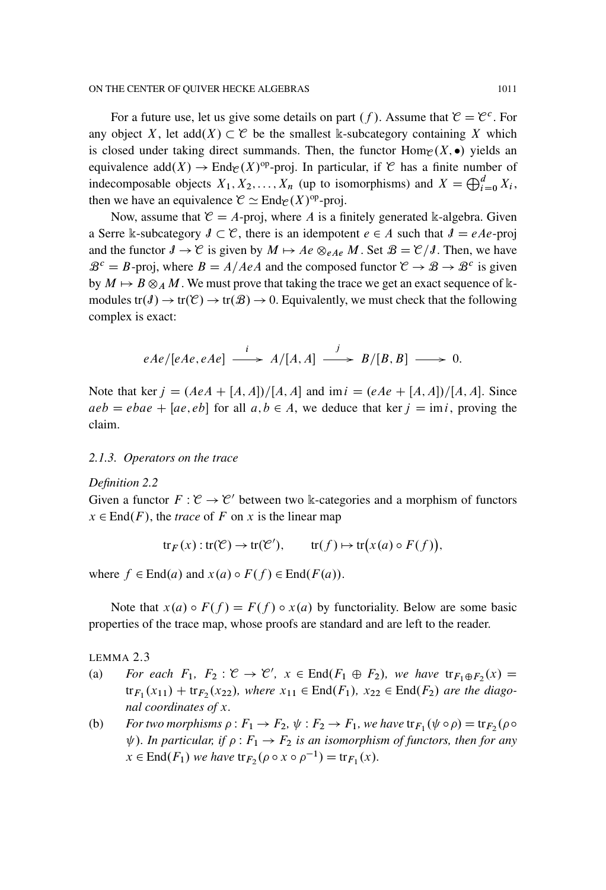For a future use, let us give some details on part  $(f)$ . Assume that  $\mathcal{C} = \mathcal{C}^c$ . For any object X, let add $(X) \subset \mathcal{C}$  be the smallest k-subcategory containing X which is closed under taking direct summands. Then, the functor  $\text{Hom}_{\mathcal{C}}(X, \bullet)$  yields an equivalence add $(X) \to \text{End}_{\mathcal{C}}(X)$ <sup>op</sup>-proj. In particular, if C has a finite number of indecomposable objects  $X_1, X_2, \ldots, X_n$  (up to isomorphisms) and  $X = \bigoplus_{i=0}^d X_i$ , then we have an equivalence  $\mathcal{C} \simeq \text{End}_{\mathcal{C}}(X)^{op}$ -proj.

Now, assume that  $\mathcal{C} = A$ -proj, where A is a finitely generated k-algebra. Given a Serre k-subcategory  $I \subset \mathcal{C}$ , there is an idempotent  $e \in A$  such that  $I = eAe$ -proj and the functor  $\mathcal{J} \to \mathcal{C}$  is given by  $M \mapsto Ae \otimes_{eAe} M$ . Set  $\mathcal{B} = \mathcal{C}/\mathcal{J}$ . Then, we have  $\mathcal{B}^c = B$ -proj, where  $B = A/AeA$  and the composed functor  $\mathcal{C} \to \mathcal{B} \to \mathcal{B}^c$  is given by  $M \mapsto B \otimes_A M$ . We must prove that taking the trace we get an exact sequence of kmodules  $tr(\mathcal{J}) \to tr(\mathcal{C}) \to tr(\mathcal{B}) \to 0$ . Equivalently, we must check that the following complex is exact:

$$
eAe/[eAe, eAe] \xrightarrow{i} A/[A,A] \xrightarrow{j} B/[B,B] \longrightarrow 0.
$$

Note that ker  $j = (AeA + [A, A])/[A, A]$  and im  $i = (eAe + [A, A])/[A, A]$ . Since  $aeb = ebae + [ae, eb]$  for all  $a, b \in A$ , we deduce that ker  $j = imi$ , proving the claim.

#### *2.1.3. Operators on the trace*

#### <span id="page-6-0"></span>*Definition 2.2*

Given a functor  $F : \mathcal{C} \to \mathcal{C}'$  between two k-categories and a morphism of functors  $x \in$  End(*F*), the *trace* of *F* on *x* is the linear map

$$
tr_F(x) : tr(\mathcal{C}) \to tr(\mathcal{C}'), \qquad tr(f) \mapsto tr(x(a) \circ F(f)),
$$

where  $f \in End(a)$  and  $x(a) \circ F(f) \in End(F(a)).$ 

Note that  $x(a) \circ F(f) = F(f) \circ x(a)$  by functoriality. Below are some basic properties of the trace map, whose proofs are standard and are left to the reader.

LEMMA 2.3

- (a) *For each*  $F_1$ ,  $F_2$ :  $\mathcal{C} \to \mathcal{C}'$ ,  $x \in \text{End}(F_1 \oplus F_2)$ , we have  $\text{tr}_{F_1 \oplus F_2}(x) =$  ${\rm tr}_{F_1}(x_{11}) + {\rm tr}_{F_2}(x_{22})$ *, where*  $x_{11} \in End(F_1)$ *,*  $x_{22} \in End(F_2)$  *are the diagonal coordinates of* x*.*
- (b) *For two morphisms*  $\rho: F_1 \to F_2$ ,  $\psi: F_2 \to F_1$ , we have  ${\rm tr}_{F_1}(\psi \circ \rho) = {\rm tr}_{F_2}(\rho \circ \rho)$  $\psi$ ). In particular, if  $\rho$  :  $F_1 \rightarrow F_2$  is an isomorphism of functors, then for any  $x \in \text{End}(F_1)$  *we have*  $\text{tr}_{F_2}(\rho \circ x \circ \rho^{-1}) = \text{tr}_{F_1}(x)$ *.*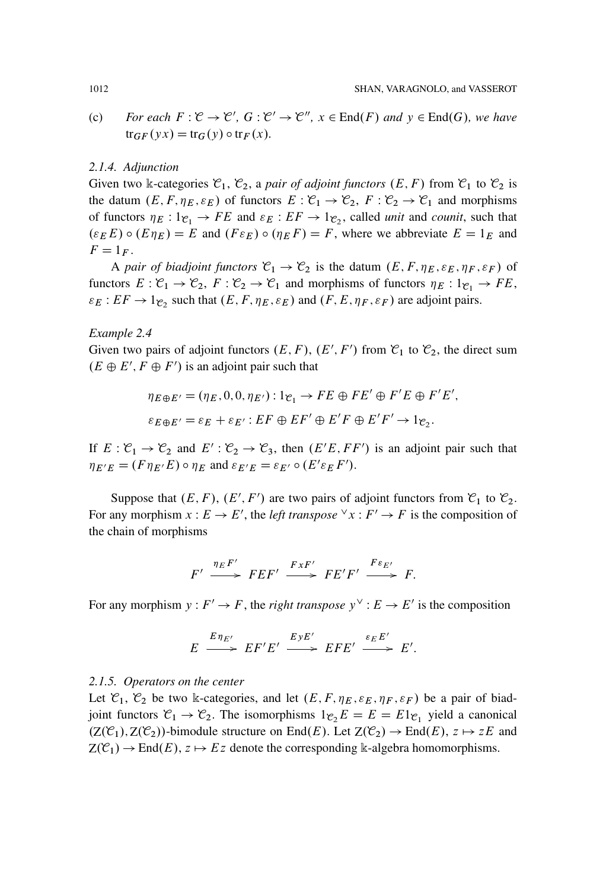(c) *For each*  $F: \mathcal{C} \to \mathcal{C}'$ ,  $G: \mathcal{C}' \to \mathcal{C}''$ ,  $x \in End(F)$  and  $y \in End(G)$ *, we have*  $tr_{GF}(yx) = tr_{G}(y) \circ tr_{F}(x)$ *.* 

#### *2.1.4. Adjunction*

Given two k-categories  $\mathcal{C}_1$ ,  $\mathcal{C}_2$ , a *pair of adjoint functors*  $(E, F)$  from  $\mathcal{C}_1$  to  $\mathcal{C}_2$  is the datum  $(E, F, \eta_E, \varepsilon_E)$  of functors  $E: \mathcal{C}_1 \to \mathcal{C}_2$ ,  $F: \mathcal{C}_2 \to \mathcal{C}_1$  and morphisms of functors  $\eta_E : 1_{\mathfrak{C}_1} \to FE$  and  $\varepsilon_E : EF \to 1_{\mathfrak{C}_2}$ , called *unit* and *counit*, such that  $(\varepsilon_E E) \circ (E \eta_E) = E$  and  $(F \varepsilon_E) \circ (\eta_E F) = F$ , where we abbreviate  $E = 1_E$  and  $F = 1_F$ .

A *pair of biadjoint functors*  $C_1 \rightarrow C_2$  is the datum  $(E, F, \eta_E, \varepsilon_E, \eta_F, \varepsilon_F)$  of functors  $E: \mathcal{C}_1 \to \mathcal{C}_2$ ,  $F: \mathcal{C}_2 \to \mathcal{C}_1$  and morphisms of functors  $\eta_E: 1_{\mathcal{C}_1} \to FE$ ,  $\varepsilon_E : EF \to 1_{\mathcal{C}_2}$  such that  $(E, F, \eta_E, \varepsilon_E)$  and  $(F, E, \eta_F, \varepsilon_F)$  are adjoint pairs.

## *Example 2.4*

Given two pairs of adjoint functors  $(E, F)$ ,  $(E', F')$  from  $\mathcal{C}_1$  to  $\mathcal{C}_2$ , the direct sum  $(E \oplus E', F \oplus F')$  is an adjoint pair such that

$$
\eta_{E \oplus E'} = (\eta_E, 0, 0, \eta_{E'}) : 1_{\mathcal{C}_1} \to FE \oplus FE' \oplus F'E \oplus F'E',
$$
  

$$
\varepsilon_{E \oplus E'} = \varepsilon_E + \varepsilon_{E'} : EF \oplus EF' \oplus E'F \oplus E'F' \to 1_{\mathcal{C}_2}.
$$

If  $E: \mathcal{C}_1 \to \mathcal{C}_2$  and  $E': \mathcal{C}_2 \to \mathcal{C}_3$ , then  $(E'E, FF')$  is an adjoint pair such that  $\eta_{E'E} = (F \eta_{E'} E) \circ \eta_E$  and  $\varepsilon_{E'E} = \varepsilon_{E'} \circ (E' \varepsilon_E F')$ .

Suppose that  $(E, F)$ ,  $(E', F')$  are two pairs of adjoint functors from  $\mathcal{C}_1$  to  $\mathcal{C}_2$ . For any morphism  $x : E \to E'$ , the *left transpose*  $\forall x : F' \to F$  is the composition of the chain of morphisms

$$
F' \xrightarrow{\eta_E F'} FEF' \xrightarrow{FxF'} FE'F' \xrightarrow{F\epsilon_{E'}} F.
$$

For any morphism  $y : F' \to F$ , the *right transpose*  $y^{\vee} : E \to E'$  is the composition

$$
E \xrightarrow{E \eta_{E'}} EF'E' \xrightarrow{E y E'} EFE' \xrightarrow{\varepsilon_E E'} E'.
$$

#### *2.1.5. Operators on the center*

Let  $\mathcal{C}_1$ ,  $\mathcal{C}_2$  be two k-categories, and let  $(E, F, \eta_E, \varepsilon_E, \eta_F, \varepsilon_F)$  be a pair of biadjoint functors  $\mathcal{C}_1 \to \mathcal{C}_2$ . The isomorphisms  $1_{\mathcal{C}_2}E = E = E1_{\mathcal{C}_1}$  yield a canonical  $(Z(\mathcal{C}_1), Z(\mathcal{C}_2))$ -bimodule structure on End $(E)$ . Let  $Z(\mathcal{C}_2) \to \text{End}(E)$ ,  $z \mapsto zE$  and  $Z(\mathcal{C}_1) \to \text{End}(E), z \mapsto Ez$  denote the corresponding k-algebra homomorphisms.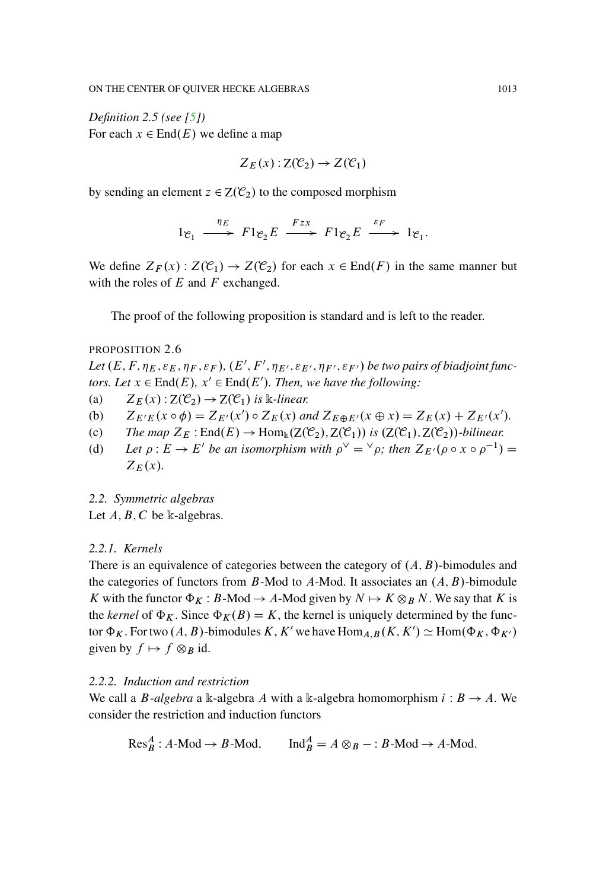<span id="page-8-0"></span>*Definition 2.5 (see [\[5\]](#page-93-3))* For each  $x \in$  End $(E)$  we define a map

$$
Z_E(x): Z(\mathcal{C}_2) \to Z(\mathcal{C}_1)
$$

by sending an element  $z \in Z(\mathcal{C}_2)$  to the composed morphism

$$
1e_1 \xrightarrow{\eta_E} F1e_2E \xrightarrow{Fzx} F1e_2E \xrightarrow{\varepsilon_F} 1e_1.
$$

We define  $Z_F(x)$ :  $Z(\mathcal{C}_1) \to Z(\mathcal{C}_2)$  for each  $x \in End(F)$  in the same manner but with the roles of  $E$  and  $F$  exchanged.

The proof of the following proposition is standard and is left to the reader.

#### PROPOSITION 2.6

Let  $(E, F, \eta_E, \varepsilon_E, \eta_F, \varepsilon_F)$ ,  $(E', F', \eta_{E'}, \varepsilon_{E'}, \eta_{F'}, \varepsilon_{F'})$  be two pairs of biadjoint func*tors. Let*  $x \in End(E)$ ,  $x' \in End(E')$ *. Then, we have the following:* 

- (a)  $Z_F(x): Z(\mathcal{C}_2) \to Z(\mathcal{C}_1)$  is k-linear.
- (b)  $Z_{E'E}(x \circ \phi) = Z_{E'}(x') \circ Z_E(x)$  and  $Z_{E \oplus E'}(x \oplus x) = Z_E(x) + Z_{E'}(x')$ .
- (c) *The map*  $Z_E$ :  $End(E) \rightarrow Hom_k(Z(\mathcal{C}_2), Z(\mathcal{C}_1))$  *is*  $(Z(\mathcal{C}_1), Z(\mathcal{C}_2))$ *-bilinear.*
- (d) Let  $\rho : E \to E'$  be an isomorphism with  $\rho^{\vee} = {}^{\vee} \rho$ ; then  $Z_{E'}(\rho \circ x \circ \rho^{-1}) =$  $Z_E(x)$ .
- *2.2. Symmetric algebras*
- Let  $A, B, C$  be k-algebras.

#### *2.2.1. Kernels*

There is an equivalence of categories between the category of  $(A, B)$ -bimodules and the categories of functors from  $B$ -Mod to A-Mod. It associates an  $(A, B)$ -bimodule K with the functor  $\Phi_K : B\text{-Mod} \to A\text{-Mod}$  given by  $N \mapsto K \otimes_B N$ . We say that K is the *kernel* of  $\Phi_K$ . Since  $\Phi_K(B) = K$ , the kernel is uniquely determined by the functor  $\Phi_K$ . For two  $(A, B)$ -bimodules K, K' we have  $\text{Hom}_{A, B}(K, K') \simeq \text{Hom}(\Phi_K, \Phi_{K'})$ given by  $f \mapsto f \otimes_B id$ .

#### *2.2.2. Induction and restriction*

We call a *B*-*algebra* a k-algebra A with a k-algebra homomorphism  $i : B \rightarrow A$ . We consider the restriction and induction functors

$$
\text{Res}_{B}^{A}: A\text{-Mod} \to B\text{-Mod}, \qquad \text{Ind}_{B}^{A} = A \otimes_{B} - : B\text{-Mod} \to A\text{-Mod}.
$$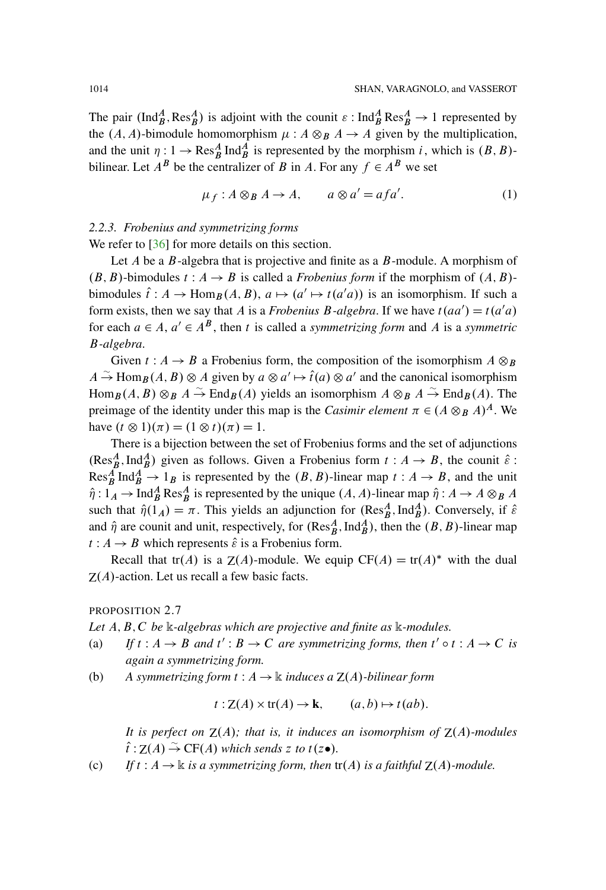The pair  $(Ind_B^A, Res_B^A)$  is adjoint with the counit  $\varepsilon : Ind_B^A Res_B^A \to 1$  represented by the  $(A, A)$ -bimodule homomorphism  $\mu : A \otimes_B A \rightarrow A$  given by the multiplication, and the unit  $\eta: 1 \to \text{Res}_{B}^{A} \text{Ind}_{B}^{A}$  is represented by the morphism i, which is  $(B, B)$ bilinear. Let  $A^B$  be the centralizer of B in A. For any  $f \in A^B$  we set

<span id="page-9-0"></span>
$$
\mu_f: A \otimes_B A \to A, \qquad a \otimes a' = afa'. \tag{1}
$$

## *2.2.3. Frobenius and symmetrizing forms*

We refer to [\[36\]](#page-95-4) for more details on this section.

Let  $A$  be a  $B$ -algebra that is projective and finite as a  $B$ -module. A morphism of  $(B, B)$ -bimodules  $t : A \rightarrow B$  is called a *Frobenius form* if the morphism of  $(A, B)$ bimodules  $\hat{t}: A \to \text{Hom}_{B}(A, B), a \mapsto (a' \mapsto t(a'a))$  is an isomorphism. If such a form exists, then we say that A is a *Frobenius B-algebra*. If we have  $t(aa') = t(a'a)$ for each  $a \in A$ ,  $a' \in A^B$ , then t is called a *symmetrizing form* and A is a *symmetric* B*-algebra*.

Given  $t : A \rightarrow B$  a Frobenius form, the composition of the isomorphism  $A \otimes_B B$  $A \stackrel{\sim}{\to} \text{Hom}_{\mathcal{B}}(A, B) \otimes A$  given by  $a \otimes a' \mapsto \hat{t}(a) \otimes a'$  and the canonical isomorphism  $\text{Hom}_{\mathcal{B}}(A, B) \otimes_{\mathcal{B}} A \stackrel{\sim}{\to} \text{End}_{\mathcal{B}}(A)$  yields an isomorphism  $A \otimes_{\mathcal{B}} A \stackrel{\sim}{\to} \text{End}_{\mathcal{B}}(A)$ . The preimage of the identity under this map is the *Casimir element*  $\pi \in (A \otimes_R A)^A$ . We have  $(t \otimes 1)(\pi) = (1 \otimes t)(\pi) = 1$ .

There is a bijection between the set of Frobenius forms and the set of adjunctions  $(\text{Res}_B^A, \text{Ind}_B^A)$  given as follows. Given a Frobenius form  $t : A \to B$ , the counit  $\hat{\varepsilon}$ : Res<sub>B</sub><sup> $A$ </sup> Ind<sub>B</sub><sup> $A$ </sup>  $\rightarrow$  1<sub>B</sub> is represented by the  $(B, B)$ -linear map  $t : A \rightarrow B$ , and the unit  $\hat{\eta}: 1_A \to \text{Ind}_{B}^{A} \text{Res}_{B}^{A}$  is represented by the unique  $(A, A)$ -linear map  $\hat{\eta}: A \to A \otimes_{B} A$ such that  $\hat{\eta}(1_A) = \pi$ . This yields an adjunction for  $(Res^A_B, Ind^A_B)$ . Conversely, if  $\hat{\varepsilon}$ and  $\hat{\eta}$  are counit and unit, respectively, for  $(\text{Res}_B^A, \text{Ind}_B^A)$ , then the  $(B, B)$ -linear map  $t : A \rightarrow B$  which represents  $\hat{\varepsilon}$  is a Frobenius form.

Recall that tr(A) is a  $Z(A)$ -module. We equip  $CF(A) = tr(A)^*$  with the dual  $Z(A)$ -action. Let us recall a few basic facts.

PROPOSITION 2.7

*Let* A; B; C *be* k*-algebras which are projective and finite as* k*-modules.*

- (a) *If*  $t : A \rightarrow B$  *and*  $t' : B \rightarrow C$  *are symmetrizing forms, then*  $t' \circ t : A \rightarrow C$  *is again a symmetrizing form.*
- (b) A symmetrizing form  $t : A \to \mathbb{k}$  *induces a*  $Z(A)$ *-bilinear form*

$$
t: Z(A) \times tr(A) \to \mathbf{k}, \qquad (a, b) \mapsto t(ab).
$$

*It is perfect on*  $Z(A)$ *; that is, it induces an isomorphism of*  $Z(A)$ *-modules*  $\hat{t}$ :  $Z(A) \stackrel{\sim}{\rightarrow} CF(A)$  which sends *z* to  $t(z \bullet)$ .

(c) *If*  $t : A \rightarrow \mathbb{k}$  *is a symmetrizing form, then*  $tr(A)$  *is a faithful*  $Z(A)$ *-module.*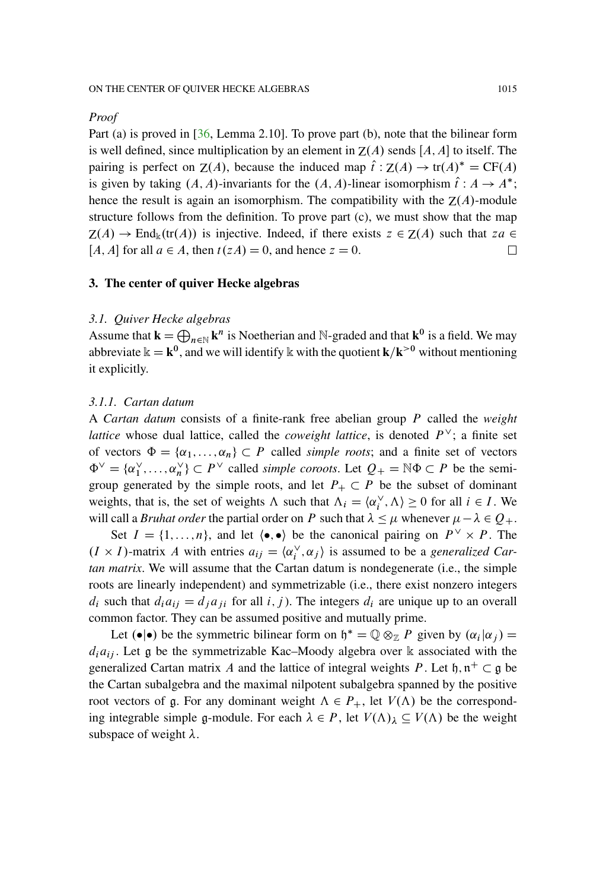#### *Proof*

Part (a) is proved in [\[36,](#page-95-4) Lemma 2.10]. To prove part (b), note that the bilinear form is well defined, since multiplication by an element in  $Z(A)$  sends  $[A, A]$  to itself. The pairing is perfect on  $Z(A)$ , because the induced map  $\hat{t}$ :  $Z(A) \to tr(A)^* = CF(A)$ is given by taking  $(A, A)$ -invariants for the  $(A, A)$ -linear isomorphism  $\hat{t}: A \to A^*$ ; hence the result is again an isomorphism. The compatibility with the  $Z(A)$ -module structure follows from the definition. To prove part (c), we must show that the map  $Z(A) \to \text{End}_{\mathbb{k}}(\text{tr}(A))$  is injective. Indeed, if there exists  $z \in Z(A)$  such that  $za \in Z(A)$ [A, A] for all  $a \in A$ , then  $t(zA) = 0$ , and hence  $z = 0$ . 口

#### <span id="page-10-1"></span><span id="page-10-0"></span>**3. The center of quiver Hecke algebras**

#### *3.1. Quiver Hecke algebras*

Assume that  $\mathbf{k} = \bigoplus_{n \in \mathbb{N}} \mathbf{k}^n$  is Noetherian and N-graded and that  $\mathbf{k}^0$  is a field. We may abbreviate  $\mathbf{k} = \mathbf{k}^0$ , and we will identify k with the quotient  $\mathbf{k}/\mathbf{k}$ <sup>>0</sup> without mentioning it explicitly.

#### *3.1.1. Cartan datum*

A *Cartan datum* consists of a finite-rank free abelian group P called the *weight lattice* whose dual lattice, called the *coweight lattice*, is denoted  $P^{\vee}$ ; a finite set of vectors  $\Phi = {\alpha_1, ..., \alpha_n} \subset P$  called *simple roots*; and a finite set of vectors  $\Phi^{\vee} = {\alpha_1^{\vee}, \dots, \alpha_n^{\vee}} \subset P^{\vee}$  called *simple coroots*. Let  $Q_+ = \mathbb{N} \Phi \subset P$  be the semigroup generated by the simple roots, and let  $P_+ \subset P$  be the subset of dominant weights, that is, the set of weights  $\Lambda$  such that  $\Lambda_i = \langle \alpha_i^{\vee}, \Lambda \rangle \ge 0$  for all  $i \in I$ . We will call a *Bruhat order* the partial order on P such that  $\lambda \leq \mu$  whenever  $\mu - \lambda \in Q_+$ .

Set  $I = \{1, ..., n\}$ , and let  $\langle \bullet, \bullet \rangle$  be the canonical pairing on  $P^{\vee} \times P$ . The  $(I \times I)$ -matrix A with entries  $a_{ij} = \langle \alpha_i^{\vee}, \alpha_j \rangle$  is assumed to be a *generalized Cartan matrix*. We will assume that the Cartan datum is nondegenerate (i.e., the simple roots are linearly independent) and symmetrizable (i.e., there exist nonzero integers  $d_i$  such that  $d_i a_{ij} = d_i a_{ji}$  for all i, j). The integers  $d_i$  are unique up to an overall common factor. They can be assumed positive and mutually prime.

Let  $(\bullet | \bullet)$  be the symmetric bilinear form on  $\mathfrak{h}^* = \mathbb{Q} \otimes_{\mathbb{Z} P} P$  given by  $(\alpha_i | \alpha_j) =$  $d_i a_{ij}$ . Let g be the symmetrizable Kac–Moody algebra over k associated with the generalized Cartan matrix A and the lattice of integral weights P. Let  $\mathfrak{h}, \mathfrak{n}^+ \subset \mathfrak{g}$  be the Cartan subalgebra and the maximal nilpotent subalgebra spanned by the positive root vectors of g. For any dominant weight  $\Lambda \in P_+$ , let  $V(\Lambda)$  be the corresponding integrable simple g-module. For each  $\lambda \in P$ , let  $V(\Lambda)_{\lambda} \subseteq V(\Lambda)$  be the weight subspace of weight  $\lambda$ .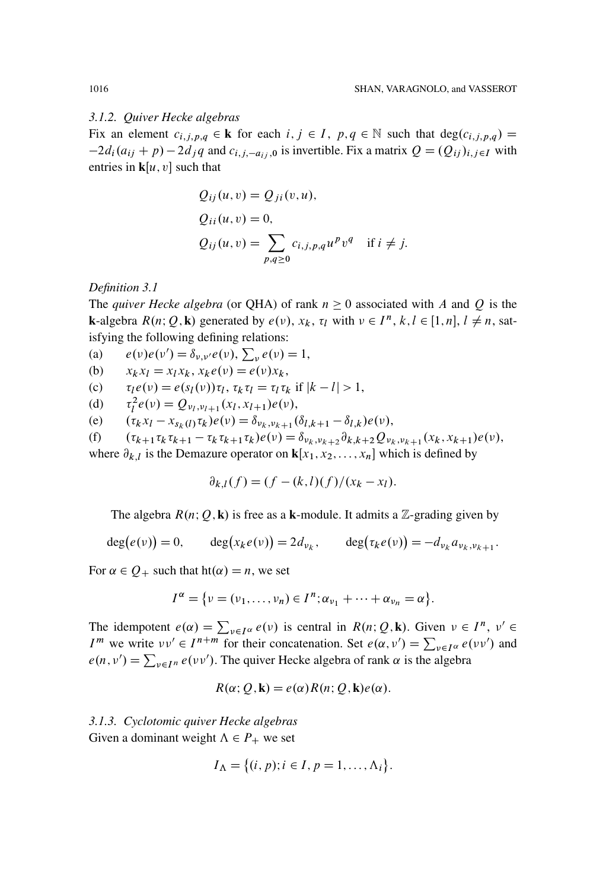#### *3.1.2. Quiver Hecke algebras*

Fix an element  $c_{i,j,p,q} \in \mathbf{k}$  for each  $i, j \in I$ ,  $p,q \in \mathbb{N}$  such that  $\deg(c_{i,j,p,q}) =$  $-2d_i(a_{ij} + p) - 2d_j q$  and  $c_{i,j,-a_{ij},0}$  is invertible. Fix a matrix  $Q = (Q_{ij})_{i,j\in I}$  with entries in  $\mathbf{k}[u, v]$  such that

$$
Q_{ij}(u, v) = Q_{ji}(v, u),
$$
  
\n
$$
Q_{ii}(u, v) = 0,
$$
  
\n
$$
Q_{ij}(u, v) = \sum_{p,q \ge 0} c_{i,j,p,q} u^p v^q \text{ if } i \ne j.
$$

*Definition 3.1*

The *quiver Hecke algebra* (or QHA) of rank  $n \ge 0$  associated with A and Q is the **k**-algebra  $R(n; Q, \mathbf{k})$  generated by  $e(v)$ ,  $x_k$ ,  $\tau_l$  with  $v \in I^n$ ,  $k, l \in [1, n]$ ,  $l \neq n$ , satisfying the following defining relations:

- (a)  $e(\nu)e(\nu') = \delta_{\nu,\nu'}e(\nu), \sum_{\nu} e(\nu) = 1,$
- (b)  $x_k x_l = x_l x_k, x_k e(\nu) = e(\nu) x_k,$
- (c)  $\tau_l e(\nu) = e(s_l(\nu)) \tau_l, \tau_k \tau_l = \tau_l \tau_k \text{ if } |k l| > 1,$
- (d)  $\tau_l^2 e(\nu) = Q_{\nu_l, \nu_{l+1}}(x_l, x_{l+1}) e(\nu),$
- (e) .  $k x_l - x_{s_k(l)} \tau_k) e(\nu) = \delta_{\nu_k, \nu_{k+1}} (\delta_{l,k+1} - \delta_{l,k}) e(\nu),$

(f) 
$$
(\tau_{k+1}\tau_k\tau_{k+1}-\tau_k\tau_{k+1}\tau_k)e(\nu)=\delta_{\nu_k,\nu_{k+2}}\partial_{k,k+2}Q_{\nu_k,\nu_{k+1}}(x_k,x_{k+1})e(\nu),
$$

where  $\partial_{k,l}$  is the Demazure operator on  $\mathbf{k}[x_1, x_2, \dots, x_n]$  which is defined by

$$
\partial_{k,l}(f) = (f - (k,l)(f)/(x_k - x_l).
$$

The algebra  $R(n; Q, \mathbf{k})$  is free as a **k**-module. It admits a Z-grading given by

$$
\deg(e(\nu)) = 0, \qquad \deg(x_k e(\nu)) = 2d_{\nu_k}, \qquad \deg(\tau_k e(\nu)) = -d_{\nu_k} a_{\nu_k, \nu_{k+1}}.
$$

For  $\alpha \in Q_+$  such that  $ht(\alpha) = n$ , we set

$$
I^{\alpha} = \{v = (v_1, \ldots, v_n) \in I^n; \alpha_{v_1} + \cdots + \alpha_{v_n} = \alpha\}.
$$

The idempotent  $e(\alpha) = \sum_{v \in I^{\alpha}} e(v)$  is central in  $R(n; Q, \mathbf{k})$ . Given  $v \in I^n$ ,  $v' \in I$  $I^m$  we write  $vv' \in I^{n+m}$  for their concatenation. Set  $e(\alpha, v') = \sum_{v \in I^{\alpha}} e(vv')$  and  $e(n, v') = \sum_{v \in I^n} e(vv')$ . The quiver Hecke algebra of rank  $\alpha$  is the algebra

$$
R(\alpha; Q, \mathbf{k}) = e(\alpha) R(n; Q, \mathbf{k}) e(\alpha).
$$

<span id="page-11-0"></span>*3.1.3. Cyclotomic quiver Hecke algebras* Given a dominant weight  $\Lambda \in P_+$  we set

$$
I_{\Lambda} = \{(i, p); i \in I, p = 1, \ldots, \Lambda_i\}.
$$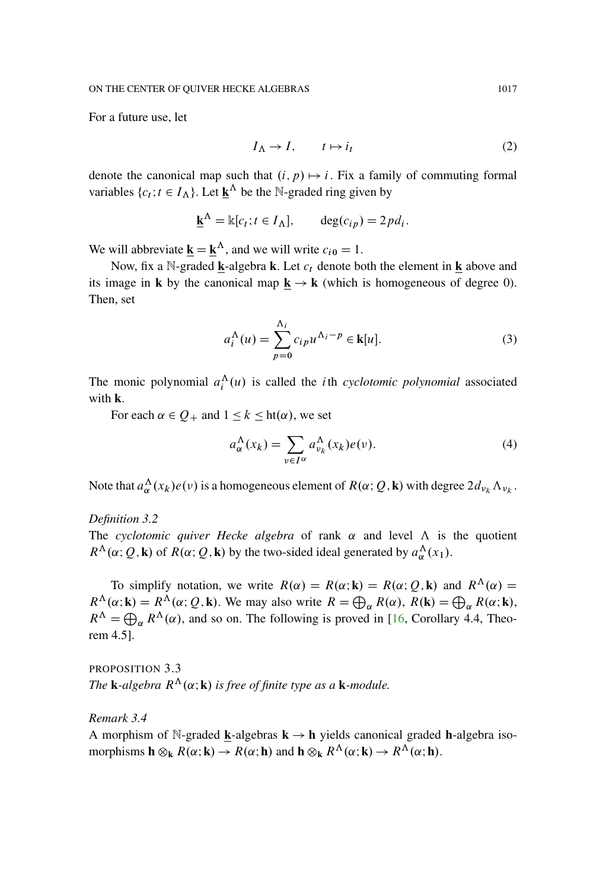For a future use, let

<span id="page-12-0"></span>
$$
I_{\Lambda} \to I, \qquad t \mapsto i_t \tag{2}
$$

denote the canonical map such that  $(i, p) \mapsto i$ . Fix a family of commuting formal variables  $\{c_t; t \in I_\Lambda\}$ . Let  $\underline{\mathbf{k}}^\Lambda$  be the N-graded ring given by

$$
\underline{\mathbf{k}}^{\Lambda} = \mathbb{k}[c_t; t \in I_{\Lambda}], \quad \deg(c_{ip}) = 2pd_i.
$$

We will abbreviate  $\underline{\mathbf{k}} = \underline{\mathbf{k}}^{\Lambda}$ , and we will write  $c_{i0} = 1$ .

Now, fix a N-graded  $\bf{k}$ -algebra  $\bf{k}$ . Let  $c_t$  denote both the element in  $\bf{k}$  above and its image in **k** by the canonical map  $\underline{\mathbf{k}} \to \mathbf{k}$  (which is homogeneous of degree 0). Then, set

$$
a_i^{\Lambda}(u) = \sum_{p=0}^{\Lambda_i} c_{ip} u^{\Lambda_i - p} \in \mathbf{k}[u].
$$
 (3)

The monic polynomial  $a_i^{\Lambda}(u)$  is called the *i*th *cyclotomic polynomial* associated with **k**.

For each  $\alpha \in Q_+$  and  $1 \leq k \leq ht(\alpha)$ , we set

$$
a_{\alpha}^{\Lambda}(x_k) = \sum_{\nu \in I^{\alpha}} a_{\nu_k}^{\Lambda}(x_k) e(\nu).
$$
 (4)

Note that  $a_{\alpha}^{\Lambda}(x_k)e(v)$  is a homogeneous element of  $R(\alpha; Q, \mathbf{k})$  with degree  $2d_{\nu_k}\Lambda_{\nu_k}$ .

*Definition 3.2*

The *cyclotomic quiver Hecke algebra* of rank  $\alpha$  and level  $\Lambda$  is the quotient  $R^{\Lambda}(\alpha; Q, \mathbf{k})$  of  $R(\alpha; Q, \mathbf{k})$  by the two-sided ideal generated by  $a_{\alpha}^{\Lambda}(x_1)$ .

To simplify notation, we write  $R(\alpha) = R(\alpha; \mathbf{k}) = R(\alpha; Q, \mathbf{k})$  and  $R^{\Lambda}(\alpha) =$  $R^{\Lambda}(\alpha; \mathbf{k}) = R^{\Lambda}(\alpha; Q, \mathbf{k})$ . We may also write  $R = \bigoplus_{\alpha} R(\alpha)$ ,  $R(\mathbf{k}) = \bigoplus_{\alpha} R(\alpha; \mathbf{k})$ ,  $R^{\Lambda} = \bigoplus_{\alpha} R^{\Lambda}(\alpha)$ , and so on. The following is proved in [\[16](#page-94-6), Corollary 4.4, Theorem 4.5].

PROPOSITION 3.3 *The* **k**-algebra  $R^{\Lambda}(\alpha; \mathbf{k})$  is free of finite type as a **k**-module.

*Remark 3.4*

A morphism of N-graded **k**-algebras  $k \rightarrow h$  yields canonical graded **h**-algebra isomorphisms  $\mathbf{h} \otimes_{\mathbf{k}} R(\alpha; \mathbf{k}) \to R(\alpha; \mathbf{h})$  and  $\mathbf{h} \otimes_{\mathbf{k}} R^{\Lambda}(\alpha; \mathbf{k}) \to R^{\Lambda}(\alpha; \mathbf{h})$ .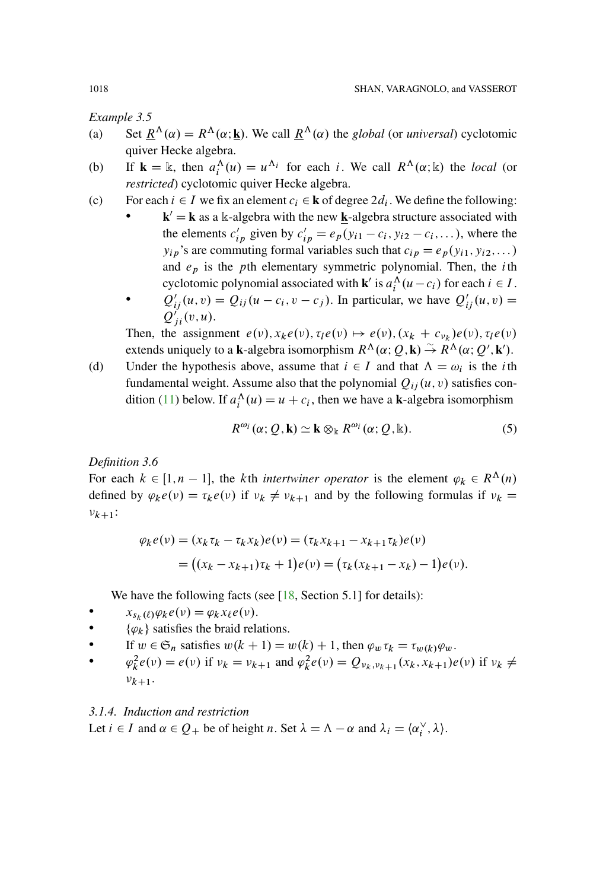<span id="page-13-0"></span>*Example 3.5*

- (a) Set  $\underline{R}^{\Lambda}(\alpha) = R^{\Lambda}(\alpha; \underline{k})$ . We call  $\underline{R}^{\Lambda}(\alpha)$  the *global* (or *universal*) cyclotomic quiver Hecke algebra.
- (b) If  $\mathbf{k} = \mathbb{k}$ , then  $a_i^{\Lambda}(u) = u^{\Lambda_i}$  for each i. We call  $R^{\Lambda}(\alpha; \mathbb{k})$  the *local* (or *restricted*) cyclotomic quiver Hecke algebra.
- (c) For each  $i \in I$  we fix an element  $c_i \in \mathbf{k}$  of degree  $2d_i$ . We define the following:
	- $\mathbf{k}' = \mathbf{k}$  as a k-algebra with the new **k**-algebra structure associated with the elements  $c'_{ip}$  given by  $c'_{ip} = e_p(y_{i1} - c_i, y_{i2} - c_i, \dots)$ , where the  $y_{ip}$ 's are commuting formal variables such that  $c_{ip} = e_p(y_{i1}, y_{i2},...)$ and  $e_p$  is the pth elementary symmetric polynomial. Then, the *i*th cyclotomic polynomial associated with **k**<sup>*i*</sup> is  $a_i^{\Lambda}(u-c_i)$  for each  $i \in I$ .
		- $\mathcal{Q}'_{ij}(u, v) = Q_{ij}(u c_i, v c_j)$ . In particular, we have  $Q'_{ij}(u, v) =$  $Q'_{ji}(v,u)$ .

Then, the assignment  $e(v)$ ,  $x_k e(v)$ ,  $\tau_l e(v) \mapsto e(v)$ ,  $(x_k + c_{v_k}) e(v)$ ,  $\tau_l e(v)$ extends uniquely to a **k**-algebra isomorphism  $R^{\Lambda}(\alpha; Q, \mathbf{k}) \stackrel{\sim}{\rightarrow} R^{\Lambda}(\alpha; Q', \mathbf{k}')$ .

(d) Under the hypothesis above, assume that  $i \in I$  and that  $\Lambda = \omega_i$  is the *i*th fundamental weight. Assume also that the polynomial  $Q_{ij}(u, v)$  satisfies con-dition [\(11\)](#page-20-0) below. If  $a_i^{\Lambda}(u) = u + c_i$ , then we have a **k**-algebra isomorphism

 $R^{\omega_i}(\alpha; O, \mathbf{k}) \simeq \mathbf{k} \otimes_{\mathbb{k}} R^{\omega_i}(\alpha; O, \mathbb{k}).$  (5)

*Definition 3.6*

For each  $k \in [1, n - 1]$ , the kth *intertwiner operator* is the element  $\varphi_k \in R^{\Lambda}(n)$ defined by  $\varphi_k e(\nu) = \tau_k e(\nu)$  if  $\nu_k \neq \nu_{k+1}$  and by the following formulas if  $\nu_k =$  $v_{k+1}$ :

$$
\varphi_k e(\nu) = (x_k \tau_k - \tau_k x_k) e(\nu) = (\tau_k x_{k+1} - x_{k+1} \tau_k) e(\nu)
$$
  
= ((x\_k - x\_{k+1}) \tau\_k + 1) e(\nu) = (\tau\_k (x\_{k+1} - x\_k) - 1) e(\nu).

We have the following facts (see  $[18, Section 5.1]$  $[18, Section 5.1]$  for details):

- $x_{s_k(\ell)}\varphi_k e(\nu) = \varphi_k x_{\ell}e(\nu).$
- $\{\varphi_k\}$  satisfies the braid relations.
- If  $w \in \mathfrak{S}_n$  satisfies  $w(k + 1) = w(k) + 1$ , then  $\varphi_w \tau_k = \tau_{w(k)} \varphi_w$ .
- $\varphi_k^2 e(v) = e(v)$  if  $v_k = v_{k+1}$  and  $\varphi_k^2 e(v) = Q_{v_k, v_{k+1}}(x_k, x_{k+1}) e(v)$  if  $v_k \neq$  $v_{k+1}$ .

## *3.1.4. Induction and restriction*

Let  $i \in I$  and  $\alpha \in Q_+$  be of height n. Set  $\lambda = \Lambda - \alpha$  and  $\lambda_i = \langle \alpha_i^{\vee}, \lambda \rangle$ .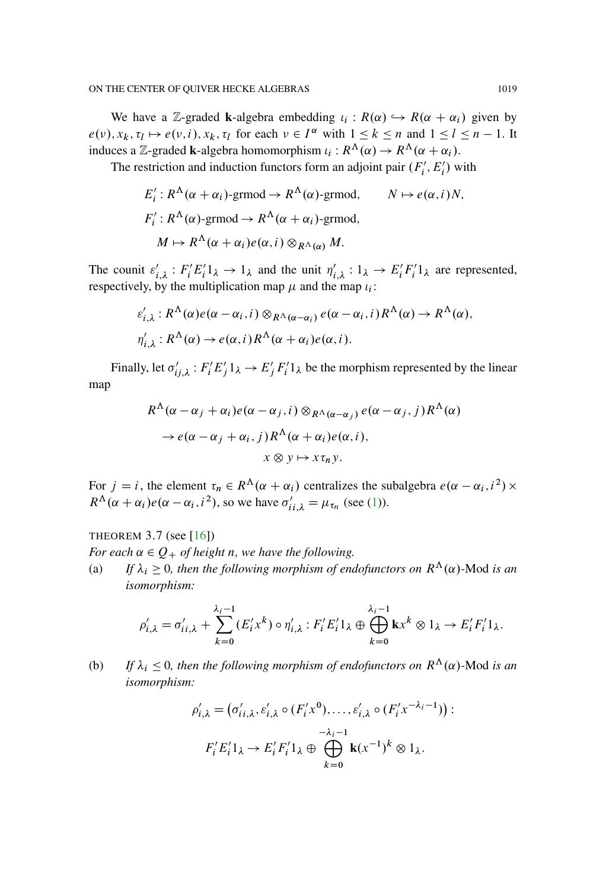We have a Z-graded **k**-algebra embedding  $\iota_i : R(\alpha) \hookrightarrow R(\alpha + \alpha_i)$  given by  $e(\nu), x_k, \tau_l \mapsto e(\nu, i), x_k, \tau_l$  for each  $\nu \in I^{\alpha}$  with  $1 \leq k \leq n$  and  $1 \leq l \leq n - 1$ . It induces a Z-graded **k**-algebra homomorphism  $\iota_i : R^{\Lambda}(\alpha) \to R^{\Lambda}(\alpha + \alpha_i)$ .

The restriction and induction functors form an adjoint pair  $(F'_i, E'_i)$  with

$$
E'_i: R^{\Lambda}(\alpha + \alpha_i) \text{-grmod} \to R^{\Lambda}(\alpha) \text{-grmod}, \qquad N \mapsto e(\alpha, i)N,
$$
  

$$
F'_i: R^{\Lambda}(\alpha) \text{-grmod} \to R^{\Lambda}(\alpha + \alpha_i) \text{-grmod},
$$
  

$$
M \mapsto R^{\Lambda}(\alpha + \alpha_i)e(\alpha, i) \otimes_{R^{\Lambda}(\alpha)} M.
$$

The counit  $\varepsilon'_{i,\lambda} : F_i' E_i' 1_\lambda \to 1_\lambda$  and the unit  $\eta'_{i,\lambda} : 1_\lambda \to E_i' F_i' 1_\lambda$  are represented, respectively, by the multiplication map  $\mu$  and the map  $\iota_i$ :

$$
\varepsilon'_{i,\lambda}: R^{\Lambda}(\alpha)e(\alpha-\alpha_i, i) \otimes_{R^{\Lambda}(\alpha-\alpha_i)} e(\alpha-\alpha_i, i) R^{\Lambda}(\alpha) \to R^{\Lambda}(\alpha),
$$
  

$$
\eta'_{i,\lambda}: R^{\Lambda}(\alpha) \to e(\alpha, i) R^{\Lambda}(\alpha+\alpha_i)e(\alpha, i).
$$

Finally, let  $\sigma'_{ij,\lambda}$ :  $F'_i E'_j 1_\lambda \to E'_j F'_i 1_\lambda$  be the morphism represented by the linear map

$$
R^{\Lambda}(\alpha - \alpha_j + \alpha_i)e(\alpha - \alpha_j, i) \otimes_{R^{\Lambda}(\alpha - \alpha_j)} e(\alpha - \alpha_j, j) R^{\Lambda}(\alpha)
$$
  
\n
$$
\rightarrow e(\alpha - \alpha_j + \alpha_i, j) R^{\Lambda}(\alpha + \alpha_i)e(\alpha, i),
$$
  
\n
$$
x \otimes y \mapsto x \tau_n y.
$$

For  $j = i$ , the element  $\tau_n \in R^{\Lambda}(\alpha + \alpha_i)$  centralizes the subalgebra  $e(\alpha - \alpha_i, i^2) \times$  $R^{\Lambda}(\alpha + \alpha_i) e(\alpha - \alpha_i, i^2)$ , so we have  $\sigma'_{ii,\lambda} = \mu_{\tau_n}$  (see [\(1\)](#page-9-0)).

THEOREM  $3.7$  (see [\[16\]](#page-94-6))

*For each*  $\alpha \in Q_+$  *of height n, we have the following.* 

(a) *If*  $\lambda_i \geq 0$ , then the following morphism of endofunctors on  $R^{\Lambda}(\alpha)$ -Mod is an *isomorphism:*

$$
\rho'_{i,\lambda} = \sigma'_{i,i,\lambda} + \sum_{k=0}^{\lambda_i - 1} (E'_i x^k) \circ \eta'_{i,\lambda} : F'_i E'_i 1_{\lambda} \oplus \bigoplus_{k=0}^{\lambda_i - 1} \mathbf{k} x^k \otimes 1_{\lambda} \to E'_i F'_i 1_{\lambda}.
$$

(b) If  $\lambda_i \leq 0$ , then the following morphism of endofunctors on  $R^{\Lambda}(\alpha)$ -Mod is an *isomorphism:*

$$
\rho'_{i,\lambda} = (\sigma'_{ii,\lambda}, \varepsilon'_{i,\lambda} \circ (F'_i x^0), \dots, \varepsilon'_{i,\lambda} \circ (F'_i x^{-\lambda_i - 1})) : \n F'_i E'_i 1_{\lambda} \to E'_i F'_i 1_{\lambda} \oplus \bigoplus_{k=0}^{\lambda_i - 1} \mathbf{k}(x^{-1})^k \otimes 1_{\lambda}.
$$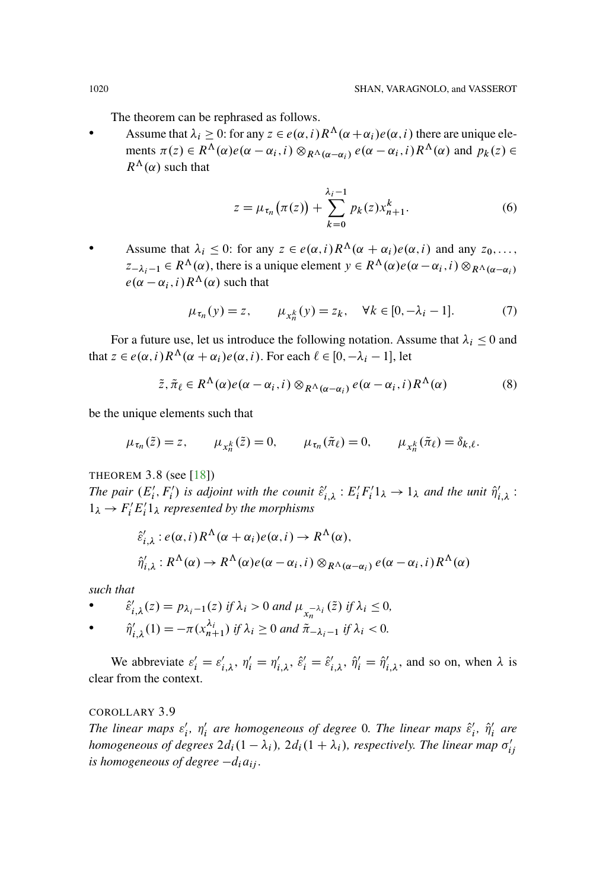The theorem can be rephrased as follows.

Assume that  $\lambda_i \geq 0$ : for any  $z \in e(\alpha, i) R^{\Lambda}(\alpha + \alpha_i) e(\alpha, i)$  there are unique elements  $\pi(z) \in R^{\Lambda}(\alpha) e(\alpha - \alpha_i, i) \otimes_{R^{\Lambda}(\alpha - \alpha_i)} e(\alpha - \alpha_i, i) R^{\Lambda}(\alpha)$  and  $p_k(z) \in$  $R^{\Lambda}(\alpha)$  such that

$$
z = \mu_{\tau_n}(\pi(z)) + \sum_{k=0}^{\lambda_i - 1} p_k(z) x_{n+1}^k.
$$
 (6)

Assume that  $\lambda_i \leq 0$ : for any  $z \in e(\alpha, i) R^{\Lambda}(\alpha + \alpha_i) e(\alpha, i)$  and any  $z_0, \ldots$ ,  $z_{-\lambda_i-1} \in R^{\Lambda}(\alpha)$ , there is a unique element  $y \in R^{\Lambda}(\alpha) e(\alpha - \alpha_i, i) \otimes_{R^{\Lambda}(\alpha - \alpha_i)}$  $e(\alpha - \alpha_i, i) R^{\Lambda}(\alpha)$  such that

$$
\mu_{\tau_n}(y) = z, \qquad \mu_{x_n^k}(y) = z_k, \quad \forall k \in [0, -\lambda_i - 1]. \tag{7}
$$

For a future use, let us introduce the following notation. Assume that  $\lambda_i \leq 0$  and that  $z \in e(\alpha, i) R^{\Lambda}(\alpha + \alpha_i) e(\alpha, i)$ . For each  $\ell \in [0, -\lambda_i - 1]$ , let

$$
\tilde{z}, \tilde{\pi}_{\ell} \in R^{\Lambda}(\alpha) e(\alpha - \alpha_i, i) \otimes_{R^{\Lambda}(\alpha - \alpha_i)} e(\alpha - \alpha_i, i) R^{\Lambda}(\alpha) \tag{8}
$$

be the unique elements such that

$$
\mu_{\tau_n}(\tilde{z}) = z, \qquad \mu_{x_n^k}(\tilde{z}) = 0, \qquad \mu_{\tau_n}(\tilde{\pi}_\ell) = 0, \qquad \mu_{x_n^k}(\tilde{\pi}_\ell) = \delta_{k,\ell}.
$$

THEOREM 3.8 (see [\[18\]](#page-94-7))

The pair  $(E'_i, F'_i)$  is adjoint with the counit  $\hat{\varepsilon}'_{i,\lambda}: E'_i F'_i 1_\lambda \to 1_\lambda$  and the unit  $\hat{\eta}'_{i,\lambda}$ :  $1_{\lambda} \rightarrow F_i^{\prime} E_i^{\prime} 1_{\lambda}$  represented by the morphisms

$$
\hat{\varepsilon}'_{i,\lambda}: e(\alpha, i) R^{\Lambda}(\alpha + \alpha_i) e(\alpha, i) \to R^{\Lambda}(\alpha),
$$
  

$$
\hat{\eta}'_{i,\lambda}: R^{\Lambda}(\alpha) \to R^{\Lambda}(\alpha) e(\alpha - \alpha_i, i) \otimes_{R^{\Lambda}(\alpha - \alpha_i)} e(\alpha - \alpha_i, i) R^{\Lambda}(\alpha)
$$

*such that*

• 
$$
\hat{\varepsilon}'_{i,\lambda}(z) = p_{\lambda_i - 1}(z) \text{ if } \lambda_i > 0 \text{ and } \mu_{x_n^{-\lambda_i}}(\tilde{z}) \text{ if } \lambda_i \le 0,
$$

• 
$$
\hat{\eta}'_{i,\lambda}(1) = -\pi(x_{n+1}^{\lambda_i}) \text{ if } \lambda_i \ge 0 \text{ and } \tilde{\pi}_{-\lambda_i-1} \text{ if } \lambda_i < 0.
$$

We abbreviate  $\varepsilon'_i = \varepsilon'_{i,\lambda}$ ,  $\eta'_i = \eta'_{i,\lambda}$ ,  $\hat{\varepsilon}'_i = \hat{\varepsilon}'_{i,\lambda}$ ,  $\hat{\eta}'_i = \hat{\eta}'_{i,\lambda}$ , and so on, when  $\lambda$  is clear from the context.

COROLLARY 3.9

*The linear maps*  $\varepsilon'_i$ ,  $\eta'_i$  are homogeneous of degree 0. The linear maps  $\hat{\varepsilon}'_i$ ,  $\hat{\eta}'_i$  are homogeneous of degrees  $2d_i(1 - \lambda_i)$ ,  $2d_i(1 + \lambda_i)$ , respectively. The linear map  $\sigma'_{ij}$ *is homogeneous of degree*  $-d_i a_{ij}$ *.*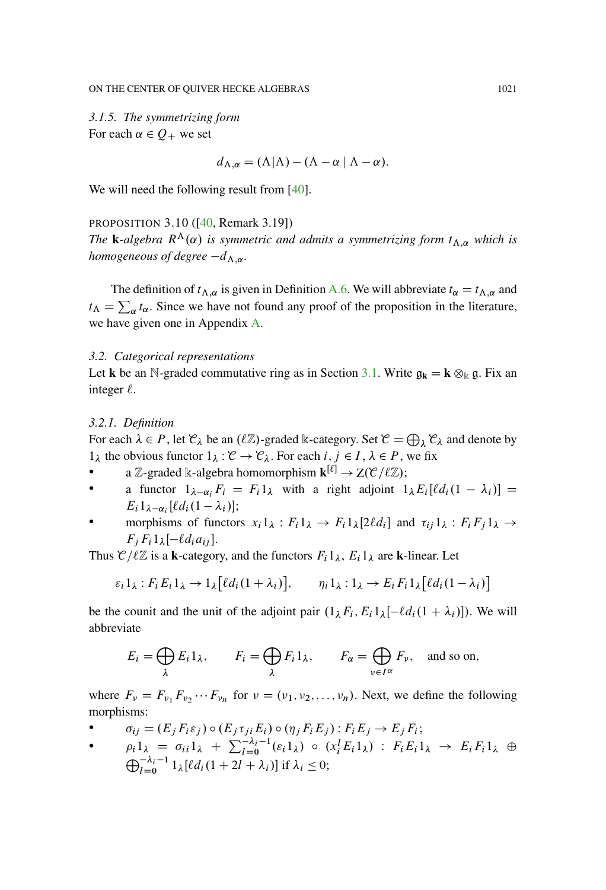*3.1.5. The symmetrizing form* For each  $\alpha \in Q_+$  we set

$$
d_{\Lambda,\alpha} = (\Lambda|\Lambda) - (\Lambda - \alpha|\Lambda - \alpha).
$$

We will need the following result from [\[40](#page-96-0)].

#### <span id="page-16-0"></span>PROPOSITION 3.10 ([\[40](#page-96-0), Remark 3.19])

*The* **k**-algebra  $R^{\Lambda}(\alpha)$  *is symmetric and admits a symmetrizing form*  $t_{\Lambda,\alpha}$  *which is homogeneous of degree*  $-d_{\Lambda,\alpha}$ .

The definition of  $t_{\Lambda,\alpha}$  is given in Definition [A.6.](#page-72-0) We will abbreviate  $t_{\alpha} = t_{\Lambda,\alpha}$  and  $t_{\Lambda} = \sum_{\alpha} t_{\alpha}$ . Since we have not found any proof of the proposition in the literature, we have given one in Appendix [A.](#page-64-1)

#### *3.2. Categorical representations*

Let **k** be an N-graded commutative ring as in Section [3.1.](#page-10-1) Write  $g_k = \mathbf{k} \otimes_k g$ . Fix an integer  $\ell$ .

#### *3.2.1. Definition*

For each  $\lambda \in P$ , let  $\mathcal{C}_{\lambda}$  be an  $(\ell \mathbb{Z})$ -graded k-category. Set  $\mathcal{C} = \bigoplus_{\lambda} \mathcal{C}_{\lambda}$  and denote by  $1_{\lambda}$  the obvious functor  $1_{\lambda} : \mathcal{C} \to \mathcal{C}_{\lambda}$ . For each  $i, j \in I, \lambda \in P$ , we fix

- a Z-graded k-algebra homomorphism  $\mathbf{k}^{[\ell]} \to Z(\mathcal{C}/\ell \mathbb{Z});$
- a functor  $1_{\lambda-\alpha_i}F_i = F_i1_{\lambda}$  with a right adjoint  $1_{\lambda}E_i[ld_i(1-\lambda_i)] =$  $E_i 1_{\lambda-\alpha_i} [\ell d_i (1-\lambda_i)];$
- morphisms of functors  $x_i 1_\lambda : F_i 1_\lambda \to F_i 1_\lambda [2\ell d_i]$  and  $\tau_{ij} 1_\lambda : F_i F_j 1_\lambda \to$  $F_j F_i 1_{\lambda} [-\ell d_i a_{ij}].$

Thus  $\mathcal{C}/\ell\mathbb{Z}$  is a **k**-category, and the functors  $F_i1_\lambda$ ,  $E_i1_\lambda$  are **k**-linear. Let

$$
\varepsilon_i 1_\lambda : F_i E_i 1_\lambda \to 1_\lambda [\ell d_i (1 + \lambda_i)], \qquad \eta_i 1_\lambda : 1_\lambda \to E_i F_i 1_\lambda [\ell d_i (1 - \lambda_i)]
$$

be the counit and the unit of the adjoint pair  $(1_\lambda F_i, E_i 1_\lambda [-\ell d_i(1 + \lambda_i)])$ . We will abbreviate

$$
E_i = \bigoplus_{\lambda} E_i 1_{\lambda}, \qquad F_i = \bigoplus_{\lambda} F_i 1_{\lambda}, \qquad F_{\alpha} = \bigoplus_{\nu \in I^{\alpha}} F_{\nu}, \quad \text{and so on},
$$

where  $F_v = F_{v_1} F_{v_2} \cdots F_{v_n}$  for  $v = (v_1, v_2, \ldots, v_n)$ . Next, we define the following morphisms:

- $\bullet$   $\sigma_{ij} = (E_j F_i \varepsilon_j) \circ (E_j \tau_{ji} E_i) \circ (\eta_j F_i E_j) : F_i E_j \rightarrow E_j F_i;$
- $\bullet$   $\rho_i 1_{\lambda} = \sigma_{ii} 1_{\lambda} + \sum_{l=0}^{J-\lambda_i-1} (\varepsilon_i 1_{\lambda}) \circ (x_i^l E_i 1_{\lambda}) : F_i E_i 1_{\lambda} \to E_i F_i 1_{\lambda} \oplus$  $\bigoplus_{l=0}^{-\lambda_i-1} 1_{\lambda} [\ell d_i (1+2l+\lambda_i)] \text{ if } \lambda_i \leq 0;$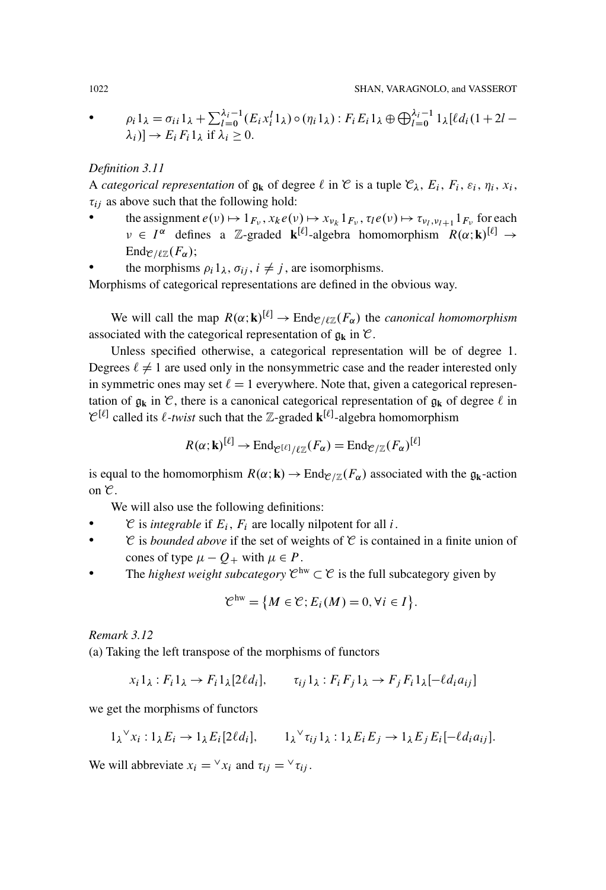• 
$$
\rho_i 1_{\lambda} = \sigma_{ii} 1_{\lambda} + \sum_{l=0}^{\lambda_i - 1} (E_i x_i^l 1_{\lambda}) \circ (\eta_i 1_{\lambda}) : F_i E_i 1_{\lambda} \oplus \bigoplus_{l=0}^{\lambda_i - 1} 1_{\lambda} [\ell d_i (1 + 2l - \lambda_i)] \rightarrow E_i F_i 1_{\lambda} \text{ if } \lambda_i \geq 0.
$$

## *Definition 3.11*

A *categorical representation* of  $\mathfrak{g}_k$  of degree  $\ell$  in  $\mathfrak{C}$  is a tuple  $\mathfrak{C}_{\lambda}$ ,  $E_i$ ,  $F_i$ ,  $\varepsilon_i$ ,  $\eta_i$ ,  $x_i$ ,  $\tau_{ij}$  as above such that the following hold:

- the assignment  $e(\nu) \mapsto 1_{F_{\nu}}$ ,  $x_k e(\nu) \mapsto x_{\nu_k} 1_{F_{\nu}}$ ,  $\tau_l e(\nu) \mapsto \tau_{\nu_l, \nu_{l+1}} 1_{F_{\nu}}$  for each  $\nu \in I^{\alpha}$  defines a Z-graded **k**<sup>[ $\ell$ ]</sup>-algebra homomorphism  $R(\alpha; \mathbf{k})^{[\ell]} \rightarrow$ Ende  $\ell_{\ell}(\mathcal{F}_{\alpha})$ ;
- the morphisms  $\rho_i 1_\lambda, \sigma_{ii}, i \neq j$ , are isomorphisms.

Morphisms of categorical representations are defined in the obvious way.

We will call the map  $R(\alpha; \mathbf{k})^{[\ell]} \to \text{End}_{\mathcal{C}/\ell\mathbb{Z}}(F_\alpha)$  the *canonical homomorphism* associated with the categorical representation of  $\mathfrak{g}_k$  in  $\mathfrak{C}$ .

Unless specified otherwise, a categorical representation will be of degree 1. Degrees  $\ell \neq 1$  are used only in the nonsymmetric case and the reader interested only in symmetric ones may set  $\ell = 1$  everywhere. Note that, given a categorical representation of  $g_k$  in  $\mathcal{C}$ , there is a canonical categorical representation of  $g_k$  of degree  $\ell$  in  $\mathcal{C}^{[\ell]}$  called its  $\ell$ -twist such that the Z-graded  $\mathbf{k}^{[\ell]}$ -algebra homomorphism

$$
R(\alpha; \mathbf{k})^{[\ell]} \to \text{End}_{\mathcal{C}^{[\ell]}/\ell \mathbb{Z}}(F_{\alpha}) = \text{End}_{\mathcal{C}/\mathbb{Z}}(F_{\alpha})^{[\ell]}
$$

is equal to the homomorphism  $R(\alpha; \mathbf{k}) \to \text{End}_{\mathcal{C}/\mathbb{Z}}(F_{\alpha})$  associated with the  $g_{\mathbf{k}}$ -action on  $\mathcal{C}$ .

We will also use the following definitions:

- $\mathcal C$  is *integrable* if  $E_i$ ,  $F_i$  are locally nilpotent for all *i*.
- $\mathcal C$  is *bounded above* if the set of weights of  $\mathcal C$  is contained in a finite union of cones of type  $\mu - Q_+$  with  $\mu \in P$ .
- The *highest weight subcategory*  $\mathcal{C}^{hw} \subset \mathcal{C}$  is the full subcategory given by

$$
\mathcal{C}^{\text{hw}} = \{ M \in \mathcal{C}; E_i(M) = 0, \forall i \in I \}.
$$

#### *Remark 3.12*

(a) Taking the left transpose of the morphisms of functors

$$
x_i 1_\lambda : F_i 1_\lambda \to F_i 1_\lambda [2\ell d_i], \qquad \tau_{ij} 1_\lambda : F_i F_j 1_\lambda \to F_j F_i 1_\lambda [-\ell d_i a_{ij}]
$$

we get the morphisms of functors

$$
1_{\lambda} \vee x_i : 1_{\lambda} E_i \to 1_{\lambda} E_i [2\ell d_i], \qquad 1_{\lambda} \vee \tau_{ij} 1_{\lambda} : 1_{\lambda} E_i E_j \to 1_{\lambda} E_j E_i [-\ell d_i a_{ij}].
$$

We will abbreviate  $x_i = \forall x_i$  and  $\tau_{ij} = \forall \tau_{ij}$ .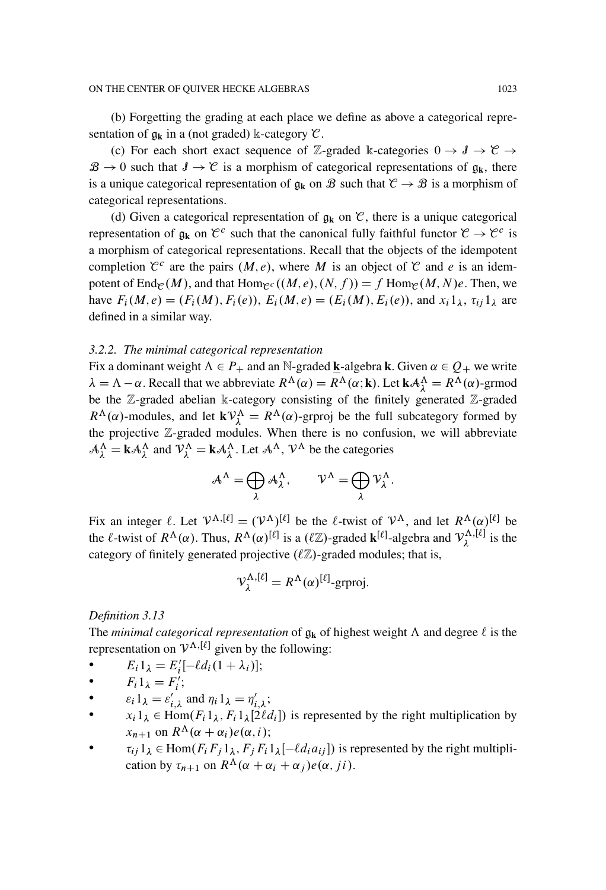(b) Forgetting the grading at each place we define as above a categorical representation of  $g_k$  in a (not graded) k-category  $\mathcal{C}$ .

(c) For each short exact sequence of Z-graded k-categories  $0 \rightarrow \mathcal{J} \rightarrow \mathcal{C} \rightarrow$  $B \to 0$  such that  $J \to C$  is a morphism of categorical representations of  $g_k$ , there is a unique categorical representation of  $\mathfrak{g}_k$  on  $\mathcal{B}$  such that  $\mathcal{C} \to \mathcal{B}$  is a morphism of categorical representations.

(d) Given a categorical representation of  $\mathfrak{g}_k$  on  $\mathfrak{C}$ , there is a unique categorical representation of  $g_k$  on  $\mathcal{C}^c$  such that the canonical fully faithful functor  $\mathcal{C} \to \mathcal{C}^c$  is a morphism of categorical representations. Recall that the objects of the idempotent completion  $\mathcal{C}^c$  are the pairs  $(M, e)$ , where M is an object of  $\mathcal C$  and e is an idempotent of End<sub>C</sub> $(M)$ , and that Hom<sub>C</sub> $c$  $((M, e), (N, f)) = f$  Hom<sub>C</sub> $(M, N)$ e. Then, we have  $F_i(M, e) = (F_i(M), F_i(e)), E_i(M, e) = (E_i(M), E_i(e)),$  and  $x_i 1_{\lambda}, \tau_{ij} 1_{\lambda}$  are defined in a similar way.

## *3.2.2. The minimal categorical representation*

Fix a dominant weight  $\Lambda \in P_+$  and an N-graded **k**-algebra **k**. Given  $\alpha \in Q_+$  we write  $\lambda = \Lambda - \alpha$ . Recall that we abbreviate  $R^{\Lambda}(\alpha) = R^{\Lambda}(\alpha; \mathbf{k})$ . Let  $\mathbf{k}A_{\lambda}^{\Lambda} = R^{\Lambda}(\alpha)$ -grmod be the Z-graded abelian k-category consisting of the finitely generated Z-graded  $R^{\Lambda}(\alpha)$ -modules, and let  $kV^{\Lambda}_{\lambda} = R^{\Lambda}(\alpha)$ -grproj be the full subcategory formed by the projective Z-graded modules. When there is no confusion, we will abbreviate  $A_{\lambda}^{\Lambda} = \mathbf{k} A_{\lambda}^{\Lambda}$  and  $V_{\lambda}^{\Lambda} = \mathbf{k} A_{\lambda}^{\Lambda}$ . Let  $A^{\Lambda}$ ,  $V^{\Lambda}$  be the categories

$$
A^{\Lambda} = \bigoplus_{\lambda} A_{\lambda}^{\Lambda}, \qquad \mathcal{V}^{\Lambda} = \bigoplus_{\lambda} \mathcal{V}_{\lambda}^{\Lambda}.
$$

Fix an integer  $\ell$ . Let  $V^{\Lambda, [\ell]} = (V^{\Lambda})^{[\ell]}$  be the  $\ell$ -twist of  $V^{\Lambda}$ , and let  $R^{\Lambda}(\alpha)^{[\ell]}$  be the  $\ell$ -twist of  $R^{\Lambda}(\alpha)$ . Thus,  $R^{\Lambda}(\alpha)^{[\ell]}$  is a  $(\ell \mathbb{Z})$ -graded  $\mathbf{k}^{[\ell]}$ -algebra and  $\mathcal{V}_{\lambda}^{\Lambda, [\ell]}$  is the category of finitely generated projective  $(\ell \mathbb{Z})$ -graded modules; that is,

$$
\mathcal{V}_{\lambda}^{\Lambda,[\ell]} = R^{\Lambda}(\alpha)^{[\ell]} \text{-}\text{grproj.}
$$

*Definition 3.13*

The *minimal categorical representation* of  $\mathfrak{g}_k$  of highest weight  $\Lambda$  and degree  $\ell$  is the representation on  $V^{\Lambda,[\ell]}$  given by the following:

- $E_i 1_{\lambda} = E'_i [-\ell d_i (1 + \lambda_i)];$
- $F_i 1_\lambda = F'_i;$
- $\varepsilon_i 1_\lambda = \varepsilon'_{i,\lambda}$  and  $\eta_i 1_\lambda = \eta'_{i,\lambda}$ ;
- $x_i 1_\lambda \in \text{Hom}(F_i 1_\lambda, F_i 1_\lambda [2\ell d_i])$  is represented by the right multiplication by  $x_{n+1}$  on  $R^{\Lambda}(\alpha + \alpha_i)e(\alpha, i);$
- $\bullet$   $\tau_{ij} 1_{\lambda} \in \text{Hom}(F_i F_j 1_{\lambda}, F_j F_i 1_{\lambda} [-\ell d_i a_{ij}])$  is represented by the right multiplication by  $\tau_{n+1}$  on  $R^{\Lambda}(\alpha + \alpha_i + \alpha_j)e(\alpha, ji)$ .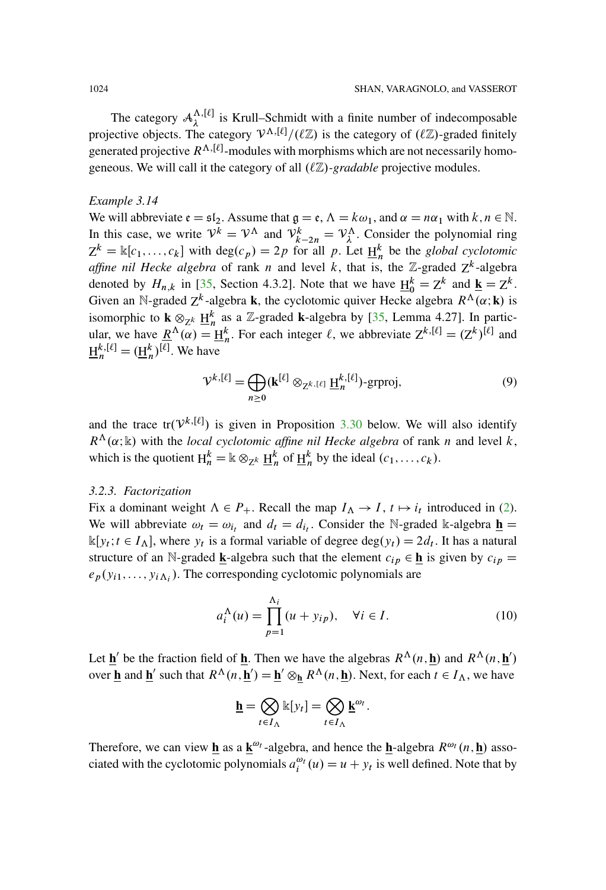The category  $A_{\lambda}^{\Lambda, [\ell]}$  is Krull–Schmidt with a finite number of indecomposable projective objects. The category  $V^{\Lambda, [\ell]} / (\ell \mathbb{Z})$  is the category of  $(\ell \mathbb{Z})$ -graded finitely generated projective  $R^{\Lambda, [\ell]}$ -modules with morphisms which are not necessarily homogeneous. We will call it the category of all  $(\ell \mathbb{Z})$ *-gradable* projective modules.

#### <span id="page-19-1"></span>*Example 3.14*

We will abbreviate  $\mathfrak{e} = \mathfrak{sl}_2$ . Assume that  $\mathfrak{q} = \mathfrak{e}, \Lambda = k\omega_1$ , and  $\alpha = n\alpha_1$  with  $k, n \in \mathbb{N}$ . In this case, we write  $V^k = V^{\Lambda}$  and  $V^k_{k-2n} = V^{\Lambda}_{\lambda}$ . Consider the polynomial ring  $Z^k = \mathbb{k}[c_1,...,c_k]$  with  $\deg(c_p) = 2p$  for all p. Let  $\underline{H}_n^k$  be the *global cyclotomic affine nil Hecke algebra* of rank *n* and level *k*, that is, the  $\mathbb{Z}$ -graded  $Z^k$ -algebra denoted by  $H_{n,k}$  in [\[35](#page-95-7), Section 4.3.2]. Note that we have  $\underline{H}_0^k = Z^k$  and  $\underline{k} = Z^k$ . Given an N-graded  $Z^k$ -algebra **k**, the cyclotomic quiver Hecke algebra  $R^{\Lambda}(\alpha; \mathbf{k})$  is isomorphic to  $\mathbf{k} \otimes_{\mathbb{Z}^k} \underline{H}_n^k$  as a Z-graded **k**-algebra by [\[35,](#page-95-7) Lemma 4.27]. In particular, we have  $\underline{R}^{\Lambda}(\alpha) = \underline{H}_n^k$ . For each integer  $\ell$ , we abbreviate  $Z^{k,[\ell]} = (Z^k)^{[\ell]}$  and  $\underline{H}_n^{k,[\ell]} = (\underline{H}_n^k)^{[\ell]}$ . We have

<span id="page-19-0"></span>
$$
\mathcal{V}^{k,[\ell]} = \bigoplus_{n \ge 0} (\mathbf{k}^{[\ell]} \otimes_{\mathbf{Z}^{k,[\ell]}} \underline{\mathbf{H}}_n^{k,[\ell]}) \text{-}\text{grproj},\tag{9}
$$

and the trace tr $(V^{k, [\ell]})$  is given in Proposition [3.30](#page-34-0) below. We will also identify  $R^{\Lambda}(\alpha; \mathbb{k})$  with the *local cyclotomic affine nil Hecke algebra* of rank *n* and level *k*, which is the quotient  $H_n^k = \mathbb{k} \otimes_{\mathbb{Z}^k} \underline{H}_n^k$  of  $\underline{H}_n^k$  by the ideal  $(c_1, \ldots, c_k)$ .

#### *3.2.3. Factorization*

Fix a dominant weight  $\Lambda \in P_+$ . Recall the map  $I_\Lambda \to I$ ,  $t \mapsto i_t$  introduced in [\(2\)](#page-12-0). We will abbreviate  $\omega_t = \omega_{i_t}$  and  $d_t = d_{i_t}$ . Consider the N-graded k-algebra  $\underline{\mathbf{h}} =$  $\mathbb{k}[y_t; t \in I_\Lambda]$ , where  $y_t$  is a formal variable of degree  $\deg(y_t) = 2d_t$ . It has a natural structure of an N-graded **k**-algebra such that the element  $c_{ip} \in \mathbf{h}$  is given by  $c_{ip} =$  $e_p(y_{i1},...,y_{i\Lambda_i})$ . The corresponding cyclotomic polynomials are

$$
a_i^{\Lambda}(u) = \prod_{p=1}^{\Lambda_i} (u + y_{ip}), \quad \forall i \in I.
$$
 (10)

Let  $\underline{\mathbf{h}}'$  be the fraction field of  $\underline{\mathbf{h}}$ . Then we have the algebras  $R^{\Lambda}(n, \underline{\mathbf{h}})$  and  $R^{\Lambda}(n, \underline{\mathbf{h}}')$ over **<u>h</u>** and **<u>h</u><sup>** $\prime$ **</sup> such that**  $R^{\Lambda}(n, \mathbf{h}) = \mathbf{h}^{\prime} \otimes_{\mathbf{h}} R^{\Lambda}(n, \mathbf{h})$ **. Next, for each**  $t \in I_{\Lambda}$ **, we have** 

$$
\underline{\mathbf{h}} = \bigotimes_{t \in I_{\Lambda}} \mathbb{k}[y_t] = \bigotimes_{t \in I_{\Lambda}} \underline{\mathbf{k}}^{\omega_t}.
$$

Therefore, we can view  $\underline{\mathbf{h}}$  as a  $\underline{\mathbf{k}}^{\omega_t}$ -algebra, and hence the **h**-algebra  $R^{\omega_t}(n, \underline{\mathbf{h}})$  associated with the cyclotomic polynomials  $a_i^{\omega_t}(u) = u + y_t$  is well defined. Note that by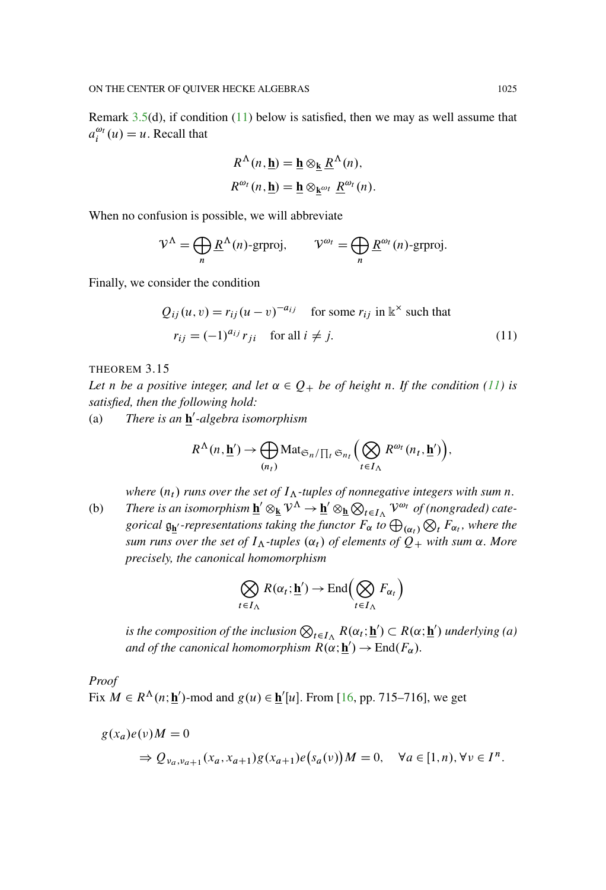Remark [3.5\(](#page-13-0)d), if condition [\(11\)](#page-20-0) below is satisfied, then we may as well assume that  $a_i^{\omega_t}(u) = u$ . Recall that

$$
R^{\Lambda}(n, \underline{\mathbf{h}}) = \underline{\mathbf{h}} \otimes_{\underline{\mathbf{k}}} \underline{R}^{\Lambda}(n),
$$
  

$$
R^{\omega_t}(n, \underline{\mathbf{h}}) = \underline{\mathbf{h}} \otimes_{\underline{\mathbf{k}}^{\omega_t}} \underline{R}^{\omega_t}(n).
$$

When no confusion is possible, we will abbreviate

$$
\mathcal{V}^{\Lambda} = \bigoplus_{n} \underline{R}^{\Lambda}(n) \text{-}\text{grproj}, \qquad \mathcal{V}^{\omega_{l}} = \bigoplus_{n} \underline{R}^{\omega_{l}}(n) \text{-}\text{grproj}.
$$

Finally, we consider the condition

<span id="page-20-0"></span>
$$
Q_{ij}(u, v) = r_{ij}(u - v)^{-a_{ij}} \quad \text{for some } r_{ij} \text{ in } \mathbb{k}^{\times} \text{ such that}
$$

$$
r_{ij} = (-1)^{a_{ij}} r_{ji} \quad \text{for all } i \neq j.
$$
 (11)

#### THEOREM 3.15

*Let n be a* positive integer, and let  $\alpha \in Q_+$  *be of height n. If the* condition [\(11\)](#page-20-0) *is satisfied, then the following hold:*

(a) There is an **h**<sup>'</sup>-algebra isomorphism

$$
R^{\Lambda}(n, \underline{\mathbf{h}}') \to \bigoplus_{(n_t)} \text{Mat}_{\mathfrak{S}_n/\prod_t \mathfrak{S}_{n_t}} \Big(\bigotimes_{t \in I_{\Lambda}} R^{\omega_t}(n_t, \underline{\mathbf{h}}')\Big),
$$

*where*  $(n_t)$  *runs over the set of*  $I_\Lambda$ -tuples of nonnegative integers with sum n.

(b) There is an isomorphism  $\underline{\mathbf{h}}' \otimes_{\underline{\mathbf{k}}} \mathcal{V}^{\Lambda} \to \underline{\mathbf{h}}' \otimes_{\underline{\mathbf{h}}} \otimes_{t \in I_{\Lambda}} \mathcal{V}^{\omega_t}$  of (nongraded) cate*gorical*  $\mathfrak{g}_{\mathbf{h}'}$ -representations taking the functor  $F_{\alpha}$  to  $\bigoplus_{(\alpha_t)}$  $\bigotimes_t F_{\alpha_t}$ , where the *sum runs over the set of*  $I_A$ -tuples  $(\alpha_t)$  *of elements of*  $Q_+$  *with sum*  $\alpha$ *. More precisely, the canonical homomorphism*

$$
\bigotimes_{t \in I_{\Lambda}} R(\alpha_t; \underline{\mathbf{h}}') \to \text{End}\Big(\bigotimes_{t \in I_{\Lambda}} F_{\alpha_t}\Big)
$$

is the composition of the inclusion  $\bigotimes_{t\in I_\Lambda} R(\alpha_t;\underline{\mathbf{h}}')\subset R(\alpha;\underline{\mathbf{h}}')$  underlying (a) *and of the canonical homomorphism*  $R(\alpha; \mathbf{h}') \to \text{End}(F_\alpha)$ .

*Proof*

Fix  $M \in R^{\Lambda}(n; \mathbf{h}')$ -mod and  $g(u) \in \mathbf{h}'[u]$ . From [\[16](#page-94-6), pp. 715–716], we get

$$
g(x_a)e(v)M = 0
$$
  
\n
$$
\Rightarrow Q_{v_a, v_{a+1}}(x_a, x_{a+1})g(x_{a+1})e(s_a(v))M = 0, \quad \forall a \in [1, n), \forall v \in I^n.
$$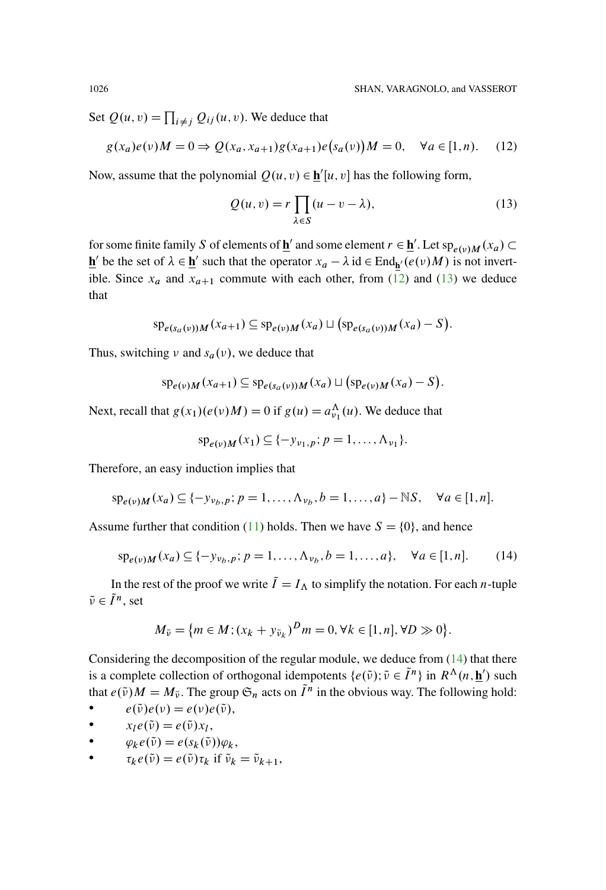Set  $Q(u, v) = \prod_{i \neq j} Q_{ij}(u, v)$ . We deduce that

<span id="page-21-0"></span>
$$
g(x_a)e(v)M = 0 \Rightarrow Q(x_a, x_{a+1})g(x_{a+1})e(s_a(v))M = 0, \quad \forall a \in [1, n). \tag{12}
$$

Now, assume that the polynomial  $Q(u, v) \in \underline{\mathbf{h}}'[u, v]$  has the following form,

<span id="page-21-1"></span>
$$
Q(u, v) = r \prod_{\lambda \in S} (u - v - \lambda),
$$
\n(13)

for some finite family S of elements of  $\underline{\mathbf{h}}'$  and some element  $r \in \underline{\mathbf{h}}'$ . Let  $\operatorname{sp}_{e(v)M}(x_a) \subset$  $\underline{\mathbf{h}}'$  be the set of  $\lambda \in \underline{\mathbf{h}}'$  such that the operator  $x_a - \lambda$  id  $\in$  End<sub> $\underline{\mathbf{h}}'(e(\nu)M)$  is not invert-</sub> ible. Since  $x_a$  and  $x_{a+1}$  commute with each other, from [\(12\)](#page-21-0) and [\(13\)](#page-21-1) we deduce that

$$
sp_{e(s_a(v))M}(x_{a+1}) \subseteq sp_{e(v)M}(x_a) \sqcup (sp_{e(s_a(v))M}(x_a) - S).
$$

Thus, switching  $\nu$  and  $s_a(\nu)$ , we deduce that

$$
\mathrm{sp}_{e(v)M}(x_{a+1}) \subseteq \mathrm{sp}_{e(s_a(v))M}(x_a) \sqcup (\mathrm{sp}_{e(v)M}(x_a) - S).
$$

Next, recall that  $g(x_1)(e(v)M) = 0$  if  $g(u) = a_{\nu_1}^{\Lambda}(u)$ . We deduce that

$$
sp_{e(v)M}(x_1) \subseteq \{-y_{v_1,p}; p=1,\ldots,\Lambda_{v_1}\}.
$$

Therefore, an easy induction implies that

$$
sp_{e(v)M}(x_a) \subseteq \{-y_{v_b,p}; p = 1,\ldots,\Lambda_{v_b}, b = 1,\ldots,a\} - \mathbb{N}S, \quad \forall a \in [1,n].
$$

Assume further that condition [\(11\)](#page-20-0) holds. Then we have  $S = \{0\}$ , and hence

<span id="page-21-2"></span>
$$
sp_{e(v)M}(x_a) \subseteq \{-y_{v_b,p}; p = 1, ..., \Lambda_{v_b}, b = 1, ..., a\}, \quad \forall a \in [1, n].
$$
 (14)

In the rest of the proof we write  $\tilde{I}=I_{\Lambda}$  to simplify the notation. For each *n*-tuple  $\tilde{\nu} \in \tilde{I}^n$ , set

$$
M_{\tilde{\nu}} = \{ m \in M; (x_k + y_{\tilde{\nu}_k})^D m = 0, \forall k \in [1, n], \forall D \gg 0 \}.
$$

Considering the decomposition of the regular module, we deduce from [\(14\)](#page-21-2) that there is a complete collection of orthogonal idempotents  $\{e(\tilde{v}); \tilde{v} \in \tilde{I}^n\}$  in  $R^{\Lambda}(n, \mathbf{h}')$  such that  $e(\tilde{v})M = M_{\tilde{v}}$ . The group  $\mathfrak{S}_n$  acts on  $\tilde{I}^n$  in the obvious way. The following hold:

- $e(\tilde{\nu})e(\nu) = e(\nu)e(\tilde{\nu}),$
- $\bullet$   $x_l e(\tilde{\nu}) = e(\tilde{\nu}) x_l,$
- $\varphi_k e(\tilde{\nu}) = e(s_k(\tilde{\nu})) \varphi_k,$
- $\tau_k e(\tilde{\nu}) = e(\tilde{\nu}) \tau_k$  if  $\tilde{\nu}_k = \tilde{\nu}_{k+1}$ ,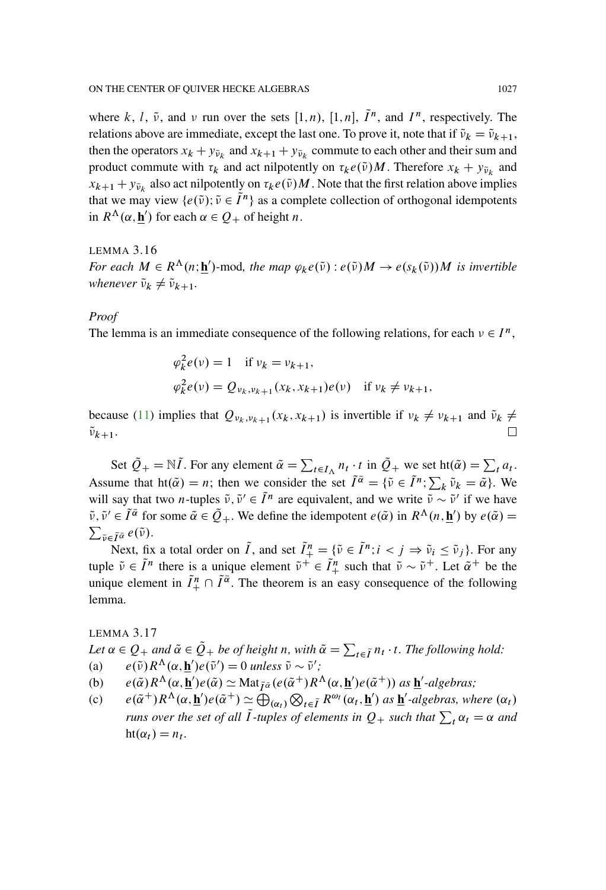where k, l,  $\tilde{\nu}$ , and  $\nu$  run over the sets [1, n), [1, n],  $\tilde{I}^n$ , and  $I^n$ , respectively. The relations above are immediate, except the last one. To prove it, note that if  $\tilde{\nu}_k = \tilde{\nu}_{k+1}$ , then the operators  $x_k + y_{\tilde{\nu}_k}$  and  $x_{k+1} + y_{\tilde{\nu}_k}$  commute to each other and their sum and product commute with  $\tau_k$  and act nilpotently on  $\tau_k e(\tilde{\nu})M$ . Therefore  $x_k + y_{\tilde{\nu}_k}$  and  $x_{k+1} + y_{\tilde{\nu}_k}$  also act nilpotently on  $\tau_k e(\tilde{\nu})M$ . Note that the first relation above implies that we may view  $\{e(\tilde{\nu}); \tilde{\nu} \in \tilde{I}^n\}$  as a complete collection of orthogonal idempotents in  $R^{\Lambda}(\alpha, \mathbf{h}')$  for each  $\alpha \in Q_+$  of height *n*.

## <span id="page-22-0"></span>LEMMA 3.16 *For each*  $M \in R^{\Lambda}(n; \underline{\mathbf{h}}')$ -mod, the map  $\varphi_k e(\tilde{\nu}) : e(\tilde{\nu})M \to e(s_k(\tilde{\nu}))M$  is invertible *whenever*  $\tilde{\nu}_k \neq \tilde{\nu}_{k+1}$ .

#### *Proof*

The lemma is an immediate consequence of the following relations, for each  $v \in I^n$ ,

$$
\varphi_k^2 e(\nu) = 1 \quad \text{if } \nu_k = \nu_{k+1},
$$
  

$$
\varphi_k^2 e(\nu) = Q_{\nu_k, \nu_{k+1}}(x_k, x_{k+1}) e(\nu) \quad \text{if } \nu_k \neq \nu_{k+1},
$$

because [\(11\)](#page-20-0) implies that  $Q_{v_k,v_{k+1}}(x_k,x_{k+1})$  is invertible if  $v_k \neq v_{k+1}$  and  $\tilde{v}_k \neq$  $\tilde{\nu}_{k+1}$ .  $\Box$ 

Set  $\tilde{Q}_+ = \mathbb{N}\tilde{I}$ . For any element  $\tilde{\alpha} = \sum_{t \in I_{\Lambda}} n_t \cdot t$  in  $\tilde{Q}_+$  we set ht $(\tilde{\alpha}) = \sum_t a_t$ . Assume that  $h(\tilde{\alpha}) = n$ ; then we consider the set  $\tilde{I}^{\tilde{\alpha}} = {\tilde{\nu}} \in \tilde{I}^n$ ;  $\sum_k \tilde{\nu}_k = \tilde{\alpha}$ }. We will say that two *n*-tuples  $\tilde{v}, \tilde{v}' \in \tilde{I}^n$  are equivalent, and we write  $\tilde{v} \sim \tilde{v}'$  if we have  $\tilde{\nu}, \tilde{\nu}' \in \tilde{I}^{\tilde{\alpha}}$  for some  $\tilde{\alpha} \in \tilde{Q}_+$ . We define the idempotent  $e(\tilde{\alpha})$  in  $R^{\Lambda}(n, \underline{\mathbf{h}}')$  by  $e(\tilde{\alpha}) = \sum_{\tilde{\alpha} \in \tilde{\Lambda}} e^{i\tilde{\alpha}}$  $\sum_{\tilde{\nu} \in \tilde{I}^{\tilde{\alpha}}} e(\tilde{\nu}).$ 

Next, fix a total order on  $\tilde{I}$ , and set  $\tilde{I}^n_+ = {\tilde{\nu} \in \tilde{I}^n; i < j \Rightarrow \tilde{\nu}_i \le \tilde{\nu}_j}.$  For any tuple  $\tilde{\nu} \in \tilde{I}^n$  there is a unique element  $\tilde{\nu}^+ \in \tilde{I}^n_+$  such that  $\tilde{\nu} \sim \tilde{\nu}^+$ . Let  $\tilde{\alpha}^+$  be the unique element in  $\tilde{I}^n_+ \cap \tilde{I}^{\tilde{\alpha}}$ . The theorem is an easy consequence of the following lemma.

## LEMMA 3.17

Let  $\alpha \in Q_+$  and  $\tilde{\alpha} \in \tilde{Q}_+$  be of height n, with  $\tilde{\alpha} = \sum_{t \in \tilde{I}} n_t \cdot t$ . The following hold: (a)  $e(\tilde{\nu})R^{\Lambda}(\alpha, \mathbf{h}')e(\tilde{\nu}') = 0$  *unless*  $\tilde{\nu} \sim \tilde{\nu}'$ ;

- (b)  $e(\tilde{\alpha})R^{\Lambda}(\alpha, \mathbf{\underline{h}}')e(\tilde{\alpha}) \simeq \text{Mat}_{\tilde{I}\tilde{\alpha}}(e(\tilde{\alpha}^+)R^{\Lambda}(\alpha, \mathbf{\underline{h}}')e(\tilde{\alpha}^+))$  as  $\mathbf{\underline{h}}'$ -algebras;
- (c)  $e(\tilde{\alpha}^+)R^{\Lambda}(\alpha, \underline{\mathbf{h}}')e(\tilde{\alpha}^+) \simeq \bigoplus_{(\alpha_t)}$  $\bigotimes_{t \in \tilde{I}} R^{\omega_t}(\alpha_t, \mathbf{h}')$  as  $\mathbf{h}'$ -algebras, where  $(\alpha_t)$ *runs over the set of all*  $\tilde{I}$ -tuples of elements in  $Q_+$  such that  $\sum_t \alpha_t = \alpha$  and  $ht(\alpha_t) = n_t$ .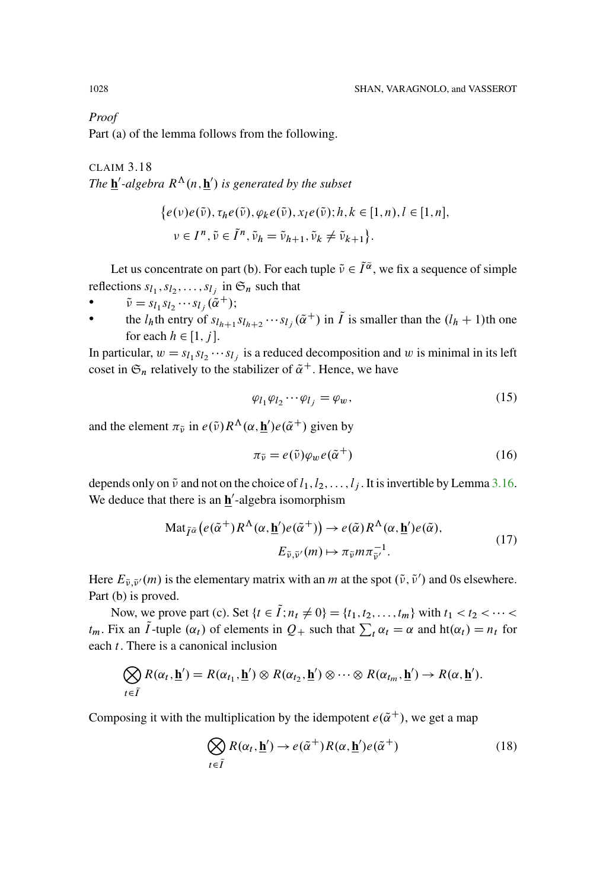*Proof*

Part (a) of the lemma follows from the following.

<span id="page-23-4"></span>CLAIM 3.18 *The*  $\underline{\mathbf{h}}'$ -algebra  $R^{\Lambda}(n, \underline{\mathbf{h}}')$  is generated by the subset

$$
\begin{aligned} \{e(\nu)e(\tilde{\nu}), \tau_h e(\tilde{\nu}), \varphi_k e(\tilde{\nu}), x_l e(\tilde{\nu}); h, k \in [1, n), l \in [1, n], \\ \nu \in I^n, \tilde{\nu} \in \tilde{I}^n, \tilde{\nu}_h = \tilde{\nu}_{h+1}, \tilde{\nu}_k \neq \tilde{\nu}_{k+1} \}. \end{aligned}
$$

Let us concentrate on part (b). For each tuple  $\tilde{v} \in \tilde{I}^{\tilde{\alpha}}$ , we fix a sequence of simple reflections  $s_{l_1}, s_{l_2}, \ldots, s_{l_j}$  in  $\mathfrak{S}_n$  such that

- $\tilde{\nu} = s_{l_1} s_{l_2} \cdots s_{l_i} (\tilde{\alpha}^+);$
- the  $l_h$ th entry of  $s_{l_{h+1}} s_{l_{h+2}} \cdots s_{l_j} (\tilde{\alpha}^+)$  in  $\tilde{I}$  is smaller than the  $(l_h + 1)$ th one for each  $h \in [1, j]$ .

In particular,  $w = s_{l_1} s_{l_2} \cdots s_{l_j}$  is a reduced decomposition and w is minimal in its left coset in  $\mathfrak{S}_n$  relatively to the stabilizer of  $\tilde{\alpha}^+$ . Hence, we have

<span id="page-23-3"></span>
$$
\varphi_{l_1}\varphi_{l_2}\cdots\varphi_{l_j}=\varphi_w,\tag{15}
$$

and the element  $\pi_{\tilde{\nu}}$  in  $e(\tilde{\nu})R^{\Lambda}(\alpha, \mathbf{\underline{h}}')e(\tilde{\alpha}^+)$  given by

<span id="page-23-1"></span>
$$
\pi_{\tilde{\nu}} = e(\tilde{\nu})\varphi_w e(\tilde{\alpha}^+) \tag{16}
$$

depends only on  $\tilde{\nu}$  and not on the choice of  $l_1, l_2, \ldots, l_j$ . It is invertible by Lemma [3.16.](#page-22-0) We deduce that there is an  $h$ <sup>'</sup>-algebra isomorphism

$$
\operatorname{Mat}_{\tilde{I}^{\tilde{\alpha}}}\left(e(\tilde{\alpha}^+)R^{\Lambda}(\alpha,\underline{\mathbf{h}}')e(\tilde{\alpha}^+)\right) \to e(\tilde{\alpha})R^{\Lambda}(\alpha,\underline{\mathbf{h}}')e(\tilde{\alpha}),E_{\tilde{\nu},\tilde{\nu}'}(m) \mapsto \pi_{\tilde{\nu}}m\pi_{\tilde{\nu}'}^{-1}.
$$
\n(17)

<span id="page-23-2"></span>Here  $E_{\tilde{\nu}, \tilde{\nu}'}(m)$  is the elementary matrix with an m at the spot  $(\tilde{\nu}, \tilde{\nu}')$  and 0s elsewhere. Part (b) is proved.

Now, we prove part (c). Set  $\{t \in \tilde{I}$ ;  $n_t \neq 0\} = \{t_1, t_2, \ldots, t_m\}$  with  $t_1 < t_2 < \cdots < t_m$  $t_m$ . Fix an  $\tilde{I}$ -tuple  $(\alpha_t)$  of elements in  $Q_+$  such that  $\sum_t \alpha_t = \alpha$  and  $h(\alpha_t) = n_t$  for each t. There is a canonical inclusion

$$
\bigotimes_{t \in \tilde{I}} R(\alpha_t, \underline{\mathbf{h}}') = R(\alpha_{t_1}, \underline{\mathbf{h}}') \otimes R(\alpha_{t_2}, \underline{\mathbf{h}}') \otimes \cdots \otimes R(\alpha_{t_m}, \underline{\mathbf{h}}') \rightarrow R(\alpha, \underline{\mathbf{h}}').
$$

Composing it with the multiplication by the idempotent  $e(\tilde{\alpha}^+)$ , we get a map

<span id="page-23-0"></span>
$$
\bigotimes_{t \in \tilde{I}} R(\alpha_t, \underline{\mathbf{h}}') \to e(\tilde{\alpha}^+) R(\alpha, \underline{\mathbf{h}}') e(\tilde{\alpha}^+) \tag{18}
$$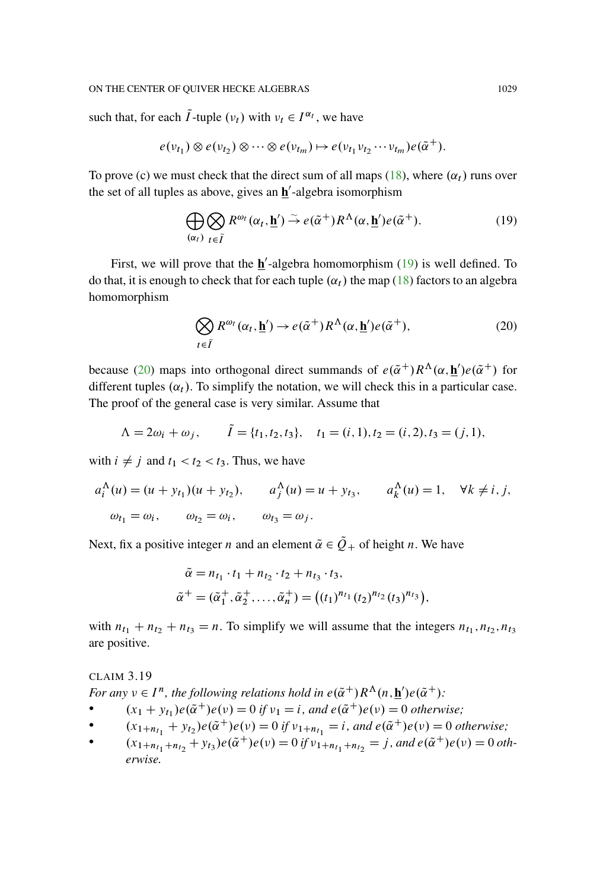#### ON THE CENTER OF OUIVER HECKE ALGEBRAS 1029

such that, for each  $\tilde{I}$ -tuple  $(\nu_t)$  with  $\nu_t \in I^{\alpha_t}$ , we have

$$
e(\nu_{t_1}) \otimes e(\nu_{t_2}) \otimes \cdots \otimes e(\nu_{t_m}) \mapsto e(\nu_{t_1} \nu_{t_2} \cdots \nu_{t_m}) e(\tilde{\alpha}^+).
$$

To prove (c) we must check that the direct sum of all maps [\(18\)](#page-23-0), where  $(\alpha_t)$  runs over the set of all tuples as above, gives an **h**<sup>2</sup>-algebra isomorphism

<span id="page-24-0"></span>
$$
\bigoplus_{(\alpha_t)} \bigotimes_{t \in \widetilde{I}} R^{\omega_t}(\alpha_t, \underline{\mathbf{h}}') \stackrel{\sim}{\to} e(\widetilde{\alpha}^+) R^{\Lambda}(\alpha, \underline{\mathbf{h}}') e(\widetilde{\alpha}^+).
$$
 (19)

First, we will prove that the  $\underline{\mathbf{h}}'$ -algebra homomorphism [\(19\)](#page-24-0) is well defined. To do that, it is enough to check that for each tuple  $(\alpha_t)$  the map [\(18\)](#page-23-0) factors to an algebra homomorphism

<span id="page-24-1"></span>
$$
\bigotimes_{t \in \tilde{I}} R^{\omega_t}(\alpha_t, \underline{\mathbf{h}}') \to e(\tilde{\alpha}^+) R^{\Lambda}(\alpha, \underline{\mathbf{h}}') e(\tilde{\alpha}^+), \tag{20}
$$

because [\(20\)](#page-24-1) maps into orthogonal direct summands of  $e(\tilde{\alpha}^+)R^{\Lambda}(\alpha, \mathbf{h}')e(\tilde{\alpha}^+)$  for different tuples  $(\alpha_t)$ . To simplify the notation, we will check this in a particular case. The proof of the general case is very similar. Assume that

$$
\Lambda = 2\omega_i + \omega_j, \qquad \tilde{I} = \{t_1, t_2, t_3\}, \quad t_1 = (i, 1), t_2 = (i, 2), t_3 = (j, 1),
$$

with  $i \neq j$  and  $t_1 < t_2 < t_3$ . Thus, we have

$$
a_i^{\Lambda}(u) = (u + y_{t_1})(u + y_{t_2}), \qquad a_j^{\Lambda}(u) = u + y_{t_3}, \qquad a_k^{\Lambda}(u) = 1, \quad \forall k \neq i, j,
$$
  

$$
\omega_{t_1} = \omega_i, \qquad \omega_{t_2} = \omega_i, \qquad \omega_{t_3} = \omega_j.
$$

Next, fix a positive integer *n* and an element  $\tilde{\alpha} \in \tilde{Q}_+$  of height *n*. We have

$$
\tilde{\alpha} = n_{t_1} \cdot t_1 + n_{t_2} \cdot t_2 + n_{t_3} \cdot t_3,
$$
  
\n
$$
\tilde{\alpha}^+ = (\tilde{\alpha}_1^+, \tilde{\alpha}_2^+, \dots, \tilde{\alpha}_n^+) = ((t_1)^{n_{t_1}} (t_2)^{n_{t_2}} (t_3)^{n_{t_3}}),
$$

with  $n_{t_1} + n_{t_2} + n_{t_3} = n$ . To simplify we will assume that the integers  $n_{t_1}, n_{t_2}, n_{t_3}$ are positive.

## CLAIM 3.19 *For any*  $v \in I^n$ , the following relations hold in  $e(\tilde{\alpha}^+)R^{\Lambda}(n, \mathbf{h}')e(\tilde{\alpha}^+)$ :

- $(x_1 + y_{t_1})e(\tilde{\alpha}^+)e(v) = 0$  *if*  $v_1 = i$ , and  $e(\tilde{\alpha}^+)e(v) = 0$  otherwise;
- $(x_{1+n_{t_1}} + y_{t_2})e(\tilde{\alpha}^+)e(v) = 0$  *if*  $v_{1+n_{t_1}} = i$ , and  $e(\tilde{\alpha}^+)e(v) = 0$  *otherwise*;<br>
(x<sub>1</sub> | x<sub>1</sub> | x<sub>1</sub> + y<sub>t</sub>} $e(\tilde{\alpha}^+)e(v) = 0$  *if*  $v_{1+n_{t_1}} = i$ , and  $e(\tilde{\alpha}^+)e(v) = 0$  *otherwise*;
- $(x_{1+n_{t_1}+n_{t_2}}+y_{t_3})e(\tilde{\alpha}^+)e(\nu) = 0$  *if*  $v_{1+n_{t_1}+n_{t_2}} = j$ , and  $e(\tilde{\alpha}^+)e(\nu) = 0$  oth*erwise.*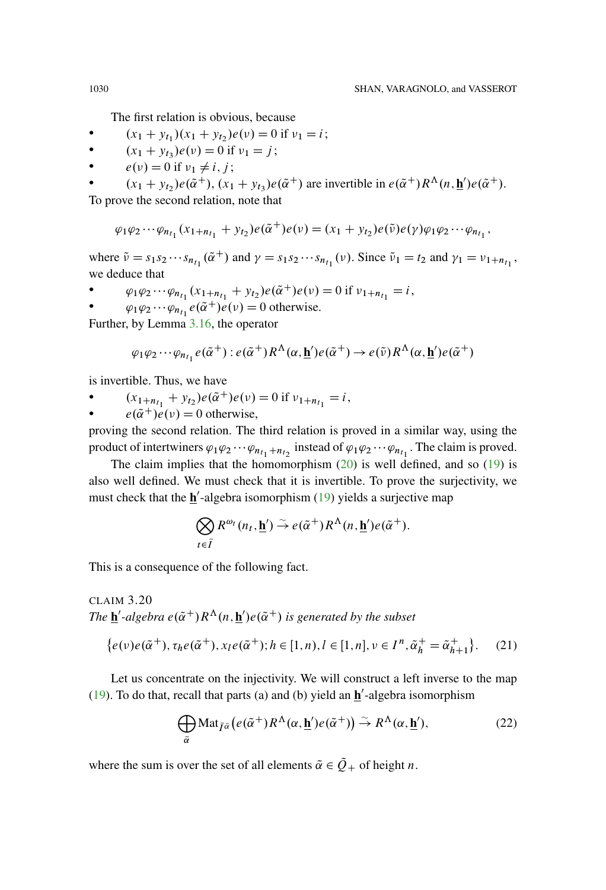The first relation is obvious, because

- $(x_1 + y_{t_1})(x_1 + y_{t_2})e(\nu) = 0$  if  $\nu_1 = i$ ;
- $(x_1 + y_{t_3})e(v) = 0$  if  $v_1 = j$ ;
- $e(\nu) = 0$  if  $\nu_1 \neq i, j$ ;

•  $(x_1 + y_{t_2})e(\tilde{\alpha}^+), (x_1 + y_{t_3})e(\tilde{\alpha}^+)$  are invertible in  $e(\tilde{\alpha}^+)R^{\Lambda}(n, \mathbf{h})e(\tilde{\alpha}^+).$ 

To prove the second relation, note that

$$
\varphi_1 \varphi_2 \cdots \varphi_{n_{t_1}} (x_{1+n_{t_1}} + y_{t_2}) e(\tilde{\alpha}^+) e(\nu) = (x_1 + y_{t_2}) e(\tilde{\nu}) e(\gamma) \varphi_1 \varphi_2 \cdots \varphi_{n_{t_1}},
$$

where  $\tilde{\nu} = s_1 s_2 \cdots s_{n_{t_1}}(\tilde{\alpha}^+)$  and  $\gamma = s_1 s_2 \cdots s_{n_{t_1}}(\nu)$ . Since  $\tilde{\nu}_1 = t_2$  and  $\gamma_1 = \nu_{1+n_{t_1}}$ , we deduce that

- $\varphi_1 \varphi_2 \cdots \varphi_{n_{t_1}} (x_{1+n_{t_1}} + y_{t_2}) e(\tilde{\alpha}^+) e(\nu) = 0$  if  $\nu_{1+n_{t_1}} = i$ ,
- $\varphi_1 \varphi_2 \cdots \varphi_{n_{t_1}} e(\tilde{\alpha}^+) e(\nu) = 0$  otherwise.

Further, by Lemma [3.16,](#page-22-0) the operator

$$
\varphi_1 \varphi_2 \cdots \varphi_{n_{t_1}} e(\tilde{\alpha}^+): e(\tilde{\alpha}^+) R^{\Lambda}(\alpha, \mathbf{\underline{h}}') e(\tilde{\alpha}^+) \to e(\tilde{\nu}) R^{\Lambda}(\alpha, \mathbf{\underline{h}}') e(\tilde{\alpha}^+)
$$

is invertible. Thus, we have

 $(x_{1+n_{t_1}} + y_{t_2})e(\tilde{\alpha}^+)e(\nu) = 0$  if  $v_{1+n_{t_1}} = i$ ,

 $e(\tilde{\alpha}^+)e(\nu) = 0$  otherwise,

proving the second relation. The third relation is proved in a similar way, using the product of intertwiners  $\varphi_1\varphi_2\cdots\varphi_{n_{t_1}+n_{t_2}}$  instead of  $\varphi_1\varphi_2\cdots\varphi_{n_{t_1}}$ . The claim is proved.

The claim implies that the homomorphism  $(20)$  is well defined, and so  $(19)$  is also well defined. We must check that it is invertible. To prove the surjectivity, we must check that the **h**<sup>'</sup>-algebra isomorphism [\(19\)](#page-24-0) yields a surjective map

$$
\bigotimes_{t \in \tilde{I}} R^{\omega_t}(n_t, \underline{\mathbf{h}}') \stackrel{\sim}{\rightarrow} e(\tilde{\alpha}^+) R^{\Lambda}(n, \underline{\mathbf{h}}') e(\tilde{\alpha}^+).
$$

This is a consequence of the following fact.

CLAIM 3.20 *The*  $\underline{\mathbf{h}}'$ -algebra  $e(\tilde{\alpha}^+)R^{\Lambda}(n, \underline{\mathbf{h}}')e(\tilde{\alpha}^+)$  is generated by the subset

$$
\{e(v)e(\tilde{\alpha}^+), \tau_h e(\tilde{\alpha}^+), x_l e(\tilde{\alpha}^+); h \in [1, n), l \in [1, n], v \in I^n, \tilde{\alpha}^+_h = \tilde{\alpha}^+_{h+1}\}.
$$
 (21)

Let us concentrate on the injectivity. We will construct a left inverse to the map  $(19)$ . To do that, recall that parts (a) and (b) yield an  $h/$ -algebra isomorphism

<span id="page-25-0"></span>
$$
\bigoplus_{\tilde{\alpha}} \text{Mat}_{\tilde{I}^{\tilde{\alpha}}}\big(e(\tilde{\alpha}^+)R^{\Lambda}(\alpha,\underline{\mathbf{h}}')e(\tilde{\alpha}^+)\big) \stackrel{\sim}{\to} R^{\Lambda}(\alpha,\underline{\mathbf{h}}'),\tag{22}
$$

where the sum is over the set of all elements  $\tilde{\alpha} \in \tilde{Q}_+$  of height n.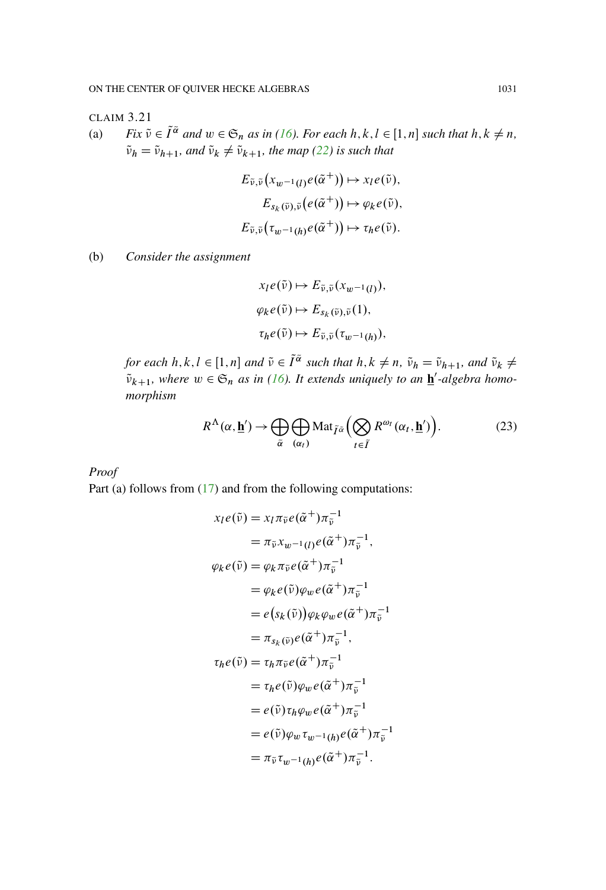## CLAIM 3.21

(a) *Fix*  $\tilde{v} \in \tilde{I}^{\tilde{\alpha}}$  *and*  $w \in \mathfrak{S}_n$  *as in* [\(16\)](#page-23-1)*. For each*  $h, k, l \in [1, n]$  *such that*  $h, k \neq n$ ,  $\tilde{\nu}_h = \tilde{\nu}_{h+1}$ , and  $\tilde{\nu}_k \neq \tilde{\nu}_{k+1}$ , the map [\(22\)](#page-25-0) is such that

$$
E_{\tilde{\nu},\tilde{\nu}}(x_{w^{-1}(l)}e(\tilde{\alpha}^+)) \mapsto x_l e(\tilde{\nu}),
$$
  
\n
$$
E_{s_k(\tilde{\nu}),\tilde{\nu}}(e(\tilde{\alpha}^+)) \mapsto \varphi_k e(\tilde{\nu}),
$$
  
\n
$$
E_{\tilde{\nu},\tilde{\nu}}(\tau_{w^{-1}(h)}e(\tilde{\alpha}^+)) \mapsto \tau_h e(\tilde{\nu}).
$$

(b) *Consider the assignment*

$$
x_l e(\tilde{v}) \mapsto E_{\tilde{v}, \tilde{v}}(x_{w^{-1}(l)}),
$$
  
\n
$$
\varphi_k e(\tilde{v}) \mapsto E_{s_k(\tilde{v}), \tilde{v}}(1),
$$
  
\n
$$
\tau_h e(\tilde{v}) \mapsto E_{\tilde{v}, \tilde{v}}(\tau_{w^{-1}(h)}),
$$

*for each*  $h, k, l \in [1, n]$  and  $\tilde{\nu} \in \tilde{I}^{\tilde{\alpha}}$  such that  $h, k \neq n$ ,  $\tilde{\nu}_h = \tilde{\nu}_{h+1}$ , and  $\tilde{\nu}_k \neq$  $\tilde{\nu}_{k+1}$ , where  $w \in \mathfrak{S}_n$  *as in [\(16\)](#page-23-1). It extends uniquely to an*  $\underline{\mathbf{h}}'$ -algebra homo*morphism*

<span id="page-26-0"></span>
$$
R^{\Lambda}(\alpha, \underline{\mathbf{h}}') \to \bigoplus_{\tilde{\alpha}} \bigoplus_{(\alpha_t)} \text{Mat}_{\tilde{I}^{\tilde{\alpha}}} \Big( \bigotimes_{t \in \tilde{I}} R^{\omega_t}(\alpha_t, \underline{\mathbf{h}}') \Big). \tag{23}
$$

## *Proof*

Part (a) follows from [\(17\)](#page-23-2) and from the following computations:

$$
x_l e(\tilde{v}) = x_l \pi_{\tilde{v}} e(\tilde{\alpha}^+) \pi_{\tilde{v}}^{-1}
$$
  
\n
$$
= \pi_{\tilde{v}} x_{w^{-1}(l)} e(\tilde{\alpha}^+) \pi_{\tilde{v}}^{-1},
$$
  
\n
$$
\varphi_k e(\tilde{v}) = \varphi_k \pi_{\tilde{v}} e(\tilde{\alpha}^+) \pi_{\tilde{v}}^{-1}
$$
  
\n
$$
= \varphi_k e(\tilde{v}) \varphi_w e(\tilde{\alpha}^+) \pi_{\tilde{v}}^{-1}
$$
  
\n
$$
= e(s_k(\tilde{v})) \varphi_k \varphi_w e(\tilde{\alpha}^+) \pi_{\tilde{v}}^{-1}
$$
  
\n
$$
= \pi_{s_k(\tilde{v})} e(\tilde{\alpha}^+) \pi_{\tilde{v}}^{-1},
$$
  
\n
$$
\tau_h e(\tilde{v}) = \tau_h \pi_{\tilde{v}} e(\tilde{\alpha}^+) \pi_{\tilde{v}}^{-1}
$$
  
\n
$$
= \tau_h e(\tilde{v}) \varphi_w e(\tilde{\alpha}^+) \pi_{\tilde{v}}^{-1}
$$
  
\n
$$
= e(\tilde{v}) \tau_h \varphi_w e(\tilde{\alpha}^+) \pi_{\tilde{v}}^{-1}
$$
  
\n
$$
= e(\tilde{v}) \varphi_w \tau_{w^{-1}(h)} e(\tilde{\alpha}^+) \pi_{\tilde{v}}^{-1}
$$
  
\n
$$
= \pi_{\tilde{v}} \tau_{w^{-1}(h)} e(\tilde{\alpha}^+) \pi_{\tilde{v}}^{-1}.
$$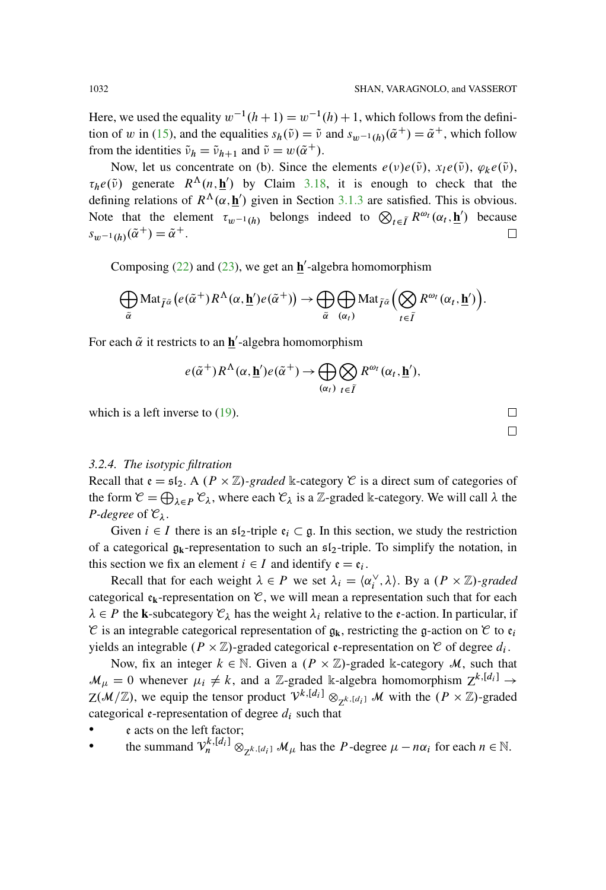Here, we used the equality  $w^{-1}(h+1) = w^{-1}(h) + 1$ , which follows from the defini-tion of w in [\(15\)](#page-23-3), and the equalities  $s_h(\tilde{v}) = \tilde{v}$  and  $s_{w-1}(h)(\tilde{\alpha}^+) = \tilde{\alpha}^+$ , which follow from the identities  $\tilde{\nu}_h = \tilde{\nu}_{h+1}$  and  $\tilde{\nu} = w(\tilde{\alpha}^+)$ .

Now, let us concentrate on (b). Since the elements  $e(\nu)e(\tilde{\nu})$ ,  $x_1e(\tilde{\nu})$ ,  $\varphi_k e(\tilde{\nu})$ ,  $\tau_h e(\tilde{\nu})$  generate  $R^{\Lambda}(n, \mathbf{h}')$  by Claim [3.18,](#page-23-4) it is enough to check that the defining relations of  $R^{\Lambda}(\alpha, \mathbf{h}')$  given in Section [3.1.3](#page-11-0) are satisfied. This is obvious. Note that the element  $\tau_{w^{-1}(h)}$  belongs indeed to  $\bigotimes_{t \in \tilde{I}} R^{\omega_t}(\alpha_t, \underline{h}')$  because  $s_{w^{-1}(h)}(\tilde{\alpha}^+) = \tilde{\alpha}^+.$ □

Composing  $(22)$  and  $(23)$ , we get an  $\underline{\mathbf{h}}'$ -algebra homomorphism

$$
\bigoplus_{\widetilde{\alpha}} \text{Mat}_{\widetilde{I}^{\widetilde{\alpha}}}\big(e(\widetilde{\alpha}^+)\overline{R}^{\Lambda}(\alpha,\underline{\mathbf{h}}')e(\widetilde{\alpha}^+)\big) \rightarrow \bigoplus_{\widetilde{\alpha}} \bigoplus_{(\alpha_t)} \text{Mat}_{\widetilde{I}^{\widetilde{\alpha}}}\big(\bigotimes_{t \in \widetilde{I}} R^{\omega_t}(\alpha_t,\underline{\mathbf{h}}')\big).
$$

For each  $\tilde{\alpha}$  it restricts to an  $\underline{\mathbf{h}}'$ -algebra homomorphism

$$
e(\tilde{\alpha}^+)R^{\Lambda}(\alpha,\underline{\mathbf{h}}')e(\tilde{\alpha}^+) \rightarrow \bigoplus_{(\alpha_t)} \bigotimes_{t \in \tilde{I}} R^{\omega_t}(\alpha_t,\underline{\mathbf{h}}'),
$$

which is a left inverse to  $(19)$ .

## *3.2.4. The isotypic filtration*

Recall that  $\mathfrak{e} = \mathfrak{sl}_2$ . A  $(P \times \mathbb{Z})$ -graded k-category  $\mathcal C$  is a direct sum of categories of the form  $\mathcal{C} = \bigoplus_{\lambda \in P} \mathcal{C}_{\lambda}$ , where each  $\mathcal{C}_{\lambda}$  is a Z-graded k-category. We will call  $\lambda$  the *P-degree* of  $\mathcal{C}_{\lambda}$ .

Given  $i \in I$  there is an  $\mathfrak{sl}_2$ -triple  $\mathfrak{e}_i \subset \mathfrak{g}$ . In this section, we study the restriction of a categorical  $g_k$ -representation to such an  $s_i$ -triple. To simplify the notation, in this section we fix an element  $i \in I$  and identify  $e = e_i$ .

Recall that for each weight  $\lambda \in P$  we set  $\lambda_i = \langle \alpha_i^{\vee}, \lambda \rangle$ . By a  $(P \times \mathbb{Z})$ *-graded* categorical  $\mathfrak{e}_k$ -representation on  $\mathfrak{C}$ , we will mean a representation such that for each  $\lambda \in P$  the **k**-subcategory  $\mathcal{C}_{\lambda}$  has the weight  $\lambda_i$  relative to the e-action. In particular, if  $\mathcal C$  is an integrable categorical representation of  $\mathfrak{g}_k$ , restricting the g-action on  $\mathcal C$  to  $\mathfrak{e}_i$ yields an integrable  $(P \times \mathbb{Z})$ -graded categorical e-representation on  $\mathcal C$  of degree  $d_i$ .

Now, fix an integer  $k \in \mathbb{N}$ . Given a  $(P \times \mathbb{Z})$ -graded k-category M, such that  $\mathcal{M}_{\mu} = 0$  whenever  $\mu_i \neq k$ , and a Z-graded k-algebra homomorphism  $Z^{k,[d_i]} \rightarrow$  $Z(M/\mathbb{Z})$ , we equip the tensor product  $\mathcal{V}^{k,[d_i]} \otimes_{\mathbb{Z}^{k,[d_i]}} M$  with the  $(P \times \mathbb{Z})$ -graded categorical e-representation of degree  $d_i$  such that

- e acts on the left factor;
- the summand  $V_n^{k,[d_i]} \otimes_{Z^{k,[d_i]}} M_\mu$  has the P-degree  $\mu n\alpha_i$  for each  $n \in \mathbb{N}$ .

口  $\Box$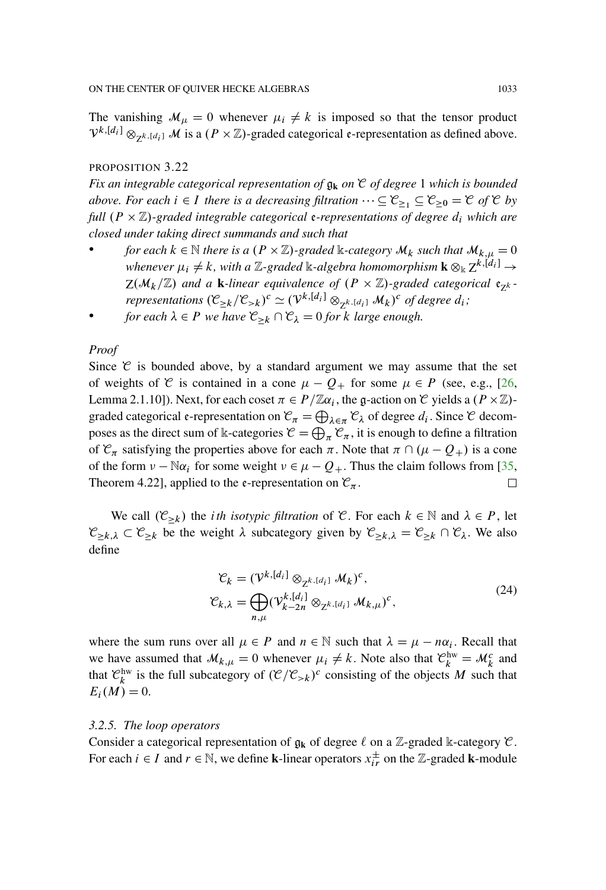The vanishing  $M_{\mu} = 0$  whenever  $\mu_i \neq k$  is imposed so that the tensor product  $V^{k,[d_i]} \otimes_{Z^{k,[d_i]}} M$  is a  $(P \times \mathbb{Z})$ -graded categorical e-representation as defined above.

#### PROPOSITION 3.22

*Fix an integrable categorical representation of* g**<sup>k</sup>** *on* C *of degree* 1 *which is bounded above. For each*  $i \in I$  *there is a decreasing filtration*  $\cdots \subseteq C_{\geq 1} \subseteq C_{\geq 0} = C$  *of*  $C$  *by full*  $(P \times \mathbb{Z})$ -graded integrable categorical **e**-representations of degree  $d_i$  which are *closed under taking direct summands and such that*

- *for each*  $k \in \mathbb{N}$  *there is a*  $(P \times \mathbb{Z})$ *-graded* k*-category*  $\mathcal{M}_k$  *such that*  $\mathcal{M}_{k,u} = 0$ whenever  $\mu_i \neq k$ , with a  $\mathbb{Z}\text{-graded}$   $\Bbbk$ -algebra homomorphism  $\textbf{k} \otimes_\Bbbk Z^{k,[d_i]}$   $\rightarrow$  $Z(M_k/\mathbb{Z})$  and a **k**-linear equivalence of  $(P \times \mathbb{Z})$ -graded categorical  $e_{7k}$ *representations*  $(\mathcal{C}_{\geq k}/\mathcal{C}_{> k})^c \simeq (\mathcal{V}^{k,[d_i]} \otimes_{\mathbb{Z}^{k,[d_i]}} \mathcal{M}_k)^c$  of degree  $d_i$ ;
- *for each*  $\lambda \in P$  *we have*  $\mathcal{C}_{\geq k} \cap \mathcal{C}_{\lambda} = 0$  *for k large enough.*

#### *Proof*

Since  $\mathfrak C$  is bounded above, by a standard argument we may assume that the set of weights of C is contained in a cone  $\mu - Q_+$  for some  $\mu \in P$  (see, e.g., [\[26](#page-95-8), Lemma 2.1.10]). Next, for each coset  $\pi \in P/\mathbb{Z}\alpha_i$ , the g-action on C yields a  $(P \times \mathbb{Z})$ graded categorical e-representation on  $\mathcal{C}_{\pi} = \bigoplus_{\lambda \in \pi} \mathcal{C}_{\lambda}$  of degree  $d_i$ . Since  $\mathcal C$  decomposes as the direct sum of k-categories  $\mathcal{C} = \bigoplus_{\pi} \mathcal{C}_{\pi}$ , it is enough to define a filtration of  $\mathcal{C}_{\pi}$  satisfying the properties above for each  $\pi$ . Note that  $\pi \cap (\mu - Q_+)$  is a cone of the form  $v - \mathbb{N}\alpha_i$  for some weight  $v \in \mu - Q_+$ . Thus the claim follows from [\[35](#page-95-7), Theorem 4.22], applied to the  $\epsilon$ -representation on  $\mathcal{C}_{\pi}$ . □

We call  $(\mathcal{C}_{\geq k})$  the *i*th *isotypic filtration* of  $\mathcal{C}$ . For each  $k \in \mathbb{N}$  and  $\lambda \in P$ , let  $\mathcal{C}_{\geq k,\lambda} \subset \mathcal{C}_{\geq k}$  be the weight  $\lambda$  subcategory given by  $\mathcal{C}_{\geq k,\lambda} = \mathcal{C}_{\geq k} \cap \mathcal{C}_{\lambda}$ . We also define

<span id="page-28-0"></span>
$$
\mathcal{C}_k = (\mathcal{V}^{k,[d_i]} \otimes_{\mathbb{Z}^{k,[d_i]}} \mathcal{M}_k)^c,
$$
  
\n
$$
\mathcal{C}_{k,\lambda} = \bigoplus_{n,\mu} (\mathcal{V}^{k,[d_i]}_{k-2n} \otimes_{\mathbb{Z}^{k,[d_i]}} \mathcal{M}_{k,\mu})^c,
$$
\n(24)

where the sum runs over all  $\mu \in P$  and  $n \in \mathbb{N}$  such that  $\lambda = \mu - n\alpha_i$ . Recall that we have assumed that  $\mathcal{M}_{k,\mu} = 0$  whenever  $\mu_i \neq k$ . Note also that  $\mathcal{C}_k^{\text{hw}} = \mathcal{M}_k^c$  and that  $\mathcal{C}_k^{\text{hw}}$  is the full subcategory of  $(\mathcal{C}/\mathcal{C}_{> k})^c$  consisting of the objects M such that  $E_i(M) = 0.$ 

#### *3.2.5. The loop operators*

Consider a categorical representation of  $\mathfrak{g}_k$  of degree  $\ell$  on a Z-graded k-category  $\mathfrak{C}$ . For each  $i \in I$  and  $r \in \mathbb{N}$ , we define **k**-linear operators  $x_{ir}^{\pm}$  on the Z-graded **k**-module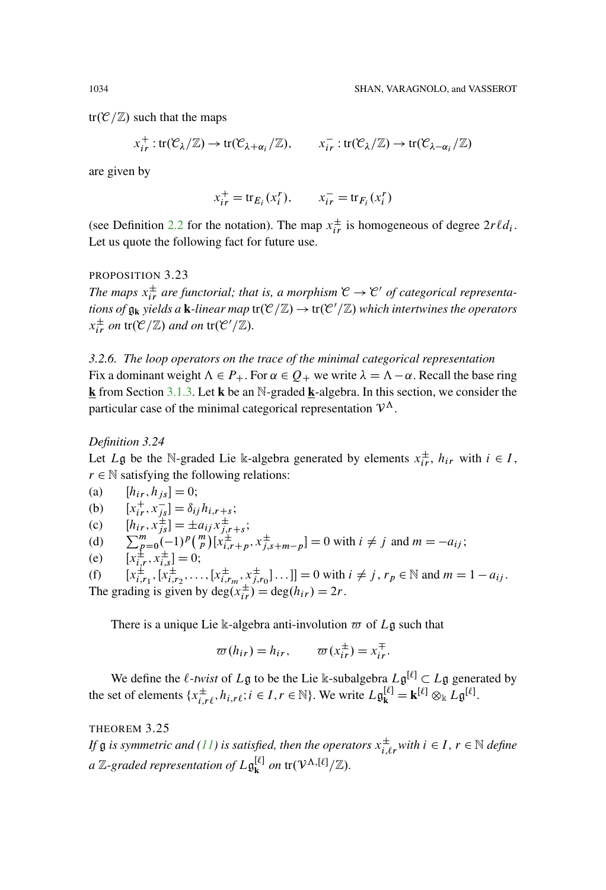$tr(\mathcal{C}/\mathbb{Z})$  such that the maps

$$
x_{ir}^+:\text{tr}(\mathcal{C}_{\lambda}/\mathbb{Z})\to \text{tr}(\mathcal{C}_{\lambda+\alpha_i}/\mathbb{Z}),\qquad x_{ir}^-:\text{tr}(\mathcal{C}_{\lambda}/\mathbb{Z})\to \text{tr}(\mathcal{C}_{\lambda-\alpha_i}/\mathbb{Z})
$$

are given by

$$
x_{ir}^+ = \text{tr}_{E_i}(x_i^r), \qquad x_{ir}^- = \text{tr}_{F_i}(x_i^r)
$$

(see Definition [2.2](#page-6-0) for the notation). The map  $x_{ir}^{\pm}$  is homogeneous of degree  $2r\ell d_i$ . Let us quote the following fact for future use.

#### <span id="page-29-1"></span>PROPOSITION 3.23

The maps  $x_{ir}^{\pm}$  are functorial; that is, a morphism  $\mathcal{C} \to \mathcal{C}'$  of categorical representa $t$ ions of  $\mathfrak{g}_{\bf k}$  yields a  ${\bf k}$ *-linear map*  $\text{tr}(\mathcal{C}/\mathbb{Z})\to \text{tr}(\mathcal{C}'/\mathbb{Z})$  which intertwines the operators  $x_{ir}^{\pm}$  *on* tr( $\mathcal{C}/\mathbb{Z}$ *) and on* tr( $\mathcal{C}'/\mathbb{Z}$ *)*.

*3.2.6. The loop operators on the trace of the minimal categorical representation* Fix a dominant weight  $\Lambda \in P_+$ . For  $\alpha \in Q_+$  we write  $\lambda = \Lambda - \alpha$ . Recall the base ring **k** from Section [3.1.3.](#page-11-0) Let **k** be an N-graded **k**-algebra. In this section, we consider the particular case of the minimal categorical representation  $\mathcal{V}^{\Lambda}$ .

#### *Definition 3.24*

Let L<sub>g</sub> be the N-graded Lie k-algebra generated by elements  $x_{ir}^{\pm}$ ,  $h_{ir}$  with  $i \in I$ ,  $r \in \mathbb{N}$  satisfying the following relations:

(a) 
$$
[h_{ir}, h_{js}] = 0;
$$
  
\n(b)  $[x_{ir}^+, x_{js}^-] = \delta_{ij} h_{i, r+s};$   
\n(c)  $[h_{ir}, x_{js}^+] = \pm a_{ij} x_{j, r+s}^{\pm};$   
\n(d)  $\sum_{p=0}^{m} (-1)^p {m \choose p} [x_{ir}^{\pm}, x_{js}^{\pm}, m-p] = 0$  with  $i \neq j$  and  $m = -a_{ij};$   
\n(e)  $[x_{i, r_1}^{\pm}, x_{i, s}^{\pm}] = 0;$   
\n(f)  $[x_{i, r_1}^{\pm}, [x_{i, r_2}^{\pm}, \dots, [x_{i, r_m}^{\pm}, x_{j, r_0}^{\pm}]\dots]] = 0$  with  $i \neq j, r_p \in \mathbb{N}$  and  $m = 1 - a_{ij}.$   
\nThe grading is given by  $\deg(x_{ir}^{\pm}) = \deg(h_{ir}) = 2r$ .

There is a unique Lie k-algebra anti-involution  $\varpi$  of Lg such that

$$
\varpi(h_{ir}) = h_{ir}, \qquad \varpi(x_{ir}^{\pm}) = x_{ir}^{\mp}.
$$

We define the  $\ell$ -twist of  $L\mathfrak{g}$  to be the Lie k-subalgebra  $L\mathfrak{g}^{[\ell]} \subset L\mathfrak{g}$  generated by the set of elements  $\{x_{i,r\ell}^{\pm}, h_{i,r\ell}; i \in I, r \in \mathbb{N}\}\)$ . We write  $L\mathfrak{g}_{\mathbf{k}}^{[\ell]} = \mathbf{k}^{[\ell]} \otimes_{\mathbb{k}} L\mathfrak{g}^{[\ell]}\$ .

<span id="page-29-0"></span>THEOREM 3.25

*If*  $\frak g$  *is symmetric and* [\(11\)](#page-20-0) *is satisfied, then the operators*  $x_{i,\ell r}^{\pm}$  *with*  $i \in I$  ,  $r \in \mathbb N$  *define a*  $\mathbb{Z}\text{-}\mathrm{graded}$  representation of  $L\mathfrak{g}_{\mathbf{k}}^{[\ell]}$  on  $\mathrm{tr}(\mathcal{V}^{\Lambda,[\ell]}/\mathbb{Z}).$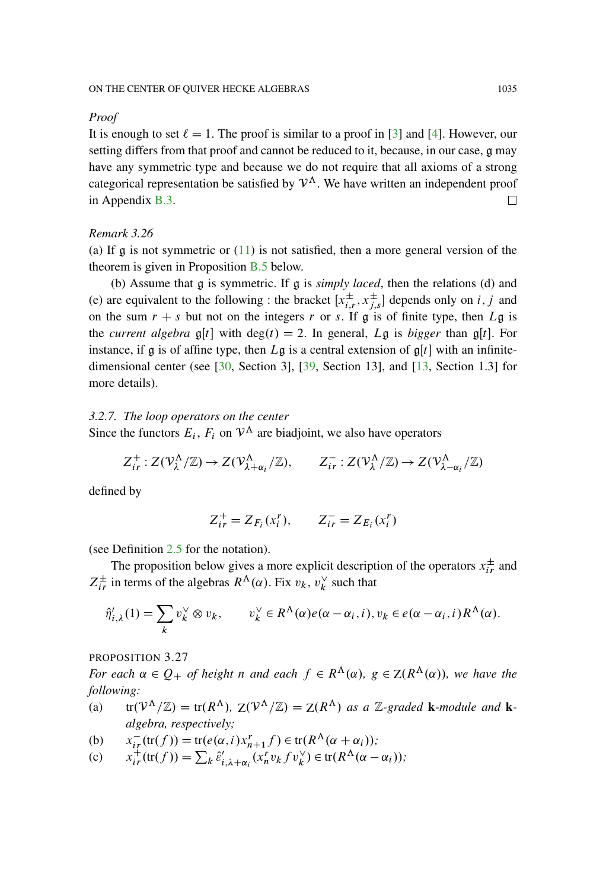#### *Proof*

It is enough to set  $\ell = 1$ . The proof is similar to a proof in [\[3\]](#page-93-1) and [\[4\]](#page-93-2). However, our setting differs from that proof and cannot be reduced to it, because, in our case, g may have any symmetric type and because we do not require that all axioms of a strong categorical representation be satisfied by  $\mathcal{V}^{\Lambda}$ . We have written an independent proof in Appendix [B.3.](#page-82-0) П

#### *Remark 3.26*

(a) If  $\alpha$  is not symmetric or [\(11\)](#page-20-0) is not satisfied, then a more general version of the theorem is given in Proposition [B.5](#page-83-0) below.

(b) Assume that g is symmetric. If g is *simply laced*, then the relations (d) and (e) are equivalent to the following : the bracket  $[x_{i,r}^{\pm}, x_{j,s}^{\pm}]$  depends only on i, j and on the sum  $r + s$  but not on the integers r or s. If g is of finite type, then Lg is the *current algebra*  $\mathfrak{g}[t]$  with  $\deg(t) = 2$ . In general, Lg is *bigger* than  $\mathfrak{g}[t]$ . For instance, if g is of affine type, then  $L\mathfrak{g}$  is a central extension of  $\mathfrak{g}[t]$  with an infinitedimensional center (see [\[30](#page-95-9), Section 3], [\[39](#page-96-1), Section 13], and [\[13,](#page-94-8) Section 1.3] for more details).

#### *3.2.7. The loop operators on the center*

Since the functors  $E_i$ ,  $F_i$  on  $V^{\Lambda}$  are biadjoint, we also have operators

$$
Z_{ir}^+ : Z(\mathcal{V}_\lambda^\Lambda/\mathbb{Z}) \to Z(\mathcal{V}_{\lambda+\alpha_i}^\Lambda/\mathbb{Z}), \qquad Z_{ir}^- : Z(\mathcal{V}_\lambda^\Lambda/\mathbb{Z}) \to Z(\mathcal{V}_{\lambda-\alpha_i}^\Lambda/\mathbb{Z})
$$

defined by

$$
Z_{ir}^+ = Z_{F_i}(x_i^r), \qquad Z_{ir}^- = Z_{E_i}(x_i^r)
$$

(see Definition [2.5](#page-8-0) for the notation).

The proposition below gives a more explicit description of the operators  $x_{ir}^{\pm}$  and  $Z_{ir}^{\pm}$  in terms of the algebras  $R^{\Lambda}(\alpha)$ . Fix  $v_k$ ,  $v_k^{\vee}$  such that

$$
\hat{\eta}'_{i,\lambda}(1) = \sum_{k} v_k^{\vee} \otimes v_k, \qquad v_k^{\vee} \in R^{\Lambda}(\alpha) e(\alpha - \alpha_i, i), v_k \in e(\alpha - \alpha_i, i) R^{\Lambda}(\alpha).
$$

PROPOSITION 3.27

*For each*  $\alpha \in Q_+$  *of height n and each*  $f \in R^{\Lambda}(\alpha)$ *,*  $g \in Z(R^{\Lambda}(\alpha))$ *, we have the following:*

- (a)  $tr(\mathcal{V}^{\Lambda}/\mathbb{Z}) = tr(R^{\Lambda}), Z(\mathcal{V}^{\Lambda}/\mathbb{Z}) = Z(R^{\Lambda})$  *as a* Z-graded **k**-module and **k***algebra, respectively;*
- (b)  $x_{ir}^-(tr(f)) = tr(e(\alpha, i)x_{n+1}^r f) \in tr(R^{\Lambda}(\alpha + \alpha_i));$
- (c)  $x_{ir}^{+}(tr(f)) = \sum_{k} \hat{\varepsilon}'_{i,\lambda+\alpha_i}(x_n^r v_k f v_k^{\vee}) \in tr(R^{\Lambda}(\alpha \alpha_i));$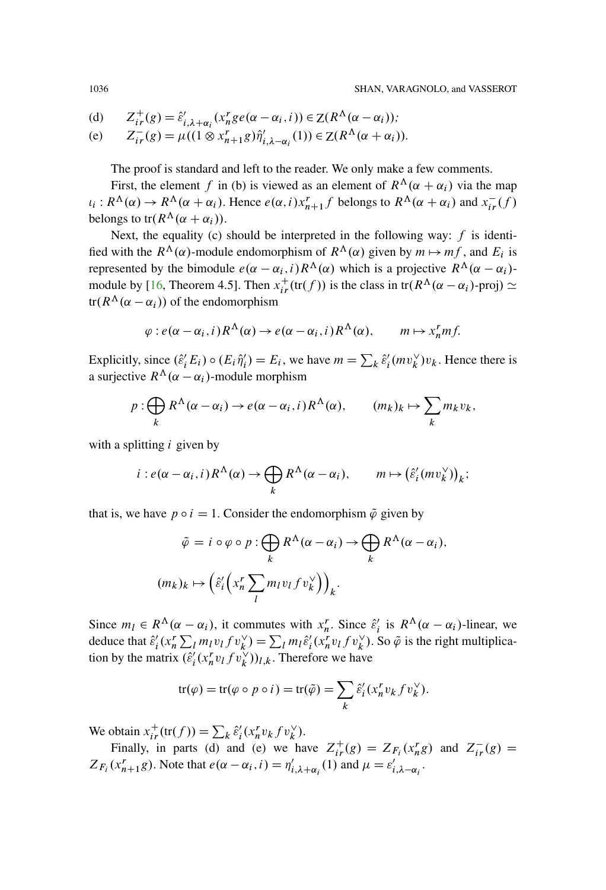(d) 
$$
Z_{ir}^{+}(g) = \hat{\varepsilon}'_{i,\lambda+\alpha_i}(x_n^r g e(\alpha-\alpha_i,i)) \in Z(R^{\Lambda}(\alpha-\alpha_i));
$$

(e) 
$$
Z_{ir}^-(g) = \mu((1 \otimes x_{n+1}^r g)\hat{\eta}'_{i,\lambda-\alpha_i}(1)) \in Z(R^{\Lambda}(\alpha+\alpha_i)).
$$

The proof is standard and left to the reader. We only make a few comments.

First, the element f in (b) is viewed as an element of  $R^{\Lambda}(\alpha + \alpha_i)$  via the map  $i_i: R^{\Lambda}(\alpha) \to R^{\Lambda}(\alpha + \alpha_i)$ . Hence  $e(\alpha, i)x_{n+1}^r f$  belongs to  $R^{\Lambda}(\alpha + \alpha_i)$  and  $x_{i}^-(f)$ belongs to tr( $R^{\Lambda}(\alpha + \alpha_i)$ ).

Next, the equality (c) should be interpreted in the following way:  $f$  is identified with the  $R^{\Lambda}(\alpha)$ -module endomorphism of  $R^{\Lambda}(\alpha)$  given by  $m \mapsto mf$ , and  $E_i$  is represented by the bimodule  $e(\alpha - \alpha_i, i) R^{\Lambda}(\alpha)$  which is a projective  $R^{\Lambda}(\alpha - \alpha_i)$ -module by [\[16,](#page-94-6) Theorem 4.5]. Then  $x_{ir}^+(tr(f))$  is the class in  $tr(R^{\Lambda}(\alpha - \alpha_i)$ -proj)  $\simeq$  $tr(R^{\Lambda}(\alpha - \alpha_i))$  of the endomorphism

$$
\varphi: e(\alpha-\alpha_i, i)R^{\Lambda}(\alpha) \to e(\alpha-\alpha_i, i)R^{\Lambda}(\alpha), \qquad m \mapsto x_n^r m f.
$$

Explicitly, since  $(\hat{\varepsilon}'_i E_i) \circ (E_i \hat{\eta}'_i) = E_i$ , we have  $m = \sum_k \hat{\varepsilon}'_i (m v_k^{\vee}) v_k$ . Hence there is a surjective  $R^{\Lambda}(\alpha - \alpha_i)$ -module morphism

$$
p: \bigoplus_k R^{\Lambda}(\alpha - \alpha_i) \to e(\alpha - \alpha_i, i) R^{\Lambda}(\alpha), \qquad (m_k)_k \mapsto \sum_k m_k v_k,
$$

with a splitting  $i$  given by

$$
i: e(\alpha-\alpha_i, i) R^{\Lambda}(\alpha) \to \bigoplus_{k} R^{\Lambda}(\alpha-\alpha_i), \qquad m \mapsto (\hat{\varepsilon}'_i(mv_k^{\vee}))_k;
$$

that is, we have  $p \circ i = 1$ . Consider the endomorphism  $\tilde{\varphi}$  given by

$$
\tilde{\varphi} = i \circ \varphi \circ p : \bigoplus_{k} R^{\Lambda}(\alpha - \alpha_{i}) \to \bigoplus_{k} R^{\Lambda}(\alpha - \alpha_{i}),
$$

$$
(m_{k})_{k} \mapsto (\hat{\varepsilon}_{i}' \left( x_{n} \sum_{l} m_{l} v_{l} f v_{k}^{\vee} \right))_{k}.
$$

Since  $m_l \in R^{\Lambda}(\alpha - \alpha_i)$ , it commutes with  $x_n^r$ . Since  $\hat{\varepsilon}'_i$  is  $R^{\Lambda}(\alpha - \alpha_i)$ -linear, we deduce that  $\hat{\varepsilon}_i'(x_n^r \sum_l m_l v_l f v_k^{\vee}) = \sum_l m_l \hat{\varepsilon}_i'(x_n^r v_l f v_k^{\vee})$ . So  $\tilde{\varphi}$  is the right multiplication by the matrix  $(\hat{\varepsilon}_i^{\prime}(x_n^r v_l f v_k^{\vee}))_{l,k}$ . Therefore we have

$$
tr(\varphi) = tr(\varphi \circ p \circ i) = tr(\tilde{\varphi}) = \sum_{k} \hat{\varepsilon}'_i (x_n^r v_k f v_k^{\vee}).
$$

We obtain  $x_{ir}^+(\text{tr}(f)) = \sum_k \hat{\varepsilon}'_i (x_n^r v_k f v_k^{\vee}).$ 

Finally, in parts (d) and (e) we have  $Z_{ir}^+(g) = Z_{F_i}(x_n^r g)$  and  $Z_{ir}^-(g) =$  $Z_{F_i}(x_{n+1}^r g)$ . Note that  $e(\alpha - \alpha_i, i) = \eta'_{i, \lambda + \alpha_i}(1)$  and  $\mu = \varepsilon'_{i, \lambda - \alpha_i}$ .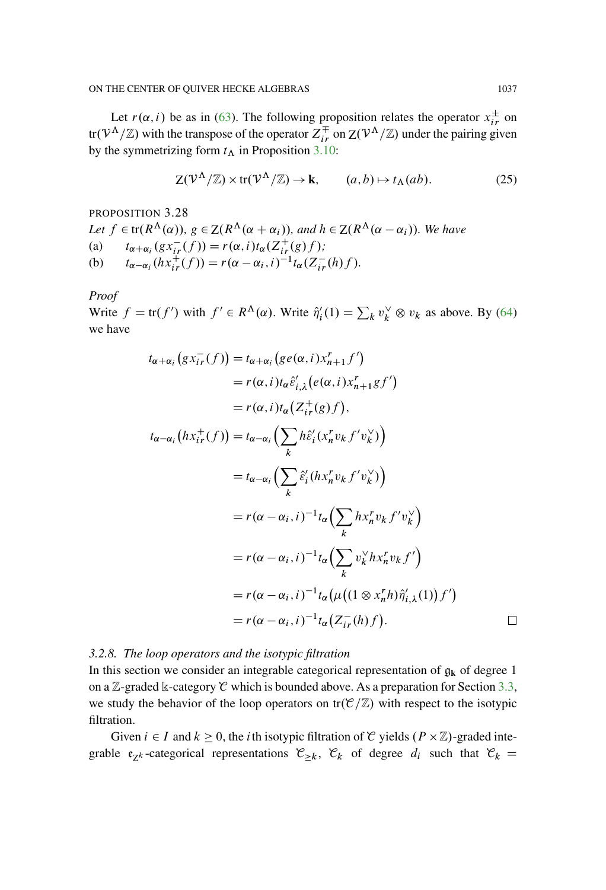Let  $r(\alpha, i)$  be as in [\(63\)](#page-72-1). The following proposition relates the operator  $x_{ir}^{\pm}$  on tr $(V^{\Lambda}/\mathbb{Z})$  with the transpose of the operator  $Z_{ir}^{\mp}$  on  $Z(V^{\Lambda}/\mathbb{Z})$  under the pairing given by the symmetrizing form  $t_{\Lambda}$  in Proposition [3.10:](#page-16-0)

$$
Z(\mathcal{V}^{\Lambda}/\mathbb{Z}) \times \text{tr}(\mathcal{V}^{\Lambda}/\mathbb{Z}) \to \mathbf{k}, \qquad (a, b) \mapsto t_{\Lambda}(ab). \tag{25}
$$

<span id="page-32-0"></span>PROPOSITION 3.28

Let 
$$
f \in tr(R^{\Lambda}(\alpha))
$$
,  $g \in Z(R^{\Lambda}(\alpha + \alpha_i))$ , and  $h \in Z(R^{\Lambda}(\alpha - \alpha_i))$ . We have  
\n(a)  $t_{\alpha + \alpha_i}(gx_{ir}^-(f)) = r(\alpha, i)t_{\alpha}(Z_{ir}^+(g)f)$ ;  
\n(b)  $t_{\alpha - \alpha_i}(hx_{ir}^+(f)) = r(\alpha - \alpha_i, i)^{-1}t_{\alpha}(Z_{ir}^-(h)f)$ .

*Proof*

Write  $f = \text{tr}(f')$  with  $f' \in R^{\Lambda}(\alpha)$ . Write  $\hat{\eta}'_i(1) = \sum_k v_k^{\vee} \otimes v_k$  as above. By [\(64\)](#page-72-2) we have

$$
t_{\alpha+\alpha_i}(gx_{ir}^-(f)) = t_{\alpha+\alpha_i}(ge(\alpha,i)x_{n+1}^r f')
$$
  
\n
$$
= r(\alpha,i)t_{\alpha}\hat{\epsilon}'_{i,\lambda}(e(\alpha,i)x_{n+1}^r gf')
$$
  
\n
$$
= r(\alpha,i)t_{\alpha}(Z_{ir}^+(g)f),
$$
  
\n
$$
t_{\alpha-\alpha_i}(hx_{ir}^+(f)) = t_{\alpha-\alpha_i}\left(\sum_k h\hat{\epsilon}'_i(x_n^r v_k f'v_k^{\vee})\right)
$$
  
\n
$$
= t_{\alpha-\alpha_i}\left(\sum_k \hat{\epsilon}'_i(hx_n^r v_k f'v_k^{\vee})\right)
$$
  
\n
$$
= r(\alpha-\alpha_i,i)^{-1}t_{\alpha}\left(\sum_k hx_n^r v_k f'v_k^{\vee}\right)
$$
  
\n
$$
= r(\alpha-\alpha_i,i)^{-1}t_{\alpha}\left(\sum_k v_k^{\vee}hx_n^r v_k f'\right)
$$
  
\n
$$
= r(\alpha-\alpha_i,i)^{-1}t_{\alpha}(\mu((1 \otimes x_n^r h)\hat{\eta}'_{i,\lambda}(1))f')
$$
  
\n
$$
= r(\alpha-\alpha_i,i)^{-1}t_{\alpha}(Z_{ir}^-(h)f).
$$

## *3.2.8. The loop operators and the isotypic filtration*

In this section we consider an integrable categorical representation of  $g_k$  of degree 1 on a  $\mathbb{Z}$ -graded  $\Bbbk$ -category  $\mathcal C$  which is bounded above. As a preparation for Section [3.3,](#page-36-0) we study the behavior of the loop operators on  $tr(\mathcal{C}/\mathbb{Z})$  with respect to the isotypic filtration.

Given  $i \in I$  and  $k \ge 0$ , the *i*th isotypic filtration of C yields  $(P \times \mathbb{Z})$ -graded integrable  $\mathfrak{e}_{Z^k}$ -categorical representations  $\mathcal{C}_{\geq k}$ ,  $\mathcal{C}_k$  of degree  $d_i$  such that  $\mathcal{C}_k =$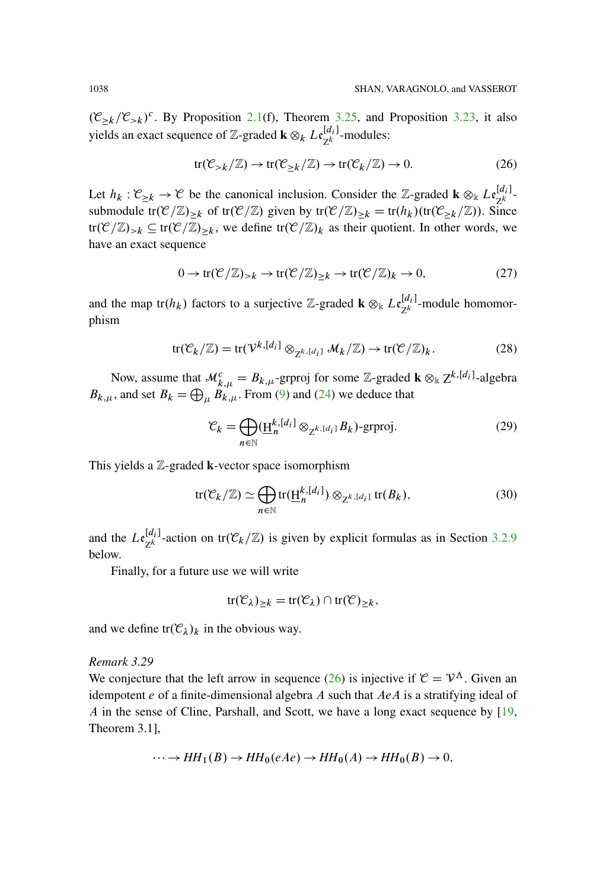$(\mathcal{C}_{\geq k}/\mathcal{C}_{\geq k})^c$ . By Proposition [2.1\(](#page-5-0)f), Theorem [3.25,](#page-29-0) and Proposition [3.23,](#page-29-1) it also yields an exact sequence of Z-graded **k**  $\otimes_k L_{Z^k}^{[d_i]}$ -modules:

<span id="page-33-0"></span>
$$
tr(\mathcal{C}_{>k}/\mathbb{Z}) \to tr(\mathcal{C}_{\geq k}/\mathbb{Z}) \to tr(\mathcal{C}_k/\mathbb{Z}) \to 0. \tag{26}
$$

Let  $h_k : \mathcal{C}_{\geq k} \to \mathcal{C}$  be the canonical inclusion. Consider the Z-graded **k**  $\otimes_k L_{\mathcal{C}_{\mathbb{Z}}^k}$ . submodule tr $(\mathcal{C}/\mathbb{Z})_{\geq k}$  of tr $(\mathcal{C}/\mathbb{Z})$  given by tr $(\mathcal{C}/\mathbb{Z})_{\geq k} = \text{tr}(h_k)(\text{tr}(\mathcal{C}_{\geq k}/\mathbb{Z}))$ . Since  $tr(\mathcal{C}/\mathbb{Z})_{>k} \subseteq tr(\mathcal{C}/\mathbb{Z})_{\geq k}$ , we define  $tr(\mathcal{C}/\mathbb{Z})_k$  as their quotient. In other words, we have an exact sequence

$$
0 \to \text{tr}(\mathcal{C}/\mathbb{Z})_{>k} \to \text{tr}(\mathcal{C}/\mathbb{Z})_{\geq k} \to \text{tr}(\mathcal{C}/\mathbb{Z})_k \to 0,
$$
 (27)

and the map  $tr(h_k)$  factors to a surjective Z-graded **k**  $\otimes_k L_{\mathcal{E}_k}^{[d_i]}$ -module homomorphism

$$
\text{tr}(\mathcal{C}_k/\mathbb{Z}) = \text{tr}(\mathcal{V}^{k,[d_i]} \otimes_{\mathbb{Z}^{k,[d_i]}} \mathcal{M}_k/\mathbb{Z}) \to \text{tr}(\mathcal{C}/\mathbb{Z})_k. \tag{28}
$$

Now, assume that  $\mathcal{M}_{k,\mu}^c = B_{k,\mu}$ -grproj for some Z-graded **k**  $\otimes_k Z^{k,[d_i]}$ -algebra  $B_{k,\mu}$ , and set  $B_k = \bigoplus_{\mu} B_{k,\mu}$ . From [\(9\)](#page-19-0) and [\(24\)](#page-28-0) we deduce that

$$
\mathcal{C}_k = \bigoplus_{n \in \mathbb{N}} (\underline{\mathbf{H}}_n^{k, [d_i]} \otimes_{\mathbf{Z}^{k, [d_i]}} B_k) \text{-}\text{grproj.}
$$
 (29)

This yields a Z-graded **k**-vector space isomorphism

$$
\text{tr}(\mathcal{C}_k/\mathbb{Z}) \simeq \bigoplus_{n \in \mathbb{N}} \text{tr}(\underline{\mathbf{H}}_n^{k,[d_i]}) \otimes_{\mathbb{Z}^{k,[d_i]}} \text{tr}(B_k),\tag{30}
$$

and the  $Le_{Z^k}^{[d_i]}$ -action on tr $(\mathcal{C}_k/\mathbb{Z})$  is given by explicit formulas as in Section [3.2.9](#page-34-1) below.

Finally, for a future use we will write

$$
\mathrm{tr}(\mathcal{C}_{\lambda})_{\geq k} = \mathrm{tr}(\mathcal{C}_{\lambda}) \cap \mathrm{tr}(\mathcal{C})_{\geq k},
$$

and we define  $tr(\mathcal{C}_{\lambda})_k$  in the obvious way.

#### *Remark 3.29*

We conjecture that the left arrow in sequence [\(26\)](#page-33-0) is injective if  $C = V^{\Lambda}$ . Given an idempotent  $e$  of a finite-dimensional algebra  $A$  such that  $AeA$  is a stratifying ideal of A in the sense of Cline, Parshall, and Scott, we have a long exact sequence by [\[19](#page-94-9), Theorem 3.1],

$$
\cdots \to HH_1(B) \to HH_0(eAe) \to HH_0(A) \to HH_0(B) \to 0,
$$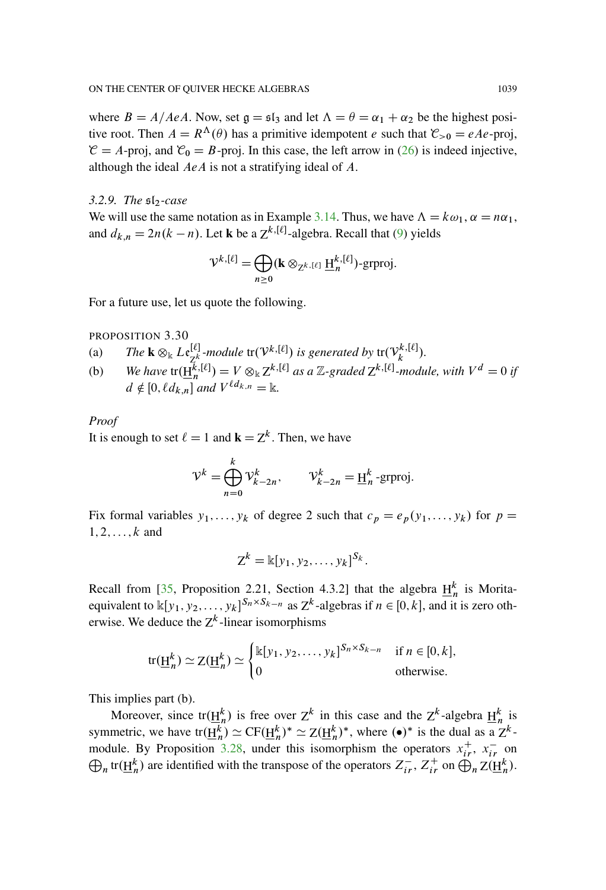where  $B = A/AeA$ . Now, set  $\mathfrak{g} = \mathfrak{sl}_3$  and let  $\Lambda = \theta = \alpha_1 + \alpha_2$  be the highest positive root. Then  $A = R^{\Lambda}(\theta)$  has a primitive idempotent e such that  $\mathcal{C}_{>0} = eAe$ -proj,  $\mathcal{C} = A$ -proj, and  $\mathcal{C}_0 = B$ -proj. In this case, the left arrow in [\(26\)](#page-33-0) is indeed injective, although the ideal AeA is not a stratifying ideal of A.

#### <span id="page-34-1"></span>*3.2.9. The*  $s1_2$ -case

We will use the same notation as in Example [3.14.](#page-19-1) Thus, we have  $\Lambda = k\omega_1$ ,  $\alpha = n\alpha_1$ , and  $d_{k,n} = 2n(k - n)$ . Let **k** be a  $Z^{k,[\ell]}$ -algebra. Recall that [\(9\)](#page-19-0) yields

$$
\mathcal{V}^{k,[\ell]} = \bigoplus_{n \geq 0} (\mathbf{k} \otimes_{\mathbb{Z}^k \cdot [\ell]} \underline{\mathbf{H}}_n^{k,[\ell]}) \text{-}\text{grproj.}
$$

For a future use, let us quote the following.

<span id="page-34-0"></span>PROPOSITION 3.30

- (a) *The*  $\mathbf{k} \otimes_{\mathbb{k}} L \mathfrak{e}_{\mathbb{Z}_+^k}^{[\ell]}$ -module  $\text{tr}(\mathcal{V}^{k,[\ell]})$  is generated by  $\text{tr}(\mathcal{V}_k^{k,[\ell]}).$
- (b) We have  $tr(\underline{H}_n^{k,[\ell]}) = V \otimes_{\mathbb{k}} Z^{k,[\ell]}$  as a Z-graded  $Z^{k,[\ell]}$ -module, with  $V^d = 0$  if  $d \notin [0, \ell d_{k,n}]$  and  $V^{\ell d_{k,n}} = \mathbb{k}$ .

#### *Proof*

It is enough to set  $\ell = 1$  and  $\mathbf{k} = Z^k$ . Then, we have

$$
\mathcal{V}^k = \bigoplus_{n=0}^k \mathcal{V}^k_{k-2n}, \qquad \mathcal{V}^k_{k-2n} = \underline{\mathrm{H}}^k_n\text{-grproj}.
$$

Fix formal variables  $y_1, \ldots, y_k$  of degree 2 such that  $c_p = e_p(y_1, \ldots, y_k)$  for  $p =$  $1, 2, \ldots, k$  and

$$
Z^k = \mathbb{k}[y_1, y_2, \ldots, y_k]^{S_k}.
$$

Recall from [\[35](#page-95-7), Proposition 2.21, Section 4.3.2] that the algebra  $\underline{H}_n^k$  is Moritaequivalent to  $\mathbb{K}[y_1, y_2, \dots, y_k]^{S_n \times S_{k-n}}$  as  $Z^k$ -algebras if  $n \in [0, k]$ , and it is zero otherwise. We deduce the  $Z^k$ -linear isomorphisms

$$
\text{tr}(\underline{\mathbf{H}}_n^k) \simeq \mathbf{Z}(\underline{\mathbf{H}}_n^k) \simeq \begin{cases} \n\mathbb{k}[y_1, y_2, \dots, y_k]^{S_n \times S_{k-n}} & \text{if } n \in [0, k], \\ \n0 & \text{otherwise.} \n\end{cases}
$$

This implies part (b).

Moreover, since tr $(\underline{H}_n^k)$  is free over  $Z^k$  in this case and the  $Z^k$ -algebra  $\underline{H}_n^k$  is symmetric, we have tr $(\underline{H}_n^k) \simeq CF(\underline{H}_n^k)^* \simeq Z(\underline{H}_n^k)^*$ , where  $(\bullet)^*$  is the dual as a  $Z^k$ -module. By Proposition [3.28,](#page-32-0) under this isomorphism the operators  $x_{ir}^{+}$ ,  $x_{ir}^{-}$  on  $\bigoplus_n \text{tr}(\underline{H}_n^k)$  are identified with the transpose of the operators  $Z_{ir}^-$ ,  $Z_{ir}^+$  on  $\bigoplus_n Z(\underline{H}_n^k)$ .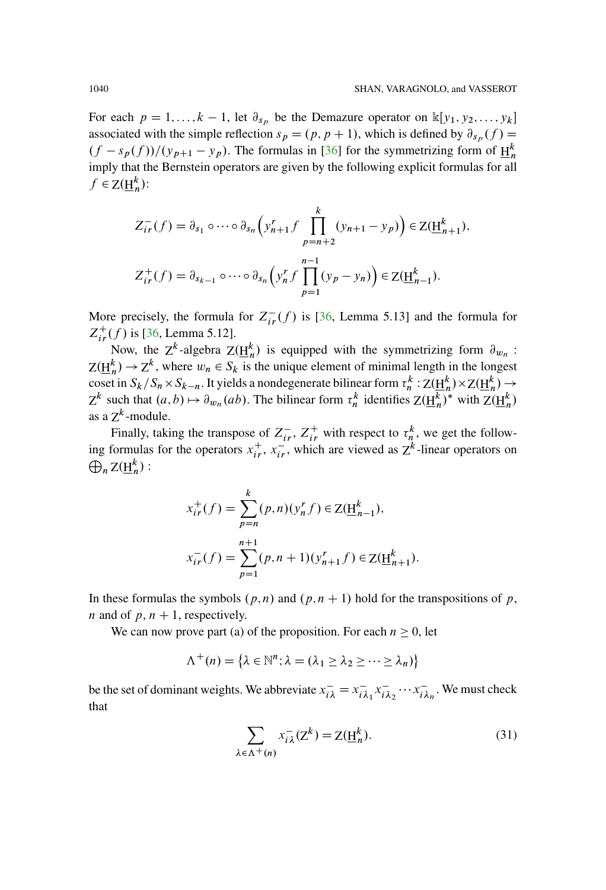For each  $p = 1, ..., k - 1$ , let  $\partial_{s_p}$  be the Demazure operator on  $\mathbb{K}[y_1, y_2, ..., y_k]$ associated with the simple reflection  $s_p = (p, p + 1)$ , which is defined by  $\partial_{s_p} (f) =$  $\frac{f(f - s_p(f))}{(y_{p+1} - y_p)}$ . The formulas in [\[36](#page-95-4)] for the symmetrizing form of  $\frac{H_n^k}{(y_p - y_p)^2}$ imply that the Bernstein operators are given by the following explicit formulas for all  $f \in Z(\underline{H}_n^k)$ :

$$
Z_{ir}^-(f) = \partial_{s_1} \circ \cdots \circ \partial_{s_n} \left( y_{n+1}^r f \prod_{p=n+2}^k (y_{n+1} - y_p) \right) \in Z(\underline{H}_{n+1}^k),
$$
  

$$
Z_{ir}^+(f) = \partial_{s_{k-1}} \circ \cdots \circ \partial_{s_n} \left( y_n^r f \prod_{p=1}^{n-1} (y_p - y_n) \right) \in Z(\underline{H}_{n-1}^k).
$$

More precisely, the formula for  $Z_{ir}^{-}(f)$  is [\[36,](#page-95-4) Lemma 5.13] and the formula for  $Z_{ir}^{+}(f)$  is [\[36,](#page-95-4) Lemma 5.12].

Now, the  $Z^k$ -algebra  $Z(\underline{H}_n^k)$  is equipped with the symmetrizing form  $\partial_{w_n}$ :  $Z(\underline{H}_n^k) \to Z^k$ , where  $w_n \in S_k$  is the unique element of minimal length in the longest coset in  $S_k/S_n \times S_{k-n}$ . It yields a nondegenerate bilinear form  $\tau_n^k: Z(\underline{H}_n^k) \times Z(\underline{H}_n^k) \to$  $Z^k$  such that  $(a, b) \mapsto \partial_{w_n}(ab)$ . The bilinear form  $\tau_n^k$  identifies  $Z(\underline{H}_n^k)^*$  with  $Z(\underline{H}_n^k)$ as a  $Z^k$ -module.

Finally, taking the transpose of  $Z_{ir}^-$ ,  $Z_{ir}^+$  with respect to  $\tau_n^k$ , we get the following formulas for the operators  $x_{ir}^+$ ,  $x_{ir}^-$ , which are viewed as  $Z^k$ -linear operators on  $\bigoplus_n Z(\underline{H}_n^k)$ :

$$
x_{ir}^+(f) = \sum_{p=n}^k (p,n)(y_n^r f) \in Z(\underline{H}_{n-1}^k),
$$
  

$$
x_{ir}^-(f) = \sum_{p=1}^{n+1} (p,n+1)(y_{n+1}^r f) \in Z(\underline{H}_{n+1}^k).
$$

In these formulas the symbols  $(p, n)$  and  $(p, n + 1)$  hold for the transpositions of p, *n* and of  $p, n + 1$ , respectively.

We can now prove part (a) of the proposition. For each  $n \geq 0$ , let

$$
\Lambda^+(n) = \{ \lambda \in \mathbb{N}^n : \lambda = (\lambda_1 \geq \lambda_2 \geq \cdots \geq \lambda_n) \}
$$

be the set of dominant weights. We abbreviate  $x_{i\lambda}^- = x_{i\lambda_1}^- x_{i\lambda_2}^- \cdots x_{i\lambda_n}^-$ . We must check that

$$
\sum_{\lambda \in \Lambda^+(n)} x_{i\lambda}^-(Z^k) = Z(\underline{H}_n^k). \tag{31}
$$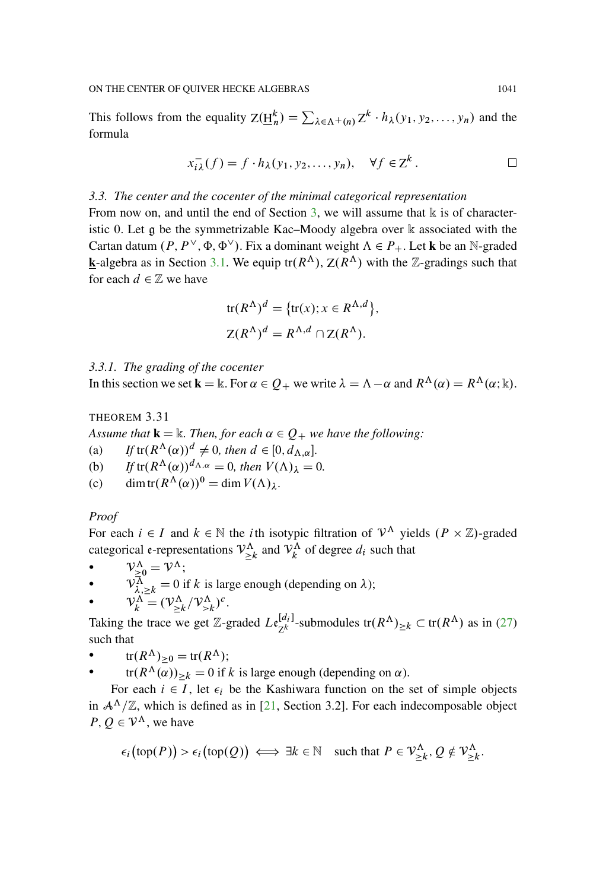This follows from the equality  $Z(\underline{H}_n^k) = \sum_{\lambda \in \Lambda^+(n)} Z^k \cdot h_\lambda(y_1, y_2, \dots, y_n)$  and the formula

$$
x_{i\lambda}^-(f) = f \cdot h_\lambda(y_1, y_2, \dots, y_n), \quad \forall f \in \mathbb{Z}^k. \qquad \Box
$$

## *3.3. The center and the cocenter of the minimal categorical representation*

From now on, and until the end of Section [3,](#page-10-0) we will assume that  $\Bbbk$  is of characteristic 0. Let  $\alpha$  be the symmetrizable Kac–Moody algebra over  $\mathbb k$  associated with the Cartan datum  $(P, P^{\vee}, \Phi, \Phi^{\vee})$ . Fix a dominant weight  $\Lambda \in P_+$ . Let **k** be an N-graded **k**-algebra as in Section [3.1.](#page-10-1) We equip tr( $R^{\Lambda}$ ),  $Z(R^{\Lambda})$  with the Z-gradings such that for each  $d \in \mathbb{Z}$  we have

tr
$$
(R^{\Lambda})^d = \{tr(x); x \in R^{\Lambda, d}\},
$$
  
 $Z(R^{\Lambda})^d = R^{\Lambda, d} \cap Z(R^{\Lambda}).$ 

# <span id="page-36-0"></span>*3.3.1. The grading of the cocenter*

In this section we set  $\mathbf{k} = \mathbb{k}$ . For  $\alpha \in Q_+$  we write  $\lambda = \Lambda - \alpha$  and  $R^{\Lambda}(\alpha) = R^{\Lambda}(\alpha; \mathbb{k})$ .

<span id="page-36-1"></span>THEOREM 3.31

*Assume that*  $\mathbf{k} = \mathbb{k}$ *. Then, for each*  $\alpha \in Q_+$  *we have the following:* 

- (a) *If*  $tr(R^{\Lambda}(\alpha))^d \neq 0$ , then  $d \in [0, d_{\Lambda,\alpha}]$ .
- (b) *If*  $tr(R^{\Lambda}(\alpha))^{d_{\Lambda,\alpha}} = 0$ *, then*  $V(\Lambda)_{\lambda} = 0$ .
- (c) dimtr $(R^{\Lambda}(\alpha))^0 = \dim V(\Lambda)_{\lambda}$ .

#### *Proof*

For each  $i \in I$  and  $k \in \mathbb{N}$  the *i*th isotypic filtration of  $\mathcal{V}^{\Lambda}$  yields  $(P \times \mathbb{Z})$ -graded categorical e-representations  $\mathcal{V}_{\geq k}^{\Lambda}$  and  $\mathcal{V}_{k}^{\Lambda}$  of degree  $d_i$  such that

•  $V_{\geq 0}^{\Lambda} = V^{\Lambda};$  $\mathcal{V}_{\lambda, \geq k}^{\overline{\Lambda}} = 0$  if k is large enough (depending on  $\lambda$ ); •  $V^{\Lambda}_{k} = (\mathcal{V}^{\Lambda}_{\geq k}/\mathcal{V}^{\Lambda}_{> k})^{c}$ .

Taking the trace we get Z-graded  $L\epsilon_{Z^k}^{[d_i]}$ -submodules  $tr(R^{\Lambda})_{\geq k} \subset tr(R^{\Lambda})$  as in [\(27\)](#page-33-0) such that

•  $tr(R^{\Lambda})_{\geq 0} = tr(R^{\Lambda});$ 

•  $tr(R^{\Lambda}(\alpha))_{\geq k} = 0$  if k is large enough (depending on  $\alpha$ ).

For each  $i \in I$ , let  $\epsilon_i$  be the Kashiwara function on the set of simple objects in  $\mathcal{A}^{\Lambda}/\mathbb{Z}$ , which is defined as in [\[21,](#page-94-0) Section 3.2]. For each indecomposable object  $P, Q \in \mathcal{V}^{\Lambda}$ , we have

$$
\epsilon_i\big(\text{top}(P)\big) > \epsilon_i\big(\text{top}(Q)\big) \iff \exists k \in \mathbb{N} \quad \text{such that } P \in \mathcal{V}_{\geq k}^{\Lambda}, Q \notin \mathcal{V}_{\geq k}^{\Lambda}.
$$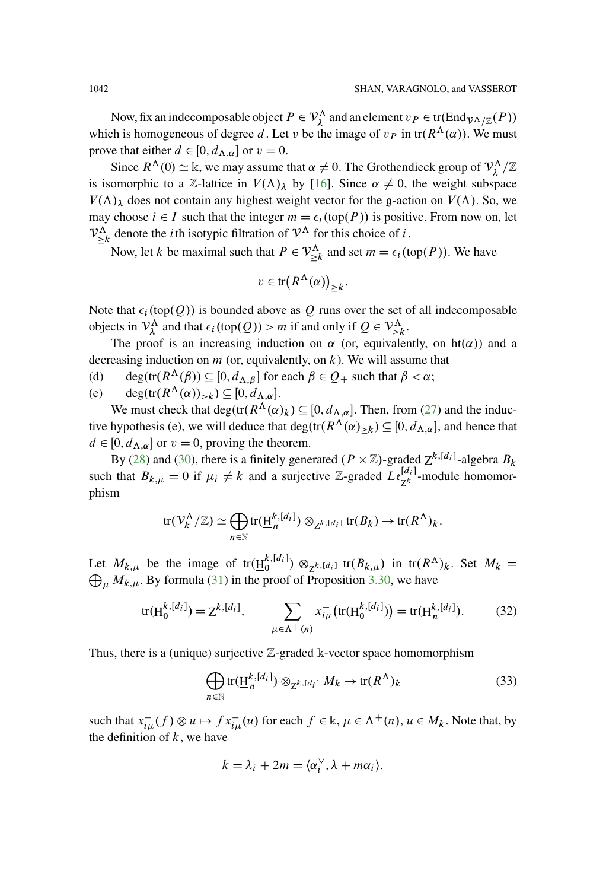Now, fix an indecomposable object  $P \in V_\lambda^\Lambda$  and an element  $v_P \in \text{tr}(\text{End}_{\mathcal{V}^\Lambda/\mathbb{Z}}(P))$ which is homogeneous of degree d. Let v be the image of  $v_P$  in tr $(R^{\Lambda}(\alpha))$ . We must prove that either  $d \in [0, d_{\Lambda,\alpha}]$  or  $v = 0$ .

Since  $R^{\Lambda}(0) \simeq \mathbb{k}$ , we may assume that  $\alpha \neq 0$ . The Grothendieck group of  $\mathcal{V}^{\Lambda}_{\lambda}/\mathbb{Z}$ is isomorphic to a Z-lattice in  $V(\Lambda)_{\lambda}$  by [\[16\]](#page-94-1). Since  $\alpha \neq 0$ , the weight subspace  $V(\Lambda)$ <sub> $\lambda$ </sub> does not contain any highest weight vector for the g-action on  $V(\Lambda)$ . So, we may choose  $i \in I$  such that the integer  $m = \epsilon_i(\text{top}(P))$  is positive. From now on, let  $V_{\geq k}^{\Lambda}$  denote the *i* th isotypic filtration of  $V^{\Lambda}$  for this choice of *i*.

Now, let k be maximal such that  $P \in \mathcal{V}_{\geq k}^{\Lambda}$  and set  $m = \epsilon_i(\text{top}(P))$ . We have

$$
v \in \text{tr}\big(R^{\Lambda}(\alpha)\big)_{\geq k}.
$$

Note that  $\epsilon_i$  (top $(Q)$ ) is bounded above as Q runs over the set of all indecomposable objects in  $\mathcal{V}_{\lambda}^{\Lambda}$  and that  $\epsilon_i(\text{top}(Q)) > m$  if and only if  $Q \in \mathcal{V}_{\geq k}^{\Lambda}$ .

The proof is an increasing induction on  $\alpha$  (or, equivalently, on ht( $\alpha$ )) and a decreasing induction on  $m$  (or, equivalently, on  $k$ ). We will assume that

- (d) deg(tr( $R^{\Lambda}(\beta)$ )  $\subseteq$  [0,  $d_{\Lambda,\beta}$ ] for each  $\beta \in Q_+$  such that  $\beta < \alpha$ ;
- (e)  $\deg(\text{tr}(R^{\Lambda}(\alpha))_{>k}) \subseteq [0, d_{\Lambda,\alpha}].$

We must check that  $deg(tr(R^{\Lambda}(\alpha)_k) \subseteq [0, d_{\Lambda,\alpha}]$ . Then, from [\(27\)](#page-33-0) and the inductive hypothesis (e), we will deduce that  $deg(tr(R^{\Lambda}(\alpha)_{\geq k}) \subseteq [0, d_{\Lambda,\alpha}]$ , and hence that  $d \in [0, d_{\Lambda,\alpha}]$  or  $v = 0$ , proving the theorem.

By [\(28\)](#page-33-1) and [\(30\)](#page-33-2), there is a finitely generated  $(P \times \mathbb{Z})$ -graded  $Z^{k,[d_i]}$ -algebra  $B_k$ such that  $B_{k,\mu} = 0$  if  $\mu_i \neq k$  and a surjective Z-graded  $Le_{Z^k}^{[d_i]}$ -module homomorphism

$$
\text{tr}(\mathcal{V}_k^{\Lambda}/\mathbb{Z}) \simeq \bigoplus_{n \in \mathbb{N}} \text{tr}(\underline{\mathrm{H}}_n^{k,[d_i]}) \otimes_{\mathbb{Z}^{k,[d_i]}} \text{tr}(B_k) \to \text{tr}(R^{\Lambda})_k.
$$

Let  $M_{k,\mu}$  be the image of tr $(\underline{H}^{k,[d_i]}) \otimes_{\mathbb{Z}^{k,[d_i]}}$  tr $(B_{k,\mu})$  in tr $(R^{\Lambda})_k$ . Set  $M_k = \bigoplus_{k=1}^{\infty} M_k$ . Py formula (21) in the proof of Proposition 2.20, we have  $\bigoplus_{\mu} M_{k,\mu}$ . By formula [\(31\)](#page-35-0) in the proof of Proposition [3.30,](#page-34-0) we have

$$
tr(\underline{H}_{0}^{k,[d_{i}]} ) = Z^{k,[d_{i}]} , \qquad \sum_{\mu \in \Lambda^{+}(n)} x_{i\mu}^{-} (tr(\underline{H}_{0}^{k,[d_{i}]})) = tr(\underline{H}_{n}^{k,[d_{i}]}).
$$
 (32)

Thus, there is a (unique) surjective  $\mathbb{Z}$ -graded  $\mathbb{k}$ -vector space homomorphism

<span id="page-37-0"></span>
$$
\bigoplus_{n \in \mathbb{N}} \text{tr}(\underline{\mathbf{H}}_n^{k, [d_i]}) \otimes_{\mathbf{Z}^{k, [d_i]}} M_k \to \text{tr}(R^{\Lambda})_k
$$
\n(33)

such that  $x_{i\mu}^-(f) \otimes u \mapsto fx_{i\mu}^-(u)$  for each  $f \in \mathbb{k}$ ,  $\mu \in \Lambda^+(n)$ ,  $u \in M_k$ . Note that, by the definition of  $k$ , we have

$$
k = \lambda_i + 2m = \langle \alpha_i^{\vee}, \lambda + m\alpha_i \rangle.
$$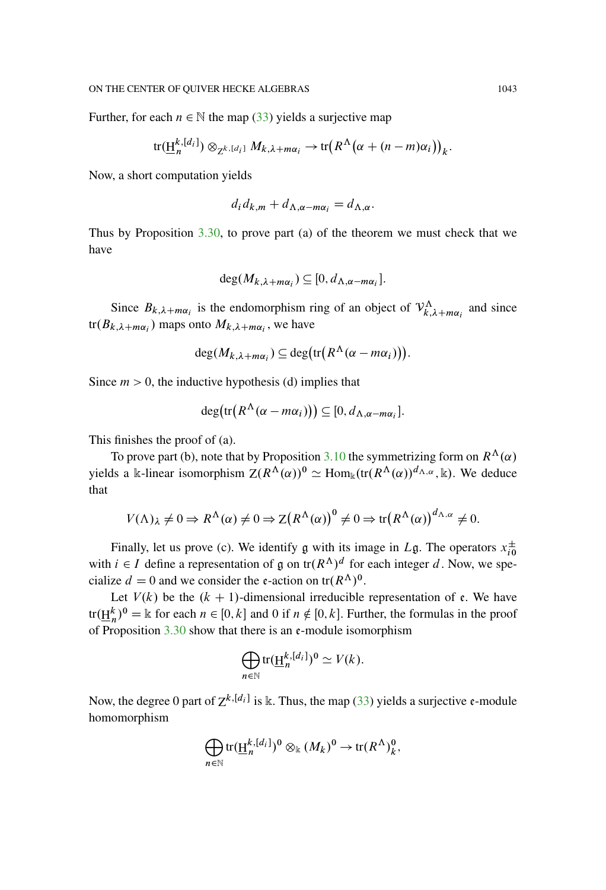Further, for each  $n \in \mathbb{N}$  the map [\(33\)](#page-37-0) yields a surjective map

$$
\text{tr}(\underline{\mathrm{H}}_n^{k,[d_i]}) \otimes_{\mathbb{Z}^{k,[d_i]}} M_{k,\lambda+m\alpha_i} \to \text{tr}\big(R^{\Lambda}(\alpha+(n-m)\alpha_i)\big)_k.
$$

Now, a short computation yields

$$
d_i d_{k,m} + d_{\Lambda,\alpha - m\alpha_i} = d_{\Lambda,\alpha}.
$$

Thus by Proposition [3.30,](#page-34-0) to prove part (a) of the theorem we must check that we have

$$
\deg(M_{k,\lambda+m\alpha_i}) \subseteq [0, d_{\Lambda,\alpha-m\alpha_i}].
$$

Since  $B_{k,\lambda+m\alpha_i}$  is the endomorphism ring of an object of  $\mathcal{V}_{k,\lambda+m\alpha_i}^{\Lambda}$  and since  $tr(B_{k,\lambda+m\alpha_i})$  maps onto  $M_{k,\lambda+m\alpha_i}$ , we have

$$
\deg(M_{k,\lambda+m\alpha_i}) \subseteq \deg\bigl(\operatorname{tr}\bigl(R^{\Lambda}(\alpha-m\alpha_i)\bigr)\bigr).
$$

Since  $m > 0$ , the inductive hypothesis (d) implies that

$$
\deg\bigl(\operatorname{tr}\bigl(R^{\Lambda}(\alpha-m\alpha_i)\bigr)\bigr)\subseteq[0,d_{\Lambda,\alpha-m\alpha_i}].
$$

This finishes the proof of (a).

To prove part (b), note that by Proposition [3.10](#page-16-0) the symmetrizing form on  $R^{\Lambda}(\alpha)$ yields a k-linear isomorphism  $Z(R^{\Lambda}(\alpha))^0 \simeq \text{Hom}_k(\text{tr}(R^{\Lambda}(\alpha))^{d_{\Lambda,\alpha}}, k)$ . We deduce that

$$
V(\Lambda)_{\lambda} \neq 0 \Rightarrow R^{\Lambda}(\alpha) \neq 0 \Rightarrow Z(R^{\Lambda}(\alpha))^{0} \neq 0 \Rightarrow \text{tr}(R^{\Lambda}(\alpha))^{d_{\Lambda,\alpha}} \neq 0.
$$

Finally, let us prove (c). We identify  $\mathfrak g$  with its image in  $L\mathfrak g$ . The operators  $x_{i0}^{\pm}$ with  $i \in I$  define a representation of g on  $\text{tr}(R^{\Lambda})^d$  for each integer d. Now, we specialize  $d = 0$  and we consider the e-action on tr( $R^{\Lambda}$ )<sup>0</sup>.

Let  $V(k)$  be the  $(k + 1)$ -dimensional irreducible representation of e. We have tr $(\underline{H}_n^k)^0 = \Bbbk$  for each  $n \in [0, k]$  and 0 if  $n \notin [0, k]$ . Further, the formulas in the proof of Proposition  $3.30$  show that there is an e-module isomorphism

$$
\bigoplus_{n\in\mathbb{N}}\text{tr}(\underline{\mathrm{H}}_n^{k,[d_i]})^0\simeq V(k).
$$

Now, the degree 0 part of  $Z^{k,[d_i]}$  is k. Thus, the map [\(33\)](#page-37-0) yields a surjective  $\epsilon$ -module homomorphism

$$
\bigoplus_{n\in\mathbb{N}}\text{tr}(\underline{\mathrm{H}}_n^{k,[d_i]})^0\otimes_{\mathbb{k}}(M_k)^0\to\text{tr}(R^\Lambda)_k^0,
$$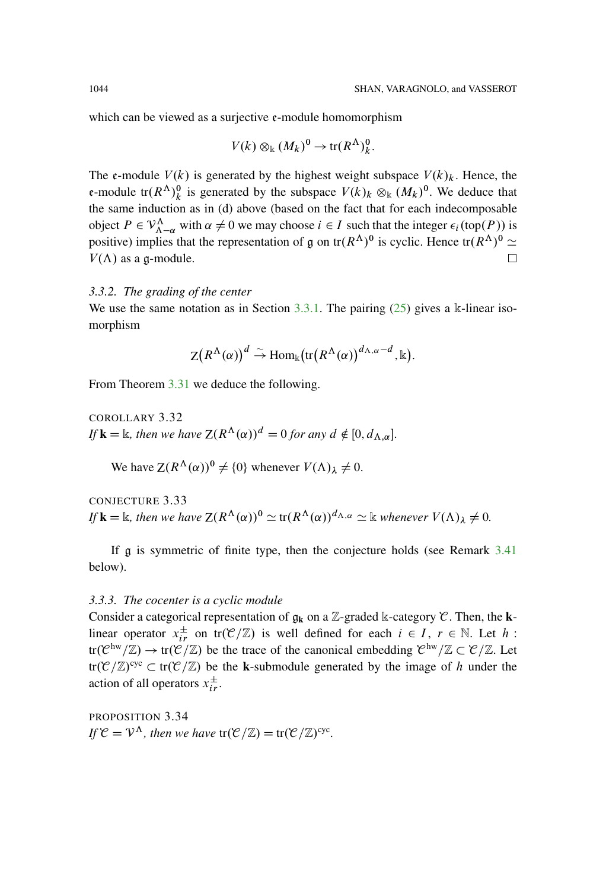which can be viewed as a surjective  $e$ -module homomorphism

$$
V(k) \otimes_{\mathbb{k}} (M_k)^0 \to \text{tr}(R^{\Lambda})^0_k.
$$

The  $\mathfrak{e}$ -module  $V(k)$  is generated by the highest weight subspace  $V(k)_k$ . Hence, the e-module  $tr(R^{\Lambda})_k^0$  is generated by the subspace  $V(k)_k \otimes_k (M_k)^0$ . We deduce that the same induction as in (d) above (based on the fact that for each indecomposable object  $P \in V^{\Lambda}_{\Lambda-\alpha}$  with  $\alpha \neq 0$  we may choose  $i \in I$  such that the integer  $\epsilon_i(\text{top}(P))$  is positive) implies that the representation of g on  $tr(R^{A})^0$  is cyclic. Hence  $tr(R^{A})^0 \simeq$  $V(\Lambda)$  as a g-module.  $\Box$ 

# *3.3.2. The grading of the center*

We use the same notation as in Section  $3.3.1$ . The pairing  $(25)$  gives a k-linear isomorphism

$$
\mathsf{Z}\big(R^\Lambda(\alpha)\big)^d \stackrel{\sim}{\rightarrow} \mathrm{Hom}_\Bbbk\big(\mathrm{tr}\big(R^\Lambda(\alpha)\big)^{d_{\Lambda,\alpha}-d}, \Bbbk\big).
$$

From Theorem [3.31](#page-36-1) we deduce the following.

COROLLARY 3.32 *If* **k** =  $\Bbbk$ , then we have  $Z(R^{\Lambda}(\alpha))^d = 0$  for any  $d \notin [0, d_{\Lambda, \alpha}]$ .

We have  $Z(R^{\Lambda}(\alpha))^0 \neq \{0\}$  whenever  $V(\Lambda)_{\lambda} \neq 0$ .

CONJECTURE 3.33 *If*  $\mathbf{k} = \mathbb{k}$ *, then we have*  $Z(R^{\Lambda}(\alpha))^0 \simeq \text{tr}(R^{\Lambda}(\alpha))^{d_{\Lambda,\alpha}} \simeq \mathbb{k}$  *whenever*  $V(\Lambda)_1 \neq 0$ *.* 

If g is symmetric of finite type, then the conjecture holds (see Remark [3.41](#page-45-0) below).

#### *3.3.3. The cocenter is a cyclic module*

Consider a categorical representation of  $\mathfrak{g}_k$  on a Z-graded k-category  $\mathcal{C}$ . Then, the **k**linear operator  $x_{ir}^{\pm}$  on  $tr(\mathcal{C}/\mathbb{Z})$  is well defined for each  $i \in I$ ,  $r \in \mathbb{N}$ . Let h:  $tr(\mathcal{C}^{hw}/\mathbb{Z}) \to tr(\mathcal{C}/\mathbb{Z})$  be the trace of the canonical embedding  $\mathcal{C}^{hw}/\mathbb{Z} \subset \mathcal{C}/\mathbb{Z}$ . Let  $tr(\mathcal{C}/\mathbb{Z})^{cyc} \subset tr(\mathcal{C}/\mathbb{Z})$  be the **k**-submodule generated by the image of h under the action of all operators  $x_{ir}^{\pm}$ .

<span id="page-39-0"></span>PROPOSITION 3.34 *If*  $\mathcal{C} = \mathcal{V}^{\Lambda}$ *, then we have*  $tr(\mathcal{C}/\mathbb{Z}) = tr(\mathcal{C}/\mathbb{Z})^{cyc}$ *.*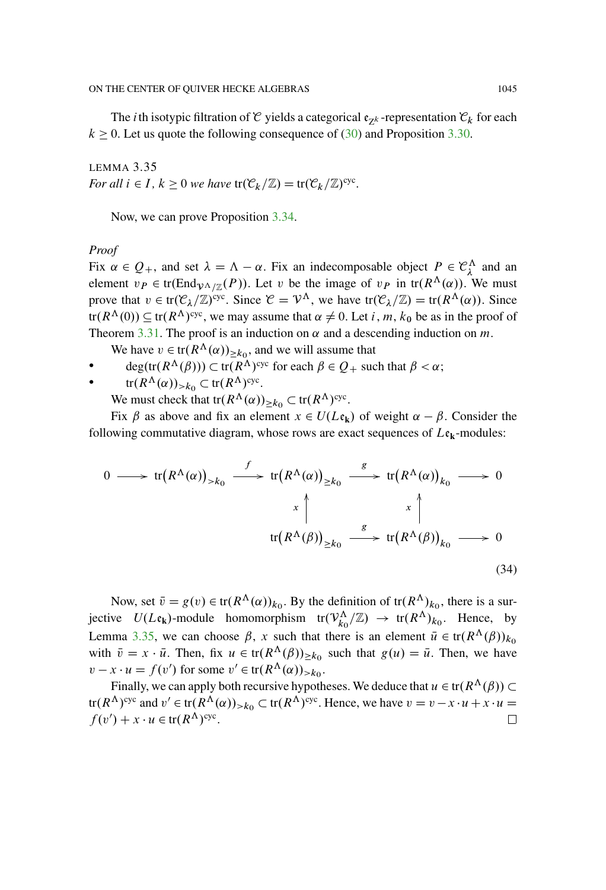The *i*th isotypic filtration of C yields a categorical  $\mathfrak{e}_{7k}$ -representation  $\mathfrak{C}_k$  for each  $k \geq 0$ . Let us quote the following consequence of [\(30\)](#page-33-2) and Proposition [3.30.](#page-34-0)

<span id="page-40-0"></span>LEMMA 3.35 *For all*  $i \in I$ ,  $k \geq 0$  *we have*  $tr(\mathcal{C}_k/\mathbb{Z}) = tr(\mathcal{C}_k/\mathbb{Z})^{\text{cyc}}$ .

Now, we can prove Proposition [3.34.](#page-39-0)

### *Proof*

Fix  $\alpha \in Q_+$ , and set  $\lambda = \Lambda - \alpha$ . Fix an indecomposable object  $P \in \mathcal{C}_{\lambda}^{\Lambda}$  and an element  $v_P \in \text{tr}(\text{End}_{\mathcal{V}^{\Lambda}/\mathbb{Z}}(P))$ . Let v be the image of  $v_P$  in  $\text{tr}(R^{\Lambda}(\alpha))$ . We must prove that  $v \in \text{tr}(\mathcal{C}_\lambda/\mathbb{Z})^{\text{cyc}}$ . Since  $\mathcal{C} = \mathcal{V}^\Lambda$ , we have  $\text{tr}(\mathcal{C}_\lambda/\mathbb{Z}) = \text{tr}(R^\Lambda(\alpha))$ . Since  $tr(R^{\Lambda}(0)) \subseteq tr(R^{\Lambda})^{cyc}$ , we may assume that  $\alpha \neq 0$ . Let i, m,  $k_0$  be as in the proof of Theorem [3.31.](#page-36-1) The proof is an induction on  $\alpha$  and a descending induction on m.

- We have  $v \in \text{tr}(R^{\Lambda}(\alpha))_{\geq k_0}$ , and we will assume that
- deg(tr $(R^{\Lambda}(\beta)) \subset \text{tr}(R^{\Lambda})^{\text{cyc}}$  for each  $\beta \in \mathcal{Q}_+$  such that  $\beta < \alpha$ ;
- $tr(R^{\Lambda}(\alpha))_{>k_0} \subset tr(R^{\Lambda})^{cyc}.$

We must check that  $tr(R^{\Lambda}(\alpha))_{\geq k_0} \subset tr(R^{\Lambda})^{\text{cyc}}$ .

Fix  $\beta$  as above and fix an element  $x \in U(L_{\mathfrak{e}_k})$  of weight  $\alpha - \beta$ . Consider the following commutative diagram, whose rows are exact sequences of  $L\mathfrak{e}_k$ -modules:

$$
0 \longrightarrow tr(R^{\Lambda}(\alpha))_{>k_0} \xrightarrow{f} tr(R^{\Lambda}(\alpha))_{\geq k_0} \xrightarrow{g} tr(R^{\Lambda}(\alpha))_{k_0} \longrightarrow 0
$$
  

$$
x \uparrow x \uparrow x \uparrow
$$
  

$$
tr(R^{\Lambda}(\beta))_{\geq k_0} \xrightarrow{g} tr(R^{\Lambda}(\beta))_{k_0} \longrightarrow 0
$$
  
(34)

Now, set  $\bar{v} = g(v) \in \text{tr}(R^{\Lambda}(\alpha))_{k_0}$ . By the definition of  $\text{tr}(R^{\Lambda})_{k_0}$ , there is a surjective  $U(L\mathfrak{e}_k)$ -module homomorphism  $\text{tr}(\mathcal{V}_{k_0}^{\Lambda}/\mathbb{Z}) \to \text{tr}(R^{\Lambda})_{k_0}$ . Hence, by Lemma [3.35,](#page-40-0) we can choose  $\beta$ , x such that there is an element  $\bar{u} \in \text{tr}(R^{\Lambda}(\beta))_{k_0}$ with  $\bar{v} = x \cdot \bar{u}$ . Then, fix  $u \in \text{tr}(R^{\Lambda}(\beta))_{\geq k_0}$  such that  $g(u) = \bar{u}$ . Then, we have  $v - x \cdot u = f(v')$  for some  $v' \in \text{tr}(R^{\Lambda}(\alpha))_{>k_0}$ .

Finally, we can apply both recursive hypotheses. We deduce that  $u \in \text{tr}(R^{\Lambda}(\beta)) \subset$ tr $(R^{\Lambda})^{\text{cyc}}$  and  $v' \in \text{tr}(R^{\Lambda}(\alpha))_{k_0} \subset \text{tr}(R^{\Lambda})^{\text{cyc}}$ . Hence, we have  $v = v - x \cdot u + x \cdot u =$  $f(v') + x \cdot u \in \text{tr}(R^{\Lambda})^{\text{cyc}}.$ □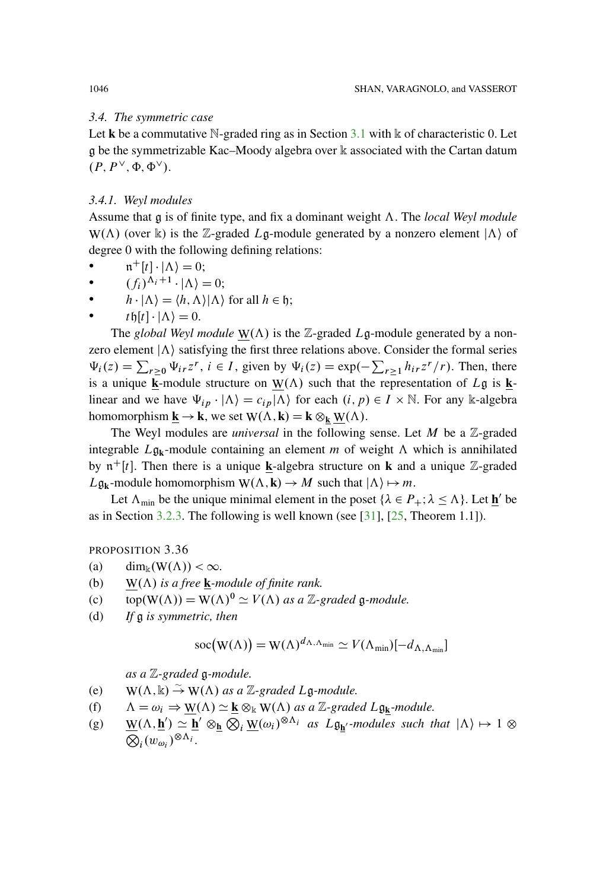# *3.4. The symmetric case*

Let **k** be a commutative N-graded ring as in Section  $3.1$  with  $\mathbb{k}$  of characteristic 0. Let g be the symmetrizable Kac–Moody algebra over k associated with the Cartan datum  $(P, P^{\vee}, \Phi, \Phi^{\vee}).$ 

## <span id="page-41-1"></span>*3.4.1. Weyl modules*

Assume that  $\frak{g}$  is of finite type, and fix a dominant weight  $\Lambda$ . The *local Weyl module* W( $\Lambda$ ) (over k) is the Z-graded Lg-module generated by a nonzero element  $|\Lambda\rangle$  of degree 0 with the following defining relations:

- $\mathfrak{n}^+[t] \cdot |\Lambda\rangle = 0;$
- $(f_i)^{\Lambda_i+1} \cdot |\Lambda\rangle = 0;$
- $h \cdot |\Lambda\rangle = \langle h, \Lambda\rangle |\Lambda\rangle$  for all  $h \in \mathfrak{h}$ ;
- $t \mathfrak{h}[t] \cdot |\Lambda\rangle = 0.$

The *global Weyl module*  $W(\Lambda)$  is the Z-graded Lg-module generated by a nonzero element  $|\Lambda\rangle$  satisfying the first three relations above. Consider the formal series  $\Psi_i(z) = \sum_{r\geq 0} \Psi_{ir} z^r$ ,  $i \in I$ , given by  $\Psi_i(z) = \exp(-\sum_{r\geq 1} h_{ir} z^r/r)$ . Then, there is a unique **k**-module structure on  $W(\Lambda)$  such that the representation of Lg is **k**linear and we have  $\Psi_{ip} \cdot |\Lambda\rangle = c_{ip} |\Lambda\rangle$  for each  $(i, p) \in I \times \mathbb{N}$ . For any k-algebra homomorphism  $\underline{\mathbf{k}} \to \mathbf{k}$ , we set  $W(\Lambda, \mathbf{k}) = \mathbf{k} \otimes_{\mathbf{k}} W(\Lambda)$ .

The Weyl modules are *universal* in the following sense. Let  $M$  be a  $\mathbb{Z}$ -graded integrable  $L\mathfrak{g}_k$ -module containing an element m of weight  $\Lambda$  which is annihilated by  $\pi^+[t]$ . Then there is a unique **k**-algebra structure on **k** and a unique Z-graded  $L\mathfrak{g}_k$ -module homomorphism  $W(\Lambda, k) \to M$  such that  $|\Lambda\rangle \mapsto m$ .

Let  $\Lambda_{\text{min}}$  be the unique minimal element in the poset  $\{\lambda \in P_+; \lambda \leq \Lambda\}$ . Let **h**<sup> $\prime$ </sup> be as in Section [3.2.3.](#page-19-0) The following is well known (see [\[31\]](#page-95-0), [\[25,](#page-95-1) Theorem 1.1]).

<span id="page-41-0"></span>PROPOSITION 3.36

- (a) dim<sub>k</sub> $(W(\Lambda)) < \infty$ .
- (b) W( $\Lambda$ ) is a free **k**-module of finite rank.
- (c)  $\text{top}(W(\Lambda)) = W(\Lambda)^0 \simeq V(\Lambda)$  as a Z-graded g-module.
- (d) *If* g *is symmetric, then*

$$
\operatorname{soc}(\mathbf{W}(\Lambda)) = \mathbf{W}(\Lambda)^{d_{\Lambda,\Lambda_{\min}}} \simeq V(\Lambda_{\min})[-d_{\Lambda,\Lambda_{\min}}]
$$

*as a* Z*-graded* g*-module.*

- (e)  $W(\Lambda, \mathbb{k}) \to W(\Lambda)$  as a Z-graded Lg-module.
- (f)  $\Lambda = \omega_i \Rightarrow W(\Lambda) \simeq k \otimes_k W(\Lambda)$  as a Z-graded Lg<sub>k</sub>-module.
- (g)  $\underline{W}(\Lambda, \underline{h'}) \simeq \underline{h'} \otimes_{\underline{h}} \overline{Q_i} \underline{W}(\omega_i)^{\otimes \Lambda_i}$  *as*  $L \mathfrak{g}_{\underline{h'}}$ *-modules such that*  $|\Lambda\rangle \mapsto 1 \otimes$  $\overline{\bigotimes_i} (w_{\omega_i})^{\otimes \Lambda_i}$ .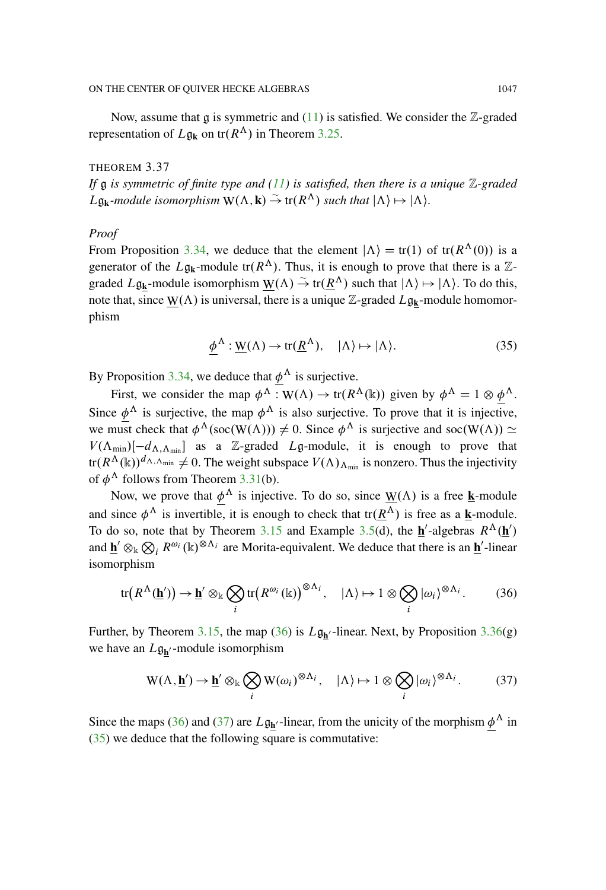Now, assume that  $g$  is symmetric and [\(11\)](#page-20-0) is satisfied. We consider the  $\mathbb{Z}$ -graded representation of  $L\mathfrak{g}_k$  on  $tr(R^\Lambda)$  in Theorem [3.25.](#page-29-0)

<span id="page-42-3"></span>THEOREM 3.37 *If* g *is symmetric of finite type and [\(11\)](#page-20-0) is satisfied, then there is a unique* Z*-graded*  $L\mathfrak{g}_k$ *-module isomorphism*  $W(\Lambda, k) \stackrel{\sim}{\rightarrow}$  tr $(R^{\Lambda})$  *such that*  $|\Lambda\rangle \mapsto |\Lambda\rangle$ *.* 

## *Proof*

From Proposition [3.34,](#page-39-0) we deduce that the element  $|\Lambda\rangle = \text{tr}(1)$  of  $\text{tr}(R^{\Lambda}(0))$  is a generator of the  $L\mathfrak{g}_k$ -module tr $(R^{\Lambda})$ . Thus, it is enough to prove that there is a Zgraded  $L\mathfrak{g}_k$ -module isomorphism  $\underline{W}(\Lambda) \stackrel{\sim}{\to} tr(\underline{R}^{\Lambda})$  such that  $|\Lambda\rangle \mapsto |\Lambda\rangle$ . To do this, note that, since  $\underline{W}(\Lambda)$  is universal, there is a unique  $\mathbb{Z}$ -graded  $L\mathfrak{g}_{\mathbf{k}}$ -module homomorphism

<span id="page-42-2"></span>
$$
\underline{\phi}^{\Lambda} : \underline{W}(\Lambda) \to \text{tr}(\underline{R}^{\Lambda}), \quad |\Lambda\rangle \mapsto |\Lambda\rangle. \tag{35}
$$

By Proposition [3.34,](#page-39-0) we deduce that  $\phi^{\Lambda}$  is surjective.

First, we consider the map  $\phi^{\Lambda}: W(\Lambda) \to tr(R^{\Lambda}(\mathbb{k}))$  given by  $\phi^{\Lambda} = 1 \otimes \phi^{\Lambda}$ . Since  $\phi^{\Lambda}$  is surjective, the map  $\phi^{\Lambda}$  is also surjective. To prove that it is injective, we must check that  $\phi^{\Lambda}(\text{soc}(W(\Lambda))) \neq 0$ . Since  $\phi^{\Lambda}$  is surjective and soc $(W(\Lambda)) \simeq$  $V(\Lambda_{\min})[-d_{\Lambda,\Lambda_{\min}}]$  as a Z-graded Lg-module, it is enough to prove that  $tr(R^{\Lambda}(\mathbb{k}))^{d_{\Lambda,\Lambda_{\min}}} \neq 0$ . The weight subspace  $V(\Lambda)_{\Lambda_{\min}}$  is nonzero. Thus the injectivity of  $\phi^{\Lambda}$  follows from Theorem [3.31\(](#page-36-1)b).

Now, we prove that  $\phi^{\Lambda}$  is injective. To do so, since  $\underline{W}(\Lambda)$  is a free **k**-module and since  $\phi^{\Lambda}$  is invertible, it is enough to check that  $tr(\underline{R}^{\Lambda})$  is free as a **k**-module. To do so, note that by Theorem [3.15](#page-20-1) and Example [3.5\(](#page-13-0)d), the  $h$ -algebras  $R^{\Lambda}(h)$ and  $\underline{\mathbf{h}}' \otimes_{\mathbb{k}} \bigotimes_i R^{\omega_i}(\mathbb{k})^{\otimes \Lambda_i}$  are Morita-equivalent. We deduce that there is an  $\underline{\mathbf{h}}'$ -linear isomorphism

<span id="page-42-0"></span>
$$
\text{tr}\big(R^{\Lambda}(\underline{\mathbf{h}}')\big) \to \underline{\mathbf{h}}' \otimes_{\mathbb{k}} \bigotimes_{i} \text{tr}\big(R^{\omega_i}(\mathbb{k})\big)^{\otimes \Lambda_i}, \quad |\Lambda\rangle \mapsto 1 \otimes \bigotimes_{i} |\omega_i\rangle^{\otimes \Lambda_i}.
$$
 (36)

Further, by Theorem [3.15,](#page-20-1) the map [\(36\)](#page-42-0) is  $L\mathfrak{g}_{h'}$ -linear. Next, by Proposition [3.36\(](#page-41-0)g) we have an  $L\mathfrak{g}_{h'}$ -module isomorphism

<span id="page-42-1"></span>
$$
W(\Lambda, \underline{\mathbf{h}}') \to \underline{\mathbf{h}}' \otimes_{\mathbb{k}} \bigotimes_{i} W(\omega_{i})^{\otimes \Lambda_{i}}, \quad |\Lambda\rangle \mapsto 1 \otimes \bigotimes_{i} |\omega_{i}\rangle^{\otimes \Lambda_{i}}.
$$
 (37)

Since the maps [\(36\)](#page-42-0) and [\(37\)](#page-42-1) are  $L\mathfrak{g}_{h'}$ -linear, from the unicity of the morphism  $\phi^{\Lambda}$  in [\(35\)](#page-42-2) we deduce that the following square is commutative: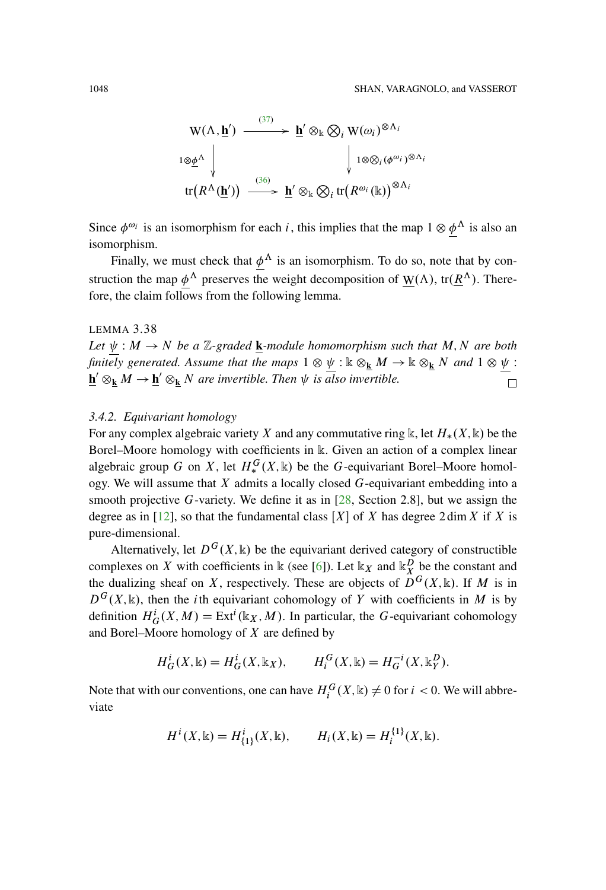$$
W(\Lambda, \underline{\mathbf{h}}') \xrightarrow{\qquad (37)} \underline{\mathbf{h}}' \otimes_{\mathbb{k}} \bigotimes_{i} W(\omega_{i})^{\otimes \Lambda_{i}}
$$
  

$$
\downarrow 1 \otimes \underline{\phi}^{\Lambda} \downarrow \qquad \qquad \downarrow 1 \otimes \bigotimes_{i} (\phi^{\omega_{i}})^{\otimes \Lambda_{i}}
$$
  

$$
\text{tr}(R^{\Lambda}(\underline{\mathbf{h}}')) \xrightarrow{\qquad (36)} \underline{\mathbf{h}}' \otimes_{\mathbb{k}} \bigotimes_{i} \text{tr}(R^{\omega_{i}}(\mathbb{k}))^{\otimes \Lambda_{i}}
$$

Since  $\phi^{\omega_i}$  is an isomorphism for each i, this implies that the map  $1 \otimes \underline{\phi}^{\Lambda}$  is also an isomorphism.

Finally, we must check that  $\phi^{\Lambda}$  is an isomorphism. To do so, note that by construction the map  $\phi^{\Lambda}$  preserves the weight decomposition of  $W(\Lambda)$ , tr $(\underline{R}^{\Lambda})$ . Therefore, the claim follows from the following lemma.

## LEMMA 3.38

*Let*  $\psi : M \to N$  *be a* Z-graded **k***-module homomorphism such that* M, N are both *finitely generated. Assume that the maps*  $1 \otimes \psi : \mathbb{k} \otimes_{\mathbf{k}} M \to \mathbb{k} \otimes_{\mathbf{k}} N$  *and*  $1 \otimes \psi$ :  $\underline{\mathbf{h}}' \otimes_{\mathbf{k}} M \rightarrow \underline{\mathbf{h}}' \otimes_{\mathbf{k}} N$  are invertible. Then  $\psi$  is also invertible.  $\Box$ 

## *3.4.2. Equivariant homology*

For any complex algebraic variety X and any commutative ring k, let  $H_*(X, \mathbb{k})$  be the Borel–Moore homology with coefficients in k. Given an action of a complex linear algebraic group G on X, let  $H_*^G(X, \mathbb{k})$  be the G-equivariant Borel–Moore homology. We will assume that  $X$  admits a locally closed  $G$ -equivariant embedding into a smooth projective G-variety. We define it as in  $[28,$  $[28,$  Section 2.8], but we assign the degree as in [\[12\]](#page-94-2), so that the fundamental class  $[X]$  of X has degree 2 dim X if X is pure-dimensional.

Alternatively, let  $D^{G}(X, \mathbb{k})$  be the equivariant derived category of constructible complexes on X with coefficients in  $\Bbbk$  (see [\[6\]](#page-93-0)). Let  $\Bbbk_X$  and  $\Bbbk_X^D$  be the constant and the dualizing sheaf on X, respectively. These are objects of  $D^G(X, \mathbb{k})$ . If M is in  $D^{G}(X,\mathbb{R})$ , then the *i*th equivariant cohomology of Y with coefficients in M is by definition  $H_G^i(X, M) = \text{Ext}^i(\mathbb{k}_X, M)$ . In particular, the G-equivariant cohomology and Borel–Moore homology of  $X$  are defined by

$$
H_G^i(X, \mathbb{k}) = H_G^i(X, \mathbb{k}_X), \qquad H_i^G(X, \mathbb{k}) = H_G^{-i}(X, \mathbb{k}_Y^D).
$$

Note that with our conventions, one can have  $H_i^G(X, \mathbb{k}) \neq 0$  for  $i < 0$ . We will abbreviate

$$
H^{i}(X, \mathbb{k}) = H_{\{1\}}^{i}(X, \mathbb{k}), \qquad H_{i}(X, \mathbb{k}) = H_{i}^{\{1\}}(X, \mathbb{k}).
$$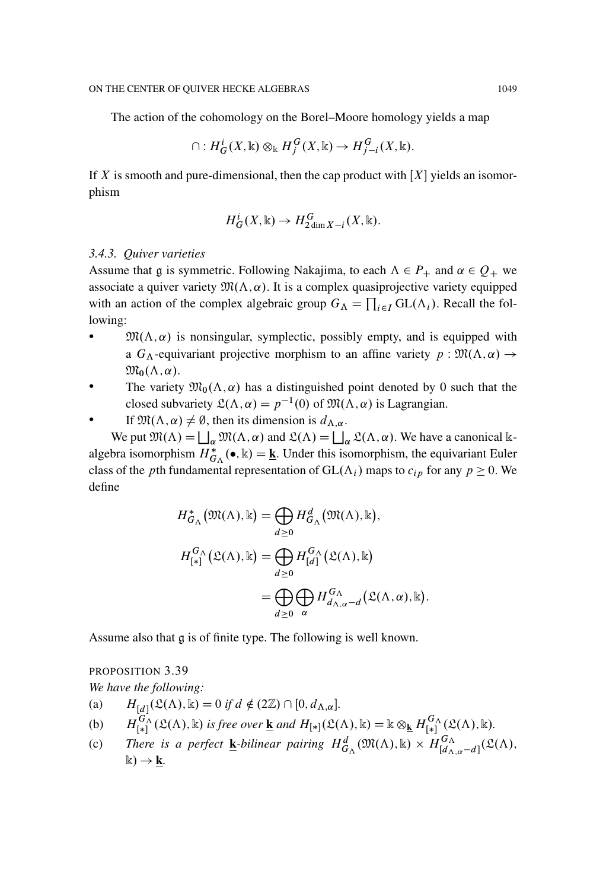The action of the cohomology on the Borel–Moore homology yields a map

$$
\cap: H^i_G(X, \mathbb{k}) \otimes_{\mathbb{k}} H^G_j(X, \mathbb{k}) \to H^G_{j-i}(X, \mathbb{k}).
$$

If X is smooth and pure-dimensional, then the cap product with  $[X]$  yields an isomorphism

$$
H_G^i(X, \mathbb{k}) \to H_{2\dim X - i}^G(X, \mathbb{k}).
$$

#### *3.4.3. Quiver varieties*

Assume that g is symmetric. Following Nakajima, to each  $\Lambda \in P_+$  and  $\alpha \in Q_+$  we associate a quiver variety  $\mathfrak{M}(\Lambda, \alpha)$ . It is a complex quasiprojective variety equipped with an action of the complex algebraic group  $G_{\Lambda} = \prod_{i \in I} GL(\Lambda_i)$ . Recall the following:

- $\mathfrak{M}(\Lambda,\alpha)$  is nonsingular, symplectic, possibly empty, and is equipped with a  $G_{\Lambda}$ -equivariant projective morphism to an affine variety  $p : \mathfrak{M}(\Lambda, \alpha) \to$  $\mathfrak{M}_0(\Lambda,\alpha)$ .
- The variety  $\mathfrak{M}_0(\Lambda, \alpha)$  has a distinguished point denoted by 0 such that the closed subvariety  $\mathfrak{L}(\Lambda, \alpha) = p^{-1}(0)$  of  $\mathfrak{M}(\Lambda, \alpha)$  is Lagrangian.
- If  $\mathfrak{M}(\Lambda, \alpha) \neq \emptyset$ , then its dimension is  $d_{\Lambda, \alpha}$ .

We put  $\mathfrak{M}(\Lambda) = \bigsqcup_{\alpha} \mathfrak{M}(\Lambda, \alpha)$  and  $\mathfrak{L}(\Lambda) = \bigsqcup_{\alpha} \mathfrak{L}(\Lambda, \alpha)$ . We have a canonical kalgebra isomorphism  $H_{G_\Lambda}^*(\bullet, \mathbb{k}) = \underline{\mathbf{k}}$ . Under this isomorphism, the equivariant Euler class of the pth fundamental representation of  $GL(\Lambda_i)$  maps to  $c_{ip}$  for any  $p \ge 0$ . We define

$$
H_{G_{\Lambda}}^{*}(\mathfrak{M}(\Lambda), \mathbb{k}) = \bigoplus_{d \geq 0} H_{G_{\Lambda}}^{d}(\mathfrak{M}(\Lambda), \mathbb{k}),
$$
  

$$
H_{[*]}^{G_{\Lambda}}(\mathfrak{L}(\Lambda), \mathbb{k}) = \bigoplus_{d \geq 0} H_{[d]}^{G_{\Lambda}}(\mathfrak{L}(\Lambda), \mathbb{k})
$$
  

$$
= \bigoplus_{d \geq 0} \bigoplus_{\alpha} H_{d_{\Lambda, \alpha} - d}^{G_{\Lambda}}(\mathfrak{L}(\Lambda, \alpha), \mathbb{k})
$$

:

Assume also that g is of finite type. The following is well known.

# PROPOSITION 3.39 *We have the following:* (a)  $H_{\llbracket d\rrbracket}(\mathfrak{L}(\Lambda), \mathbb{k}) = 0$  if  $d \notin (2\mathbb{Z}) \cap [0, d_{\Lambda, \alpha}].$ (b)  $H_{\llbracket * \rrbracket}^{G_{\Lambda}}(\mathfrak{L}(\Lambda), \Bbbk)$  is free over <u>**k**</u> and  $H_{\llbracket * \rrbracket}(\mathfrak{L}(\Lambda), \Bbbk) = \Bbbk \otimes_{\Bbbk} H_{\llbracket * \rrbracket}^{G_{\Lambda}}(\mathfrak{L}(\Lambda), \Bbbk).$ (c) There is a perfect **k**-bilinear pairing  $H^d_{G_\Lambda}(\mathfrak{M}(\Lambda), \mathbb{k}) \times H^{G_\Lambda}_{[d_{\Lambda,\alpha}-d]}(\mathfrak{L}(\Lambda),$  $\mathbb{k}) \rightarrow \mathbf{k}$ .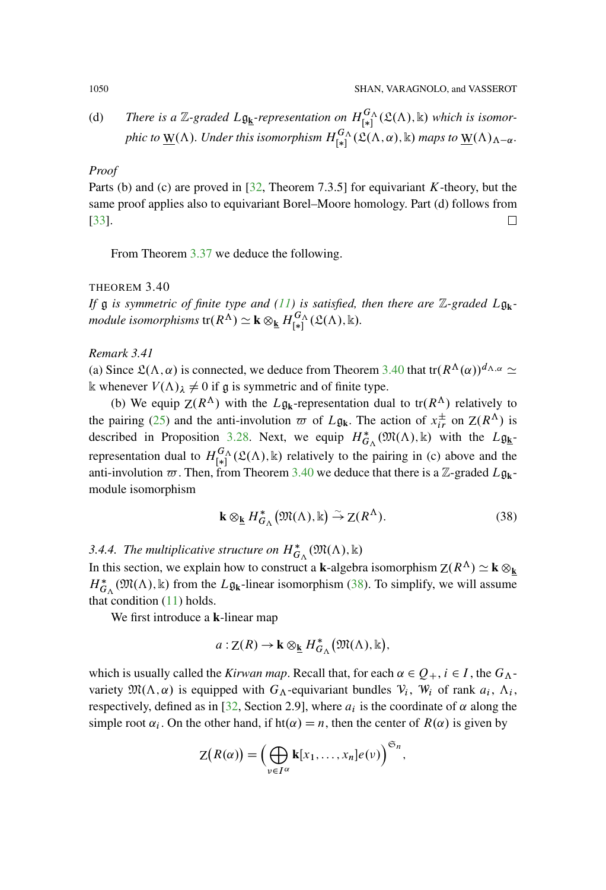(d) There is a Z-graded 
$$
L\underline{\mathfrak{g}}_k
$$
-representation on  $H_{[*]}^{G_\Lambda}(\mathfrak{L}(\Lambda), \mathbb{k})$  which is isomorphic to  $\underline{W}(\Lambda)$ . Under this isomorphism  $H_{[*]}^{G_\Lambda}(\mathfrak{L}(\Lambda, \alpha), \mathbb{k})$  maps to  $\underline{W}(\Lambda)_{\Lambda-\alpha}$ .

## *Proof*

Parts (b) and (c) are proved in  $[32,$  $[32,$  Theorem 7.3.5] for equivariant K-theory, but the same proof applies also to equivariant Borel–Moore homology. Part (d) follows from [\[33\]](#page-95-4). 口

From Theorem [3.37](#page-42-3) we deduce the following.

# <span id="page-45-1"></span>THEOREM 3.40

*If* g *is symmetric of finite type and [\(11\)](#page-20-0) is satisfied, then there are* Z*-graded* Lg**k***module isomorphisms*  $tr(R^{\Lambda}) \simeq k \otimes_{\underline{k}} H_{[*]}^{G_{\Lambda}}(\mathfrak{L}(\Lambda), \Bbbk)$ .

# <span id="page-45-0"></span>*Remark 3.41*

(a) Since  $\mathfrak{L}(\Lambda,\alpha)$  is connected, we deduce from Theorem [3.40](#page-45-1) that tr $(R^{\Lambda}(\alpha))^{d_{\Lambda,\alpha}} \simeq$ k whenever  $V(\Lambda)_{\lambda} \neq 0$  if g is symmetric and of finite type.

(b) We equip  $Z(R^{\Lambda})$  with the L $\mathfrak{g}_{k}$ -representation dual to tr $(R^{\Lambda})$  relatively to the pairing [\(25\)](#page-32-0) and the anti-involution  $\varpi$  of  $L\mathfrak{g}_k$ . The action of  $x_{ir}^{\pm}$  on  $Z(R^{\Lambda})$  is described in Proposition [3.28.](#page-32-1) Next, we equip  $H^*_{G_\Lambda}(\mathfrak{M}(\Lambda), \mathbb{k})$  with the  $L\mathfrak{g}_{\underline{k}}$ representation dual to  $H_{[*]}^{G_{\Lambda}}(\mathfrak{L}(\Lambda), \mathbb{k})$  relatively to the pairing in (c) above and the anti-involution  $\varpi$ . Then, from Theorem [3.40](#page-45-1) we deduce that there is a Z-graded  $L\mathfrak{g}_{k}$ module isomorphism

<span id="page-45-2"></span>
$$
\mathbf{k} \otimes_{\underline{\mathbf{k}}} H_{G_{\Lambda}}^{*}(\mathfrak{M}(\Lambda), \mathbb{k}) \stackrel{\sim}{\to} \mathbf{Z}(R^{\Lambda}).
$$
 (38)

# 3.4.4. The multiplicative structure on  $H^*_{G_\Lambda}(\mathfrak{M}(\Lambda), \mathbb{k})$

In this section, we explain how to construct a **k**-algebra isomorphism  $Z(R^{\Lambda}) \simeq \mathbf{k} \otimes_{\mathbf{k}}$  $H_{G_\Lambda}^*$  ( $\mathfrak{M}(\Lambda)$ , k) from the  $L\mathfrak{g}_k$ -linear isomorphism [\(38\)](#page-45-2). To simplify, we will assume that condition  $(11)$  holds.

We first introduce a **k**-linear map

$$
a:Z(R)\to \mathbf{k}\otimes_{\underline{\mathbf{k}}}H^*_{G_\Lambda}(\mathfrak{M}(\Lambda),\mathbf{k}),
$$

which is usually called the *Kirwan map*. Recall that, for each  $\alpha \in Q_+$ ,  $i \in I$ , the  $G_{\Lambda}$ variety  $\mathfrak{M}(\Lambda, \alpha)$  is equipped with  $G_{\Lambda}$ -equivariant bundles  $V_i$ ,  $W_i$  of rank  $a_i$ ,  $\Lambda_i$ , respectively, defined as in [\[32,](#page-95-3) Section 2.9], where  $a_i$  is the coordinate of  $\alpha$  along the simple root  $\alpha_i$ . On the other hand, if ht( $\alpha$ ) = n, then the center of  $R(\alpha)$  is given by

$$
Z(R(\alpha)) = \left(\bigoplus_{\nu \in I^{\alpha}} \mathbf{k}[x_1,\ldots,x_n]e(\nu)\right)^{\mathfrak{S}_n},
$$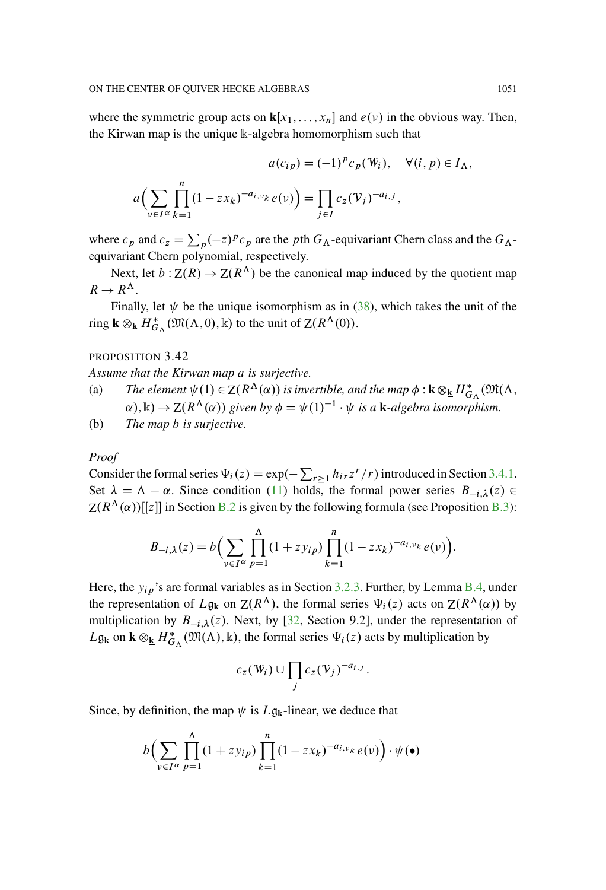where the symmetric group acts on  $\mathbf{k}[x_1,\ldots,x_n]$  and  $e(\nu)$  in the obvious way. Then, the Kirwan map is the unique k-algebra homomorphism such that

$$
a(c_{ip}) = (-1)^p c_p(\mathbb{W}_i), \quad \forall (i, p) \in I_\Lambda,
$$
  

$$
a\Big(\sum_{v \in I^\alpha} \prod_{k=1}^n (1 - zx_k)^{-a_{i, v_k}} e(v)\Big) = \prod_{j \in I} c_z(\mathbb{V}_j)^{-a_{i, j}},
$$

where  $c_p$  and  $c_z = \sum_p (-z)^p c_p$  are the pth  $G_\Lambda$ -equivariant Chern class and the  $G_\Lambda$ equivariant Chern polynomial, respectively.

Next, let  $b: Z(R) \to Z(R^{\Lambda})$  be the canonical map induced by the quotient map  $R \to R^{\Lambda}$ .

Finally, let  $\psi$  be the unique isomorphism as in [\(38\)](#page-45-2), which takes the unit of the ring  $\mathbf{k} \otimes_{\underline{\mathbf{k}}} H_{G_\Lambda}^* (\mathfrak{M}(\Lambda, 0), \mathbb{k})$  to the unit of  $\mathsf{Z}(R^\Lambda(0)).$ 

# PROPOSITION 3.42

*Assume that the Kirwan map* a *is surjective.*

- (a) *The element*  $\psi(1) \in Z(R^{\Lambda}(\alpha))$  *is invertible, and the map*  $\phi : \mathbf{k} \otimes_{\mathbf{k}} H_{G_{\Lambda}}^{*}(\mathfrak{M}(\Lambda,$  $(\alpha)$ ,  $\Bbbk$ )  $\rightarrow$   $Z(R^{\Lambda}(\alpha))$  given by  $\phi = \psi(1)^{-1} \cdot \psi$  is a **k**-algebra isomorphism.
- (b) *The map* b *is surjective.*

#### *Proof*

Consider the formal series  $\Psi_i(z) = \exp(-\sum_{r\geq 1} h_{ir}z^r/r)$  introduced in Section [3.4.1.](#page-41-1) Set  $\lambda = \Lambda - \alpha$ . Since condition [\(11\)](#page-20-0) holds, the formal power series  $B_{-i,\lambda}(z) \in$  $Z(R^{\Lambda}(\alpha))[[z]]$  in Section [B.2](#page-78-0) is given by the following formula (see Proposition [B.3\)](#page-81-0):

$$
B_{-i,\lambda}(z) = b \Big( \sum_{v \in I^{\alpha}} \prod_{p=1}^{\Lambda} (1 + z y_{ip}) \prod_{k=1}^{n} (1 - zx_k)^{-a_{i,\nu_k}} e(v) \Big).
$$

Here, the  $y_{ip}$ 's are formal variables as in Section [3.2.3.](#page-19-0) Further, by Lemma [B.4,](#page-82-0) under the representation of  $L\mathfrak{g}_k$  on  $Z(R^{\Lambda})$ , the formal series  $\Psi_i(z)$  acts on  $Z(R^{\Lambda}(\alpha))$  by multiplication by  $B_{-i,\lambda}(z)$ . Next, by [\[32,](#page-95-3) Section 9.2], under the representation of  $L\mathfrak{g}_k$  on  $\mathbf{k} \otimes_{\underline{k}} H^*_{G_\Lambda}(\mathfrak{M}(\Lambda), \mathbb{k})$ , the formal series  $\Psi_i(z)$  acts by multiplication by

$$
c_z(\mathbf{W}_i) \cup \prod_j c_z(\mathbf{V}_j)^{-a_{i,j}}.
$$

Since, by definition, the map  $\psi$  is  $L\mathfrak{g}_k$ -linear, we deduce that

$$
b\Big(\sum_{v\in I^{\alpha}}\prod_{p=1}^{\Lambda}(1+zy_{ip})\prod_{k=1}^{n}(1-zx_k)^{-a_{i,v_k}}e(v)\Big)\cdot\psi(\bullet)
$$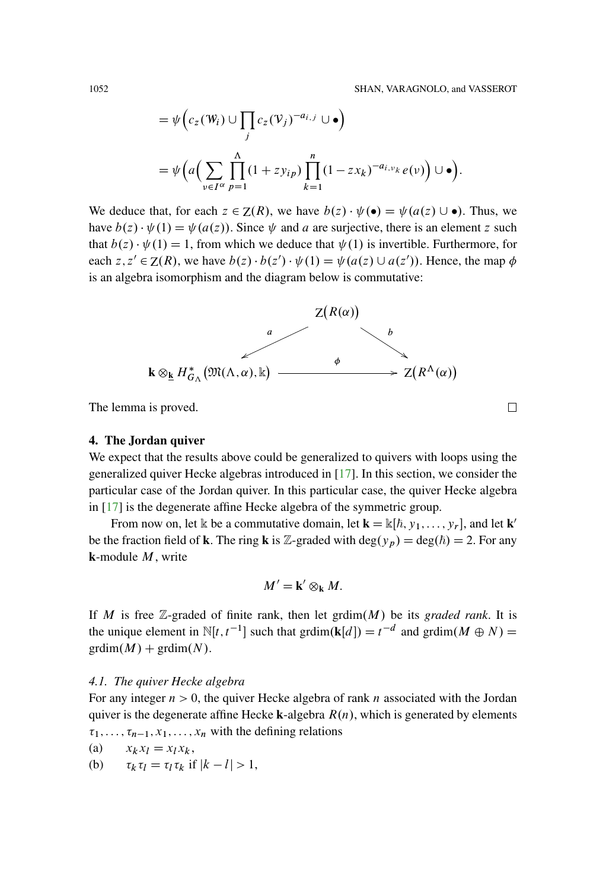$$
= \psi \Big( c_z(\mathbf{W}_i) \cup \prod_j c_z(\mathbf{V}_j)^{-a_{i,j}} \cup \bullet \Big)
$$
  
=  $\psi \Big( a \Big( \sum_{v \in I^{\alpha}} \prod_{p=1}^{\Lambda} (1 + z y_{ip}) \prod_{k=1}^{n} (1 - z x_k)^{-a_{i,\nu_k}} e(v) \Big) \cup \bullet \Big).$ 

We deduce that, for each  $z \in Z(R)$ , we have  $b(z) \cdot \psi(\bullet) = \psi(a(z) \cup \bullet)$ . Thus, we have  $b(z) \cdot \psi(1) = \psi(a(z))$ . Since  $\psi$  and a are surjective, there is an element z such that  $b(z) \cdot \psi(1) = 1$ , from which we deduce that  $\psi(1)$  is invertible. Furthermore, for each  $z, z' \in Z(R)$ , we have  $b(z) \cdot b(z') \cdot \psi(1) = \psi(a(z) \cup a(z'))$ . Hence, the map  $\phi$ is an algebra isomorphism and the diagram below is commutative:



The lemma is proved.

#### **4. The Jordan quiver**

We expect that the results above could be generalized to quivers with loops using the generalized quiver Hecke algebras introduced in [\[17](#page-94-3)]. In this section, we consider the particular case of the Jordan quiver. In this particular case, the quiver Hecke algebra in [\[17](#page-94-3)] is the degenerate affine Hecke algebra of the symmetric group.

From now on, let  $\mathbb{k}$  be a commutative domain, let  $\mathbf{k} = \mathbb{k}[\hbar, y_1, \dots, y_r]$ , and let  $\mathbf{k}'$ be the fraction field of **k**. The ring **k** is Z-graded with  $deg(y_p) = deg(\hbar) = 2$ . For any **k**-module M, write

$$
M'=\mathbf{k}'\otimes_{\mathbf{k}}M.
$$

If M is free  $\mathbb{Z}$ -graded of finite rank, then let grdim $(M)$  be its *graded rank*. It is the unique element in  $\mathbb{N}[t, t^{-1}]$  such that grdim(**k**[d]) =  $t^{-d}$  and grdim(*M*  $\oplus$  *N*) =  $\text{grdim}(M) + \text{grdim}(N)$ .

### *4.1. The quiver Hecke algebra*

For any integer  $n>0$ , the quiver Hecke algebra of rank n associated with the Jordan quiver is the degenerate affine Hecke **k**-algebra  $R(n)$ , which is generated by elements  $\tau_1, \ldots, \tau_{n-1}, x_1, \ldots, x_n$  with the defining relations

$$
(a) \qquad x_k x_l = x_l x_k,
$$

(b)  $\tau_k \tau_l = \tau_l \tau_k \text{ if } |k - l| > 1,$ 

 $\Box$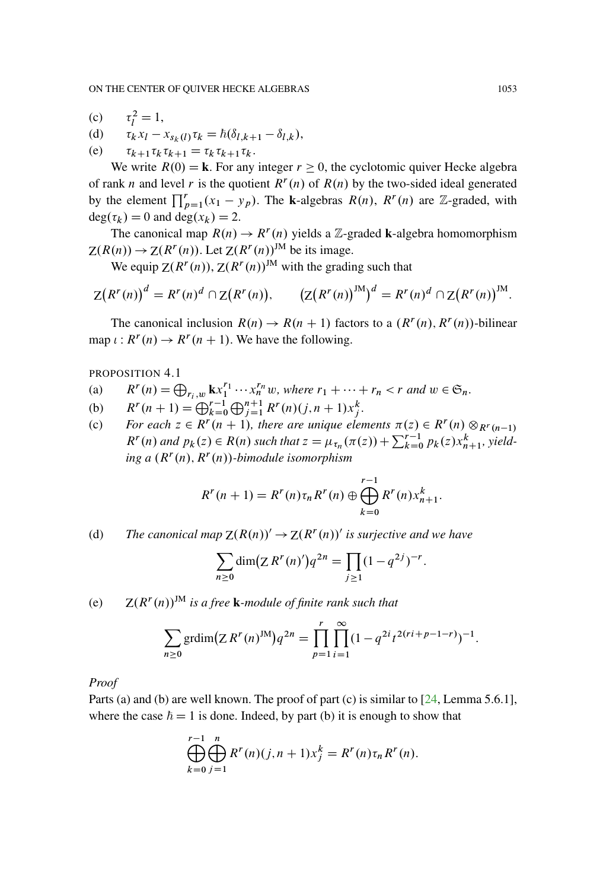- (c)  $i^2 = 1,$
- (d)  $\tau_k x_l x_{s_k(l)} \tau_k = \hbar(\delta_{l,k+1} \delta_{l,k}),$
- (e)  $\tau_{k+1} \tau_k \tau_{k+1} = \tau_k \tau_{k+1} \tau_k.$

We write  $R(0) = \mathbf{k}$ . For any integer  $r \geq 0$ , the cyclotomic quiver Hecke algebra of rank n and level r is the quotient  $R<sup>r</sup>(n)$  of  $R(n)$  by the two-sided ideal generated by the element  $\prod_{p=1}^{r} (x_1 - y_p)$ . The **k**-algebras  $R(n)$ ,  $R^r(n)$  are Z-graded, with  $deg(\tau_k) = 0$  and  $deg(x_k) = 2$ .

The canonical map  $R(n) \rightarrow R^{r}(n)$  yields a Z-graded **k**-algebra homomorphism  $Z(R(n)) \to Z(R^r(n))$ . Let  $Z(R^r(n))^{JM}$  be its image.

We equip  $Z(R^r(n)), Z(R^r(n))^M$  with the grading such that

$$
Z(R^{r}(n))^{d} = R^{r}(n)^{d} \cap Z(R^{r}(n)), \qquad (Z(R^{r}(n))^{JM})^{d} = R^{r}(n)^{d} \cap Z(R^{r}(n))^{JM}.
$$

The canonical inclusion  $R(n) \to R(n + 1)$  factors to a  $(R<sup>r</sup>(n), R<sup>r</sup>(n))$ -bilinear map  $\iota: R^r(n) \to R^r(n + 1)$ . We have the following.

<span id="page-48-0"></span>PROPOSITION 4.1

- (a)  $R^r(n) = \bigoplus_{r_i,w} \mathbf{k} x_1^{r_1} \cdots x_n^{r_n} w$ , where  $r_1 + \cdots + r_n < r$  and  $w \in \mathfrak{S}_n$ .
- (b)  $R^r(n+1) = \bigoplus_{k=0}^{r-1} \bigoplus_{j=1}^{n+1} R^r(n)(j, n+1)x_j^k$ .
- (c) *For each*  $z \in R^r(n + 1)$ *, there are unique elements*  $\pi(z) \in R^r(n) \otimes_{R^r(n-1)}$  $R^{r}(n)$  and  $p_{k}(z) \in R(n)$  such that  $z = \mu_{\tau_{n}}(\pi(z)) + \sum_{k=0}^{r-1} p_{k}(z) x_{n+1}^{k}$ , yield $ing a (R<sup>r</sup>(n), R<sup>r</sup>(n))$ -bimodule isomorphism

$$
R^{r}(n+1) = R^{r}(n)\tau_n R^{r}(n) \oplus \bigoplus_{k=0}^{r-1} R^{r}(n)x_{n+1}^{k}.
$$

(d) The canonical map 
$$
Z(R(n))' \to Z(R^r(n))'
$$
 is surjective and we have

$$
\sum_{n\geq 0} \dim(Z R^r(n)')q^{2n} = \prod_{j\geq 1} (1 - q^{2j})^{-r}.
$$

(e)  $Z(R^r(n))^{JM}$  *is a free* **k***-module of finite rank such that* 

$$
\sum_{n\geq 0} \text{grdim}(\mathbb{Z} R^r(n)^{\text{JM}}) q^{2n} = \prod_{p=1}^r \prod_{i=1}^\infty (1 - q^{2i} t^{2(ri+p-1-r)})^{-1}.
$$

*Proof*

Parts (a) and (b) are well known. The proof of part (c) is similar to [\[24](#page-95-5), Lemma 5.6.1], where the case  $\hbar = 1$  is done. Indeed, by part (b) it is enough to show that

$$
\bigoplus_{k=0}^{r-1} \bigoplus_{j=1}^{n} R^{r}(n)(j, n+1)x_{j}^{k} = R^{r}(n)\tau_{n} R^{r}(n).
$$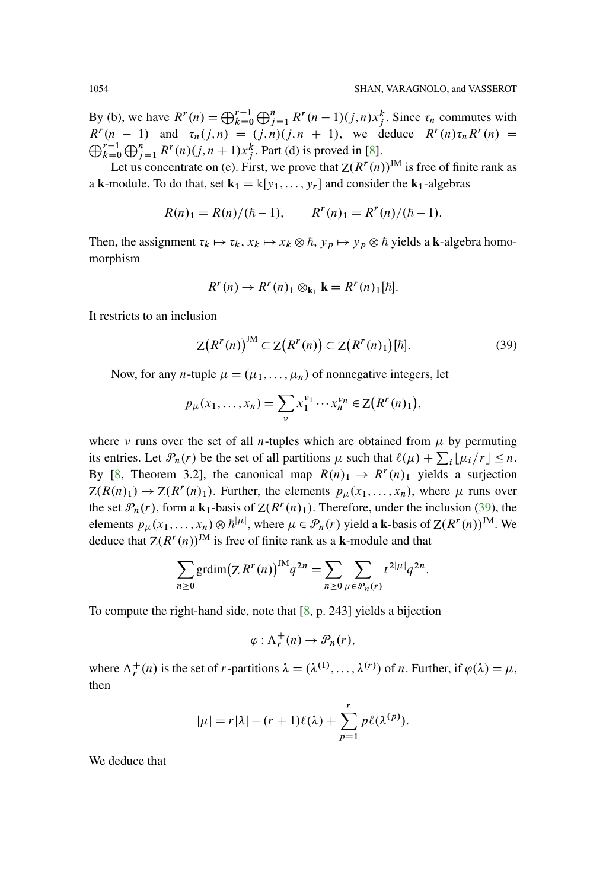By (b), we have  $R^r(n) = \bigoplus_{k=0}^{r-1} \bigoplus_{j=1}^{n} R^r(n-1)(j,n)x_j^k$ . Since  $\tau_n$  commutes with  $R^r(n-1)$  and  $\tau_n(j,n) = (j,n)(j,n+1)$ , we deduce  $R^r(n)\tau_n R^r(n) =$ <br> $\bigcap_{k=1}^{r-1} \bigcap_{k=1}^{n} R^r(n)(j,n+1)$ , we deduce  $R^r(n)\tau_n R^r(n)$  $\sum_{k=0}^{r-1} \bigoplus_{j=1}^{n} R^{r}(n)(j, n+1)x_{j}^{k}$ . Part (d) is proved in [\[8\]](#page-94-4).

Let us concentrate on (e). First, we prove that  $Z(R^r(n))^{JM}$  is free of finite rank as a **k**-module. To do that, set  $\mathbf{k}_1 = \mathbb{k}[y_1, \dots, y_r]$  and consider the  $\mathbf{k}_1$ -algebras

$$
R(n)1 = R(n)/(\hbar - 1), \qquad R^{r}(n)1 = R^{r}(n)/(\hbar - 1).
$$

Then, the assignment  $\tau_k \mapsto \tau_k$ ,  $x_k \mapsto x_k \otimes \hbar$ ,  $y_p \mapsto y_p \otimes \hbar$  yields a **k**-algebra homomorphism

$$
R^{r}(n) \rightarrow R^{r}(n)_{1} \otimes_{\mathbf{k}_{1}} \mathbf{k} = R^{r}(n)_{1}[\hbar].
$$

It restricts to an inclusion

<span id="page-49-0"></span>
$$
Z(Rr(n))JM \subset Z(Rr(n)) \subset Z(Rr(n)1)[\hbar].
$$
 (39)

Now, for any *n*-tuple  $\mu = (\mu_1, \ldots, \mu_n)$  of nonnegative integers, let

$$
p_{\mu}(x_1,\ldots,x_n)=\sum_{\nu}x_1^{\nu_1}\cdots x_n^{\nu_n}\in\mathbb{Z}\big(R^r(n)_1\big),
$$

where  $\nu$  runs over the set of all *n*-tuples which are obtained from  $\mu$  by permuting its entries. Let  $\mathcal{P}_n(r)$  be the set of all partitions  $\mu$  such that  $\ell(\mu) + \sum_i \lfloor \mu_i/r \rfloor \leq n$ . By [\[8,](#page-94-4) Theorem 3.2], the canonical map  $R(n)_1 \rightarrow R^{r}(n)_1$  yields a surjection  $Z(R(n)_1) \to Z(R^r(n)_1)$ . Further, the elements  $p_\mu(x_1,\ldots,x_n)$ , where  $\mu$  runs over the set  $\mathcal{P}_n(r)$ , form a **k**<sub>1</sub>-basis of  $Z(R^r(n)_1)$ . Therefore, under the inclusion [\(39\)](#page-49-0), the elements  $p_\mu(x_1,\ldots,x_n)\otimes \hbar^{|\mu|}$ , where  $\mu\in\mathcal{P}_n(r)$  yield a **k**-basis of  $Z(R^r(n))^{JM}$ . We deduce that  $Z(R^r(n))^M$  is free of finite rank as a **k**-module and that

$$
\sum_{n\geq 0} \text{grdim}(\text{Z} \, R^r(n))^{JM} q^{2n} = \sum_{n\geq 0} \sum_{\mu \in \mathcal{P}_n(r)} t^{2|\mu|} q^{2n}.
$$

To compute the right-hand side, note that [\[8,](#page-94-4) p. 243] yields a bijection

$$
\varphi : \Lambda_r^+(n) \to \mathcal{P}_n(r),
$$

where  $\Lambda_r^+(n)$  is the set of *r*-partitions  $\lambda = (\lambda^{(1)}, \ldots, \lambda^{(r)})$  of *n*. Further, if  $\varphi(\lambda) = \mu$ , then

$$
|\mu|=r|\lambda|-(r+1)\ell(\lambda)+\sum_{p=1}^r p\ell(\lambda^{(p)}).
$$

We deduce that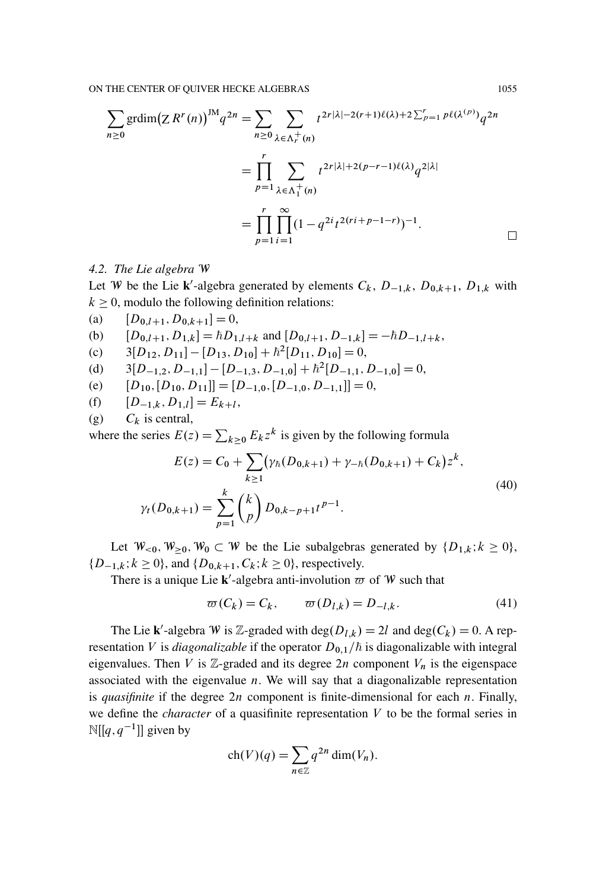$$
\sum_{n\geq 0} \text{grdim}(\text{Z} \, R^r(n))^{\text{JM}} q^{2n} = \sum_{n\geq 0} \sum_{\lambda \in \Lambda_r^+(n)} t^{2r|\lambda|-2(r+1)\ell(\lambda)+2\sum_{p=1}^r p\ell(\lambda^{(p)})} q^{2n}
$$

$$
= \prod_{p=1}^r \sum_{\lambda \in \Lambda_1^+(n)} t^{2r|\lambda|+2(p-r-1)\ell(\lambda)} q^{2|\lambda|}
$$

$$
= \prod_{p=1}^r \prod_{i=1}^\infty (1-q^{2i}t^{2(ri+p-1-r)})^{-1}.
$$

## <span id="page-50-1"></span>*4.2. The Lie algebra* W

Let W be the Lie **k**'-algebra generated by elements  $C_k$ ,  $D_{-1,k}$ ,  $D_{0,k+1}$ ,  $D_{1,k}$  with  $k \geq 0$ , modulo the following definition relations:

(a)  $[D_{0,l+1}, D_{0,k+1}] = 0,$ 

(b) 
$$
[D_{0,l+1}, D_{1,k}] = \hbar D_{1,l+k}
$$
 and  $[D_{0,l+1}, D_{-1,k}] = -\hbar D_{-1,l+k}$ ,

- (c)  $3[D_{12}, D_{11}] [D_{13}, D_{10}] + \hbar^2[D_{11}, D_{10}] = 0,$
- (d)  $3[D_{-1,2}, D_{-1,1}] [D_{-1,3}, D_{-1,0}] + \hbar^2[D_{-1,1}, D_{-1,0}] = 0,$
- (e)  $[D_{10}, [D_{10}, D_{11}]]=[D_{-1,0}, [D_{-1,0}, D_{-1,1}]] = 0,$

(f) 
$$
[D_{-1,k}, D_{1,l}] = E_{k+l},
$$

(g)  $C_k$  is central,

where the series  $E(z) = \sum_{k\geq 0} E_k z^k$  is given by the following formula

<span id="page-50-2"></span>
$$
E(z) = C_0 + \sum_{k \ge 1} (\gamma_h(D_{0,k+1}) + \gamma_{-h}(D_{0,k+1}) + C_k) z^k,
$$
  

$$
\gamma_t(D_{0,k+1}) = \sum_{p=1}^k {k \choose p} D_{0,k-p+1} t^{p-1}.
$$
 (40)

Let  $W_{\leq 0}$ ,  $W_{\geq 0}$ ,  $W_0 \subset W$  be the Lie subalgebras generated by  $\{D_{1,k}; k \geq 0\}$ ,  $\{D_{-1,k}; k \ge 0\}$ , and  $\{D_{0,k+1}, C_k; k \ge 0\}$ , respectively.

There is a unique Lie  $\mathbf{k}'$ -algebra anti-involution  $\varpi$  of W such that

<span id="page-50-0"></span>
$$
\varpi(C_k) = C_k, \qquad \varpi(D_{l,k}) = D_{-l,k}.
$$
\n(41)

The Lie **k**'-algebra W is Z-graded with  $deg(D_{l,k}) = 2l$  and  $deg(C_k) = 0$ . A representation V is *diagonalizable* if the operator  $D_{0,1}/\hbar$  is diagonalizable with integral eigenvalues. Then V is  $\mathbb{Z}$ -graded and its degree  $2n$  component  $V_n$  is the eigenspace associated with the eigenvalue  $n$ . We will say that a diagonalizable representation is *quasifinite* if the degree 2n component is finite-dimensional for each n. Finally, we define the *character* of a quasifinite representation V to be the formal series in  $\mathbb{N}[[q, q^{-1}]]$  given by

$$
ch(V)(q) = \sum_{n \in \mathbb{Z}} q^{2n} \dim(V_n).
$$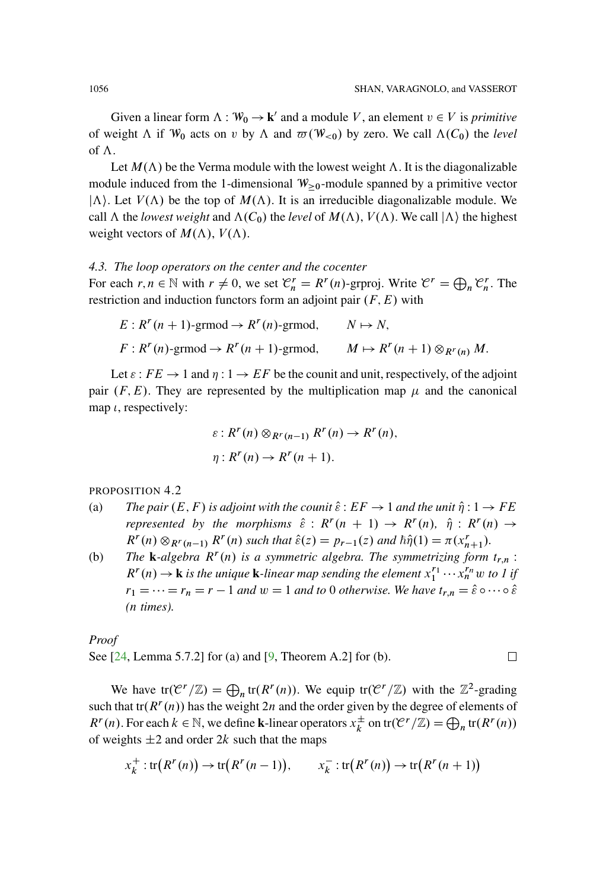Given a linear form  $\Lambda : W_0 \to \mathbf{k}'$  and a module V, an element  $v \in V$  is *primitive* of weight  $\Lambda$  if  $W_0$  acts on v by  $\Lambda$  and  $\overline{\omega}(W_{\leq 0})$  by zero. We call  $\Lambda(C_0)$  the *level* of  $\Lambda$ .

Let  $M(\Lambda)$  be the Verma module with the lowest weight  $\Lambda$ . It is the diagonalizable module induced from the 1-dimensional  $W_{\geq 0}$ -module spanned by a primitive vector  $|\Lambda\rangle$ . Let  $V(\Lambda)$  be the top of  $M(\Lambda)$ . It is an irreducible diagonalizable module. We call  $\Lambda$  the *lowest weight* and  $\Lambda(C_0)$  the *level* of  $M(\Lambda)$ ,  $V(\Lambda)$ . We call  $|\Lambda\rangle$  the highest weight vectors of  $M(\Lambda)$ ,  $V(\Lambda)$ .

# *4.3. The loop operators on the center and the cocenter*

For each  $r, n \in \mathbb{N}$  with  $r \neq 0$ , we set  $\mathcal{C}_n^r = R^r(n)$ -grproj. Write  $\mathcal{C}^r = \bigoplus_n \mathcal{C}_n^r$ . The restriction and induction functors form an adjoint pair  $(F, E)$  with

$$
E: R^{r}(n+1)\text{-grmod} \to R^{r}(n)\text{-grmod}, \qquad N \mapsto N,
$$
  

$$
F: R^{r}(n)\text{-grmod} \to R^{r}(n+1)\text{-grmod}, \qquad M \mapsto R^{r}(n+1) \otimes_{R^{r}(n)} M.
$$

Let  $\varepsilon$  :  $FE \rightarrow 1$  and  $\eta: 1 \rightarrow EF$  be the counit and unit, respectively, of the adjoint pair  $(F, E)$ . They are represented by the multiplication map  $\mu$  and the canonical map  $\iota$ , respectively:

$$
\varepsilon: R^{r}(n) \otimes_{R^{r}(n-1)} R^{r}(n) \to R^{r}(n),
$$
  

$$
\eta: R^{r}(n) \to R^{r}(n+1).
$$

PROPOSITION 4.2

- (a) *The pair*  $(E, F)$  *is adjoint with the counit*  $\hat{\epsilon}$ :  $EF \rightarrow 1$  *and the unit*  $\hat{\eta}$ :  $1 \rightarrow FE$ *represented by the morphisms*  $\hat{\varepsilon}$  :  $R^r(n + 1) \rightarrow R^r(n)$ ,  $\hat{\eta}$  :  $R^r(n) \rightarrow$  $R^r(n) \otimes_{R^r(n-1)} R^r(n)$  such that  $\hat{\varepsilon}(z) = p_{r-1}(z)$  and  $\hbar \hat{\eta}(1) = \pi(x_{n+1}^r)$ .
- (b) *The* **k**-algebra  $R^r(n)$  is a symmetric algebra. The symmetrizing form  $t_{r,n}$ :  $R^{r}(n) \rightarrow \mathbf{k}$  *is the unique*  $\mathbf{k}$ *-linear map sending the element*  $x_1^{r_1} \cdots x_n^{r_n}$  *w to 1 if*  $r_1 = \cdots = r_n = r - 1$  *and*  $w = 1$  *and to* 0 *otherwise. We have*  $t_{r,n} = \hat{\varepsilon} \circ \cdots \circ \hat{\varepsilon}$ *(*n *times).*

*Proof*

See [\[24,](#page-95-5) Lemma 5.7.2] for (a) and [\[9](#page-94-5), Theorem A.2] for (b).  $\Box$ 

We have  $tr(\mathcal{C}^r/\mathbb{Z}) = \bigoplus_n tr(R^r(n))$ . We equip  $tr(\mathcal{C}^r/\mathbb{Z})$  with the  $\mathbb{Z}^2$ -grading such that tr( $R^{r}(n)$ ) has the weight 2n and the order given by the degree of elements of  $R^r(n)$ . For each  $k \in \mathbb{N}$ , we define **k**-linear operators  $x_k^{\pm}$  on  $tr(\mathcal{C}^r/\mathbb{Z}) = \bigoplus_n tr(R^r(n))$ of weights  $\pm 2$  and order 2k such that the maps

$$
x_k^+:\text{tr}(R^r(n))\to\text{tr}(R^r(n-1)),\qquad x_k^-\colon\text{tr}(R^r(n))\to\text{tr}(R^r(n+1))
$$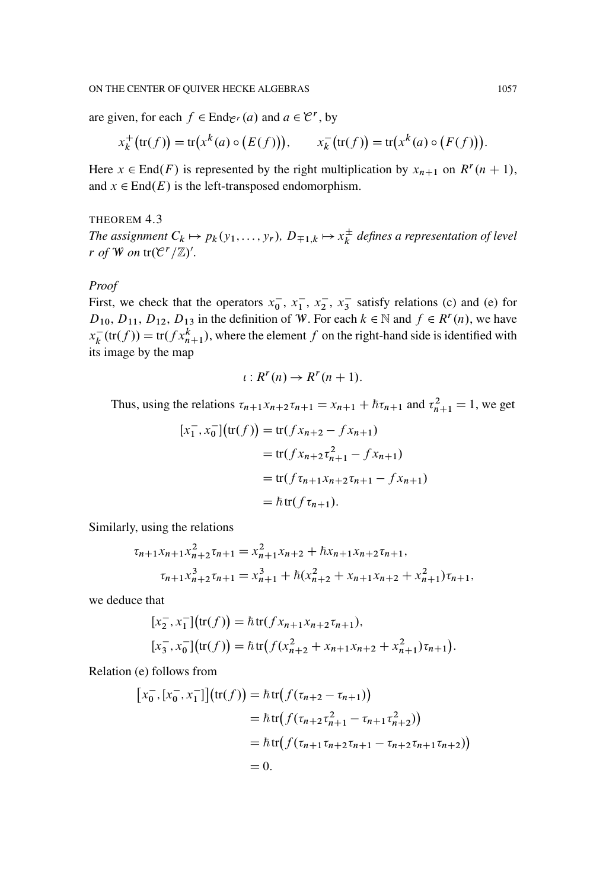are given, for each  $f \in \text{End}_{\mathcal{C}^r}(a)$  and  $a \in \mathcal{C}^r$ , by

$$
x_k^+(tr(f)) = tr(x^k(a) \circ (E(f))),
$$
  $x_k^-(tr(f)) = tr(x^k(a) \circ (F(f))).$ 

Here  $x \in \text{End}(F)$  is represented by the right multiplication by  $x_{n+1}$  on  $R^r (n + 1)$ , and  $x \in End(E)$  is the left-transposed endomorphism.

#### <span id="page-52-0"></span>THEOREM 4.3

The assignment  $C_k \mapsto p_k(y_1,...,y_r)$ ,  $D_{\mp 1,k} \mapsto x_k^{\pm}$  defines a representation of level *r of W on*  $tr(C^r/\mathbb{Z})'$ .

### *Proof*

First, we check that the operators  $x_0^-, x_1^-, x_2^-, x_3^-$  satisfy relations (c) and (e) for  $D_{10}$ ,  $D_{11}$ ,  $D_{12}$ ,  $D_{13}$  in the definition of W. For each  $k \in \mathbb{N}$  and  $f \in R^{r}(n)$ , we have  $x_k^-(tr(f)) = tr(fx_{n+1}^k)$ , where the element f on the right-hand side is identified with its image by the map

$$
\iota: R^r(n) \to R^r(n+1).
$$

Thus, using the relations  $\tau_{n+1}x_{n+2}\tau_{n+1} = x_{n+1} + \hbar\tau_{n+1}$  and  $\tau_{n+1}^2 = 1$ , we get

$$
[x_1^-, x_0^-] (\text{tr}(f)) = \text{tr}(f x_{n+2} - f x_{n+1})
$$
  
= tr(f x\_{n+2} x\_{n+1}^2 - f x\_{n+1})  
= tr(f x\_{n+1} x\_{n+2} x\_{n+1} - f x\_{n+1})  
= \hbar \text{tr}(f x\_{n+1}).

Similarly, using the relations

$$
\tau_{n+1}x_{n+1}x_{n+2}^2\tau_{n+1} = x_{n+1}^2x_{n+2} + \hbar x_{n+1}x_{n+2}\tau_{n+1},
$$
  

$$
\tau_{n+1}x_{n+2}^3\tau_{n+1} = x_{n+1}^3 + \hbar (x_{n+2}^2 + x_{n+1}x_{n+2} + x_{n+1}^2)\tau_{n+1},
$$

we deduce that

$$
[x_2^-, x_1^-] (tr(f)) = \hbar tr(f x_{n+1} x_{n+2} \tau_{n+1}),
$$
  
\n
$$
[x_3^-, x_0^-] (tr(f)) = \hbar tr(f(x_{n+2}^2 + x_{n+1} x_{n+2} + x_{n+1}^2) \tau_{n+1}).
$$

Relation (e) follows from

$$
[x_0^-, [x_0^-, x_1^-]](tr(f)) = \hbar tr(f(\tau_{n+2} - \tau_{n+1}))
$$
  
=  $\hbar tr(f(\tau_{n+2}\tau_{n+1}^2 - \tau_{n+1}\tau_{n+2}^2))$   
=  $\hbar tr(f(\tau_{n+1}\tau_{n+2}\tau_{n+1} - \tau_{n+2}\tau_{n+1}\tau_{n+2}))$   
= 0.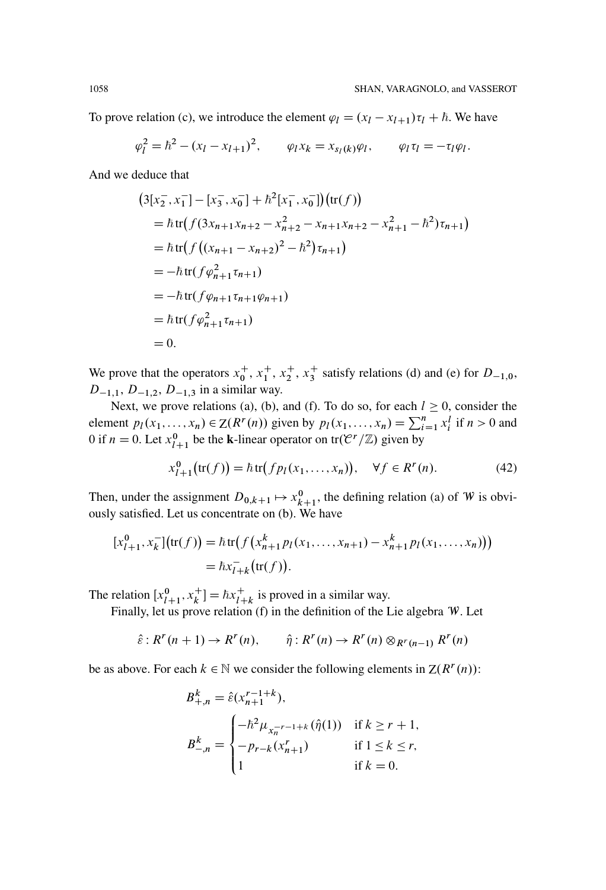To prove relation (c), we introduce the element  $\varphi_l = (x_l - x_{l+1})\tau_l + \hbar$ . We have

$$
\varphi_l^2 = \hbar^2 - (x_l - x_{l+1})^2
$$
,  $\varphi_l x_k = x_{s_l(k)} \varphi_l$ ,  $\varphi_l \tau_l = -\tau_l \varphi_l$ .

And we deduce that

$$
(3[x_2^-, x_1^-] - [x_3^-, x_0^-] + \hbar^2[x_1^-, x_0^-])(\text{tr}(f))
$$
  
=  $\hbar \text{tr}(f(3x_{n+1}x_{n+2} - x_{n+2}^2 - x_{n+1}x_{n+2} - x_{n+1}^2 - \hbar^2)\tau_{n+1})$   
=  $\hbar \text{tr}(f((x_{n+1} - x_{n+2})^2 - \hbar^2)\tau_{n+1})$   
=  $-\hbar \text{tr}(f\varphi_{n+1}^2\tau_{n+1})$   
=  $-\hbar \text{tr}(f\varphi_{n+1}^2\tau_{n+1})$   
=  $\hbar \text{tr}(f\varphi_{n+1}^2\tau_{n+1})$   
= 0.

We prove that the operators  $x_0^+, x_1^+, x_2^+, x_3^+$  satisfy relations (d) and (e) for  $D_{-1,0}$ ,  $D_{-1,1}$ ,  $D_{-1,2}$ ,  $D_{-1,3}$  in a similar way.

Next, we prove relations (a), (b), and (f). To do so, for each  $l \ge 0$ , consider the element  $p_1(x_1,...,x_n) \in Z(R^r(n))$  given by  $p_1(x_1,...,x_n) = \sum_{i=1}^n x_i^l$  if  $n > 0$  and 0 if  $n = 0$ . Let  $x_{l+1}^0$  be the **k**-linear operator on tr $(\mathcal{C}^r/\mathbb{Z})$  given by

<span id="page-53-0"></span>
$$
x_{l+1}^0(\text{tr}(f)) = \hbar \text{tr}(fp_l(x_1,\ldots,x_n)), \quad \forall f \in R^r(n). \tag{42}
$$

Then, under the assignment  $D_{0,k+1} \mapsto x_{k+1}^0$ , the defining relation (a) of W is obviously satisfied. Let us concentrate on (b). We have

$$
[x_{l+1}^0, x_k^-] (\text{tr}(f)) = \hbar \text{tr} (f (x_{n+1}^k p_l(x_1, ..., x_{n+1}) - x_{n+1}^k p_l(x_1, ..., x_n)))
$$
  
=  $\hbar x_{l+k}^- (\text{tr}(f)).$ 

The relation  $[x_{l+1}^0, x_k^+] = \hbar x_{l+k}^+$  is proved in a similar way.

Finally, let us prove relation (f) in the definition of the Lie algebra W. Let

$$
\hat{\varepsilon}: R^r(n+1) \to R^r(n), \qquad \hat{\eta}: R^r(n) \to R^r(n) \otimes_{R^r(n-1)} R^r(n)
$$

be as above. For each  $k \in \mathbb{N}$  we consider the following elements in  $Z(R^r(n))$ :

$$
B_{+,n}^{k} = \hat{\varepsilon}(x_{n+1}^{r-1+k}),
$$
  
\n
$$
B_{-,n}^{k} = \begin{cases} -\hbar^{2} \mu_{x_{n}^{r-1+k}}(\hat{\eta}(1)) & \text{if } k \ge r+1, \\ -p_{r-k}(x_{n+1}^{r}) & \text{if } 1 \le k \le r, \\ 1 & \text{if } k = 0. \end{cases}
$$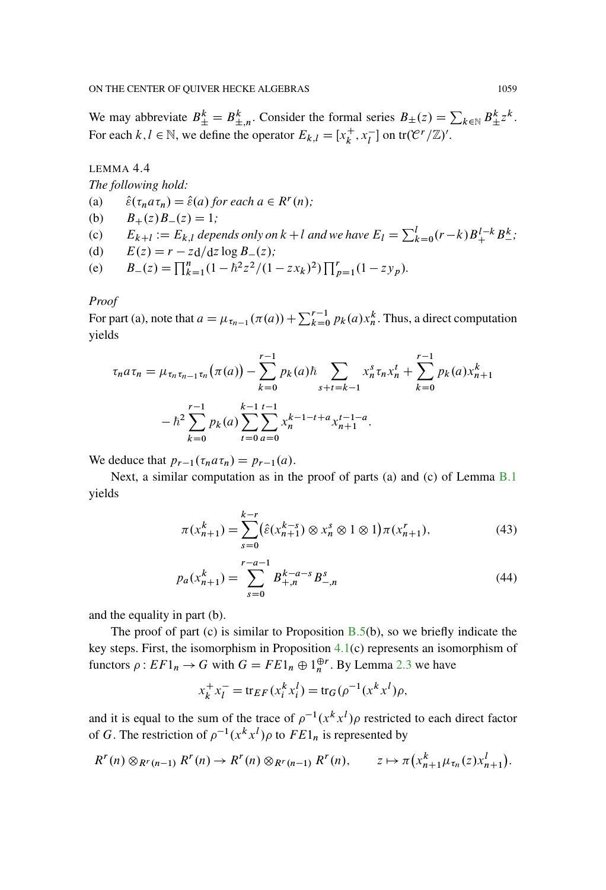We may abbreviate  $B_{\pm}^k = B_{\pm,n}^k$ . Consider the formal series  $B_{\pm}(z) = \sum_{k \in \mathbb{N}} B_{\pm}^k z^k$ . For each  $k, l \in \mathbb{N}$ , we define the operator  $E_{k,l} = [x_k^+, x_l^-]$  on tr $(\mathcal{C}^r/\mathbb{Z})'$ .

<span id="page-54-2"></span>LEMMA 4.4

*The following hold:*

- (a)  $\hat{\varepsilon}(\tau_n a \tau_n) = \hat{\varepsilon}(a)$  for each  $a \in R^r(n)$ ;
- (b)  $B_+(z)B_-(z) = 1;$
- (c)  $E_{k+l} := E_{k,l}$  depends only on  $k+l$  and we have  $E_l = \sum_{k=0}^{l} (r-k) B_+^{l-k} B_-^k$ ;
- (d)  $E(z) = r z \frac{d}{dz} \log B_-(z)$ ;
- (e)  $B_-(z) = \prod_{k=1}^n (1 \hbar^2 z^2 / (1 z x_k)^2) \prod_{p=1}^r (1 z y_p)$ .

# *Proof*

For part (a), note that  $a = \mu_{\tau_{n-1}}(\pi(a)) + \sum_{k=0}^{r-1} p_k(a) x_n^k$ . Thus, a direct computation yields

$$
\tau_n a \tau_n = \mu_{\tau_n \tau_{n-1} \tau_n} (\pi(a)) - \sum_{k=0}^{r-1} p_k(a) \hbar \sum_{s+t=k-1} x_n^s \tau_n x_n^t + \sum_{k=0}^{r-1} p_k(a) x_{n+1}^k
$$

$$
- \hbar^2 \sum_{k=0}^{r-1} p_k(a) \sum_{t=0}^{k-1} \sum_{a=0}^{t-1} x_n^{k-1-t+a} x_{n+1}^{t-1-a}.
$$

We deduce that  $p_{r-1}(\tau_n a \tau_n) = p_{r-1}(a)$ .

Next, a similar computation as in the proof of parts (a) and (c) of Lemma [B.1](#page-75-0) yields

<span id="page-54-1"></span><span id="page-54-0"></span>
$$
\pi(x_{n+1}^k) = \sum_{s=0}^{k-r} (\hat{\varepsilon}(x_{n+1}^{k-s}) \otimes x_n^s \otimes 1 \otimes 1) \pi(x_{n+1}^r),\tag{43}
$$

$$
p_a(x_{n+1}^k) = \sum_{s=0}^{r-a-1} B_{+,n}^{k-a-s} B_{-,n}^s
$$
 (44)

and the equality in part (b).

The proof of part (c) is similar to Proposition  $B.5(b)$  $B.5(b)$ , so we briefly indicate the key steps. First, the isomorphism in Proposition [4.1\(](#page-48-0)c) represents an isomorphism of functors  $\rho$  :  $EF1_n \rightarrow G$  with  $G = FE1_n \oplus 1_n^{\oplus r}$ . By Lemma [2.3](#page-6-0) we have

$$
x_k^+ x_l^- = \text{tr}_{EF}(x_i^k x_i^l) = \text{tr}_G(\rho^{-1}(x^k x^l)\rho,
$$

and it is equal to the sum of the trace of  $\rho^{-1}(x^k x^l)\rho$  restricted to each direct factor of G. The restriction of  $\rho^{-1}(x^k x^l)$  to  $FE1_n$  is represented by

$$
R^{r}(n) \otimes_{R^{r}(n-1)} R^{r}(n) \to R^{r}(n) \otimes_{R^{r}(n-1)} R^{r}(n), \qquad z \mapsto \pi\left(x_{n+1}^{k}\mu_{\tau_{n}}(z)x_{n+1}^{l}\right).
$$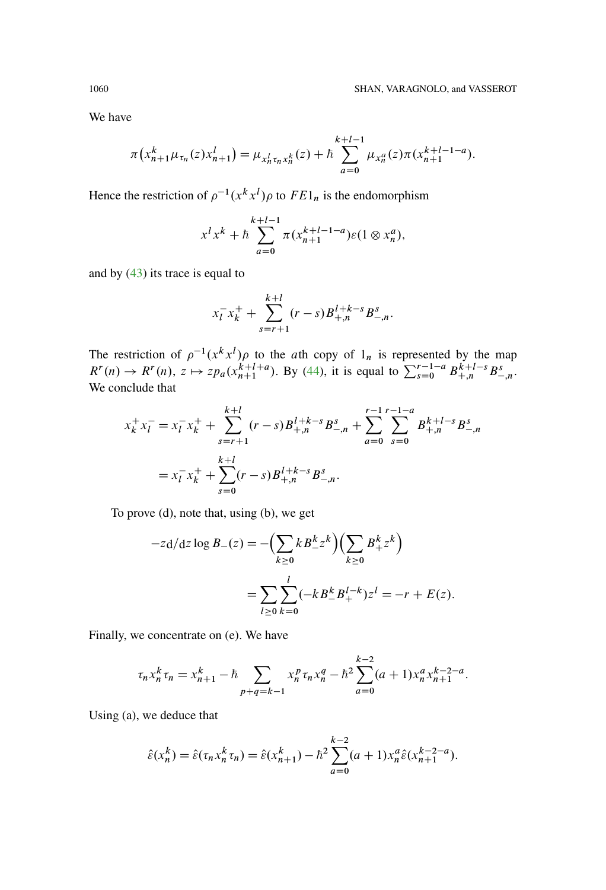We have

$$
\pi\left(x_{n+1}^k \mu_{\tau_n}(z) x_{n+1}^l\right) = \mu_{x_n^l \tau_n x_n^k}(z) + \hbar \sum_{a=0}^{k+l-1} \mu_{x_n^a}(z) \pi\left(x_{n+1}^{k+l-1-a}\right).
$$

Hence the restriction of  $\rho^{-1}(x^k x^l) \rho$  to  $FE1_n$  is the endomorphism

$$
x^{l} x^{k} + \hbar \sum_{a=0}^{k+l-1} \pi (x_{n+1}^{k+l-1-a}) \varepsilon (1 \otimes x_{n}^{a}),
$$

and by [\(43\)](#page-54-0) its trace is equal to

$$
x_l^- x_k^+ + \sum_{s=r+1}^{k+l} (r-s) B_{+,n}^{l+k-s} B_{-,n}^s.
$$

The restriction of  $\rho^{-1}(x^k x^l)$  to the ath copy of  $1_n$  is represented by the map  $R^{r}(n) \to R^{r}(n)$ ,  $z \mapsto z p_a(x_{n+1}^{k+l+a})$ . By [\(44\)](#page-54-1), it is equal to  $\sum_{s=0}^{r-1-a} B^{k+l-s}_{+,n} B^{s}_{-,n}$ . We conclude that

$$
x_k^+ x_l^- = x_l^- x_k^+ + \sum_{s=r+1}^{k+l} (r-s) B_{+,n}^{l+k-s} B_{-,n}^s + \sum_{a=0}^{r-1} \sum_{s=0}^{r-1-a} B_{+,n}^{k+l-s} B_{-,n}^s
$$
  
=  $x_l^- x_k^+ + \sum_{s=0}^{k+l} (r-s) B_{+,n}^{l+k-s} B_{-,n}^s$ .

To prove (d), note that, using (b), we get

$$
-z \, d/dz \log B_{-}(z) = -\left(\sum_{k\geq 0} k B_{-}^{k} z^{k}\right) \left(\sum_{k\geq 0} B_{+}^{k} z^{k}\right)
$$

$$
= \sum_{l\geq 0} \sum_{k=0}^{l} (-k B_{-}^{k} B_{+}^{l-k}) z^{l} = -r + E(z).
$$

Finally, we concentrate on (e). We have

$$
\tau_n x_n^k \tau_n = x_{n+1}^k - \hbar \sum_{p+q=k-1} x_n^p \tau_n x_n^q - \hbar^2 \sum_{a=0}^{k-2} (a+1) x_n^a x_{n+1}^{k-2-a}.
$$

Using (a), we deduce that

$$
\hat{\varepsilon}(x_n^k) = \hat{\varepsilon}(\tau_n x_n^k \tau_n) = \hat{\varepsilon}(x_{n+1}^k) - \hbar^2 \sum_{a=0}^{k-2} (a+1) x_n^a \hat{\varepsilon}(x_{n+1}^{k-2-a}).
$$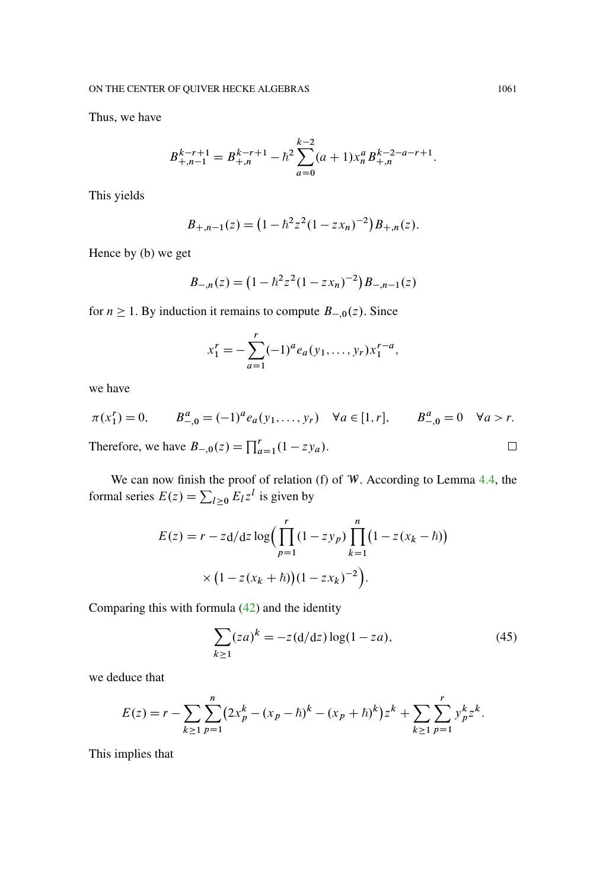Thus, we have

$$
B_{+,n-1}^{k-r+1} = B_{+,n}^{k-r+1} - \hbar^2 \sum_{a=0}^{k-2} (a+1) x_n^a B_{+,n}^{k-2-a-r+1}.
$$

This yields

$$
B_{+,n-1}(z) = (1 - \hbar^2 z^2 (1 - zx_n)^{-2}) B_{+,n}(z).
$$

Hence by (b) we get

$$
B_{-,n}(z) = \left(1 - \hbar^2 z^2 (1 - z x_n)^{-2}\right) B_{-,n-1}(z)
$$

for  $n \ge 1$ . By induction it remains to compute  $B_{-,0}(z)$ . Since

$$
x_1^r = -\sum_{a=1}^r (-1)^a e_a(y_1,\ldots,y_r) x_1^{r-a},
$$

we have

$$
\pi(x_1^r) = 0, \qquad B_{-,0}^a = (-1)^a e_a(y_1, \dots, y_r) \quad \forall a \in [1, r], \qquad B_{-,0}^a = 0 \quad \forall a > r.
$$
  
Therefore, we have  $B_{-,0}(z) = \prod_{a=1}^r (1 - z y_a).$ 

We can now finish the proof of relation (f) of W. According to Lemma [4.4,](#page-54-2) the formal series  $E(z) = \sum_{l \geq 0} E_l z^l$  is given by

$$
E(z) = r - zd/dz \log \Biggl( \prod_{p=1}^{r} (1 - zy_p) \prod_{k=1}^{n} (1 - z(x_k - \hbar)) \Biggr)
$$

$$
\times \Bigl( 1 - z(x_k + \hbar) \Bigr) (1 - zx_k)^{-2} \Biggr).
$$

Comparing this with formula [\(42\)](#page-53-0) and the identity

$$
\sum_{k\geq 1} (za)^k = -z(d/dz) \log(1 - za),
$$
\n(45)

we deduce that

$$
E(z) = r - \sum_{k \ge 1} \sum_{p=1}^{n} (2x_p^k - (x_p - \hbar)^k - (x_p + \hbar)^k) z^k + \sum_{k \ge 1} \sum_{p=1}^{r} y_p^k z^k.
$$

This implies that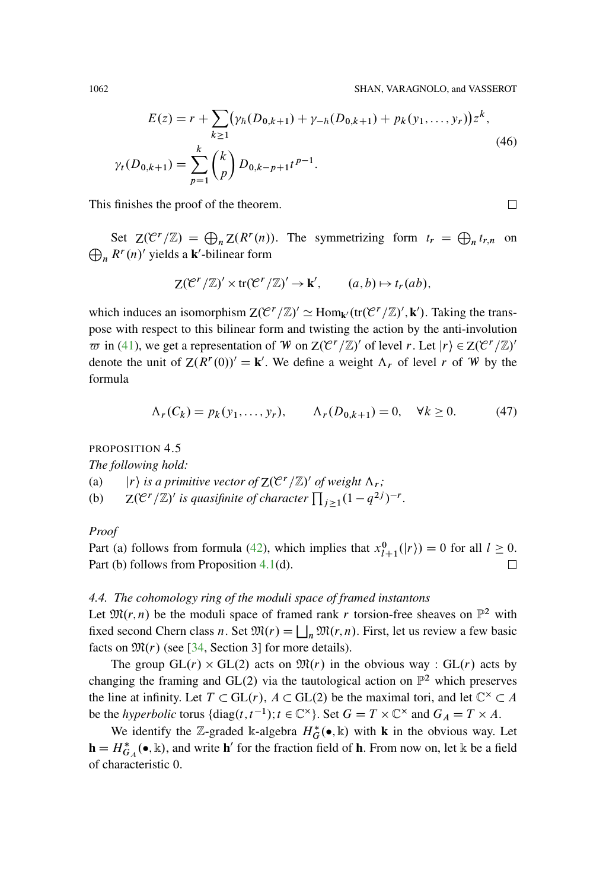1062 SHAN, VARAGNOLO, and VASSEROT

<span id="page-57-0"></span>
$$
E(z) = r + \sum_{k \ge 1} (\gamma_h(D_{0,k+1}) + \gamma_{-h}(D_{0,k+1}) + p_k(y_1, \dots, y_r))z^k,
$$
  

$$
\gamma_t(D_{0,k+1}) = \sum_{p=1}^k {k \choose p} D_{0,k-p+1} t^{p-1}.
$$
 (46)

This finishes the proof of the theorem.

Set  $Z(\mathcal{C}^r/\mathbb{Z}) = \bigoplus_n Z(R^r(n))$ . The symmetrizing form  $t_r = \bigoplus_n t_{r,n}$  on  $\bigoplus_n R^r(n)'$  yields a **k**'-bilinear form

$$
\mathsf{Z}(\mathcal{C}^r/\mathbb{Z})' \times \operatorname{tr}(\mathcal{C}^r/\mathbb{Z})' \to \mathbf{k}', \qquad (a,b) \mapsto t_r(ab),
$$

which induces an isomorphism  $Z(\mathcal{C}^r/\mathbb{Z})' \simeq \text{Hom}_{\mathbf{k}'}(\text{tr}(\mathcal{C}^r/\mathbb{Z})', \mathbf{k}')$ . Taking the transpose with respect to this bilinear form and twisting the action by the anti-involution  $\overline{\omega}$  in [\(41\)](#page-50-0), we get a representation of W on  $Z(\mathcal{C}^r/\mathbb{Z})'$  of level r. Let  $|r\rangle \in Z(\mathcal{C}^r/\mathbb{Z})'$ denote the unit of  $Z(R^r(0))' = \mathbf{k}'$ . We define a weight  $\Lambda_r$  of level r of W by the formula

$$
\Lambda_r(C_k) = p_k(y_1, \dots, y_r), \qquad \Lambda_r(D_{0,k+1}) = 0, \quad \forall k \ge 0.
$$
 (47)

PROPOSITION 4.5

*The following hold:*

(a)  $\vert r \rangle$  *is a primitive vector of*  $Z(\mathcal{C}^r/\mathbb{Z})'$  *of weight*  $\Lambda_r$ ;

(b)  $Z(C^r/\mathbb{Z})'$  is quasifinite of character  $\prod_{j\geq 1} (1-q^{2j})^{-r}$ .

*Proof*

Part (a) follows from formula [\(42\)](#page-53-0), which implies that  $x_{l+1}^0(|r\rangle) = 0$  for all  $l \ge 0$ . Part (b) follows from Proposition [4.1\(](#page-48-0)d). □

# *4.4. The cohomology ring of the moduli space of framed instantons*

Let  $\mathfrak{M}(r,n)$  be the moduli space of framed rank r torsion-free sheaves on  $\mathbb{P}^2$  with fixed second Chern class n. Set  $\mathfrak{M}(r) = \bigsqcup_n \mathfrak{M}(r,n)$ . First, let us review a few basic facts on  $\mathfrak{M}(r)$  (see [\[34](#page-95-6), Section 3] for more details).

The group  $GL(r) \times GL(2)$  acts on  $\mathfrak{M}(r)$  in the obvious way :  $GL(r)$  acts by changing the framing and GL(2) via the tautological action on  $\mathbb{P}^2$  which preserves the line at infinity. Let  $T \subset GL(r)$ ,  $A \subset GL(2)$  be the maximal tori, and let  $\mathbb{C}^{\times} \subset A$ be the *hyperbolic* torus  $\{\text{diag}(t, t^{-1}); t \in \mathbb{C}^{\times}\}$ . Set  $G = T \times \mathbb{C}^{\times}$  and  $G_A = T \times A$ .

We identify the Z-graded k-algebra  $H_G^*(\bullet, \mathbb{k})$  with **k** in the obvious way. Let  $\mathbf{h} = H_{G_A}^*(\bullet, \mathbb{k})$ , and write  $\mathbf{h}'$  for the fraction field of **h**. From now on, let k be a field of characteristic 0.

□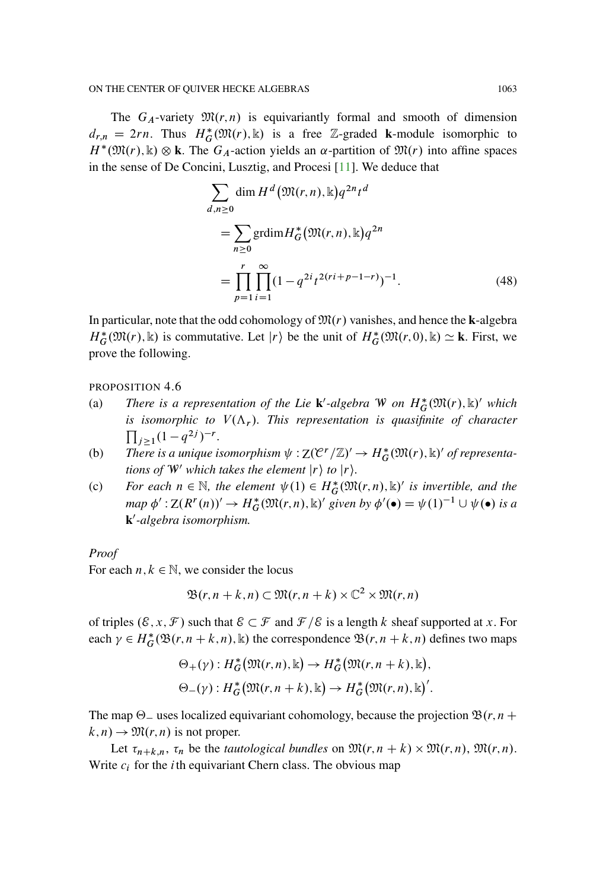The  $G_A$ -variety  $\mathfrak{M}(r,n)$  is equivariantly formal and smooth of dimension  $d_{r,n} = 2rn$ . Thus  $H_G^*(\mathfrak{M}(r), \mathbb{k})$  is a free Z-graded **k**-module isomorphic to  $H^*(\mathfrak{M}(r), \mathbb{k}) \otimes \mathbf{k}$ . The  $G_A$ -action yields an  $\alpha$ -partition of  $\mathfrak{M}(r)$  into affine spaces in the sense of De Concini, Lusztig, and Procesi [\[11](#page-94-6)]. We deduce that

<span id="page-58-0"></span>
$$
\sum_{d,n\geq 0} \dim H^d(\mathfrak{M}(r,n), \mathbb{k}) q^{2n} t^d
$$
  
= 
$$
\sum_{n\geq 0} \text{grdim} H^*_{G}(\mathfrak{M}(r,n), \mathbb{k}) q^{2n}
$$
  
= 
$$
\prod_{p=1}^r \prod_{i=1}^\infty (1 - q^{2i} t^{2(ri+p-1-r)})^{-1}.
$$
 (48)

In particular, note that the odd cohomology of  $\mathfrak{M}(r)$  vanishes, and hence the **k**-algebra  $H_G^*(\mathfrak{M}(r), \mathbb{k})$  is commutative. Let  $|r\rangle$  be the unit of  $H_G^*(\mathfrak{M}(r, 0), \mathbb{k}) \simeq \mathbf{k}$ . First, we prove the following.

#### PROPOSITION 4.6

- (a) *There is a representation of the Lie* **k**'-algebra W on  $H_G^*(\mathfrak{M}(r), \mathbb{k})'$  which *is isomorphic to*  $V(\Lambda_r)$ . This representation is quasifinite of character  $\prod_{j\geq 1} (1-q^{2j})^{-r}$ .
- (b) There is a unique isomorphism  $\psi : Z(\mathcal{C}^r/\mathbb{Z})' \to H^*_{G}(\mathfrak{M}(r), \mathbb{k})'$  of representa*tions of*  $W'$  *which takes the element*  $|r\rangle$  *to*  $|r\rangle$ *.*
- (c) For each  $n \in \mathbb{N}$ , the element  $\psi(1) \in H^*_{G}(\mathfrak{M}(r,n), \mathbb{k})'$  is invertible, and the  $map \phi' : Z(R^r(n))' \to H^*_{G}(\mathfrak{M}(r,n), \mathbb{k})'$  given by  $\phi'(\bullet) = \psi(1)^{-1} \cup \psi(\bullet)$  is a **k**0 *-algebra isomorphism.*

#### *Proof*

For each  $n, k \in \mathbb{N}$ , we consider the locus

$$
\mathfrak{B}(r, n+k, n) \subset \mathfrak{M}(r, n+k) \times \mathbb{C}^2 \times \mathfrak{M}(r, n)
$$

of triples  $(\mathcal{E}, x, \mathcal{F})$  such that  $\mathcal{E} \subset \mathcal{F}$  and  $\mathcal{F}/\mathcal{E}$  is a length k sheaf supported at x. For each  $\gamma \in H^*_{\mathcal{G}}(\mathfrak{B}(r,n+k,n),\mathbb{k})$  the correspondence  $\mathfrak{B}(r,n+k,n)$  defines two maps

$$
\Theta_+(\gamma): H^*_{G}(\mathfrak{M}(r,n), \mathbb{k}) \to H^*_{G}(\mathfrak{M}(r,n+k), \mathbb{k}),
$$
  

$$
\Theta_-(\gamma): H^*_{G}(\mathfrak{M}(r,n+k), \mathbb{k}) \to H^*_{G}(\mathfrak{M}(r,n), \mathbb{k})'.
$$

The map  $\Theta$  uses localized equivariant cohomology, because the projection  $\mathfrak{B}(r, n +$  $k, n) \rightarrow \mathfrak{M}(r, n)$  is not proper.

Let  $\tau_{n+k,n}$ ,  $\tau_n$  be the *tautological bundles* on  $\mathfrak{M}(r,n+k) \times \mathfrak{M}(r,n)$ ,  $\mathfrak{M}(r,n)$ . Write  $c_i$  for the *i* th equivariant Chern class. The obvious map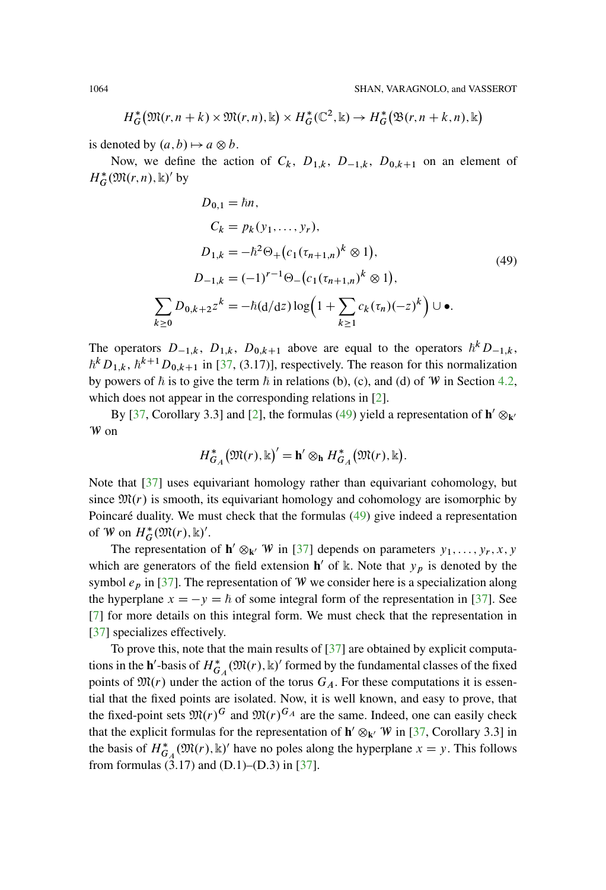$$
H_G^*(\mathfrak{M}(r,n+k)\times \mathfrak{M}(r,n),\mathbb{k})\times H_G^*(\mathbb{C}^2,\mathbb{k})\to H_G^*(\mathfrak{B}(r,n+k,n),\mathbb{k})
$$

is denoted by  $(a, b) \mapsto a \otimes b$ .

Now, we define the action of  $C_k$ ,  $D_{1,k}$ ,  $D_{-1,k}$ ,  $D_{0,k+1}$  on an element of  $H_G^*(\mathfrak{M}(r,n), \mathbb{k})'$  by

<span id="page-59-0"></span>
$$
D_{0,1} = \hbar n,
$$
  
\n
$$
C_k = p_k(y_1, \dots, y_r),
$$
  
\n
$$
D_{1,k} = -\hbar^2 \Theta_+ (c_1(\tau_{n+1,n})^k \otimes 1),
$$
  
\n
$$
D_{-1,k} = (-1)^{r-1} \Theta_- (c_1(\tau_{n+1,n})^k \otimes 1),
$$
  
\n
$$
\sum_{k \ge 0} D_{0,k+2} z^k = -\hbar (d/dz) \log \left( 1 + \sum_{k \ge 1} c_k(\tau_n) (-z)^k \right) \cup \bullet.
$$
  
\n(49)

The operators  $D_{-1,k}$ ,  $D_{1,k}$ ,  $D_{0,k+1}$  above are equal to the operators  $\hbar^k D_{-1,k}$ ,  $\hbar^k D_{1,k}$ ,  $\hbar^{k+1} D_{0,k+1}$  in [\[37](#page-95-7), (3.17)], respectively. The reason for this normalization by powers of  $\hbar$  is to give the term  $\hbar$  in relations (b), (c), and (d) of W in Section [4.2,](#page-50-1) which does not appear in the corresponding relations in [\[2](#page-93-1)].

By [\[37,](#page-95-7) Corollary 3.3] and [\[2](#page-93-1)], the formulas [\(49\)](#page-59-0) yield a representation of  $h' \otimes_{k'}$ W on

$$
H_{G_A}^*(\mathfrak{M}(r), \mathbb{k})' = \mathbf{h}' \otimes_{\mathbf{h}} H_{G_A}^*(\mathfrak{M}(r), \mathbb{k}).
$$

Note that [\[37](#page-95-7)] uses equivariant homology rather than equivariant cohomology, but since  $\mathfrak{M}(r)$  is smooth, its equivariant homology and cohomology are isomorphic by Poincaré duality. We must check that the formulas [\(49\)](#page-59-0) give indeed a representation of W on  $H^*_{G}(\mathfrak{M}(r), \mathbb{k})'$ .

The representation of  $h' \otimes_{k'} W$  in [\[37](#page-95-7)] depends on parameters  $y_1, \ldots, y_r, x, y$ which are generators of the field extension  $h'$  of k. Note that  $y_p$  is denoted by the symbol  $e_p$  in [\[37\]](#page-95-7). The representation of W we consider here is a specialization along the hyperplane  $x = -y = \hbar$  of some integral form of the representation in [\[37\]](#page-95-7). See [\[7](#page-94-7)] for more details on this integral form. We must check that the representation in [\[37\]](#page-95-7) specializes effectively.

To prove this, note that the main results of [\[37](#page-95-7)] are obtained by explicit computations in the **h**'-basis of  $H^*_{G_A}(\mathfrak{M}(r), \mathbb{k})$ ' formed by the fundamental classes of the fixed points of  $\mathfrak{M}(r)$  under the action of the torus  $G_A$ . For these computations it is essential that the fixed points are isolated. Now, it is well known, and easy to prove, that the fixed-point sets  $\mathfrak{M}(r)^G$  and  $\mathfrak{M}(r)^{G_A}$  are the same. Indeed, one can easily check that the explicit formulas for the representation of  $h' \otimes_{k'} W$  in [\[37,](#page-95-7) Corollary 3.3] in the basis of  $H^*_{G_A}(\mathfrak{M}(r), \mathbb{k})'$  have no poles along the hyperplane  $x = y$ . This follows from formulas  $(3.17)$  and  $(D.1)$ – $(D.3)$  in  $[37]$  $[37]$ .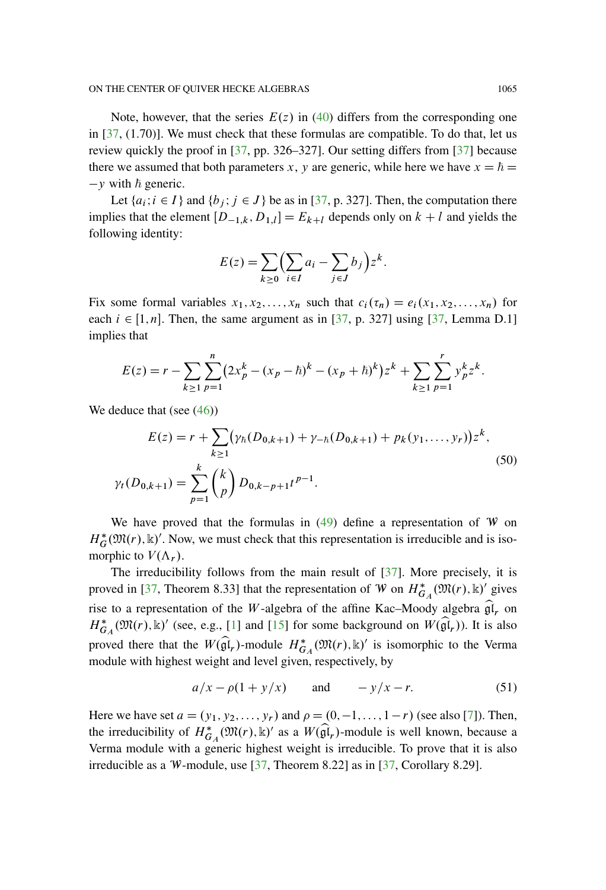Note, however, that the series  $E(z)$  in [\(40\)](#page-50-2) differs from the corresponding one in [\[37](#page-95-7), (1.70)]. We must check that these formulas are compatible. To do that, let us review quickly the proof in [\[37](#page-95-7), pp. 326–327]. Our setting differs from [\[37](#page-95-7)] because there we assumed that both parameters x, y are generic, while here we have  $x = \hbar$  $-y$  with  $\hbar$  generic.

Let  $\{a_i; i \in I\}$  and  $\{b_j; j \in J\}$  be as in [\[37](#page-95-7), p. 327]. Then, the computation there implies that the element  $[D_{-1,k}, D_{1,l}] = E_{k+l}$  depends only on  $k+l$  and yields the following identity:

$$
E(z) = \sum_{k \ge 0} \Bigl(\sum_{i \in I} a_i - \sum_{j \in J} b_j\Bigr) z^k.
$$

Fix some formal variables  $x_1, x_2,...,x_n$  such that  $c_i(\tau_n) = e_i(x_1, x_2,...,x_n)$  for each  $i \in [1, n]$ . Then, the same argument as in [\[37,](#page-95-7) p. 327] using [37, Lemma D.1] implies that

$$
E(z) = r - \sum_{k \ge 1} \sum_{p=1}^{n} (2x_p^k - (x_p - \hbar)^k - (x_p + \hbar)^k) z^k + \sum_{k \ge 1} \sum_{p=1}^{r} y_p^k z^k.
$$

We deduce that (see  $(46)$ )

$$
E(z) = r + \sum_{k \ge 1} (\gamma_h(D_{0,k+1}) + \gamma_{-h}(D_{0,k+1}) + p_k(y_1, \dots, y_r))z^k,
$$
  

$$
\gamma_t(D_{0,k+1}) = \sum_{p=1}^k {k \choose p} D_{0,k-p+1}t^{p-1}.
$$
 (50)

We have proved that the formulas in  $(49)$  define a representation of W on  $H_G^*(\mathfrak{M}(r), \mathbb{k})'$ . Now, we must check that this representation is irreducible and is isomorphic to  $V(\Lambda_r)$ .

The irreducibility follows from the main result of [\[37\]](#page-95-7). More precisely, it is proved in [\[37](#page-95-7), Theorem 8.33] that the representation of W on  $H^*_{G_A}(\mathfrak{M}(r), \mathbb{k})'$  gives rise to a representation of the W-algebra of the affine Kac–Moody algebra  $\hat{\mathfrak{gl}}_r$  on  $H^*_{G_A}(\mathfrak{M}(r), \mathbb{k})'$  (see, e.g., [\[1\]](#page-93-2) and [\[15](#page-94-8)] for some background on  $W(\widehat{\mathfrak{gl}}_r)$ ). It is also proved there that the  $W(\widehat{\mathfrak{gl}}_r)$ -module  $H^*_{G_A}(\mathfrak{M}(r), \mathbb{k})'$  is isomorphic to the Verma module with highest weight and level given, respectively, by

$$
a/x - \rho(1 + y/x) \qquad \text{and} \qquad -y/x - r. \tag{51}
$$

Here we have set  $a = (y_1, y_2,..., y_r)$  and  $\rho = (0, -1,..., 1 - r)$  (see also [\[7](#page-94-7)]). Then, the irreducibility of  $H^*_{G_A}(\mathfrak{M}(r), \mathbb{k})'$  as a  $W(\widehat{\mathfrak{gl}}_r)$ -module is well known, because a Verma module with a generic highest weight is irreducible. To prove that it is also irreducible as a W-module, use  $[37,$  $[37,$  Theorem 8.22] as in  $[37,$  Corollary 8.29].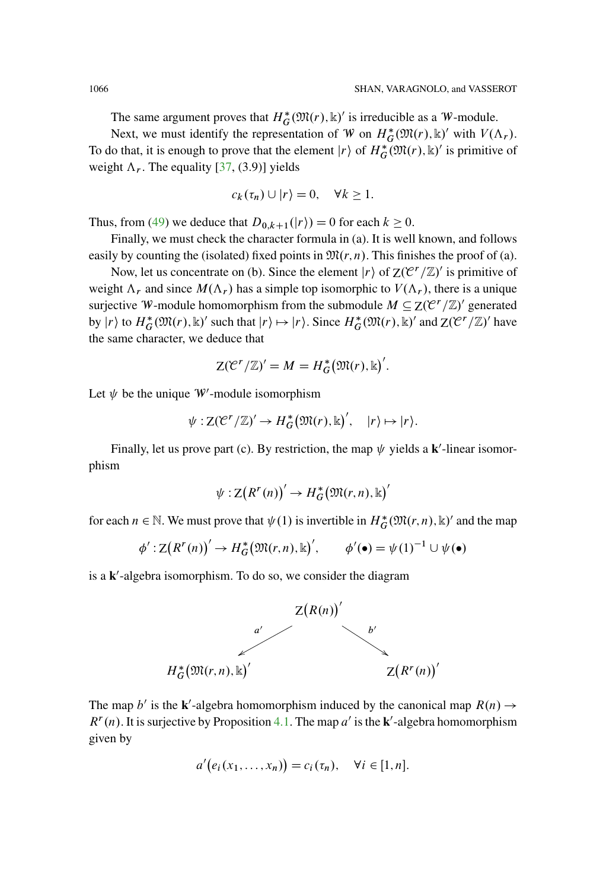The same argument proves that  $H_G^*(\mathfrak{M}(r), \mathbb{k})'$  is irreducible as a W-module.

Next, we must identify the representation of W on  $H^*_{\mathcal{G}}(\mathfrak{M}(r), \mathbb{k})'$  with  $V(\Lambda_r)$ . To do that, it is enough to prove that the element  $|r\rangle$  of  $H^*_{\mathcal{G}}(\mathfrak{M}(r), \mathbb{k})'$  is primitive of weight  $\Lambda_r$ . The equality [\[37,](#page-95-7) (3.9)] yields

$$
c_k(\tau_n) \cup |r\rangle = 0, \quad \forall k \ge 1.
$$

Thus, from [\(49\)](#page-59-0) we deduce that  $D_{0,k+1}(|r\rangle) = 0$  for each  $k \ge 0$ .

Finally, we must check the character formula in (a). It is well known, and follows easily by counting the (isolated) fixed points in  $\mathfrak{M}(r, n)$ . This finishes the proof of (a).

Now, let us concentrate on (b). Since the element  $|r\rangle$  of  $Z(\mathcal{C}^r/\mathbb{Z})'$  is primitive of weight  $\Lambda_r$  and since  $M(\Lambda_r)$  has a simple top isomorphic to  $V(\Lambda_r)$ , there is a unique surjective W-module homomorphism from the submodule  $M \subseteq Z(\mathcal{C}^r/\mathbb{Z})'$  generated by  $|r\rangle$  to  $H^*_G(\mathfrak{M}(r), \mathbb{k})'$  such that  $|r\rangle \mapsto |r\rangle$ . Since  $H^*_G(\mathfrak{M}(r), \mathbb{k})'$  and  $Z(\mathfrak{C}^r/\mathbb{Z})'$  have the same character, we deduce that

$$
Z(\mathcal{C}^r/\mathbb{Z})^{\prime}=M=H_G^{\ast}(\mathfrak{M}(r),\mathbb{k})^{\prime}.
$$

Let  $\psi$  be the unique W'-module isomorphism

$$
\psi: \mathsf{Z}(\mathcal{C}^r/\mathbb{Z})' \to H^*_G(\mathfrak{M}(r), \mathbb{k})', \quad |r\rangle \mapsto |r\rangle.
$$

Finally, let us prove part (c). By restriction, the map  $\psi$  yields a **k**'-linear isomorphism

$$
\psi: \mathsf{Z}\big(R^r(n)\big) \to H^*_G\big(\mathfrak{M}(r,n), \mathbb{k}\big)'
$$

for each  $n \in \mathbb{N}$ . We must prove that  $\psi(1)$  is invertible in  $H^*_{G}(\mathfrak{M}(r,n), \mathbb{k})'$  and the map

$$
\phi': \mathbf{Z}(R^r(n))' \to H^*_{G}(\mathfrak{M}(r,n), \mathbb{k})', \qquad \phi'(\bullet) = \psi(1)^{-1} \cup \psi(\bullet)
$$

is a k'-algebra isomorphism. To do so, we consider the diagram



The map b' is the **k**'-algebra homomorphism induced by the canonical map  $R(n) \rightarrow$  $R^{r}(n)$ . It is surjective by Proposition [4.1.](#page-48-0) The map a' is the **k**'-algebra homomorphism given by

$$
a'(e_i(x_1,\ldots,x_n))=c_i(\tau_n),\quad \forall i\in[1,n].
$$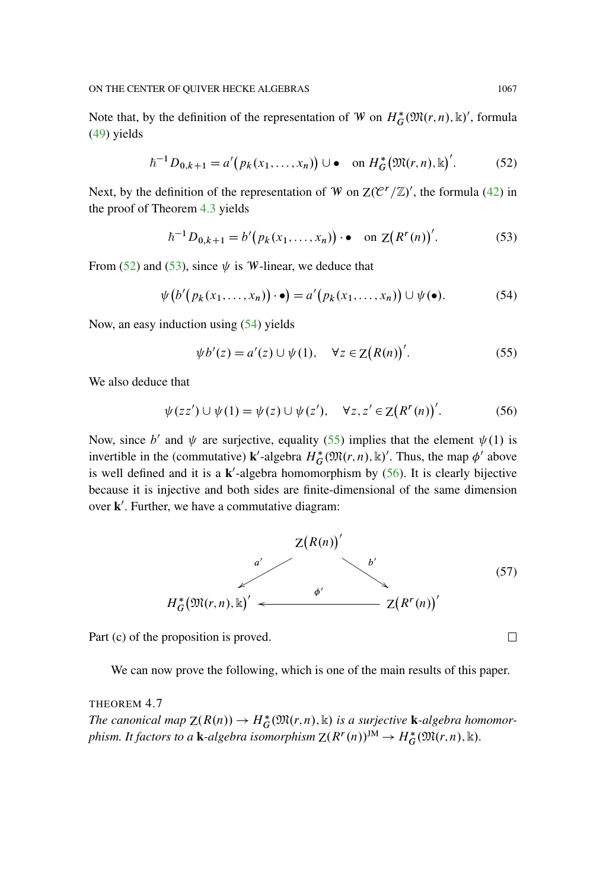Note that, by the definition of the representation of W on  $H_G^*(\mathfrak{M}(r,n), \mathbb{k})'$ , formula [\(49\)](#page-59-0) yields

<span id="page-62-0"></span>
$$
\hbar^{-1} D_{0,k+1} = a' (p_k(x_1, \dots, x_n)) \cup \bullet \quad \text{on } H_G^*(\mathfrak{M}(r,n), \mathbb{k})'.
$$
 (52)

Next, by the definition of the representation of W on  $Z(\mathcal{C}^r/\mathbb{Z})'$ , the formula [\(42\)](#page-53-0) in the proof of Theorem [4.3](#page-52-0) yields

<span id="page-62-1"></span>
$$
\hbar^{-1} D_{0,k+1} = b' (p_k(x_1, \dots, x_n)) \cdot \bullet \quad \text{on } \mathbb{Z} (R^r(n))'.
$$
 (53)

From [\(52\)](#page-62-0) and [\(53\)](#page-62-1), since  $\psi$  is W-linear, we deduce that

<span id="page-62-2"></span>
$$
\psi(b'(p_k(x_1,\ldots,x_n))\cdot\bullet) = a'(p_k(x_1,\ldots,x_n))\cup\psi(\bullet).
$$
 (54)

Now, an easy induction using [\(54\)](#page-62-2) yields

<span id="page-62-3"></span>
$$
\psi b'(z) = a'(z) \cup \psi(1), \quad \forall z \in \mathcal{Z}(R(n))'.
$$
 (55)

We also deduce that

<span id="page-62-4"></span>
$$
\psi(zz') \cup \psi(1) = \psi(z) \cup \psi(z'), \quad \forall z, z' \in Z(R^r(n))'.
$$
 (56)

Now, since b' and  $\psi$  are surjective, equality [\(55\)](#page-62-3) implies that the element  $\psi(1)$  is invertible in the (commutative) **k**'-algebra  $H_G^*(\mathfrak{M}(r,n), \mathbb{k})'$ . Thus, the map  $\phi'$  above is well defined and it is a  $k'$ -algebra homomorphism by  $(56)$ . It is clearly bijective because it is injective and both sides are finite-dimensional of the same dimension over **k**'. Further, we have a commutative diagram:



<span id="page-62-5"></span>Part (c) of the proposition is proved.

We can now prove the following, which is one of the main results of this paper.

THEOREM 4.7 *The canonical map*  $\mathbb{Z}(R(n)) \to H^*_{G}(\mathfrak{M}(r,n), \mathbb{k})$  *is a surjective* **k**-algebra homomorphism. It factors to a **k**-algebra isomorphism  $Z(R^r(n))^{JM} \to H_G^*(\mathfrak{M}(r,n), \mathbb{k})$ .

□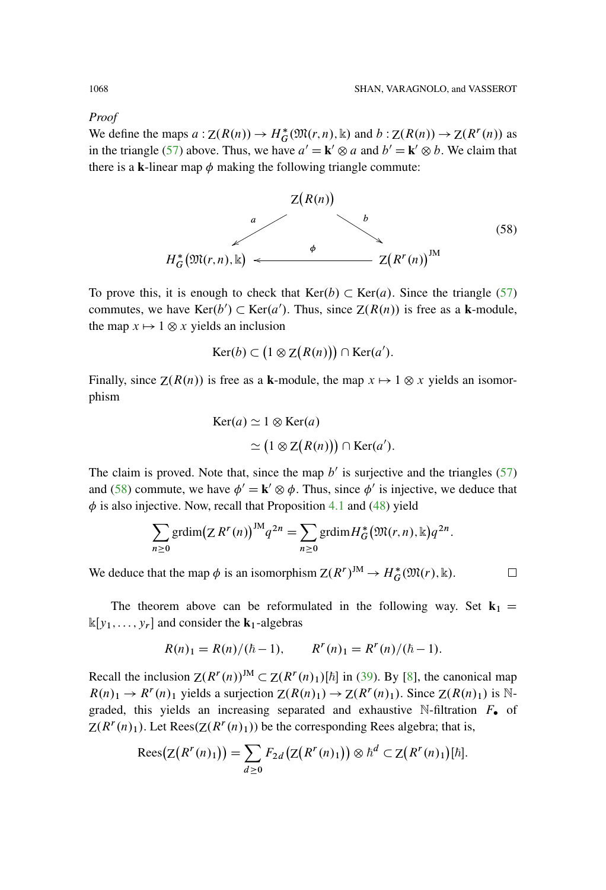*Proof*

We define the maps  $a: Z(R(n)) \to H^*_{G}(\mathfrak{M}(r,n), \mathbb{k})$  and  $b: Z(R(n)) \to Z(R^r(n))$  as in the triangle [\(57\)](#page-62-5) above. Thus, we have  $a' = \mathbf{k}' \otimes a$  and  $b' = \mathbf{k}' \otimes b$ . We claim that there is a **k**-linear map  $\phi$  making the following triangle commute:



<span id="page-63-0"></span>To prove this, it is enough to check that  $Ker(b) \subset Ker(a)$ . Since the triangle [\(57\)](#page-62-5) commutes, we have  $\text{Ker}(b') \subset \text{Ker}(a')$ . Thus, since  $Z(R(n))$  is free as a **k**-module, the map  $x \mapsto 1 \otimes x$  yields an inclusion

$$
Ker(b) \subset (1 \otimes Z(R(n))) \cap Ker(a').
$$

Finally, since  $Z(R(n))$  is free as a **k**-module, the map  $x \mapsto 1 \otimes x$  yields an isomorphism

$$
Ker(a) \simeq 1 \otimes Ker(a)
$$
  
\simeq (1 \otimes Z(R(n))) \cap Ker(a').

The claim is proved. Note that, since the map  $b'$  is surjective and the triangles [\(57\)](#page-62-5) and [\(58\)](#page-63-0) commute, we have  $\phi' = \mathbf{k}' \otimes \phi$ . Thus, since  $\phi'$  is injective, we deduce that  $\phi$  is also injective. Now, recall that Proposition [4.1](#page-48-0) and [\(48\)](#page-58-0) yield

$$
\sum_{n\geq 0} \operatorname{grdim} (Z R^r(n))^{JM} q^{2n} = \sum_{n\geq 0} \operatorname{grdim} H_G^* \big( \mathfrak{M}(r,n), \mathbb{k} \big) q^{2n}.
$$

We deduce that the map  $\phi$  is an isomorphism  $Z(R^r)^{JM} \to H_G^*(\mathfrak{M}(r), \mathbb{k})$ .

 $\Box$ 

The theorem above can be reformulated in the following way. Set  $\mathbf{k}_1$  =  $\mathbb{k}[y_1,\ldots,y_r]$  and consider the **k**<sub>1</sub>-algebras

$$
R(n)1 = R(n)/(\hbar - 1), \qquad R^{r}(n)1 = R^{r}(n)/(\hbar - 1).
$$

Recall the inclusion  $Z(R^r(n))^M \subset Z(R^r(n)_1)[\hbar]$  in [\(39\)](#page-49-0). By [\[8](#page-94-4)], the canonical map  $R(n)_1 \rightarrow R^r(n)_1$  yields a surjection  $Z(R(n)_1) \rightarrow Z(R^r(n)_1)$ . Since  $Z(R(n)_1)$  is Ngraded, this yields an increasing separated and exhaustive N-filtration  $F_{\bullet}$  of  $Z(R<sup>r</sup>(n)<sub>1</sub>)$ . Let Rees $(Z(R<sup>r</sup>(n)<sub>1</sub>))$  be the corresponding Rees algebra; that is,

$$
\operatorname{Rees}\bigl(Z\bigl(R^r(n)_1\bigr)\bigr)=\sum_{d\geq 0}F_{2d}\bigl(Z\bigl(R^r(n)_1\bigr)\bigr)\otimes \hbar^d\subset Z\bigl(R^r(n)_1\bigr)[\hbar].
$$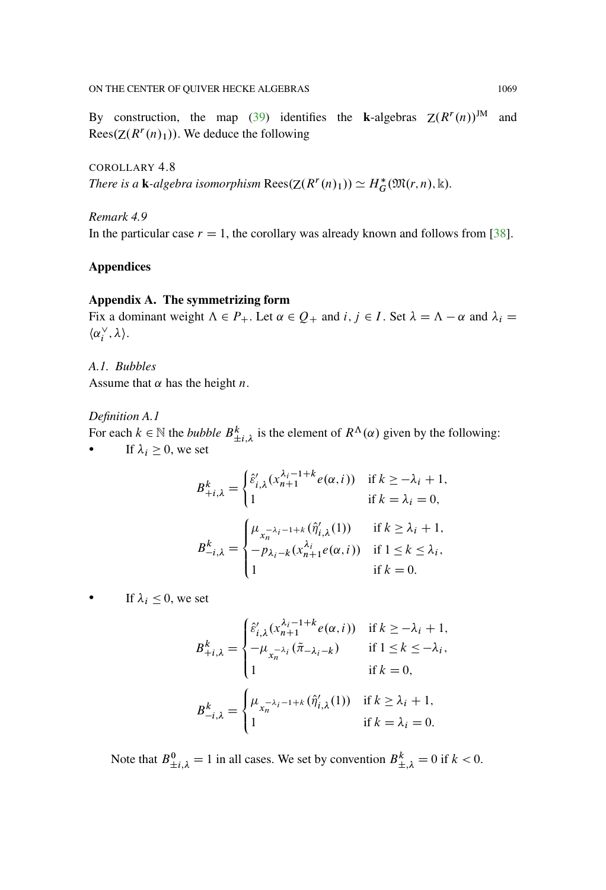By construction, the map [\(39\)](#page-49-0) identifies the **k**-algebras  $Z(R^r(n))^{JM}$  and Rees $(Z(R^r(n)_1))$ . We deduce the following

COROLLARY 4.8 *There is a* **k**-algebra isomorphism  $\text{Rees}(Z(R^r(n)_1)) \simeq H_G^*(\mathfrak{M}(r,n), \mathbb{k}).$ 

*Remark 4.9* In the particular case  $r = 1$ , the corollary was already known and follows from [\[38\]](#page-95-8).

# **Appendices**

## **Appendix A. The symmetrizing form**

Fix a dominant weight  $\Lambda \in P_+$ . Let  $\alpha \in Q_+$  and  $i, j \in I$ . Set  $\lambda = \Lambda - \alpha$  and  $\lambda_i =$  $\langle \alpha^{\vee}_i, \lambda \rangle.$ 

*A.1. Bubbles* Assume that  $\alpha$  has the height *n*.

### <span id="page-64-0"></span>*Definition A.1*

For each  $k \in \mathbb{N}$  the *bubble*  $B_{\pm i,\lambda}^k$  is the element of  $R^{\Lambda}(\alpha)$  given by the following: If  $\lambda_i \geq 0$ , we set

$$
B_{+i,\lambda}^k = \begin{cases} \hat{\varepsilon}'_{i,\lambda}(x_{n+1}^{\lambda_i-1+k}e(\alpha,i)) & \text{if } k \ge -\lambda_i + 1, \\ 1 & \text{if } k = \lambda_i = 0, \end{cases}
$$
  

$$
B_{-i,\lambda}^k = \begin{cases} \mu_{x_n^{-\lambda_i-1+k}}(\hat{\eta}'_{i,\lambda}(1)) & \text{if } k \ge \lambda_i + 1, \\ -p_{\lambda_i-k}(x_{n+1}^{\lambda_i}e(\alpha,i)) & \text{if } 1 \le k \le \lambda_i, \\ 1 & \text{if } k = 0. \end{cases}
$$

 $\bullet$  If  $\lambda_i \leq 0$ , we set

$$
B_{+i,\lambda}^{k} = \begin{cases} \hat{\varepsilon}'_{i,\lambda}(x_{n+1}^{\lambda_{i-1}+k}e(\alpha,i)) & \text{if } k \ge -\lambda_{i} + 1, \\ -\mu_{x_{n}^{-\lambda_{i}}}(\tilde{\pi}_{-\lambda_{i}-k}) & \text{if } 1 \le k \le -\lambda_{i}, \\ 1 & \text{if } k = 0, \end{cases}
$$

$$
B_{-i,\lambda}^{k} = \begin{cases} \mu_{x_{n}^{-\lambda_{i}-1+k}}(\hat{\eta}'_{i,\lambda}(1)) & \text{if } k \ge \lambda_{i} + 1, \\ 1 & \text{if } k = \lambda_{i} = 0. \end{cases}
$$

Note that  $B_{\pm i,\lambda}^0 = 1$  in all cases. We set by convention  $B_{\pm,\lambda}^k = 0$  if  $k < 0$ .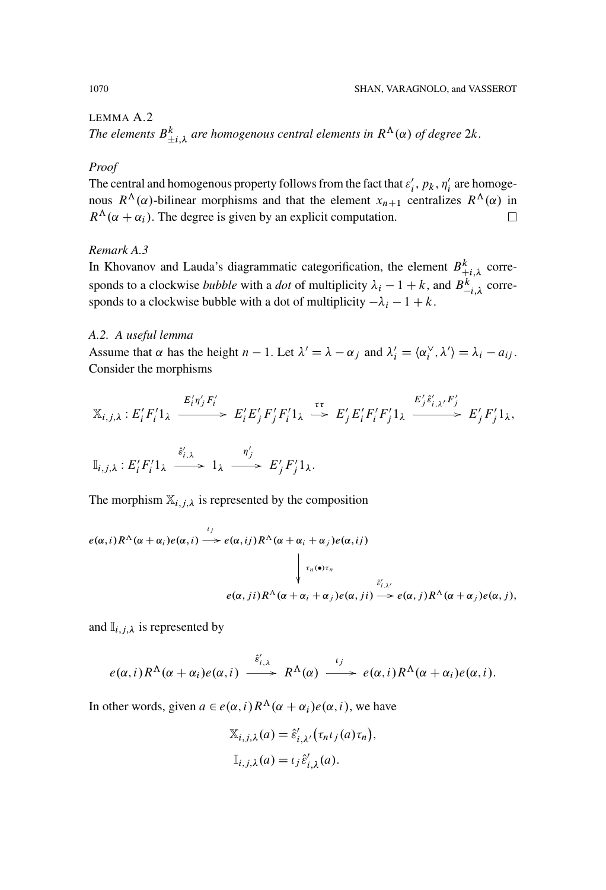# LEMMA A.2

The elements  $B_{\pm i,\lambda}^k$  are homogenous central elements in  $R^{\Lambda}(\alpha)$  of degree  $2k$ .

#### *Proof*

The central and homogenous property follows from the fact that  $\varepsilon_i^{\prime}$ ,  $p_k$ ,  $\eta_i^{\prime}$  are homogenous  $R^{\Lambda}(\alpha)$ -bilinear morphisms and that the element  $x_{n+1}$  centralizes  $R^{\Lambda}(\alpha)$  in  $R^{\Lambda}(\alpha + \alpha_i)$ . The degree is given by an explicit computation.  $\Box$ 

# *Remark A.3*

In Khovanov and Lauda's diagrammatic categorification, the element  $B_{+i,\lambda}^k$  corresponds to a clockwise *bubble* with a *dot* of multiplicity  $\lambda_i - 1 + k$ , and  $B_{-i,\lambda}^k$  corresponds to a clockwise bubble with a dot of multiplicity  $-\lambda_i - 1 + k$ .

# *A.2. A useful lemma*

Assume that  $\alpha$  has the height  $n-1$ . Let  $\lambda' = \lambda - \alpha_j$  and  $\lambda'_i = \langle \alpha_i^{\vee}, \lambda' \rangle = \lambda_i - a_{ij}$ . Consider the morphisms

$$
\mathbb{X}_{i,j,\lambda}: E'_i F'_i 1_{\lambda} \xrightarrow{E'_i \eta'_j F'_i} E'_j F'_j F'_i 1_{\lambda} \xrightarrow{\tau \tau} E'_j E'_i F'_i F'_j 1_{\lambda} \xrightarrow{E'_j \hat{\varepsilon}'_{i,\lambda'} F'_j} E'_j F'_j 1_{\lambda},
$$

$$
\mathbb{I}_{i,j,\lambda}: E_i' F_i' 1_{\lambda} \xrightarrow{\hat{\varepsilon}'_{i,\lambda}} 1_{\lambda} \xrightarrow{\eta'_j} E_j' F_j' 1_{\lambda}.
$$

The morphism  $\mathbb{X}_{i,j,\lambda}$  is represented by the composition

$$
e(\alpha, i) R^{\Lambda}(\alpha + \alpha_i) e(\alpha, i) \xrightarrow{i_j} e(\alpha, ij) R^{\Lambda}(\alpha + \alpha_i + \alpha_j) e(\alpha, ij)
$$

$$
\downarrow \tau_n(\bullet) \tau_n
$$

$$
e(\alpha, ji) R^{\Lambda}(\alpha + \alpha_i + \alpha_j) e(\alpha, ji) \xrightarrow{\hat{\varepsilon}'_{i, \lambda'}}
$$

$$
e(\alpha, ji) R^{\Lambda}(\alpha + \alpha_i + \alpha_j) e(\alpha, ji) \xrightarrow{\hat{\varepsilon}'_{i, \lambda'}}
$$

and  $\mathbb{I}_{i,j,\lambda}$  is represented by

$$
e(\alpha, i)R^{\Lambda}(\alpha + \alpha_i)e(\alpha, i) \xrightarrow{\hat{\epsilon}'_{i,\lambda}} R^{\Lambda}(\alpha) \xrightarrow{\iota_j} e(\alpha, i)R^{\Lambda}(\alpha + \alpha_i)e(\alpha, i).
$$

In other words, given  $a \in e(\alpha, i) R^{\Lambda}(\alpha + \alpha_i) e(\alpha, i)$ , we have

$$
\mathbb{X}_{i,j,\lambda}(a) = \hat{\varepsilon}'_{i,\lambda'}(\tau_n \iota_j(a)\tau_n),
$$
  

$$
\mathbb{I}_{i,j,\lambda}(a) = \iota_j \hat{\varepsilon}'_{i,\lambda}(a).
$$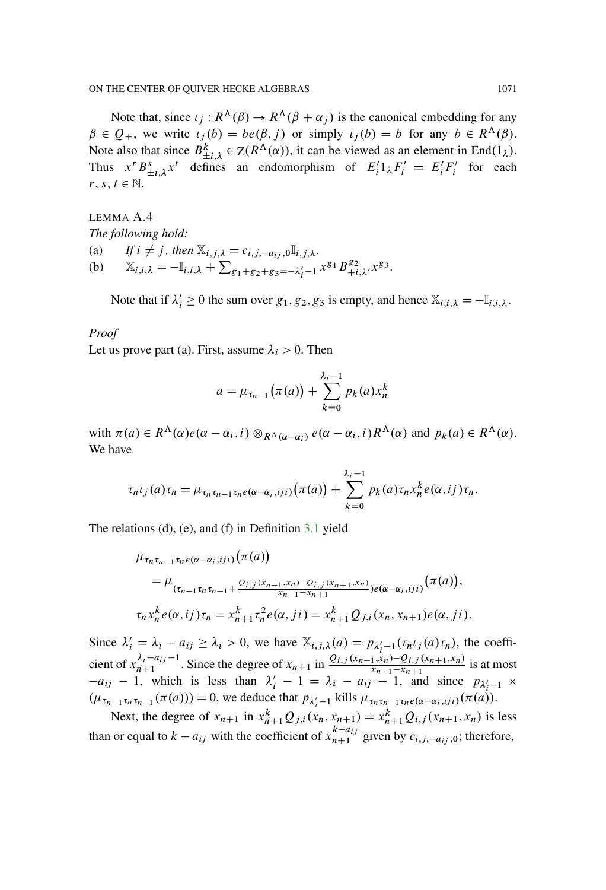Note that, since  $\iota_i : R^{\Lambda}(\beta) \to R^{\Lambda}(\beta + \alpha_i)$  is the canonical embedding for any  $\beta \in Q_+$ , we write  $\iota_i(b) = be(\beta, j)$  or simply  $\iota_i(b) = b$  for any  $b \in R^{\Lambda}(\beta)$ . Note also that since  $B_{\pm i,\lambda}^k \in Z(R^{\Lambda}(\alpha))$ , it can be viewed as an element in End(1<sub> $\lambda$ </sub>). Thus  $x^r B_{\pm i,\lambda}^s x^t$  defines an endomorphism of  $E_i' 1_\lambda F_i' = E_i' F_i'$  for each  $r, s, t \in \mathbb{N}$ .

LEMMA A.4 *The following hold:* (a) *If*  $i \neq j$ , then  $\mathbb{X}_{i,j,\lambda} = c_{i,j,-a_{ij}}, 0 \mathbb{I}_{i,j,\lambda}$ . (b)  $\mathbb{X}_{i,i,\lambda} = -\mathbb{I}_{i,i,\lambda} + \sum_{g_1+g_2+g_3=-\lambda'_i-1} x^{g_1} B^{g_2}_{+i,\lambda'} x^{g_3}$ .

Note that if  $\lambda'_i \ge 0$  the sum over  $g_1, g_2, g_3$  is empty, and hence  $\mathbb{X}_{i,i,\lambda} = -\mathbb{I}_{i,i,\lambda}$ .

#### *Proof*

Let us prove part (a). First, assume  $\lambda_i > 0$ . Then

$$
a = \mu_{\tau_{n-1}}(\pi(a)) + \sum_{k=0}^{\lambda_i - 1} p_k(a) x_n^k
$$

with  $\pi(a) \in R^{\Lambda}(\alpha) e(\alpha - \alpha_i, i) \otimes_{R^{\Lambda}(\alpha - \alpha_i)} e(\alpha - \alpha_i, i) R^{\Lambda}(\alpha)$  and  $p_k(a) \in R^{\Lambda}(\alpha)$ . We have

$$
\tau_n\iota_j(a)\tau_n=\mu_{\tau_n\tau_{n-1}\tau_n e(\alpha-\alpha_i, iji)}(\pi(a))+\sum_{k=0}^{\lambda_i-1}p_k(a)\tau_n x_n^k e(\alpha, i j)\tau_n.
$$

The relations (d), (e), and (f) in Definition [3.1](#page-11-0) yield

$$
\mu_{\tau_n \tau_{n-1} \tau_n e(\alpha - \alpha_i, i j i)}(\pi(a))
$$
\n
$$
= \mu_{(\tau_{n-1} \tau_n \tau_{n-1} + \frac{Q_{i,j}(x_{n-1}, x_n) - Q_{i,j}(x_{n+1}, x_n)}{x_{n-1} - x_{n+1}}) e(\alpha - \alpha_i, i j i)}(\pi(a)),
$$
\n
$$
\tau_n x_n^k e(\alpha, i j) \tau_n = x_{n+1}^k \tau_n^2 e(\alpha, j i) = x_{n+1}^k Q_{j,i}(x_n, x_{n+1}) e(\alpha, j i).
$$

Since  $\lambda'_i = \lambda_i - a_{ij} \ge \lambda_i > 0$ , we have  $\mathbb{X}_{i,j,\lambda}(a) = p_{\lambda'_i-1}(\tau_n \iota_j(a) \tau_n)$ , the coefficient of  $x_{n+1}^{\lambda_i - a_{ij}-1}$ . Since the degree of  $x_{n+1}$  in  $\frac{Q_{i,j}(x_{n-1},x_n)-Q_{i,j}(x_{n+1},x_n)}{x_{n-1}-x_{n+1}}$  is at most  $-a_{ij}$  – 1, which is less than  $\lambda'_i$  – 1 =  $\lambda_i$  –  $a_{ij}$  – 1, and since  $p_{\lambda'_i-1}$  ×  $(\mu_{\tau_{n-1}\tau_n\tau_{n-1}}(\pi(a))) = 0$ , we deduce that  $p_{\lambda'_i-1}$  kills  $\mu_{\tau_n\tau_{n-1}\tau_n e(\alpha-\alpha_i, iji)}(\pi(a)).$ 

Next, the degree of  $x_{n+1}$  in  $x_{n+1}^k Q_{j,i}(x_n, x_{n+1}) = x_{n+1}^k Q_{i,j}(x_{n+1}, x_n)$  is less than or equal to  $k - a_{ij}$  with the coefficient of  $x_{n+1}^{k-a_{ij}}$  given by  $c_{i,j,-a_{ij},0}$ ; therefore,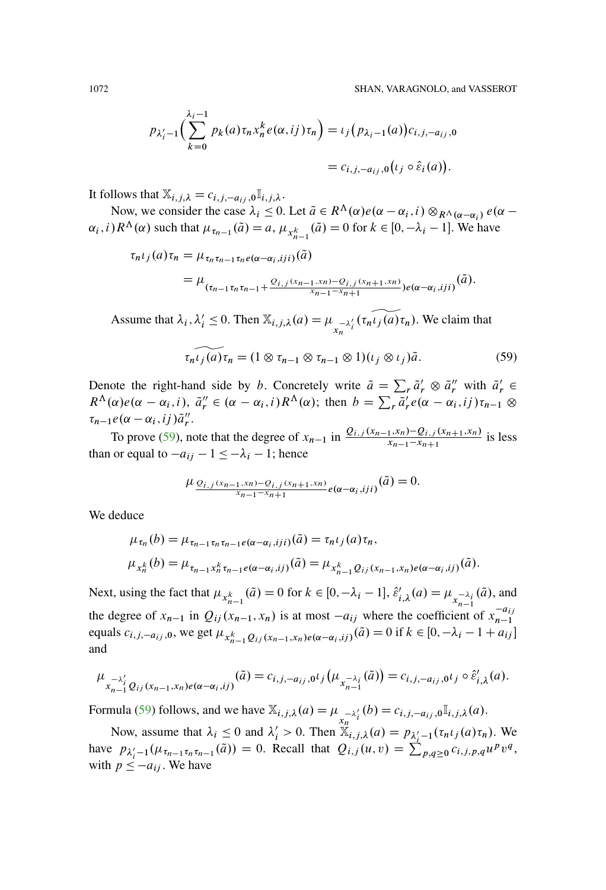$$
p_{\lambda'_i-1}\Big(\sum_{k=0}^{\lambda_i-1} p_k(a)\tau_n x_n^k e(\alpha,i j)\tau_n\Big) = \iota_j\big(p_{\lambda_i-1}(a)\big)c_{i,j,-a_{ij},0}
$$
  
=  $c_{i,j,-a_{ij},0}\big(\iota_j \circ \hat{\varepsilon}_i(a)\big).$ 

It follows that  $\mathbb{X}_{i,j,\lambda} = c_{i,j,-a_{ij},0} \mathbb{I}_{i,j,\lambda}$ .

Now, we consider the case  $\lambda_i \leq 0$ . Let  $\tilde{a} \in R^{\Lambda}(\alpha)e(\alpha - \alpha_i, i) \otimes_{R^{\Lambda}(\alpha - \alpha_i)} e(\alpha - \alpha_i)$  $\alpha_i$ , *i*)  $R^{\Lambda}(\alpha)$  such that  $\mu_{\tau_{n-1}}(\tilde{a}) = a$ ,  $\mu_{x_{n-1}^k}(\tilde{a}) = 0$  for  $k \in [0, -\lambda_i - 1]$ . We have

$$
\tau_n \iota_j(a) \tau_n = \mu_{\tau_n \tau_{n-1} \tau_n e(\alpha - \alpha_i, iji)}(\tilde{a})
$$
  
= 
$$
\mu_{(\tau_{n-1} \tau_n \tau_{n-1} + \frac{Q_{i,j}(x_{n-1}, x_n) - Q_{i,j}(x_{n+1}, x_n)}{x_{n-1} - x_{n+1}}) e(\alpha - \alpha_i, iji)}(\tilde{a}).
$$

Assume that  $\lambda_i$ ,  $\lambda'_i \leq 0$ . Then  $\mathbb{X}_{i,j,\lambda}(a) = \mu_{\substack{x \ n \lambda'_i}}(\tau_n \tilde{\iota}_j(a) \tau_n)$ . We claim that

<span id="page-67-0"></span>
$$
\widehat{\tau_n \iota_j(a)} \tau_n = (1 \otimes \tau_{n-1} \otimes \tau_{n-1} \otimes 1)(\iota_j \otimes \iota_j) \tilde{a}.
$$
 (59)

Denote the right-hand side by b. Concretely write  $\tilde{a} = \sum_r \tilde{a}'_r \otimes \tilde{a}''_r$  with  $\tilde{a}'_r \in$  $R^{\Lambda}(\alpha)e(\alpha-\alpha_i,i), \tilde{a}''_r \in (\alpha-\alpha_i,i)R^{\Lambda}(\alpha);$  then  $b = \sum_r \tilde{a}'_r e(\alpha-\alpha_i,ij)\tau_{n-1} \otimes$  $\tau_{n-1}e(\alpha-\alpha_i, ij)\tilde{a}_r''$ .

To prove [\(59\)](#page-67-0), note that the degree of  $x_{n-1}$  in  $\frac{Q_{i,j}(x_{n-1},x_n)-Q_{i,j}(x_{n+1},x_n)}{x_{n-1}-x_{n+1}}$  is less than or equal to  $-a_{ij} - 1 \leq -\lambda_i - 1$ ; hence

$$
\mu_{\frac{Q_{i,j}(x_{n-1},x_n)-Q_{i,j}(x_{n+1},x_n)}{x_{n-1}-x_{n+1}}}e(\alpha-\alpha_i,iji)}(\tilde{a})=0.
$$

We deduce

$$
\mu_{\tau_n}(b) = \mu_{\tau_{n-1}\tau_n\tau_{n-1}e(\alpha-\alpha_i,iji)}(\tilde{a}) = \tau_n\iota_j(a)\tau_n,
$$
  

$$
\mu_{x_n^k}(b) = \mu_{\tau_{n-1}x_n^k\tau_{n-1}e(\alpha-\alpha_i,ij)}(\tilde{a}) = \mu_{x_{n-1}^kQ_{ij}(x_{n-1},x_n)e(\alpha-\alpha_i,ij)}(\tilde{a}).
$$

Next, using the fact that  $\mu_{x_{n-1}^k}(\tilde{a}) = 0$  for  $k \in [0, -\lambda_i - 1]$ ,  $\hat{\varepsilon}'_{i,\lambda}(a) = \mu_{x_{n-1}^{-\lambda_i}}(\tilde{a})$ , and the degree of  $x_{n-1}$  in  $Q_{ij}(x_{n-1}, x_n)$  is at most  $-a_{ij}$  where the coefficient of  $x_{n-1}^{-a_{ij}}$ equals  $c_{i,j,-a_{ij},0}$ , we get  $\mu_{x_{n-1}^k Q_{ij}(x_{n-1},x_n)e(\alpha-\alpha_i,ij)}(\tilde{a}) = 0$  if  $k \in [0, -\lambda_i - 1 + a_{ij}]$ and

$$
\mu_{x_{n-1}^{-\lambda'_i} Q_{ij}(x_{n-1},x_n)e(\alpha-\alpha_i,ij)}(\tilde{a})=c_{i,j,-a_{ij},0} \iota_j(\mu_{x_{n-1}^{-\lambda_i}}(\tilde{a}))=c_{i,j,-a_{ij},0} \iota_j \circ \hat{\varepsilon}'_{i,\lambda}(a).
$$

Formula [\(59\)](#page-67-0) follows, and we have  $\mathbb{X}_{i,j,\lambda}(a) = \mu_{\substack{x_n \lambda'_i}}(b) = c_{i,j,-a_{ij}}, \substack{\text{if }i,j,\lambda(a)}$ .

Now, assume that  $\lambda_i \leq 0$  and  $\lambda'_i > 0$ . Then  $\ddot{x}_{i,j,\lambda}(a) = p_{\lambda'_i-1}(\tau_n \iota_j(a) \tau_n)$ . We have  $p_{\lambda'_i-1}(\mu_{\tau_{n-1}\tau_n\tau_{n-1}}(\tilde{a})) = 0$ . Recall that  $Q_{i,j}(u, v) = \sum_{p,q\geq 0}^{N_i} c_{i,j,p,q}u^pv^q$ , with  $p \leq -a_{ij}$ . We have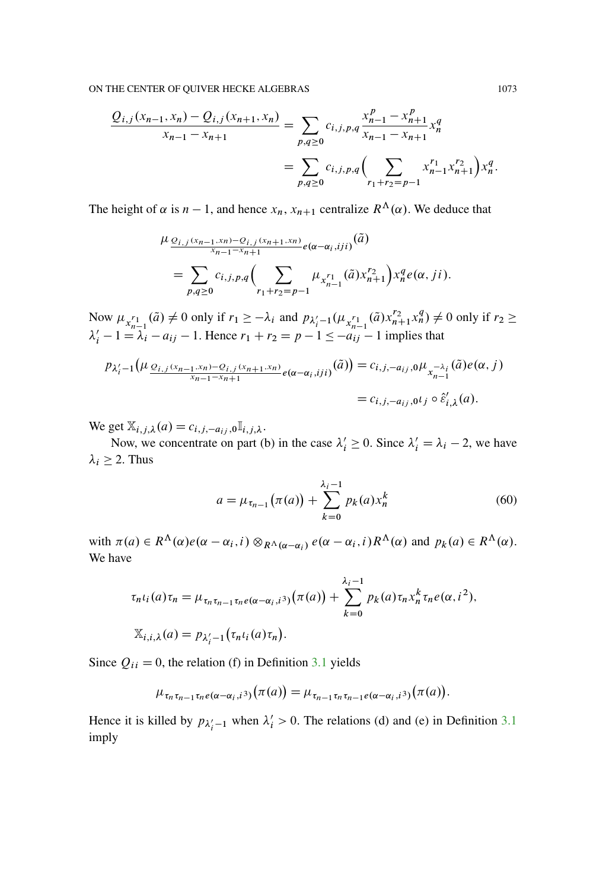$$
\frac{Q_{i,j}(x_{n-1},x_n) - Q_{i,j}(x_{n+1},x_n)}{x_{n-1} - x_{n+1}} = \sum_{p,q \ge 0} c_{i,j,p,q} \frac{x_{n-1}^p - x_{n+1}^p}{x_{n-1} - x_{n+1}} x_n^q
$$

$$
= \sum_{p,q \ge 0} c_{i,j,p,q} \left( \sum_{r_1+r_2=p-1} x_{n-1}^{r_1} x_{n+1}^{r_2} \right) x_n^q.
$$

The height of  $\alpha$  is  $n - 1$ , and hence  $x_n$ ,  $x_{n+1}$  centralize  $R^{\Lambda}(\alpha)$ . We deduce that

$$
\mu_{\frac{Q_{i,j}(x_{n-1},x_n)-Q_{i,j}(x_{n+1},x_n)}{x_{n-1}-x_{n+1}}}e(\alpha-\alpha_i,iji)^{(\tilde{a})}
$$
\n
$$
=\sum_{p,q\geq 0}c_{i,j,p,q}\left(\sum_{r_1+r_2=p-1}\mu_{x_{n-1}^{r_1}}(\tilde{a})x_{n+1}^{r_2}\right)x_n^q e(\alpha,ji).
$$

Now  $\mu_{x_{n-1}^{r_1}}(\tilde{a}) \neq 0$  only if  $r_1 \geq -\lambda_i$  and  $p_{\lambda'_i-1}(\mu_{x_{n-1}^{r_1}}(\tilde{a})x_{n+1}^{r_2}x_n^q) \neq 0$  only if  $r_2 \geq$  $\lambda'_i - 1 = \lambda_i - a_{ij} - 1$ . Hence  $r_1 + r_2 = p - 1 \le -a_{ij} - 1$  implies that

$$
p_{\lambda'_i-1}(\mu_{\frac{Q_{i,j}(x_{n-1},x_n)-Q_{i,j}(x_{n+1},x_n)}{x_{n-1}-x_{n+1}}}e_{(\alpha-\alpha_i,jji)}(\tilde{a})) = c_{i,j,-a_{ij},0}\mu_{x_{n-1}^{-\lambda_i}}(\tilde{a})e(\alpha,j)
$$
  
=  $c_{i,j,-a_{ij},0}t_j \circ \hat{\varepsilon}'_{i,\lambda}(a).$ 

We get  $\mathbb{X}_{i,j,\lambda}(a) = c_{i,j,-a_{ij},0}\mathbb{I}_{i,j,\lambda}$ .

Now, we concentrate on part (b) in the case  $\lambda'_i \geq 0$ . Since  $\lambda'_i = \lambda_i - 2$ , we have  $\lambda_i \geq 2$ . Thus

<span id="page-68-0"></span>
$$
a = \mu_{\tau_{n-1}}(\pi(a)) + \sum_{k=0}^{\lambda_i - 1} p_k(a) x_n^k
$$
 (60)

with  $\pi(a) \in R^{\Lambda}(\alpha) e(\alpha - \alpha_i, i) \otimes_{R^{\Lambda}(\alpha - \alpha_i)} e(\alpha - \alpha_i, i) R^{\Lambda}(\alpha)$  and  $p_k(a) \in R^{\Lambda}(\alpha)$ . We have

$$
\tau_n \iota_i(a) \tau_n = \mu_{\tau_n \tau_{n-1} \tau_n e(\alpha - \alpha_i, i^3)}(\pi(a)) + \sum_{k=0}^{\lambda_i - 1} p_k(a) \tau_n x_n^k \tau_n e(\alpha, i^2),
$$
  

$$
\mathbb{X}_{i,i,\lambda}(a) = p_{\lambda_i' - 1}(\tau_n \iota_i(a) \tau_n).
$$

Since  $Q_{ii} = 0$ , the relation (f) in Definition [3.1](#page-11-0) yields

$$
\mu_{\tau_n\tau_{n-1}\tau_n e(\alpha-\alpha_i,i^3)}(\pi(a)) = \mu_{\tau_{n-1}\tau_n\tau_{n-1}e(\alpha-\alpha_i,i^3)}(\pi(a)).
$$

Hence it is killed by  $p_{\lambda'_i-1}$  when  $\lambda'_i > 0$ . The relations (d) and (e) in Definition [3.1](#page-11-0) imply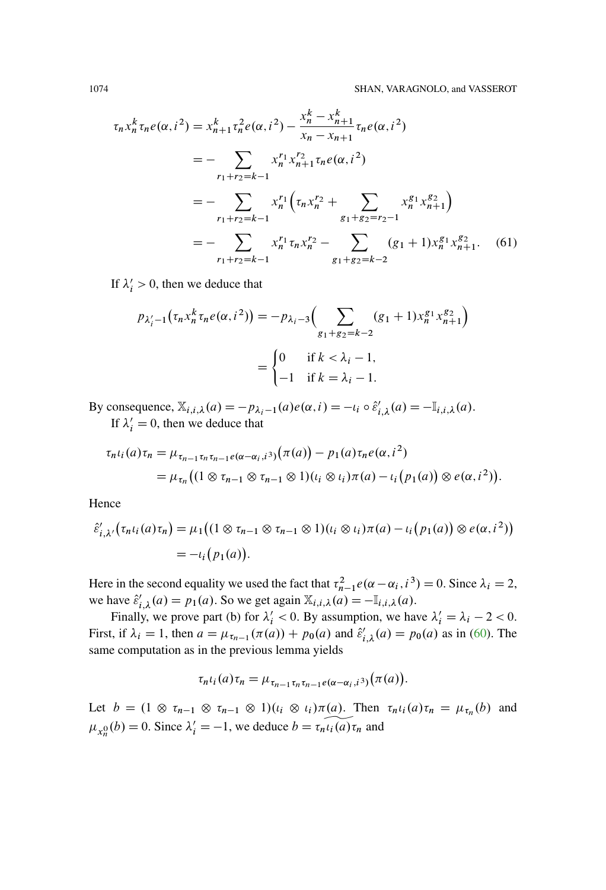<span id="page-69-0"></span>
$$
\tau_n x_n^k \tau_n e(\alpha, i^2) = x_{n+1}^k \tau_n^2 e(\alpha, i^2) - \frac{x_n^k - x_{n+1}^k}{x_n - x_{n+1}} \tau_n e(\alpha, i^2)
$$
  
\n
$$
= - \sum_{r_1 + r_2 = k-1} x_n^{r_1} x_{n+1}^{r_2} \tau_n e(\alpha, i^2)
$$
  
\n
$$
= - \sum_{r_1 + r_2 = k-1} x_n^{r_1} \left( \tau_n x_n^{r_2} + \sum_{g_1 + g_2 = r_2 - 1} x_n^{g_1} x_{n+1}^{g_2} \right)
$$
  
\n
$$
= - \sum_{r_1 + r_2 = k-1} x_n^{r_1} \tau_n x_n^{r_2} - \sum_{g_1 + g_2 = k-2} (g_1 + 1) x_n^{g_1} x_{n+1}^{g_2}.
$$
 (61)

If  $\lambda'_i > 0$ , then we deduce that

$$
p_{\lambda'_i - 1}(\tau_n x_n^k \tau_n e(\alpha, i^2)) = -p_{\lambda_i - 3} \Big( \sum_{g_1 + g_2 = k - 2} (g_1 + 1) x_n^{g_1} x_{n+1}^{g_2} \Big)
$$
  
= 
$$
\begin{cases} 0 & \text{if } k < \lambda_i - 1, \\ -1 & \text{if } k = \lambda_i - 1. \end{cases}
$$

By consequence,  $\mathbb{X}_{i,i,\lambda}(a) = -p_{\lambda_i-1}(a)e(\alpha, i) = -i_i \circ \hat{\varepsilon}'_{i,\lambda}(a) = -\mathbb{I}_{i,i,\lambda}(a)$ . If  $\lambda'_i = 0$ , then we deduce that

$$
\tau_{n} \iota_{i}(a) \tau_{n} = \mu_{\tau_{n-1} \tau_{n} \tau_{n-1} e(\alpha - \alpha_{i}, i^{3})}(\pi(a)) - p_{1}(a) \tau_{n} e(\alpha, i^{2})
$$
  
= 
$$
\mu_{\tau_{n}} \big( (1 \otimes \tau_{n-1} \otimes \tau_{n-1} \otimes 1)(\iota_{i} \otimes \iota_{i}) \pi(a) - \iota_{i} (p_{1}(a)) \otimes e(\alpha, i^{2}) \big).
$$

Hence

$$
\hat{\varepsilon}'_{i,\lambda'}(\tau_n\iota_i(a)\tau_n) = \mu_1((1 \otimes \tau_{n-1} \otimes \tau_{n-1} \otimes 1)(\iota_i \otimes \iota_i)\pi(a) - \iota_i(p_1(a)) \otimes e(\alpha, i^2))
$$
  
= 
$$
-\iota_i(p_1(a)).
$$

Here in the second equality we used the fact that  $\tau_{n-1}^2 e(\alpha - \alpha_i, i^3) = 0$ . Since  $\lambda_i = 2$ , we have  $\hat{\varepsilon}'_{i,\lambda}(a) = p_1(a)$ . So we get again  $\mathbb{X}_{i,i,\lambda}(a) = -\mathbb{I}_{i,i,\lambda}(a)$ .

Finally, we prove part (b) for  $\lambda'_i < 0$ . By assumption, we have  $\lambda'_i = \lambda_i - 2 < 0$ . First, if  $\lambda_i = 1$ , then  $a = \mu_{\tau_{n-1}}(\pi(a)) + p_0(a)$  and  $\hat{\varepsilon}'_{i,\lambda}(a) = p_0(a)$  as in [\(60\)](#page-68-0). The same computation as in the previous lemma yields

$$
\tau_n\iota_i(a)\tau_n=\mu_{\tau_{n-1}\tau_n\tau_{n-1}e(\alpha-\alpha_i,i^3)}(\pi(a)).
$$

Let  $b = (1 \otimes \tau_{n-1} \otimes \tau_{n-1} \otimes 1)(\iota_i \otimes \iota_i)\pi(a)$ . Then  $\tau_n \iota_i(a)\tau_n = \mu_{\tau_n}(b)$  and  $\mu_{x_n^0}(b) = 0$ . Since  $\lambda'_i = -1$ , we deduce  $b = \tau_n \widetilde{\mu_i(a)} \tau_n$  and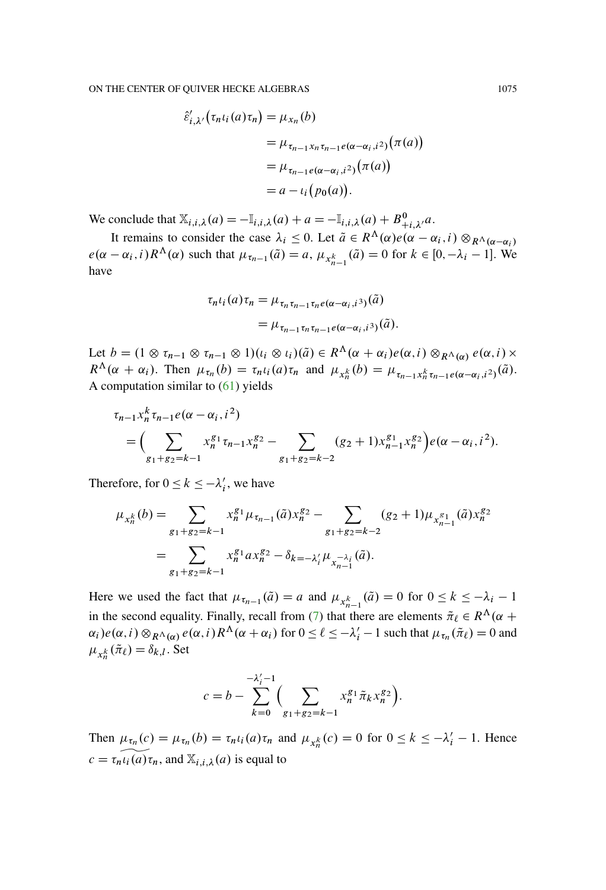$$
\hat{\varepsilon}'_{i,\lambda'}(\tau_n \iota_i(a)\tau_n) = \mu_{x_n}(b)
$$
  
=  $\mu_{\tau_{n-1}x_n\tau_{n-1}e(\alpha-\alpha_i,i^2)}(\pi(a))$   
=  $\mu_{\tau_{n-1}e(\alpha-\alpha_i,i^2)}(\pi(a))$   
=  $a - \iota_i(p_0(a)).$ 

We conclude that  $\mathbb{X}_{i,i,\lambda}(a) = -\mathbb{I}_{i,i,\lambda}(a) + a = -\mathbb{I}_{i,i,\lambda}(a) + B^0_{+i,\lambda'}a$ .

It remains to consider the case  $\lambda_i \leq 0$ . Let  $\tilde{a} \in R^{\Lambda}(\alpha)e(\alpha - \alpha_i, i) \otimes_{R^{\Lambda}(\alpha - \alpha_i)}$  $e(\alpha - \alpha_i, i) R^{\Lambda}(\alpha)$  such that  $\mu_{\tau_{n-1}}(\tilde{a}) = a$ ,  $\mu_{x_{n-1}^k}(\tilde{a}) = 0$  for  $k \in [0, -\lambda_i - 1]$ . We have

$$
\tau_n \iota_i(a) \tau_n = \mu_{\tau_n \tau_{n-1} \tau_n e(\alpha - \alpha_i, i^3)}(\tilde{a})
$$
  
= 
$$
\mu_{\tau_{n-1} \tau_n \tau_{n-1} e(\alpha - \alpha_i, i^3)}(\tilde{a}).
$$

Let  $b = (1 \otimes \tau_{n-1} \otimes \tau_{n-1} \otimes 1)(\iota_i \otimes \iota_i)(\tilde{a}) \in R^{\Lambda}(\alpha + \alpha_i)e(\alpha, i) \otimes_{R^{\Lambda}(\alpha)} e(\alpha, i) \times$  $R^{\Lambda}(\alpha + \alpha_i)$ . Then  $\mu_{\tau_n}(b) = \tau_n \iota_i(a) \tau_n$  and  $\mu_{x_n^k}(b) = \mu_{\tau_{n-1} x_n^k \tau_{n-1} e(\alpha - \alpha_i, i^2)}(\tilde{a})$ . A computation similar to  $(61)$  yields

$$
\tau_{n-1} x_n^k \tau_{n-1} e(\alpha - \alpha_i, i^2) = \left( \sum_{g_1 + g_2 = k-1} x_n^{g_1} \tau_{n-1} x_n^{g_2} - \sum_{g_1 + g_2 = k-2} (g_2 + 1) x_{n-1}^{g_1} x_n^{g_2} \right) e(\alpha - \alpha_i, i^2).
$$

Therefore, for  $0 \le k \le -\lambda'_i$ , we have

$$
\mu_{x_n^k}(b) = \sum_{g_1+g_2=k-1} x_n^{g_1} \mu_{\tau_{n-1}}(\tilde{a}) x_n^{g_2} - \sum_{g_1+g_2=k-2} (g_2+1) \mu_{x_{n-1}^{g_1}}(\tilde{a}) x_n^{g_2}
$$

$$
= \sum_{g_1+g_2=k-1} x_n^{g_1} a x_n^{g_2} - \delta_{k=-\lambda_i'} \mu_{x_{n-1}^{-\lambda_i}}(\tilde{a}).
$$

Here we used the fact that  $\mu_{\tau_{n-1}}(\tilde{a}) = a$  and  $\mu_{x_{n-1}^k}(\tilde{a}) = 0$  for  $0 \le k \le -\lambda_i - 1$ in the second equality. Finally, recall from [\(7\)](#page-15-0) that there are elements  $\tilde{\pi}_{\ell} \in R^{\Lambda}(\alpha +$  $\alpha_i$ ) $e(\alpha, i) \otimes_{R^{\Lambda}(\alpha)} e(\alpha, i) R^{\Lambda}(\alpha + \alpha_i)$  for  $0 \leq \ell \leq -\lambda'_i - 1$  such that  $\mu_{\tau_n}(\tilde{\pi}_{\ell}) = 0$  and  $\mu_{x_n^k}(\tilde{\pi}_{\ell}) = \delta_{k,l}$ . Set

$$
c = b - \sum_{k=0}^{-\lambda'_i - 1} \Biggl( \sum_{g_1 + g_2 = k - 1} x_n^{g_1} \tilde{\pi}_k x_n^{g_2} \Biggr).
$$

Then  $\mu_{\tau_n}(c) = \mu_{\tau_n}(b) = \tau_n \iota_i(a) \tau_n$  and  $\mu_{x_n^k}(c) = 0$  for  $0 \le k \le -\lambda'_i - 1$ . Hence  $c = \tau_n \widetilde{\iota_i(a)} \tau_n$ , and  $\mathbb{X}_{i,i,\lambda}(a)$  is equal to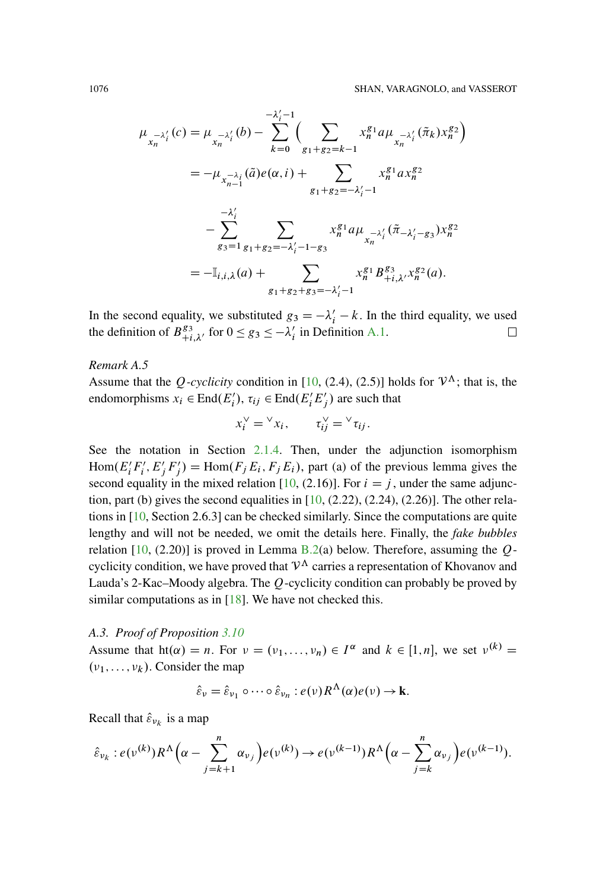$$
\mu_{x_n-\lambda'_i}(c) = \mu_{x_n-\lambda'_i}(b) - \sum_{k=0}^{-\lambda'_i-1} \Biggl(\sum_{g_1+g_2=k-1} x_n^{g_1} a \mu_{x_n-\lambda'_i}(\tilde{\pi}_k) x_n^{g_2}\Biggr)
$$
  
\n
$$
= -\mu_{x_{n-1}^{-\lambda_i}}(\tilde{a}) e(\alpha, i) + \sum_{g_1+g_2=-\lambda'_i-1} x_n^{g_1} a x_n^{g_2}
$$
  
\n
$$
- \sum_{g_3=1}^{-\lambda'_i} \sum_{g_1+g_2=-\lambda'_i-1-g_3} x_n^{g_1} a \mu_{x_n-\lambda'_i}(\tilde{\pi}_{-\lambda'_i-g_3}) x_n^{g_2}
$$
  
\n
$$
= -\mathbb{I}_{i,i,\lambda}(a) + \sum_{g_1+g_2+g_3=-\lambda'_i-1} x_n^{g_1} B_{+i,\lambda'}^{g_3} x_n^{g_2}(a).
$$

In the second equality, we substituted  $g_3 = -\lambda'_i - k$ . In the third equality, we used the definition of  $B_{+i,\lambda'}^{g_3}$  for  $0 \le g_3 \le -\lambda'_i$  in Definition [A.1.](#page-64-0)  $\Box$ 

*Remark A.5*

Assume that the Q-cyclicity condition in [\[10,](#page-94-9) (2.4), (2.5)] holds for  $V^{\Lambda}$ ; that is, the endomorphisms  $x_i \in \text{End}(E_i'), \tau_{ij} \in \text{End}(E_i'E_j')$  are such that

$$
x_i^{\vee} = {}^{\vee} x_i, \qquad \tau_{ij}^{\vee} = {}^{\vee} \tau_{ij}.
$$

See the notation in Section  $2.1.4$ . Then, under the adjunction isomorphism  $Hom(E'_i F'_i, E'_j F'_j) = Hom(F_j E_i, F_j E_i)$ , part (a) of the previous lemma gives the second equality in the mixed relation [\[10,](#page-94-9) (2.16)]. For  $i = j$ , under the same adjunction, part (b) gives the second equalities in  $[10, (2.22), (2.24), (2.26)]$  $[10, (2.22), (2.24), (2.26)]$ . The other relations in [\[10,](#page-94-9) Section 2.6.3] can be checked similarly. Since the computations are quite lengthy and will not be needed, we omit the details here. Finally, the *fake bubbles* relation  $[10, (2.20)]$  $[10, (2.20)]$  is proved in Lemma [B.2\(](#page-78-1)a) below. Therefore, assuming the Qcyclicity condition, we have proved that  $V^{\Lambda}$  carries a representation of Khovanov and Lauda's 2-Kac–Moody algebra. The Q-cyclicity condition can probably be proved by similar computations as in [\[18\]](#page-94-10). We have not checked this.

### *A.3. Proof of Proposition [3.10](#page-16-0)*

Assume that  $\text{ht}(\alpha) = n$ . For  $\nu = (\nu_1, \dots, \nu_n) \in I^{\alpha}$  and  $k \in [1, n]$ , we set  $\nu^{(k)} =$  $(v_1,\ldots,v_k)$ . Consider the map

$$
\hat{\varepsilon}_v = \hat{\varepsilon}_{v_1} \circ \cdots \circ \hat{\varepsilon}_{v_n} : e(v) R^{\Lambda}(\alpha) e(v) \to \mathbf{k}.
$$

Recall that  $\hat{\varepsilon}_{v_k}$  is a map

$$
\hat{\varepsilon}_{\nu_k}: e(\nu^{(k)})R^{\Lambda}\Big(\alpha-\sum_{j=k+1}^n \alpha_{\nu_j}\Big)e(\nu^{(k)}) \to e(\nu^{(k-1)})R^{\Lambda}\Big(\alpha-\sum_{j=k}^n \alpha_{\nu_j}\Big)e(\nu^{(k-1)}).
$$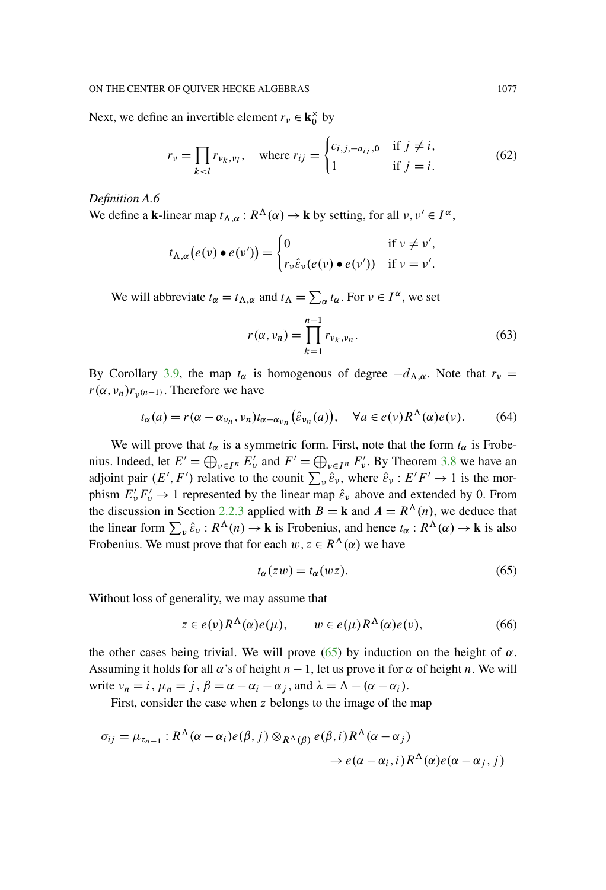Next, we define an invertible element  $r_v \in \mathbf{k}_0^{\times}$  by

$$
r_{\nu} = \prod_{k < l} r_{\nu_k, \nu_l}, \quad \text{where } r_{ij} = \begin{cases} c_{i,j,-a_{ij},0} & \text{if } j \neq i, \\ 1 & \text{if } j = i. \end{cases} \tag{62}
$$

*Definition A.6*

We define a **k**-linear map  $t_{\Lambda,\alpha}: R^{\Lambda}(\alpha) \to \mathbf{k}$  by setting, for all  $v, v' \in I^{\alpha}$ ,

$$
t_{\Lambda,\alpha}(e(\nu)\bullet e(\nu'))=\begin{cases}0 & \text{if } \nu\neq\nu',\\ r_{\nu}\hat{\varepsilon}_{\nu}(e(\nu)\bullet e(\nu')) & \text{if } \nu=\nu'.\end{cases}
$$

We will abbreviate  $t_{\alpha} = t_{\Lambda,\alpha}$  and  $t_{\Lambda} = \sum_{\alpha} t_{\alpha}$ . For  $\nu \in I^{\alpha}$ , we set

$$
r(\alpha, \nu_n) = \prod_{k=1}^{n-1} r_{\nu_k, \nu_n}.
$$
\n
$$
(63)
$$

By Corollary [3.9,](#page-15-0) the map  $t_{\alpha}$  is homogenous of degree  $-d_{\Lambda,\alpha}$ . Note that  $r_{\nu}$  =  $r(\alpha, \nu_n)r_{\nu^{(n-1)}}$ . Therefore we have

<span id="page-72-1"></span>
$$
t_{\alpha}(a) = r(\alpha - \alpha_{\nu_n}, \nu_n)t_{\alpha - \alpha_{\nu_n}}(\hat{\varepsilon}_{\nu_n}(a)), \quad \forall a \in e(\nu)R^{\Lambda}(\alpha)e(\nu). \tag{64}
$$

We will prove that  $t_{\alpha}$  is a symmetric form. First, note that the form  $t_{\alpha}$  is Frobenius. Indeed, let  $E' = \bigoplus_{\nu \in I^n} E'_\nu$  and  $F' = \bigoplus_{\nu \in I^n} F'_\nu$ . By Theorem [3.8](#page-15-1) we have an adjoint pair  $(E', F')$  relative to the counit  $\sum_{v} \hat{\varepsilon}_{v}$ , where  $\hat{\varepsilon}_{v}$ :  $E'F' \rightarrow 1$  is the morphism  $E'_{\nu} F'_{\nu} \rightarrow 1$  represented by the linear map  $\hat{\varepsilon}_{\nu}$  above and extended by 0. From the discussion in Section [2.2.3](#page-9-0) applied with  $B = \mathbf{k}$  and  $A = R^{\Lambda}(n)$ , we deduce that the linear form  $\sum_{v} \hat{\epsilon}_{v}$ :  $R^{\Lambda}(n) \to \mathbf{k}$  is Frobenius, and hence  $t_{\alpha}$ :  $R^{\Lambda}(\alpha) \to \mathbf{k}$  is also Frobenius. We must prove that for each  $w, z \in R^{\Lambda}(\alpha)$  we have

<span id="page-72-0"></span>
$$
t_{\alpha}(zw) = t_{\alpha}(wz). \tag{65}
$$

Without loss of generality, we may assume that

$$
z \in e(\nu)R^{\Lambda}(\alpha)e(\mu), \qquad w \in e(\mu)R^{\Lambda}(\alpha)e(\nu), \tag{66}
$$

the other cases being trivial. We will prove [\(65\)](#page-72-0) by induction on the height of  $\alpha$ . Assuming it holds for all  $\alpha$ 's of height  $n - 1$ , let us prove it for  $\alpha$  of height n. We will write  $v_n = i$ ,  $\mu_n = j$ ,  $\beta = \alpha - \alpha_i - \alpha_j$ , and  $\lambda = \Lambda - (\alpha - \alpha_i)$ .

First, consider the case when z belongs to the image of the map

$$
\sigma_{ij} = \mu_{\tau_{n-1}} : R^{\Lambda}(\alpha - \alpha_i) e(\beta, j) \otimes_{R^{\Lambda}(\beta)} e(\beta, i) R^{\Lambda}(\alpha - \alpha_j)
$$
  

$$
\rightarrow e(\alpha - \alpha_i, i) R^{\Lambda}(\alpha) e(\alpha - \alpha_j, j)
$$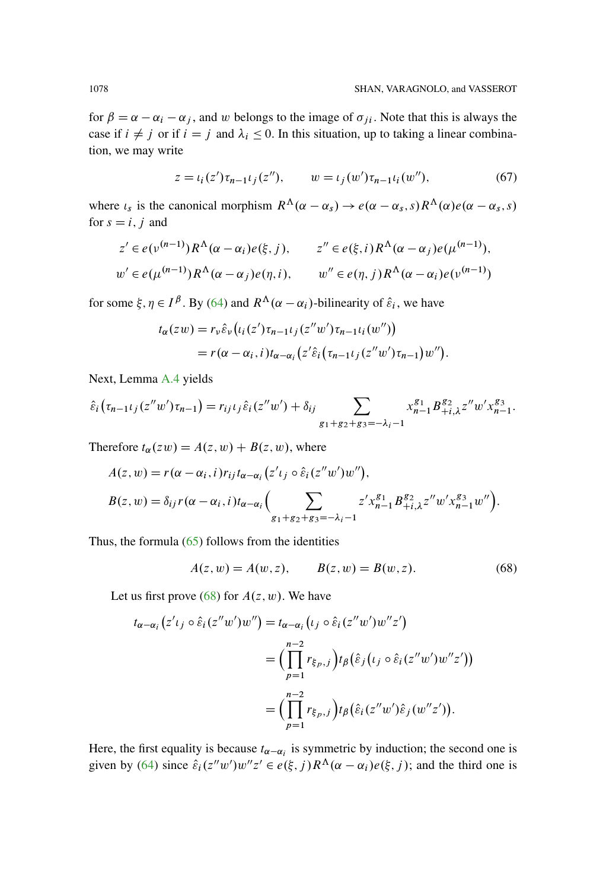for  $\beta = \alpha - \alpha_i - \alpha_j$ , and w belongs to the image of  $\sigma_{ji}$ . Note that this is always the case if  $i \neq j$  or if  $i = j$  and  $\lambda_i \leq 0$ . In this situation, up to taking a linear combination, we may write

<span id="page-73-1"></span>
$$
z = t_i(z')\tau_{n-1}t_j(z''), \qquad w = t_j(w')\tau_{n-1}t_i(w''), \tag{67}
$$

where  $\iota_s$  is the canonical morphism  $R^{\Lambda}(\alpha - \alpha_s) \to e(\alpha - \alpha_s, s)R^{\Lambda}(\alpha)e(\alpha - \alpha_s, s)$ for  $s = i, j$  and

$$
z' \in e(\nu^{(n-1)})R^{\Lambda}(\alpha - \alpha_i)e(\xi, j), \qquad z'' \in e(\xi, i)R^{\Lambda}(\alpha - \alpha_j)e(\mu^{(n-1)}),
$$
  

$$
w' \in e(\mu^{(n-1)})R^{\Lambda}(\alpha - \alpha_j)e(\eta, i), \qquad w'' \in e(\eta, j)R^{\Lambda}(\alpha - \alpha_i)e(\nu^{(n-1)})
$$

for some  $\xi, \eta \in I^{\beta}$ . By (64) and  $R^{\Lambda}(\alpha - \alpha_i)$ -bilinearity of  $\hat{\varepsilon}_i$ , we have

$$
t_{\alpha}(zw) = r_{\nu}\hat{\varepsilon}_{\nu}\big(t_i(z')\tau_{n-1}t_j(z''w')\tau_{n-1}t_i(w'')\big)
$$
  
=  $r(\alpha - \alpha_i, i)t_{\alpha - \alpha_i}\big(z'\hat{\varepsilon}_i\big(\tau_{n-1}t_j(z''w')\tau_{n-1}\big)w''\big).$ 

Next, Lemma A.4 yields

$$
\hat{\varepsilon}_i(\tau_{n-1}t_j(z''w')\tau_{n-1}) = r_{ij}t_j\hat{\varepsilon}_i(z''w') + \delta_{ij} \sum_{g_1+g_2+g_3=-\lambda_i-1} x_{n-1}^{g_1} B_{+i,\lambda}^{g_2} z''w'x_{n-1}^{g_3}.
$$

Therefore  $t_{\alpha}(zw) = A(z, w) + B(z, w)$ , where

$$
A(z, w) = r(\alpha - \alpha_i, i) r_{ij} t_{\alpha - \alpha_i} (z' \iota_j \circ \hat{\varepsilon}_i (z''w')w''),
$$
  
\n
$$
B(z, w) = \delta_{ij} r(\alpha - \alpha_i, i) t_{\alpha - \alpha_i} \Big( \sum_{g_1 + g_2 + g_3 = -\lambda_i - 1} z' x_{n-1}^{g_1} B_{+i,\lambda}^{g_2} z'' w' x_{n-1}^{g_3} w'' \Big).
$$

Thus, the formula  $(65)$  follows from the identities

<span id="page-73-0"></span>
$$
A(z, w) = A(w, z), \qquad B(z, w) = B(w, z). \tag{68}
$$

Let us first prove (68) for  $A(z, w)$ . We have

$$
t_{\alpha-\alpha_i}(z' \iota_j \circ \hat{\varepsilon}_i(z''w')w'') = t_{\alpha-\alpha_i}(\iota_j \circ \hat{\varepsilon}_i(z''w')w''z')
$$
  

$$
= \left(\prod_{p=1}^{n-2} r_{\xi_p,j}\right) t_\beta\left(\hat{\varepsilon}_j(\iota_j \circ \hat{\varepsilon}_i(z''w')w''z')\right)
$$
  

$$
= \left(\prod_{p=1}^{n-2} r_{\xi_p,j}\right) t_\beta\left(\hat{\varepsilon}_i(z''w')\hat{\varepsilon}_j(w''z')\right).
$$

Here, the first equality is because  $t_{\alpha-\alpha_i}$  is symmetric by induction; the second one is given by (64) since  $\hat{\varepsilon}_i(z''w')w''z' \in e(\xi, j)R^{\Lambda}(\alpha - \alpha_i)e(\xi, j)$ ; and the third one is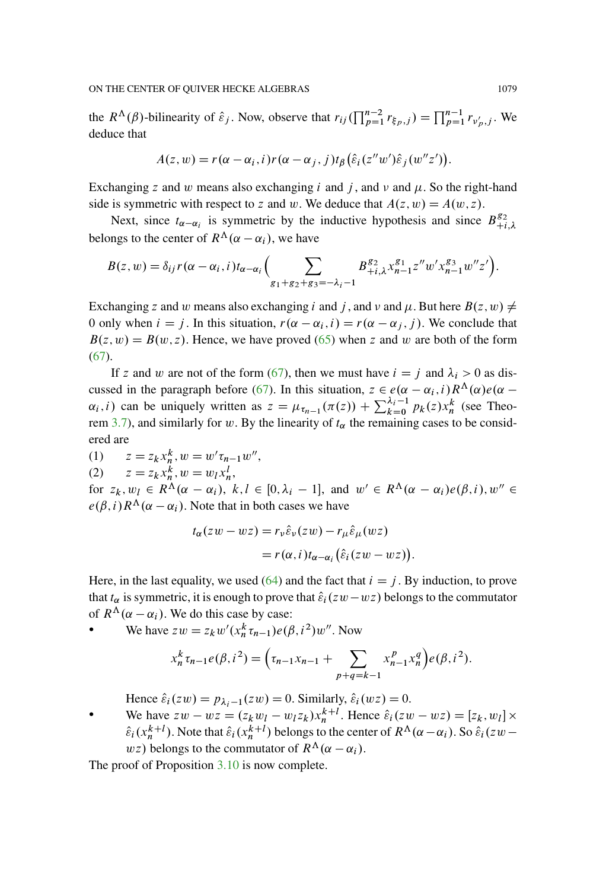the  $R^{\Lambda}(\beta)$ -bilinearity of  $\hat{\varepsilon}_j$ . Now, observe that  $r_{ij}(\prod_{p=1}^{n-2} r_{\xi_p,j}) = \prod_{p=1}^{n-1} r_{\nu_p',j}$ . We deduce that

$$
A(z, w) = r(\alpha - \alpha_i, i) r(\alpha - \alpha_j, j) t_{\beta} (\hat{\varepsilon}_i(z''w')\hat{\varepsilon}_j(w''z')).
$$

Exchanging z and w means also exchanging i and j, and  $\nu$  and  $\mu$ . So the right-hand side is symmetric with respect to z and w. We deduce that  $A(z, w) = A(w, z)$ .

Next, since  $t_{\alpha-\alpha_i}$  is symmetric by the inductive hypothesis and since  $B_{+i,\lambda}^{g_2}$ belongs to the center of  $R^{\Lambda}(\alpha - \alpha_i)$ , we have

$$
B(z, w) = \delta_{ij} r(\alpha - \alpha_i, i) t_{\alpha - \alpha_i} \Big( \sum_{g_1 + g_2 + g_3 = -\lambda_i - 1} B_{+i, \lambda}^{g_2} x_{n-1}^{g_1} z'' w' x_{n-1}^{g_3} w'' z' \Big).
$$

Exchanging z and w means also exchanging i and j, and v and  $\mu$ . But here  $B(z, w) \neq$ 0 only when  $i = j$ . In this situation,  $r(\alpha - \alpha_i, i) = r(\alpha - \alpha_j, j)$ . We conclude that  $B(z, w) = B(w, z)$ . Hence, we have proved [\(65\)](#page-72-0) when z and w are both of the form [\(67\)](#page-73-1).

If z and w are not of the form [\(67\)](#page-73-1), then we must have  $i = j$  and  $\lambda_i > 0$  as dis-cussed in the paragraph before [\(67\)](#page-73-1). In this situation,  $z \in e(\alpha - \alpha_i, i) R^{\Lambda}(\alpha) e(\alpha - \alpha_i)$  $\alpha_i$ , i) can be uniquely written as  $z = \mu_{\tau_{n-1}}(\pi(z)) + \sum_{k=0}^{\lambda_i-1} p_k(z) x_n^k$  (see Theo-rem [3.7\)](#page-14-0), and similarly for w. By the linearity of  $t_{\alpha}$  the remaining cases to be considered are

(1)  $z = z_k x_n^k, w = w' \tau_{n-1} w''$ , (2)  $z = z_k x_n^k, w = w_l x_n^l,$ 

for  $z_k, w_l \in R^{\Lambda}(\alpha - \alpha_i)$ ,  $k, l \in [0, \lambda_i - 1]$ , and  $w' \in R^{\Lambda}(\alpha - \alpha_i)e(\beta, i)$ ,  $w'' \in$  $e(\beta, i) R^{\Lambda}(\alpha - \alpha_i)$ . Note that in both cases we have

$$
t_{\alpha}(zw - wz) = r_{\nu}\hat{\varepsilon}_{\nu}(zw) - r_{\mu}\hat{\varepsilon}_{\mu}(wz)
$$

$$
= r(\alpha, i)t_{\alpha-\alpha_i}(\hat{\varepsilon}_i(zw - wz))
$$

Here, in the last equality, we used [\(64\)](#page-72-1) and the fact that  $i = j$ . By induction, to prove that  $t_{\alpha}$  is symmetric, it is enough to prove that  $\hat{\varepsilon}_i(zw-wz)$  belongs to the commutator of  $R^{\Lambda}(\alpha - \alpha_i)$ . We do this case by case:

• We have  $zw = z_k w'(x_n^k \tau_{n-1}) e(\beta, i^2) w''$ . Now

$$
x_n^k \tau_{n-1} e(\beta, i^2) = \left(\tau_{n-1} x_{n-1} + \sum_{p+q=k-1} x_{n-1}^p x_n^q\right) e(\beta, i^2).
$$

:

Hence  $\hat{\varepsilon}_i(zw) = p_{\lambda_i - 1}(zw) = 0$ . Similarly,  $\hat{\varepsilon}_i(wz) = 0$ .

We have  $zw - wz = (z_kw_l - w_lz_k)x_n^{k+l}$ . Hence  $\hat{\varepsilon}_i(zw - wz) = [z_k, w_l] \times$  $\hat{\epsilon}_i(x_n^{k+l})$ . Note that  $\hat{\epsilon}_i(x_n^{k+l})$  belongs to the center of  $R^{\Lambda}(\alpha - \alpha_i)$ . So  $\hat{\epsilon}_i(zw - \alpha_i)$ wz) belongs to the commutator of  $R^{\Lambda}(\alpha - \alpha_i)$ .

The proof of Proposition [3.10](#page-16-0) is now complete.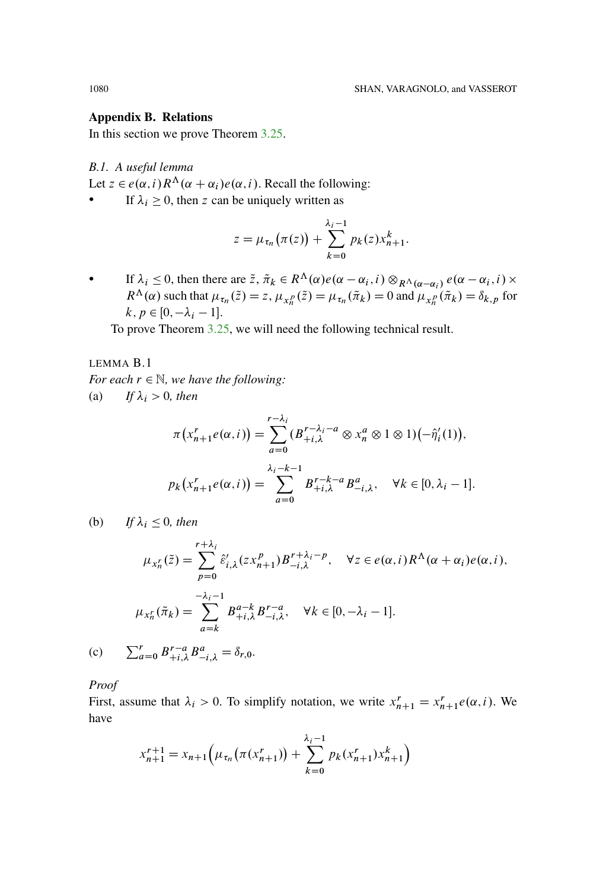### **Appendix B. Relations**

In this section we prove Theorem  $3.25$ .

B.1. A useful lemma

Let  $z \in e(\alpha, i) R^{\Lambda}(\alpha + \alpha_i) e(\alpha, i)$ . Recall the following:

If  $\lambda_i \geq 0$ , then z can be uniquely written as  $\bullet$ 

$$
z = \mu_{\tau_n}(\pi(z)) + \sum_{k=0}^{\lambda_i-1} p_k(z) x_{n+1}^k.
$$

If  $\lambda_i \leq 0$ , then there are  $\tilde{z}$ ,  $\tilde{\pi}_k \in R^{\Lambda}(\alpha) e(\alpha - \alpha_i, i) \otimes_{R^{\Lambda}(\alpha - \alpha_i)} e(\alpha - \alpha_i, i) \times$  $R^{\Lambda}(\alpha)$  such that  $\mu_{\tau_n}(\tilde{z}) = z$ ,  $\mu_{x_n^p}(\tilde{z}) = \mu_{\tau_n}(\tilde{\pi}_k) = 0$  and  $\mu_{x_n^p}(\tilde{\pi}_k) = \delta_{k,p}$  for  $k, p \in [0, -\lambda_i - 1].$ 

To prove Theorem  $3.25$ , we will need the following technical result.

<span id="page-75-0"></span>LEMMA B.1 For each  $r \in \mathbb{N}$ , we have the following: (a) If  $\lambda_i > 0$ , then

$$
\pi\left(x_{n+1}^r e(\alpha, i)\right) = \sum_{a=0}^{r-\lambda_i} \left(B_{+i,\lambda}^{r-\lambda_i - a} \otimes x_n^a \otimes 1 \otimes 1\right) \left(-\hat{\eta}_i'(1)\right),
$$
  

$$
p_k\left(x_{n+1}^r e(\alpha, i)\right) = \sum_{a=0}^{\lambda_i - k - 1} B_{+i,\lambda}^{r-k-a} B_{-i,\lambda}^a, \quad \forall k \in [0, \lambda_i - 1].
$$

(b) If  $\lambda_i \leq 0$ , then

$$
\mu_{x_n^r}(\tilde{z}) = \sum_{p=0}^{r+\lambda_i} \hat{\varepsilon}'_{i,\lambda}(zx_{n+1}^p) B_{-i,\lambda}^{r+\lambda_i-p}, \quad \forall z \in e(\alpha, i) R^{\Lambda}(\alpha + \alpha_i) e(\alpha, i),
$$

$$
\mu_{x_n^r}(\tilde{\pi}_k) = \sum_{a=k}^{-\lambda_i - 1} B_{+i,\lambda}^{a-k} B_{-i,\lambda}^{r-a}, \quad \forall k \in [0, -\lambda_i - 1].
$$

(c)  $\sum_{a=0}^{r} B_{+i}^{r-a} B_{-i}^{a} = \delta_{r,0}.$ 

Proof

First, assume that  $\lambda_i > 0$ . To simplify notation, we write  $x_{n+1}^r = x_{n+1}^r e(\alpha, i)$ . We have

$$
x_{n+1}^{r+1} = x_{n+1} \left( \mu_{\tau_n} \left( \pi(x_{n+1}^r) \right) + \sum_{k=0}^{\lambda_i - 1} p_k(x_{n+1}^r) x_{n+1}^k \right)
$$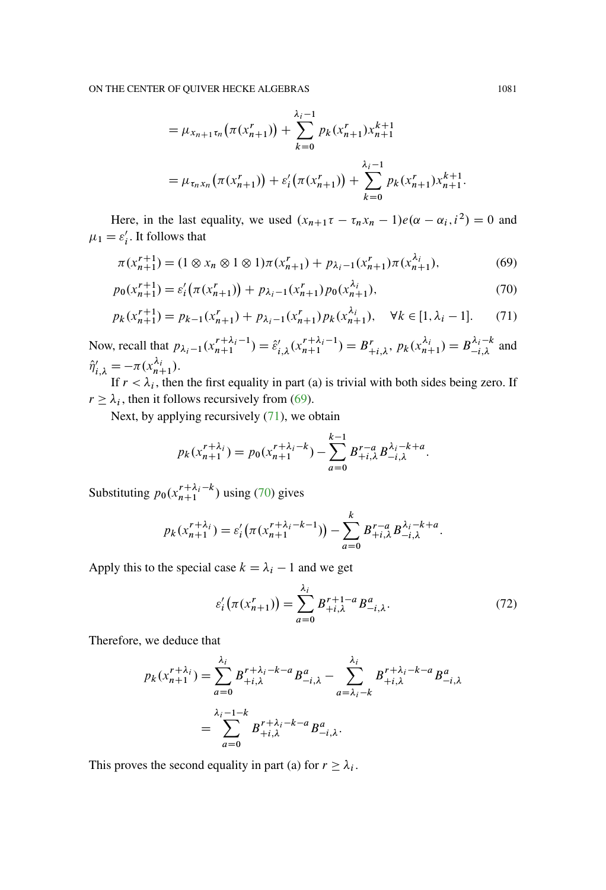<span id="page-76-0"></span>
$$
= \mu_{x_{n+1}\tau_n}(\pi(x'_{n+1})) + \sum_{k=0}^{\lambda_i-1} p_k(x'_{n+1})x_{n+1}^{k+1}
$$
  
=  $\mu_{\tau_n x_n}(\pi(x'_{n+1})) + \varepsilon'_i(\pi(x'_{n+1})) + \sum_{k=0}^{\lambda_i-1} p_k(x'_{n+1})x_{n+1}^{k+1}.$ 

Here, in the last equality, we used  $(x_{n+1}\tau - \tau_n x_n - 1)e(\alpha - \alpha_i, i^2) = 0$  and  $\mu_1 = \varepsilon'_i$ . It follows that

$$
\pi(x_{n+1}^{r+1}) = (1 \otimes x_n \otimes 1 \otimes 1)\pi(x_{n+1}^r) + p_{\lambda_i - 1}(x_{n+1}^r)\pi(x_{n+1}^{\lambda_i}),\tag{69}
$$

$$
p_0(x_{n+1}^{r+1}) = \varepsilon_i'(\pi(x_{n+1}^r)) + p_{\lambda_i - 1}(x_{n+1}^r) p_0(x_{n+1}^{\lambda_i}),
$$
\n(70)

$$
p_k(x_{n+1}^{r+1}) = p_{k-1}(x_{n+1}^r) + p_{\lambda_i - 1}(x_{n+1}^r) p_k(x_{n+1}^{\lambda_i}), \quad \forall k \in [1, \lambda_i - 1].
$$
 (71)

Now, recall that  $p_{\lambda_i-1}(x_{n+1}^{r+\lambda_i-1}) = \hat{\varepsilon}'_{i,\lambda}(x_{n+1}^{r+\lambda_i-1}) = B^r_{+i,\lambda}, p_k(x_{n+1}^{\lambda_i}) = B^{\lambda_i-k}_{-i,\lambda}$  and  $\hat{\eta}'_{i,\lambda} = -\pi (x_{n+1}^{\lambda_i}).$ 

If  $r < \lambda_i$ , then the first equality in part (a) is trivial with both sides being zero. If  $r \geq \lambda_i$ , then it follows recursively from [\(69\)](#page-76-0).

Next, by applying recursively [\(71\)](#page-76-1), we obtain

<span id="page-76-2"></span><span id="page-76-1"></span>
$$
p_k(x_{n+1}^{r+\lambda_i}) = p_0(x_{n+1}^{r+\lambda_i-k}) - \sum_{a=0}^{k-1} B_{+i,\lambda}^{r-a} B_{-i,\lambda}^{\lambda_i-k+a}.
$$

Substituting  $p_0(x_{n+1}^{r+\lambda_i-k})$  using [\(70\)](#page-76-2) gives

$$
p_k(x_{n+1}^{r+\lambda_i}) = \varepsilon'_i(\pi(x_{n+1}^{r+\lambda_i-k-1})) - \sum_{a=0}^k B_{+i,\lambda}^{r-a} B_{-i,\lambda}^{\lambda_i-k+a}.
$$

Apply this to the special case  $k = \lambda_i - 1$  and we get

<span id="page-76-3"></span>
$$
\varepsilon'_{i}(\pi(x'_{n+1})) = \sum_{a=0}^{\lambda_{i}} B^{r+1-a}_{+i,\lambda} B^{a}_{-i,\lambda}.
$$
 (72)

Therefore, we deduce that

$$
p_k(x_{n+1}^{r+\lambda_i}) = \sum_{a=0}^{\lambda_i} B_{+i,\lambda}^{r+\lambda_i-k-a} B_{-i,\lambda}^a - \sum_{a=\lambda_i-k}^{\lambda_i} B_{+i,\lambda}^{r+\lambda_i-k-a} B_{-i,\lambda}^a
$$
  
= 
$$
\sum_{a=0}^{\lambda_i-1-k} B_{+i,\lambda}^{r+\lambda_i-k-a} B_{-i,\lambda}^a.
$$

This proves the second equality in part (a) for  $r \geq \lambda_i$ .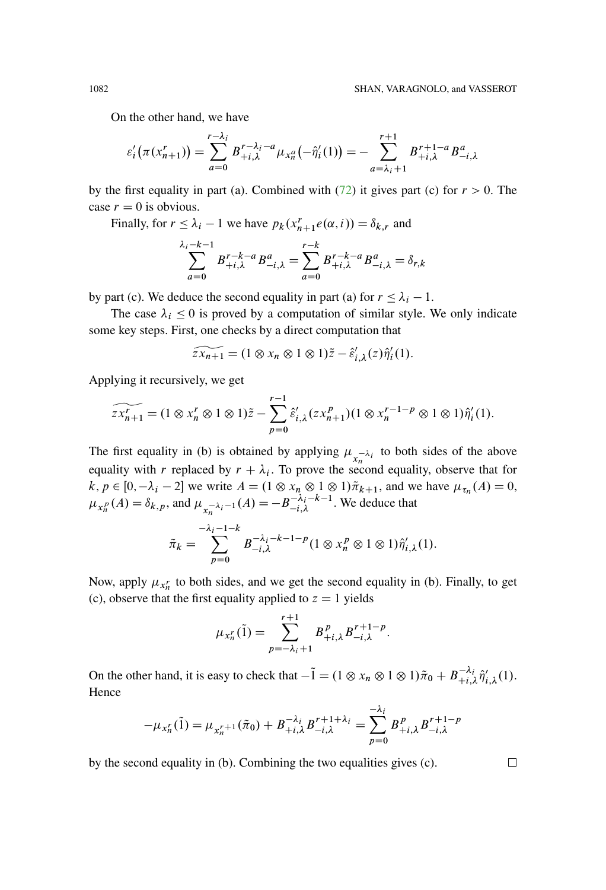On the other hand, we have

$$
\varepsilon'_{i}(\pi(x'_{n+1})) = \sum_{a=0}^{r-\lambda_{i}} B_{+i,\lambda}^{r-\lambda_{i}-a} \mu_{x_{n}}( - \hat{\eta}'_{i}(1)) = - \sum_{a=\lambda_{i}+1}^{r+1} B_{+i,\lambda}^{r+1-a} B_{-i,\lambda}^{a}
$$

by the first equality in part (a). Combined with [\(72\)](#page-76-3) it gives part (c) for  $r > 0$ . The case  $r = 0$  is obvious.

Finally, for  $r \leq \lambda_i - 1$  we have  $p_k(x_{n+1}^r e(\alpha, i)) = \delta_{k,r}$  and

$$
\sum_{a=0}^{\lambda_i - k - 1} B^{r-k-a}_{+i,\lambda} B^a_{-i,\lambda} = \sum_{a=0}^{r-k} B^{r-k-a}_{+i,\lambda} B^a_{-i,\lambda} = \delta_{r,k}
$$

by part (c). We deduce the second equality in part (a) for  $r \leq \lambda_i - 1$ .

The case  $\lambda_i \leq 0$  is proved by a computation of similar style. We only indicate some key steps. First, one checks by a direct computation that

$$
\widetilde{zx_{n+1}} = (1 \otimes x_n \otimes 1 \otimes 1)\widetilde{z} - \widehat{\varepsilon}'_{i,\lambda}(z)\widehat{\eta}'_i(1).
$$

Applying it recursively, we get

$$
\widetilde{zx_{n+1}^r} = (1 \otimes x_n^r \otimes 1 \otimes 1) \tilde{z} - \sum_{p=0}^{r-1} \hat{\varepsilon}'_{i,\lambda} (zx_{n+1}^p)(1 \otimes x_n^{r-1-p} \otimes 1 \otimes 1) \hat{\eta}'_i(1).
$$

The first equality in (b) is obtained by applying  $\mu_{x_n^{-\lambda_i}}$  to both sides of the above equality with r replaced by  $r + \lambda_i$ . To prove the second equality, observe that for  $k, p \in [0, -\lambda_i - 2]$  we write  $A = (1 \otimes x_n \otimes 1 \otimes 1) \tilde{\pi}_{k+1}$ , and we have  $\mu_{\tau_n}(A) = 0$ ,  $\mu_{x_n^p}(A) = \delta_{k,p}$ , and  $\mu_{x_n^{-\lambda_i-1}}(A) = -B_{-i,\lambda}^{-\lambda_i-k-1}$ . We deduce that

$$
\tilde{\pi}_k = \sum_{p=0}^{-\lambda_i - 1 - k} B_{-i,\lambda}^{-\lambda_i - k - 1 - p} (1 \otimes x_n^p \otimes 1 \otimes 1) \hat{\eta}'_{i,\lambda}(1).
$$

Now, apply  $\mu_{x_n^r}$  to both sides, and we get the second equality in (b). Finally, to get (c), observe that the first equality applied to  $z = 1$  yields

$$
\mu_{x_n^r}(\tilde{1}) = \sum_{p=-\lambda_i+1}^{r+1} B_{+i,\lambda}^p B_{-i,\lambda}^{r+1-p}.
$$

On the other hand, it is easy to check that  $-\tilde{1} = (1 \otimes x_n \otimes 1 \otimes 1)\tilde{\pi}_0 + B_{+i,\lambda}^{-\lambda_i} \hat{\eta}'_{i,\lambda}(1)$ . **Hence** 

$$
-\mu_{x_n^r}(\tilde{1}) = \mu_{x_n^{r+1}}(\tilde{\pi}_0) + B_{+i,\lambda}^{-\lambda_i} B_{-i,\lambda}^{r+1+\lambda_i} = \sum_{p=0}^{-\lambda_i} B_{+i,\lambda}^p B_{-i,\lambda}^{r+1-p}
$$

by the second equality in (b). Combining the two equalities gives (c).

 $\Box$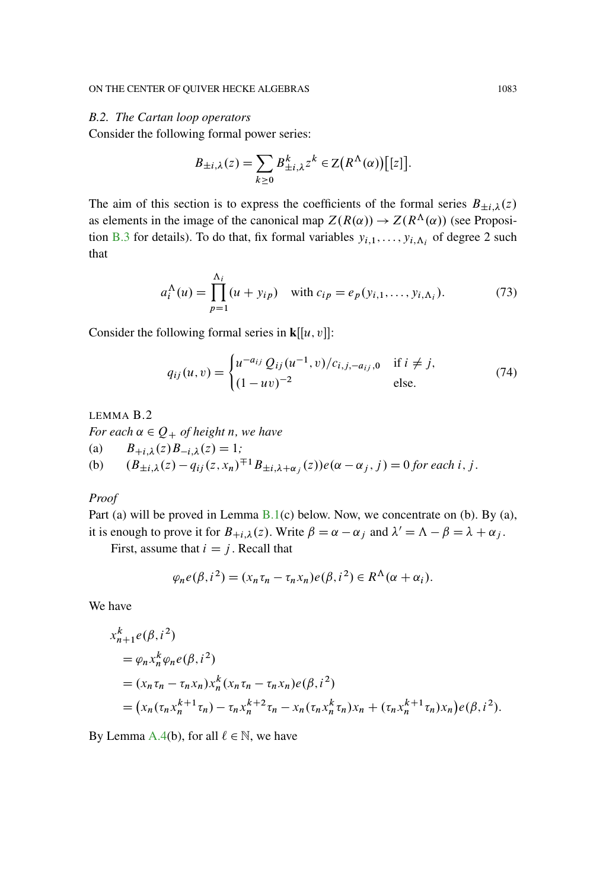### *B.2. The Cartan loop operators*

Consider the following formal power series:

$$
B_{\pm i,\lambda}(z) = \sum_{k\geq 0} B_{\pm i,\lambda}^k z^k \in \mathbb{Z}\big(R^{\Lambda}(\alpha)\big)[[z]\big].
$$

The aim of this section is to express the coefficients of the formal series  $B_{\pm i,\lambda}(z)$ as elements in the image of the canonical map  $Z(R(\alpha)) \to Z(R^{\Lambda}(\alpha))$  (see Proposi-tion [B.3](#page-81-0) for details). To do that, fix formal variables  $y_{i,1},\ldots,y_{i,\Lambda_i}$  of degree 2 such that

$$
a_i^{\Lambda}(u) = \prod_{p=1}^{\Lambda_i} (u + y_{ip}) \text{ with } c_{ip} = e_p(y_{i,1}, \dots, y_{i,\Lambda_i}).
$$
 (73)

Consider the following formal series in  $\mathbf{k}[[u, v]]$ :

<span id="page-78-1"></span>
$$
q_{ij}(u,v) = \begin{cases} u^{-a_{ij}} Q_{ij}(u^{-1},v)/c_{i,j,-a_{ij},0} & \text{if } i \neq j, \\ (1 - uv)^{-2} & \text{else.} \end{cases}
$$
(74)

<span id="page-78-0"></span>LEMMA B.2 *For each*  $\alpha \in Q_+$  *of height n, we have* (a)  $B_{+i,\lambda}(z)B_{-i,\lambda}(z) = 1;$ (b)  $(B_{\pm i,\lambda}(z) - q_{ij}(z, x_n)^{\mp 1} B_{\pm i,\lambda+\alpha_i}(z))e(\alpha - \alpha_j, j) = 0$  for each i, j.

### *Proof*

Part (a) will be proved in Lemma  $B.1(c)$  $B.1(c)$  below. Now, we concentrate on (b). By (a), it is enough to prove it for  $B_{+i,\lambda}(z)$ . Write  $\beta = \alpha - \alpha_j$  and  $\lambda' = \Lambda - \beta = \lambda + \alpha_j$ .

First, assume that  $i = j$ . Recall that

$$
\varphi_n e(\beta, i^2) = (x_n \tau_n - \tau_n x_n) e(\beta, i^2) \in R^{\Lambda}(\alpha + \alpha_i).
$$

We have

$$
x_{n+1}^{k} e(\beta, i^{2})
$$
  
=  $\varphi_{n} x_{n}^{k} \varphi_{n} e(\beta, i^{2})$   
=  $(x_{n} \tau_{n} - \tau_{n} x_{n}) x_{n}^{k} (x_{n} \tau_{n} - \tau_{n} x_{n}) e(\beta, i^{2})$   
=  $(x_{n} (\tau_{n} x_{n}^{k+1} \tau_{n}) - \tau_{n} x_{n}^{k+2} \tau_{n} - x_{n} (\tau_{n} x_{n}^{k} \tau_{n}) x_{n} + (\tau_{n} x_{n}^{k+1} \tau_{n}) x_{n}) e(\beta, i^{2}).$ 

By Lemma [A.4\(](#page-66-0)b), for all  $\ell \in \mathbb{N}$ , we have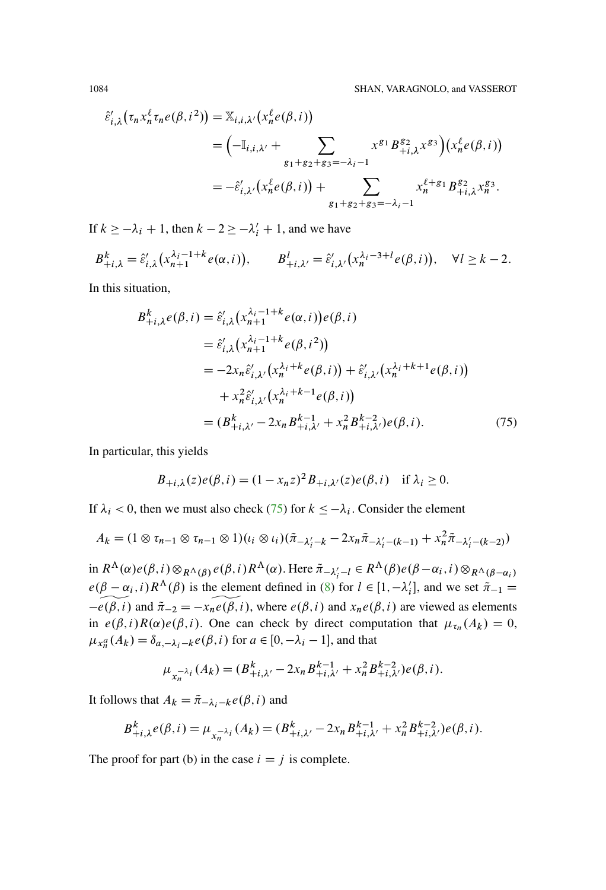$$
\hat{\varepsilon}'_{i,\lambda}(\tau_n x_n^{\ell} \tau_n e(\beta, i^2)) = \mathbb{X}_{i,i,\lambda'}(x_n^{\ell} e(\beta, i))
$$
  
=  $\left(-\mathbb{I}_{i,i,\lambda'} + \sum_{g_1+g_2+g_3=-\lambda_i-1} x^{g_1} B_{+i,\lambda}^{g_2} x^{g_3}\right) (x_n^{\ell} e(\beta, i))$   
=  $-\hat{\varepsilon}'_{i,\lambda'}(x_n^{\ell} e(\beta, i)) + \sum_{g_1+g_2+g_3=-\lambda_i-1} x_n^{\ell+g_1} B_{+i,\lambda}^{g_2} x_n^{g_3}.$ 

If  $k \ge -\lambda_i + 1$ , then  $k - 2 \ge -\lambda'_i + 1$ , and we have

$$
B_{+i,\lambda}^k = \hat{\varepsilon}'_{i,\lambda} \big( x_{n+1}^{\lambda_i - 1 + k} e(\alpha, i) \big), \qquad B_{+i,\lambda'}^l = \hat{\varepsilon}'_{i,\lambda'} \big( x_n^{\lambda_i - 3 + l} e(\beta, i) \big), \quad \forall l \ge k - 2.
$$

In this situation,

<span id="page-79-0"></span>
$$
B_{+i,\lambda}^{k}e(\beta,i) = \hat{\varepsilon}'_{i,\lambda}(x_{n+1}^{\lambda_{i}-1+k}e(\alpha,i))e(\beta,i)
$$
  
\n
$$
= \hat{\varepsilon}'_{i,\lambda}(x_{n+1}^{\lambda_{i}-1+k}e(\beta,i^{2}))
$$
  
\n
$$
= -2x_{n}\hat{\varepsilon}'_{i,\lambda'}(x_{n}^{\lambda_{i}+k}e(\beta,i)) + \hat{\varepsilon}'_{i,\lambda'}(x_{n}^{\lambda_{i}+k+1}e(\beta,i))
$$
  
\n
$$
+ x_{n}^{2}\hat{\varepsilon}'_{i,\lambda'}(x_{n}^{\lambda_{i}+k-1}e(\beta,i))
$$
  
\n
$$
= (B_{+i,\lambda'}^{k} - 2x_{n}B_{+i,\lambda'}^{k-1} + x_{n}^{2}B_{+i,\lambda'}^{k-2})e(\beta,i).
$$
 (75)

In particular, this yields

$$
B_{+i,\lambda}(z)e(\beta,i) = (1 - x_n z)^2 B_{+i,\lambda'}(z)e(\beta,i) \quad \text{if } \lambda_i \ge 0.
$$

If  $\lambda_i$  < 0, then we must also check (75) for  $k \le -\lambda_i$ . Consider the element

$$
A_k = (1 \otimes \tau_{n-1} \otimes \tau_{n-1} \otimes 1)(\iota_i \otimes \iota_i)(\tilde{\pi}_{-\lambda'_i-k} - 2x_n\tilde{\pi}_{-\lambda'_i-(k-1)} + x_n^2\tilde{\pi}_{-\lambda'_i-(k-2)})
$$

in  $R^{\Lambda}(\alpha)e(\beta, i) \otimes_{R^{\Lambda}(\beta)} e(\beta, i) R^{\Lambda}(\alpha)$ . Here  $\tilde{\pi}_{-\lambda'_{i}-l} \in R^{\Lambda}(\beta)e(\beta-\alpha_{i}, i) \otimes_{R^{\Lambda}(\beta-\alpha_{i})}$  $e(\beta - \alpha_i, i) R^{\Lambda}(\beta)$  is the element defined in (8) for  $l \in [1, -\lambda'_i]$ , and we set  $\tilde{\pi}_{-1} =$  $-\widehat{e(\beta,i)}$  and  $\tilde{\pi}_{-2} = -x_n \widetilde{e(\beta,i)}$ , where  $e(\beta,i)$  and  $x_n e(\beta,i)$  are viewed as elements in  $e(\beta, i)R(\alpha)e(\beta, i)$ . One can check by direct computation that  $\mu_{\tau_n}(A_k) = 0$ ,  $\mu_{x_n^a}(A_k) = \delta_{a,-\lambda_i-k} e(\beta, i)$  for  $a \in [0, -\lambda_i - 1]$ , and that

$$
\mu_{x_n^{-\lambda_i}}(A_k) = (B_{+i,\lambda'}^k - 2x_n B_{+i,\lambda'}^{k-1} + x_n^2 B_{+i,\lambda'}^{k-2}) e(\beta, i).
$$

It follows that  $A_k = \tilde{\pi}_{-\lambda_i - k} e(\beta, i)$  and

$$
B_{+i,\lambda}^k e(\beta, i) = \mu_{x_n^{-\lambda_i}}(A_k) = (B_{+i,\lambda'}^k - 2x_n B_{+i,\lambda'}^{k-1} + x_n^2 B_{+i,\lambda'}^{k-2}) e(\beta, i).
$$

The proof for part (b) in the case  $i = j$  is complete.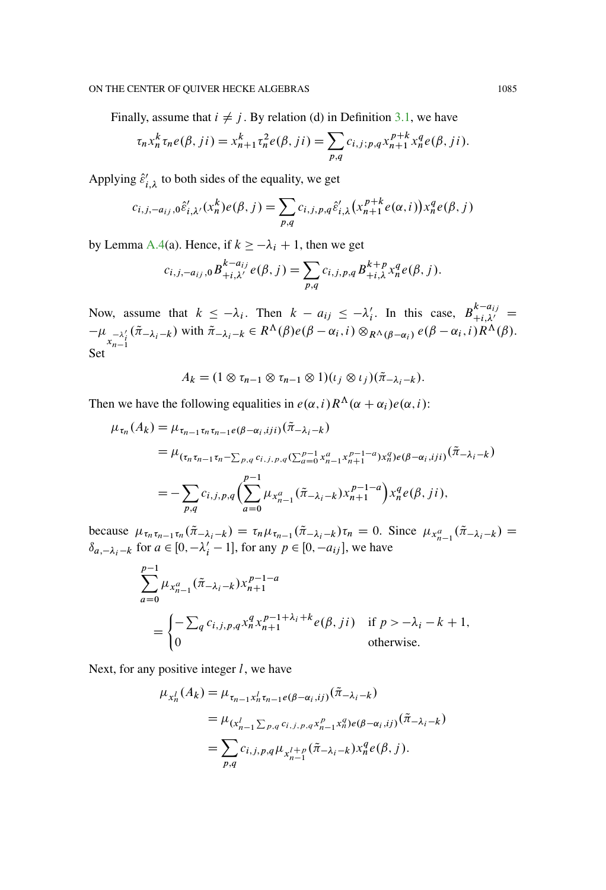Finally, assume that  $i \neq j$ . By relation (d) in Definition [3.1,](#page-11-0) we have

$$
\tau_n x_n^k \tau_n e(\beta, ji) = x_{n+1}^k \tau_n^2 e(\beta, ji) = \sum_{p,q} c_{i,j;p,q} x_{n+1}^{p+k} x_n^q e(\beta, ji).
$$

Applying  $\hat{\varepsilon}'_{i,\lambda}$  to both sides of the equality, we get

$$
c_{i,j,-a_{ij},0}\hat{\varepsilon}'_{i,\lambda'}(x_n^k)e(\beta,j) = \sum_{p,q} c_{i,j,p,q}\hat{\varepsilon}'_{i,\lambda}(x_{n+1}^{p+k}e(\alpha,i))x_n^q e(\beta,j)
$$

by Lemma [A.4\(](#page-66-0)a). Hence, if  $k \ge -\lambda_i + 1$ , then we get

$$
c_{i,j,-a_{ij},0}B_{+i,\lambda'}^{k-a_{ij}}e(\beta,j)=\sum_{p,q}c_{i,j,p,q}B_{+i,\lambda}^{k+p}x_n^q e(\beta,j).
$$

Now, assume that  $k \leq -\lambda_i$ . Then  $k - a_{ij} \leq -\lambda'_i$ . In this case,  $B^{k-a_{ij}}_{+i,\lambda'} =$  $-\mu_{x_{n-1}^{-\lambda'_i}}(\tilde{\pi}_{-\lambda_i-k})$  with  $\tilde{\pi}_{-\lambda_i-k} \in R^{\Lambda}(\beta)e(\beta-\alpha_i,i) \otimes_{R^{\Lambda}(\beta-\alpha_i)} e(\beta-\alpha_i,i)R^{\Lambda}(\beta).$ Set

$$
A_k = (1 \otimes \tau_{n-1} \otimes \tau_{n-1} \otimes 1)(\iota_j \otimes \iota_j)(\tilde{\pi}_{-\lambda_j - k}).
$$

Then we have the following equalities in  $e(\alpha, i) R^{\Lambda}(\alpha + \alpha_i) e(\alpha, i)$ :

$$
\mu_{\tau_n}(A_k) = \mu_{\tau_{n-1}\tau_n\tau_{n-1}e(\beta-\alpha_i, iji)}(\tilde{\pi}_{-\lambda_i-k})
$$
\n
$$
= \mu_{(\tau_n\tau_{n-1}\tau_n - \sum_{p,q}c_{i,j,p,q}(\sum_{a=0}^{p-1}x_{n-1}^a x_{n+1}^{p-1-a})x_n^q)e(\beta-\alpha_i, iji)}(\tilde{\pi}_{-\lambda_i-k})
$$
\n
$$
= -\sum_{p,q}c_{i,j,p,q}\left(\sum_{a=0}^{p-1}\mu_{x_{n-1}^a}(\tilde{\pi}_{-\lambda_i-k})x_{n+1}^{p-1-a}\right)x_n^q e(\beta, j i),
$$

because  $\mu_{\tau_n \tau_{n-1} \tau_n}(\tilde{\pi}_{-\lambda_i-k}) = \tau_n \mu_{\tau_{n-1}}(\tilde{\pi}_{-\lambda_i-k}) \tau_n = 0$ . Since  $\mu_{x_{n-1}}(\tilde{\pi}_{-\lambda_i-k}) =$  $\delta_{a,-\lambda_i-k}$  for  $a \in [0, -\lambda'_i - 1]$ , for any  $p \in [0, -a_{ij}]$ , we have

$$
\sum_{a=0}^{p-1} \mu_{x_{n-1}^a}(\tilde{\pi}_{-\lambda_i-k}) x_{n+1}^{p-1-a}
$$
\n
$$
= \begin{cases}\n-\sum_{q} c_{i,j,p,q} x_n^q x_{n+1}^{p-1+\lambda_i+k} e(\beta, ji) & \text{if } p > -\lambda_i - k + 1, \\
0 & \text{otherwise.} \n\end{cases}
$$

Next, for any positive integer  $l$ , we have

$$
\mu_{x_n^j}(A_k) = \mu_{\tau_{n-1}x_n^j \tau_{n-1}e(\beta - \alpha_i, ij)}(\tilde{\pi}_{-\lambda_i - k})
$$
  
= 
$$
\mu_{(x_{n-1}^j \sum_{p,q} c_{i,j,p,q} x_{n-1}^p x_n^q)e(\beta - \alpha_i, ij)}(\tilde{\pi}_{-\lambda_i - k})
$$
  
= 
$$
\sum_{p,q} c_{i,j,p,q} \mu_{x_{n-1}^{l+p}}(\tilde{\pi}_{-\lambda_i - k}) x_n^q e(\beta, j).
$$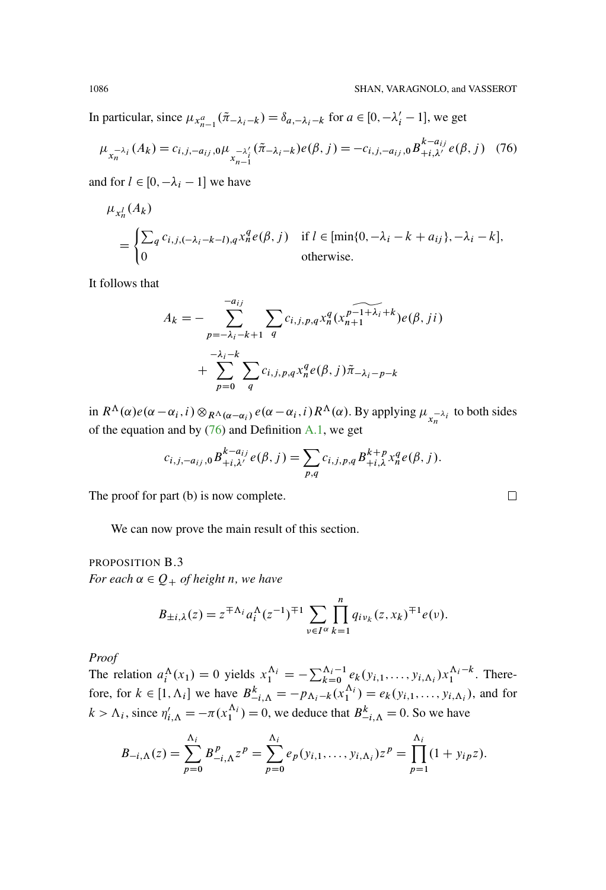In particular, since  $\mu_{x_{n-1}^a}(\tilde{\pi}_{-\lambda_i-k}) = \delta_{a,-\lambda_i-k}$  for  $a \in [0, -\lambda'_i - 1]$ , we get

<span id="page-81-1"></span>
$$
\mu_{x_n^{-\lambda_i}}(A_k) = c_{i,j,-a_{ij},0} \mu_{x_{n-1}^{-\lambda'_i}}(\tilde{\pi}_{-\lambda_i-k}) e(\beta, j) = -c_{i,j,-a_{ij},0} B_{+i,\lambda'}^{k-a_{ij}} e(\beta, j) \tag{76}
$$

and for  $l \in [0, -\lambda_i - 1]$  we have

$$
\mu_{x_n^l}(A_k)
$$
\n
$$
= \begin{cases}\n\sum_{q} c_{i,j,(-\lambda_i - k - l), q} x_n^q e(\beta, j) & \text{if } l \in [\min\{0, -\lambda_i - k + a_{ij}\}, -\lambda_i - k], \\
0 & \text{otherwise.} \n\end{cases}
$$

It follows that

$$
A_k = -\sum_{p=-\lambda_i-k+1}^{-a_{ij}} \sum_q c_{i,j,p,q} x_n^q (x_{n+1}^{p-1+\lambda_i+k}) e(\beta, ji)
$$
  
+ 
$$
\sum_{p=0}^{-\lambda_i-k} \sum_q c_{i,j,p,q} x_n^q e(\beta, j) \tilde{\pi}_{-\lambda_i-p-k}
$$

in  $R^{\Lambda}(\alpha)e(\alpha-\alpha_i, i)\otimes_{R^{\Lambda}(\alpha-\alpha_i)}e(\alpha-\alpha_i, i)R^{\Lambda}(\alpha)$ . By applying  $\mu_{x_n^{-\lambda_i}}$  to both sides of the equation and by  $(76)$  and Definition [A.1,](#page-64-0) we get

$$
c_{i,j,-a_{ij},0}B_{+i,\lambda'}^{k-a_{ij}}e(\beta,j)=\sum_{p,q}c_{i,j,p,q}B_{+i,\lambda}^{k+p}x_n^qe(\beta,j).
$$

The proof for part (b) is now complete.

We can now prove the main result of this section.

## <span id="page-81-0"></span>PROPOSITION B.3 *For each*  $\alpha \in Q_+$  *of height n, we have*

$$
B_{\pm i,\lambda}(z) = z^{\mp \Lambda_i} a_i^{\Lambda} (z^{-1})^{\mp 1} \sum_{\nu \in I^{\alpha}} \prod_{k=1}^n q_{i\nu_k}(z, x_k)^{\mp 1} e(\nu).
$$

*Proof*

The relation  $a_i^{\Lambda}(x_1) = 0$  yields  $x_1^{\Lambda_i} = -\sum_{k=0}^{\Lambda_i-1} e_k(y_{i,1}, \ldots, y_{i,\Lambda_i}) x_1^{\Lambda_i-k}$ . Therefore, for  $k \in [1, \Lambda_i]$  we have  $B_{-i,\Lambda}^k = -p_{\Lambda_i-k}(x_1^{\Lambda_i}) = e_k(y_{i,1}, \ldots, y_{i,\Lambda_i})$ , and for  $k > \Lambda_i$ , since  $\eta'_{i,\Lambda} = -\pi(x_1^{\Lambda_i}) = 0$ , we deduce that  $B_{-i,\Lambda}^k = 0$ . So we have

$$
B_{-i,\Lambda}(z) = \sum_{p=0}^{\Lambda_i} B_{-i,\Lambda}^p z^p = \sum_{p=0}^{\Lambda_i} e_p(y_{i,1},\ldots,y_{i,\Lambda_i}) z^p = \prod_{p=1}^{\Lambda_i} (1+y_{ip}z).
$$

 $\Box$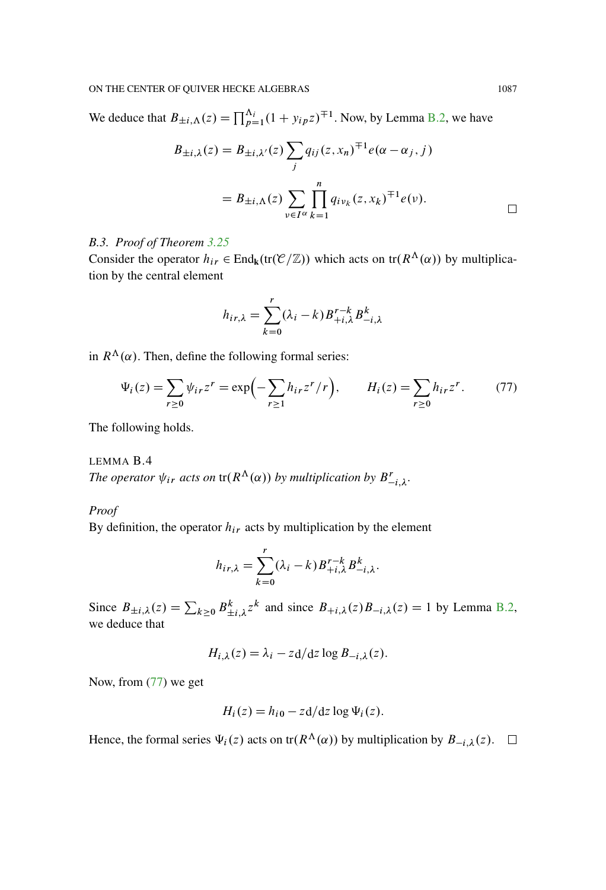We deduce that  $B_{\pm i,\Lambda}(z) = \prod_{p=1}^{\Lambda_i} (1 + y_{ip}z)^{\mp 1}$ . Now, by Lemma [B.2,](#page-78-0) we have

$$
B_{\pm i,\lambda}(z) = B_{\pm i,\lambda'}(z) \sum_{j} q_{ij}(z, x_n)^{\mp 1} e(\alpha - \alpha_j, j)
$$
  
=  $B_{\pm i,\Lambda}(z) \sum_{\nu \in I^{\alpha}} \prod_{k=1}^{n} q_{i\nu_k}(z, x_k)^{\mp 1} e(\nu).$ 

## *B.3. Proof of Theorem [3.25](#page-29-0)*

Consider the operator  $h_{ir} \in$  End<sub>k</sub> $(tr(\mathcal{C}/\mathbb{Z}))$  which acts on  $tr(R^{\Lambda}(\alpha))$  by multiplication by the central element

$$
h_{ir,\lambda} = \sum_{k=0}^{r} (\lambda_i - k) B_{+i,\lambda}^{r-k} B_{-i,\lambda}^k
$$

in  $R^{\Lambda}(\alpha)$ . Then, define the following formal series:

<span id="page-82-0"></span>
$$
\Psi_i(z) = \sum_{r \ge 0} \psi_{ir} z^r = \exp\left(-\sum_{r \ge 1} h_{ir} z^r / r\right), \qquad H_i(z) = \sum_{r \ge 0} h_{ir} z^r. \tag{77}
$$

The following holds.

<span id="page-82-1"></span>LEMMA B.4 The operator  $\psi_{ir}$  acts on  $tr(R^{\Lambda}(\alpha))$  by multiplication by  $B^{r}_{-i,\lambda}$ .

*Proof*

By definition, the operator  $h_{ir}$  acts by multiplication by the element

$$
h_{ir,\lambda} = \sum_{k=0}^r (\lambda_i - k) B_{+i,\lambda}^{r-k} B_{-i,\lambda}^k.
$$

Since  $B_{\pm i,\lambda}(z) = \sum_{k\geq 0} B_{\pm i,\lambda}^k z^k$  and since  $B_{+i,\lambda}(z)B_{-i,\lambda}(z) = 1$  by Lemma [B.2,](#page-78-0) we deduce that

$$
H_{i,\lambda}(z) = \lambda_i - z \, \mathrm{d} \, \mathrm{d} z \log B_{-i,\lambda}(z).
$$

Now, from [\(77\)](#page-82-0) we get

$$
H_i(z) = h_{i0} - z \frac{d}{dz} \log \Psi_i(z).
$$

Hence, the formal series  $\Psi_i(z)$  acts on tr $(R^{\Lambda}(\alpha))$  by multiplication by  $B_{-i,\lambda}(z)$ .  $\Box$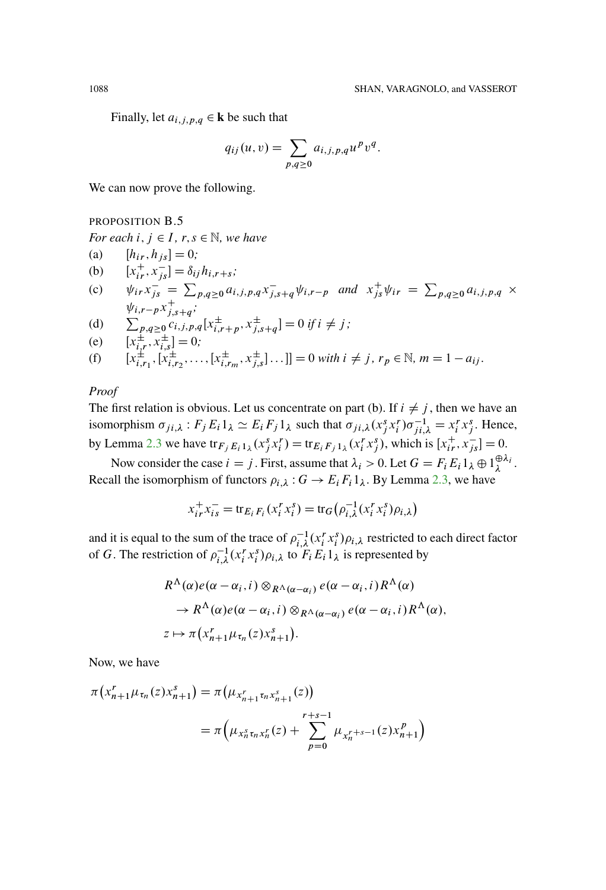Finally, let  $a_{i,j,p,q} \in \mathbf{k}$  be such that

$$
q_{ij}(u,v) = \sum_{p,q \ge 0} a_{i,j,p,q} u^p v^q.
$$

We can now prove the following.

### <span id="page-83-0"></span>PROPOSITION B.5

*For each*  $i, j \in I$ ,  $r, s \in \mathbb{N}$ , we have

(a)  $[h_{ir}, h_{js}] = 0;$ (b)  $[x_{ir}^+, x_{js}^-] = \delta_{ij} h_{i,r+s};$ (c)  $\psi_{ir} x_{js}^{-1} = \sum_{p,q \ge 0} a_{i,j,p,q} x_{j,s+q}^{-} \psi_{i,r-p}$  and  $x_{js}^{+} \psi_{ir} = \sum_{p,q \ge 0} a_{i,j,p,q}$  $\psi_{i,r-p} x_{j,s+q}^{+}$ ;

(d) 
$$
\sum_{p,q\geq 0}^{r_1,r-p-j,s+q} c_{i,j,p,q}[x_{i,r+p}^{\pm},x_{j,s+q}^{\pm}]=0 \text{ if } i\neq j;
$$

(e) 
$$
[x_{i,r}^{\pm}, x_{i,s}^{\pm}] = 0;
$$

(f) 
$$
[x_{i,r_1}^{\pm}, [x_{i,r_2}^{\pm}, \dots, [x_{i,r_m}^{\pm}, x_{j,s}^{\pm}]\dots]] = 0
$$
 with  $i \neq j, r_p \in \mathbb{N}, m = 1 - a_{ij}$ .

## *Proof*

The first relation is obvious. Let us concentrate on part (b). If  $i \neq j$ , then we have an isomorphism  $\sigma_{ji,\lambda}$ :  $F_j E_i 1_\lambda \simeq E_i F_j 1_\lambda$  such that  $\sigma_{ji,\lambda} (x_j^s x_i^r) \sigma_{ji,\lambda}^{-1} = x_i^r x_j^s$ . Hence, by Lemma [2.3](#page-6-0) we have  $\text{tr}_{F_j E_i 1_\lambda}(x_j^s x_i^r) = \text{tr}_{E_i F_j 1_\lambda}(x_i^r x_j^s)$ , which is  $[x_{ir}^+, x_{js}^-] = 0$ .

Now consider the case  $i = j$ . First, assume that  $\lambda_i > 0$ . Let  $G = F_i E_i 1_{\lambda} \oplus 1_{\lambda}^{\oplus \lambda_i}$ . Recall the isomorphism of functors  $\rho_{i,\lambda}$ :  $G \to E_i F_i 1_\lambda$ . By Lemma [2.3,](#page-6-0) we have

$$
x_{ir}^{+}x_{is}^{-} = \text{tr}_{E_i F_i}(x_i^{r}x_i^{s}) = \text{tr}_G(\rho_{i,\lambda}^{-1}(x_i^{r}x_i^{s})\rho_{i,\lambda})
$$

and it is equal to the sum of the trace of  $\rho_{i,\lambda}^{-1}(x_i^r x_i^s) \rho_{i,\lambda}$  restricted to each direct factor of G. The restriction of  $\rho_{i,\lambda}^{-1}(x_i^r x_i^s)\rho_{i,\lambda}$  to  $F_i E_i 1_{\lambda}$  is represented by

$$
R^{\Lambda}(\alpha)e(\alpha-\alpha_i,i) \otimes_{R^{\Lambda}(\alpha-\alpha_i)} e(\alpha-\alpha_i,i) R^{\Lambda}(\alpha)
$$
  
\n
$$
\rightarrow R^{\Lambda}(\alpha)e(\alpha-\alpha_i,i) \otimes_{R^{\Lambda}(\alpha-\alpha_i)} e(\alpha-\alpha_i,i) R^{\Lambda}(\alpha),
$$
  
\n
$$
z \mapsto \pi(x_{n+1}^r \mu_{\tau_n}(z)x_{n+1}^s).
$$

Now, we have

$$
\pi(x_{n+1}^r \mu_{\tau_n}(z) x_{n+1}^s) = \pi(\mu_{x_{n+1}^r \tau_n x_{n+1}^s}(z))
$$
  
=  $\pi(\mu_{x_n^s \tau_n x_n^r}(z) + \sum_{p=0}^{r+s-1} \mu_{x_n^{r+s-1}}(z) x_{n+1}^p)$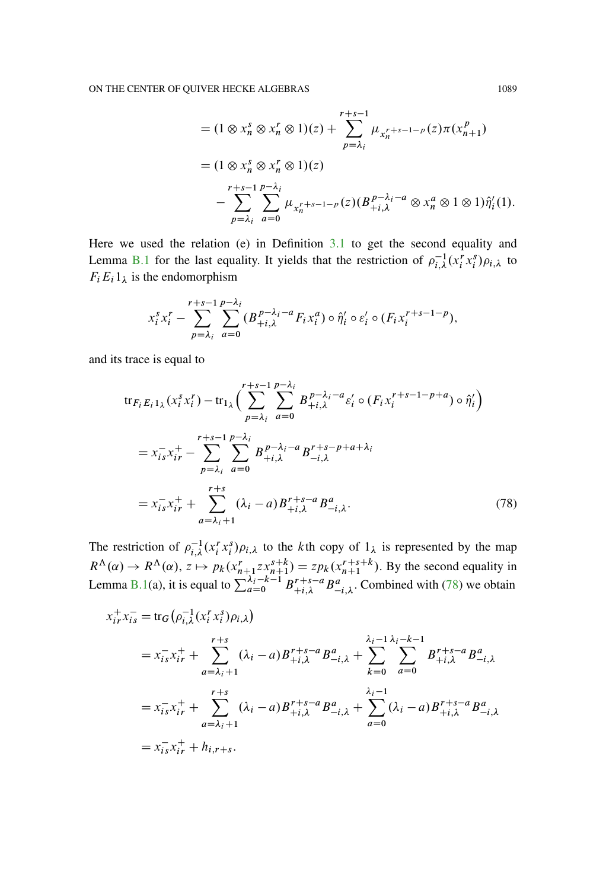$$
= (1 \otimes x_n^s \otimes x_n^r \otimes 1)(z) + \sum_{p=\lambda_i}^{r+s-1} \mu_{x_n^{r+s-1-p}}(z) \pi(x_{n+1}^p)
$$
  
=  $(1 \otimes x_n^s \otimes x_n^r \otimes 1)(z)$   

$$
- \sum_{p=\lambda_i}^{r+s-1} \sum_{a=0}^{p-\lambda_i} \mu_{x_n^{r+s-1-p}}(z) (B_{+i,\lambda}^{p-\lambda_i-a} \otimes x_n^a \otimes 1 \otimes 1) \hat{\eta}_i'(1).
$$

Here we used the relation (e) in Definition  $3.1$  to get the second equality and Lemma B.1 for the last equality. It yields that the restriction of  $\rho_{i,\lambda}^{-1}(x_i^r x_i^s)\rho_{i,\lambda}$  to  $F_i E_i 1_{\lambda}$  is the endomorphism

$$
x_i^s x_i^r - \sum_{p=\lambda_i}^{r+s-1} \sum_{a=0}^{p-\lambda_i} (B_{+i,\lambda}^{p-\lambda_i-a} F_i x_i^a) \circ \hat{\eta}_i' \circ \varepsilon_i' \circ (F_i x_i^{r+s-1-p}),
$$

and its trace is equal to

<span id="page-84-0"></span>
$$
\text{tr}_{F_i E_i 1_\lambda}(x_i^s x_i^r) - \text{tr}_{1_\lambda}\Big(\sum_{p=\lambda_i}^{r+s-1} \sum_{a=0}^{p-\lambda_i} B_{+i,\lambda}^{p-\lambda_i-a} \varepsilon_i^r \circ (F_i x_i^{r+s-1-p+a}) \circ \hat{\eta}_i^r\Big)
$$
\n
$$
= x_{is}^- x_{ir}^+ - \sum_{p=\lambda_i}^{r+s-1} \sum_{a=0}^{p-\lambda_i} B_{+i,\lambda}^{p-\lambda_i-a} B_{-i,\lambda}^{r+s-p+a+\lambda_i}
$$
\n
$$
= x_{is}^- x_{ir}^+ + \sum_{a=\lambda_i+1}^{r+s} (\lambda_i - a) B_{+i,\lambda}^{r+s-a} B_{-i,\lambda}^a. \tag{78}
$$

The restriction of  $\rho_{i,\lambda}^{-1}(x_i^r x_i^s)\rho_{i,\lambda}$  to the *k*th copy of  $1_\lambda$  is represented by the map  $R^{\Lambda}(\alpha) \rightarrow R^{\Lambda}(\alpha)$ ,  $z \mapsto p_k(x_{n+1}^{r}zx_{n+1}^{s+k}) = zp_k(x_{n+1}^{r+s+k})$ . By the second equality in<br>Lemma B.1(a), it is equal to  $\sum_{a=0}^{\lambda_i-k-1} B_{+i,\lambda}^{r+s-a} B_{-i,\lambda}^{a}$ . Combined with (78) we obtain

$$
x_{ir}^{+}x_{is}^{-} = \text{tr}_{G}(\rho_{i,\lambda}^{-1}(x_{i}^{r}x_{i}^{s})\rho_{i,\lambda})
$$
  
\n
$$
= x_{is}^{-}x_{ir}^{+} + \sum_{a=\lambda_{i}+1}^{r+s} (\lambda_{i}-a)B_{+i,\lambda}^{r+s-a}B_{-i,\lambda}^{a} + \sum_{k=0}^{\lambda_{i}-1} \sum_{a=0}^{\lambda_{i}-k-1}B_{+i,\lambda}^{r+s-a}B_{-i,\lambda}^{a}
$$
  
\n
$$
= x_{is}^{-}x_{ir}^{+} + \sum_{a=\lambda_{i}+1}^{r+s} (\lambda_{i}-a)B_{+i,\lambda}^{r+s-a}B_{-i,\lambda}^{a} + \sum_{a=0}^{\lambda_{i}-1} (\lambda_{i}-a)B_{+i,\lambda}^{r+s-a}B_{-i,\lambda}^{a}
$$
  
\n
$$
= x_{is}^{-}x_{ir}^{+} + h_{i,r+s}.
$$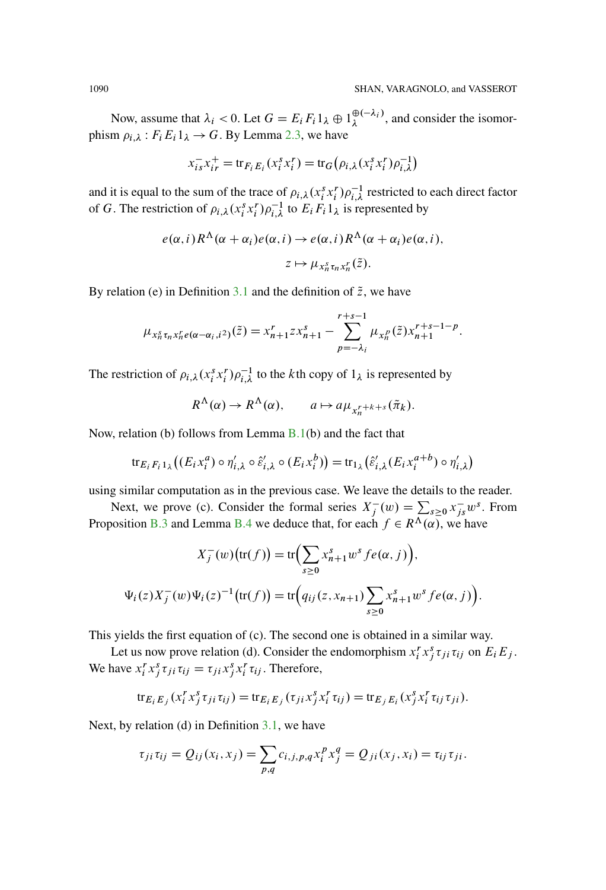Now, assume that  $\lambda_i < 0$ . Let  $G = E_i F_i 1_\lambda \oplus 1_\lambda^{\oplus (-\lambda_i)}$ , and consider the isomorphism  $\rho_{i,\lambda}$ :  $F_i E_i 1_\lambda \rightarrow G$ . By Lemma [2.3,](#page-6-0) we have

$$
x_{is}^{-}x_{ir}^{+} = \text{tr}_{F_i E_i}(x_i^{s} x_i^{r}) = \text{tr}_G(\rho_{i,\lambda}(x_i^{s} x_i^{r}) \rho_{i,\lambda}^{-1})
$$

and it is equal to the sum of the trace of  $\rho_{i,\lambda}(x_i^s x_i^r) \rho_{i,\lambda}^{-1}$  restricted to each direct factor of G. The restriction of  $\rho_{i,\lambda}(x_i^s x_i^r) \rho_{i,\lambda}^{-1}$  to  $E_i F_i 1_{\lambda}$  is represented by

$$
e(\alpha, i) R^{\Lambda}(\alpha + \alpha_i) e(\alpha, i) \to e(\alpha, i) R^{\Lambda}(\alpha + \alpha_i) e(\alpha, i),
$$
  

$$
z \mapsto \mu_{x_n^s \tau_n x_n^r}(\tilde{z}).
$$

By relation (e) in Definition [3.1](#page-11-0) and the definition of  $\tilde{z}$ , we have

$$
\mu_{x_n^s \tau_n x_n^r e(\alpha - \alpha_i, i^2)}(\tilde{z}) = x_{n+1}^r z x_{n+1}^s - \sum_{p=-\lambda_i}^{r+s-1} \mu_{x_n^p}(\tilde{z}) x_{n+1}^{r+s-1-p}.
$$

The restriction of  $\rho_{i,\lambda}(x_i^sx_i^r)\rho_{i,\lambda}^{-1}$  to the *k*th copy of  $1_{\lambda}$  is represented by

$$
R^{\Lambda}(\alpha) \to R^{\Lambda}(\alpha), \qquad a \mapsto a\mu_{x_n^{r+k+s}}(\tilde{\pi}_k).
$$

Now, relation (b) follows from Lemma [B.1\(](#page-75-0)b) and the fact that

$$
\operatorname{tr}_{E_i F_i 1_\lambda}((E_i x_i^a) \circ \eta'_{i,\lambda} \circ \hat{\varepsilon}'_{i,\lambda} \circ (E_i x_i^b)) = \operatorname{tr}_{1_\lambda}(\hat{\varepsilon}'_{i,\lambda}(E_i x_i^{a+b}) \circ \eta'_{i,\lambda})
$$

using similar computation as in the previous case. We leave the details to the reader.

Next, we prove (c). Consider the formal series  $X_j^-(w) = \sum_{s \geq 0} x_{js}^{\dagger} w^s$ . From Proposition [B.3](#page-81-0) and Lemma [B.4](#page-82-1) we deduce that, for each  $f \in R^{\Lambda}(\alpha)$ , we have

$$
X_j^-(w) (\text{tr}(f)) = \text{tr}\Big(\sum_{s\geq 0} x_{n+1}^s w^s f e(\alpha, j)\Big),
$$
  

$$
\Psi_i(z) X_j^-(w) \Psi_i(z)^{-1} (\text{tr}(f)) = \text{tr}\Big(q_{ij}(z, x_{n+1}) \sum_{s\geq 0} x_{n+1}^s w^s f e(\alpha, j)\Big).
$$

This yields the first equation of (c). The second one is obtained in a similar way.

Let us now prove relation (d). Consider the endomorphism  $x_i^r x_j^s \tau_{ji} \tau_{ij}$  on  $E_i E_j$ . We have  $x_i^r x_j^s \tau_{ji} \tau_{ij} = \tau_{ji} x_j^s x_i^r \tau_{ij}$ . Therefore,

$$
\operatorname{tr}_{E_i} E_j\left(x_i^r x_j^s \tau_{ji} \tau_{ij}\right) = \operatorname{tr}_{E_i} E_j\left(\tau_{ji} x_j^s x_i^r \tau_{ij}\right) = \operatorname{tr}_{E_j} E_i\left(x_j^s x_i^r \tau_{ij} \tau_{ji}\right).
$$

Next, by relation (d) in Definition [3.1,](#page-11-0) we have

$$
\tau_{ji}\tau_{ij}=Q_{ij}(x_i,x_j)=\sum_{p,q}c_{i,j,p,q}x_i^px_j^q=Q_{ji}(x_j,x_i)=\tau_{ij}\tau_{ji}.
$$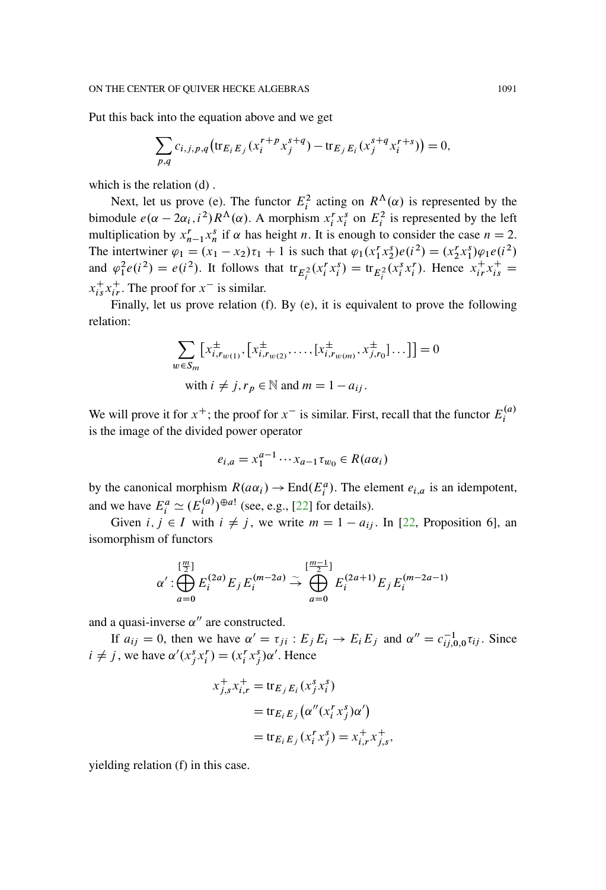<span id="page-86-0"></span>Put this back into the equation above and we get

$$
\sum_{p,q} c_{i,j,p,q} \left( \operatorname{tr}_{E_i E_j} (x_i^{r+p} x_j^{s+q}) - \operatorname{tr}_{E_j E_i} (x_j^{s+q} x_i^{r+s}) \right) = 0,
$$

which is the relation (d).

Next, let us prove (e). The functor  $E_i^2$  acting on  $R^{\Lambda}(\alpha)$  is represented by the bimodule  $e(\alpha - 2\alpha_i, i^2) R^{\Lambda}(\alpha)$ . A morphism  $x_i^r x_i^s$  on  $E_i^2$  is represented by the left multiplication by  $x_{n-1}^r x_n^s$  if  $\alpha$  has height n. It is enough to consider the case  $n = 2$ . The intertwiner  $\varphi_1 = (x_1 - x_2)\tau_1 + 1$  is such that  $\varphi_1(x_1^r x_2^s) e(i^2) = (x_2^r x_1^s) \varphi_1 e(i^2)$ and  $\varphi_1^2 e(i^2) = e(i^2)$ . It follows that  $tr_{E_i^2}(x_i^r x_i^s) = tr_{E_i^2}(x_i^s x_i^r)$ . Hence  $x_{ir}^+ x_{is}^+ =$  $x_{is}^{+}x_{ir}^{+}$ . The proof for  $x^{-}$  is similar.

Finally, let us prove relation (f). By (e), it is equivalent to prove the following relation:

$$
\sum_{w \in S_m} \left[ x_{i, r_{w(1)}}^{\pm}, \left[ x_{i, r_{w(2)}}^{\pm}, \dots, \left[ x_{i, r_{w(m)}}^{\pm}, x_{j, r_0}^{\pm} \right] \dots \right] \right] = 0
$$
  
with  $i \neq j, r_p \in \mathbb{N}$  and  $m = 1 - a_{ij}$ .

We will prove it for  $x^+$ ; the proof for  $x^-$  is similar. First, recall that the functor  $E_i^{(a)}$ is the image of the divided power operator

$$
e_{i,a} = x_1^{a-1} \cdots x_{a-1} \tau_{w_0} \in R(a\alpha_i)
$$

by the canonical morphism  $R(a\alpha_i) \to \text{End}(E_i^a)$ . The element  $e_{i,a}$  is an idempotent, and we have  $E_i^a \simeq (E_i^{(a)})^{\oplus a!}$  (see, e.g., [\[22\]](#page-94-0) for details).

Given  $i, j \in I$  with  $i \neq j$ , we write  $m = 1 - a_{ij}$ . In [\[22](#page-94-0), Proposition 6], an isomorphism of functors

$$
\alpha' : \bigoplus_{a=0}^{[\frac{m}{2}]} E_i^{(2a)} E_j E_i^{(m-2a)} \stackrel{\sim}{\to} \bigoplus_{a=0}^{[\frac{m-1}{2}]} E_i^{(2a+1)} E_j E_i^{(m-2a-1)}
$$

and a quasi-inverse  $\alpha''$  are constructed.

If  $a_{ij} = 0$ , then we have  $\alpha' = \tau_{ji} : E_j E_i \rightarrow E_i E_j$  and  $\alpha'' = c_{ij,0,0}^{-1} \tau_{ij}$ . Since  $i \neq j$ , we have  $\alpha'(x_j^s x_i^r) = (x_i^r x_j^s) \alpha'$ . Hence

$$
x_{j,s}^+ x_{i,r}^+ = \text{tr}_{E_j E_i}(x_j^s x_i^s)
$$
  
= 
$$
\text{tr}_{E_i E_j}(\alpha''(x_i^r x_j^s) \alpha')
$$
  
= 
$$
\text{tr}_{E_i E_j}(x_i^r x_j^s) = x_{i,r}^+ x_{j,s}^+,
$$

yielding relation (f) in this case.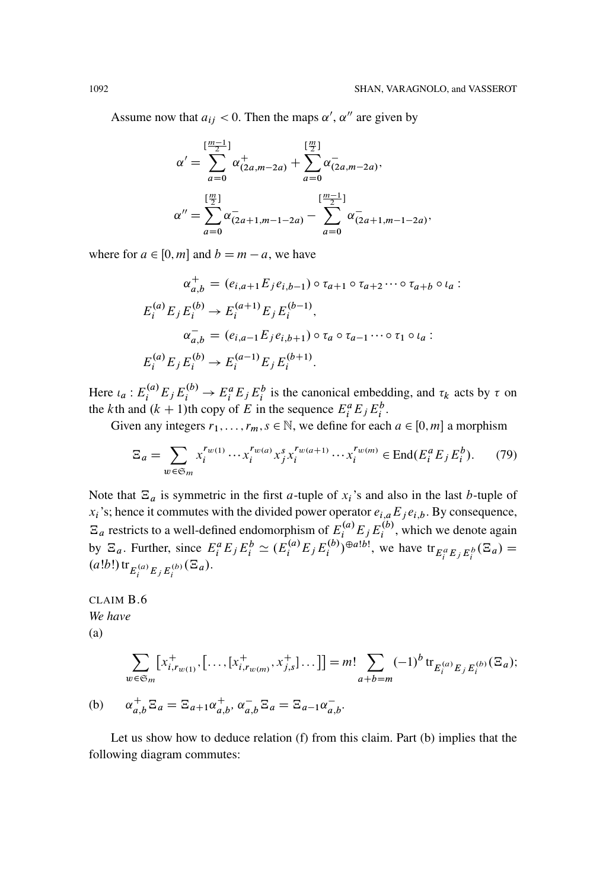Assume now that  $a_{ij} < 0$ . Then the maps  $\alpha'$ ,  $\alpha''$  are given by

$$
\alpha' = \sum_{a=0}^{\left[\frac{m-1}{2}\right]} \alpha^+_{(2a,m-2a)} + \sum_{a=0}^{\left[\frac{m}{2}\right]} \alpha^-_{(2a,m-2a)},
$$
  

$$
\alpha'' = \sum_{a=0}^{\left[\frac{m}{2}\right]} \alpha^-_{(2a+1,m-1-2a)} - \sum_{a=0}^{\left[\frac{m-1}{2}\right]} \alpha^-_{(2a+1,m-1-2a)},
$$

where for  $a \in [0, m]$  and  $b = m - a$ , we have

$$
\alpha_{a,b}^{+} = (e_{i,a+1}E_j e_{i,b-1}) \circ \tau_{a+1} \circ \tau_{a+2} \cdots \circ \tau_{a+b} \circ \iota_a :
$$
  
\n
$$
E_i^{(a)} E_j E_i^{(b)} \to E_i^{(a+1)} E_j E_i^{(b-1)},
$$
  
\n
$$
\alpha_{a,b}^{-} = (e_{i,a-1}E_j e_{i,b+1}) \circ \tau_a \circ \tau_{a-1} \cdots \circ \tau_1 \circ \iota_a :
$$
  
\n
$$
E_i^{(a)} E_j E_i^{(b)} \to E_i^{(a-1)} E_j E_i^{(b+1)}.
$$

Here  $\iota_a : E_i^{(a)} E_j E_i^{(b)} \to E_i^a E_j E_i^b$  is the canonical embedding, and  $\tau_k$  acts by  $\tau$  on the kth and  $(k + 1)$ th copy of E in the sequence  $E_i^a E_j E_i^b$ .

Given any integers  $r_1, \ldots, r_m, s \in \mathbb{N}$ , we define for each  $a \in [0, m]$  a morphism

$$
\Xi_a = \sum_{w \in \mathfrak{S}_m} x_i^{r_{w(1)}} \cdots x_i^{r_{w(a)}} x_j^s x_i^{r_{w(a+1)}} \cdots x_i^{r_{w(m)}} \in \text{End}(E_i^a E_j E_i^b). \tag{79}
$$

Note that  $\Xi_a$  is symmetric in the first a-tuple of  $x_i$ 's and also in the last b-tuple of  $x_i$ 's; hence it commutes with the divided power operator  $e_{i,a}E_j e_{i,b}$ . By consequence,  $E_a$  restricts to a well-defined endomorphism of  $E_i^{(a)} E_j E_i^{(b)}$ , which we denote again<br>by  $\Xi_a$ . Further, since  $E_i^a E_j E_i^b \simeq (E_i^{(a)} E_j E_i^{(b)})^{\oplus a!b!}$ , we have  ${\rm tr}_{E_i^a E_j E_i^b} (\Xi_a)$  $(a!b!)$  tr<sub> $E_i^{(a)}E_iE_i^{(b)}(\Xi_a)$ .</sub>

CLAIM B.6 We have  $(a)$ 

$$
\sum_{w \in \mathfrak{S}_m} [x_{i,r_{w(1)}}^+, [\dots, [x_{i,r_{w(m)}}^+, x_{j,s}^+] \dots]] = m! \sum_{a+b=m} (-1)^b \operatorname{tr}_{E_i^{(a)}E_j E_i^{(b)}}(\Xi_a);
$$
  

$$
\alpha^+ \in \Xi \subset \Xi \quad \text{and} \quad \alpha^- \in \Xi \quad \Xi \quad \text{and}
$$

(b) 
$$
\alpha_{a,b}^{\top} \Xi_a = \Xi_{a+1} \alpha_{a,b}^{\top}, \alpha_{a,b}^{\top} \Xi_a = \Xi_{a-1} \alpha_{a,b}^{\top}.
$$

Let us show how to deduce relation (f) from this claim. Part (b) implies that the following diagram commutes: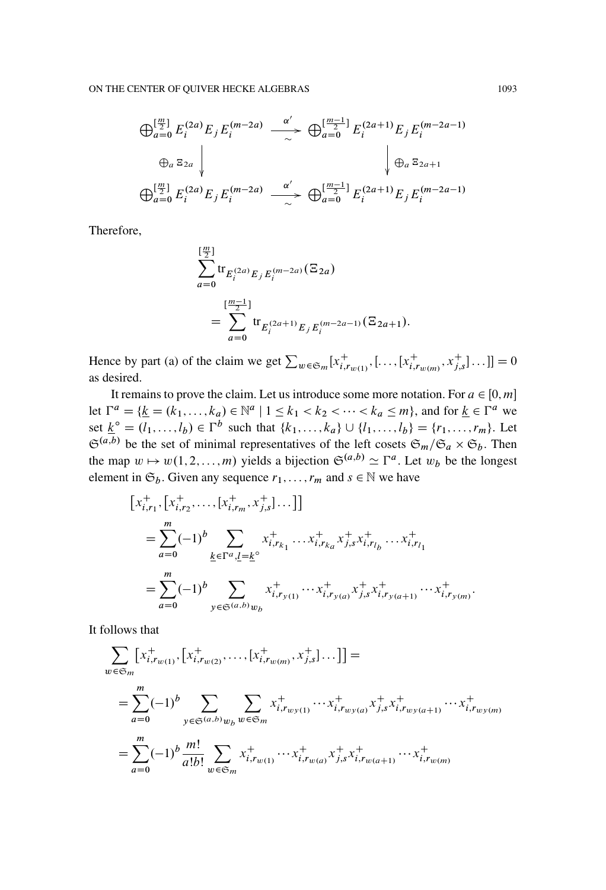$$
\bigoplus_{a=0}^{\left[\frac{m}{2}\right]} E_i^{(2a)} E_j E_i^{(m-2a)} \xrightarrow{\alpha'} \bigoplus_{a=0}^{\left[\frac{m-1}{2}\right]} E_i^{(2a+1)} E_j E_i^{(m-2a-1)}
$$
\n
$$
\bigoplus_{a=0}^{\left[\frac{m}{2}\right]} E_i^{(2a)} E_j E_i^{(m-2a)} \xrightarrow{\alpha'} \bigoplus_{a=0}^{\left[\frac{m-1}{2}\right]} E_i^{(2a+1)} E_j E_i^{(m-2a-1)}
$$

Therefore,

$$
\sum_{a=0}^{\left[\frac{m}{2}\right]} tr_{E_i^{(2a)}E_j E_i^{(m-2a)}}(\Xi_{2a})
$$
  
= 
$$
\sum_{a=0}^{\left[\frac{m-1}{2}\right]} tr_{E_i^{(2a+1)}E_j E_i^{(m-2a-1)}}(\Xi_{2a+1}).
$$

Hence by part (a) of the claim we get  $\sum_{w \in \mathfrak{S}_m} [x^+_{i,r_{w(1)}}, \dots, [x^+_{i,r_{w(m)}}, x^+_{j,s}] \dots]] = 0$ as desired.

It remains to prove the claim. Let us introduce some more notation. For  $a \in [0, m]$ let  $\Gamma^a = \{ \underline{k} = (k_1, ..., k_a) \in \mathbb{N}^a \mid 1 \le k_1 < k_2 < \cdots < k_a \le m \}$ , and for  $\underline{k} \in \Gamma^a$  we set  $\underline{k}^{\circ} = (l_1, ..., l_b) \in \Gamma^b$  such that  $\{k_1, ..., k_a\} \cup \{l_1, ..., l_b\} = \{r_1, ..., r_m\}$ . Let  $\mathfrak{S}^{(a,b)}$  be the set of minimal representatives of the left cosets  $\mathfrak{S}_m/\mathfrak{S}_a \times \mathfrak{S}_b$ . Then the map  $w \mapsto w(1, 2, ..., m)$  yields a bijection  $\mathfrak{S}^{(a,b)} \simeq \Gamma^a$ . Let  $w_b$  be the longest element in  $\mathfrak{S}_b$ . Given any sequence  $r_1,\ldots,r_m$  and  $s \in \mathbb{N}$  we have

$$
[x_{i,r_1}^+, [x_{i,r_2}^+, \ldots, [x_{i,r_m}^+, x_{j,s}^+] \ldots]]
$$
  
\n
$$
= \sum_{a=0}^m (-1)^b \sum_{\underline{k} \in \Gamma^a, \underline{l} = \underline{k}^\circ} x_{i,r_{k_1}}^+, \ldots x_{i,r_{k_a}}^+, x_{j,s}^+, x_{i,r_{l_b}}^+, \ldots x_{i,r_{l_1}}^+
$$
  
\n
$$
= \sum_{a=0}^m (-1)^b \sum_{y \in \mathfrak{S}^{(a,b)}} x_{i,r_{y(1)}}^+, \ldots x_{i,r_{y(a)}}^+, x_{j,s}^+, x_{i,r_{y(a+1)}}^+, \ldots x_{i,r_{y(m)}}^+.
$$

It follows that

$$
\sum_{w \in \mathfrak{S}_m} \left[ x_{i, r_{w(1)}}^+, \left[ x_{i, r_{w(2)}}^+, \dots, \left[ x_{i, r_{w(m)}}^+, x_{j, s}^+ \right] \dots \right] \right] =
$$
\n
$$
= \sum_{a=0}^m (-1)^b \sum_{y \in \mathfrak{S}^{(a, b)}} \sum_{w_b} x_{i, r_{w(y(1)}}^+ \cdots x_{i, r_{w(y(a)}}^+ x_{j, s}^+ x_{i, r_{w(y(a+1)}}^+ \cdots x_{i, r_{w(y(m)}}^+)
$$
\n
$$
= \sum_{a=0}^m (-1)^b \frac{m!}{a!b!} \sum_{w \in \mathfrak{S}_m} x_{i, r_{w(1)}}^+ \cdots x_{i, r_{w(a)}}^+ x_{j, s}^+ x_{i, r_{w(a+1)}}^+ \cdots x_{i, r_{w(m)}}^+
$$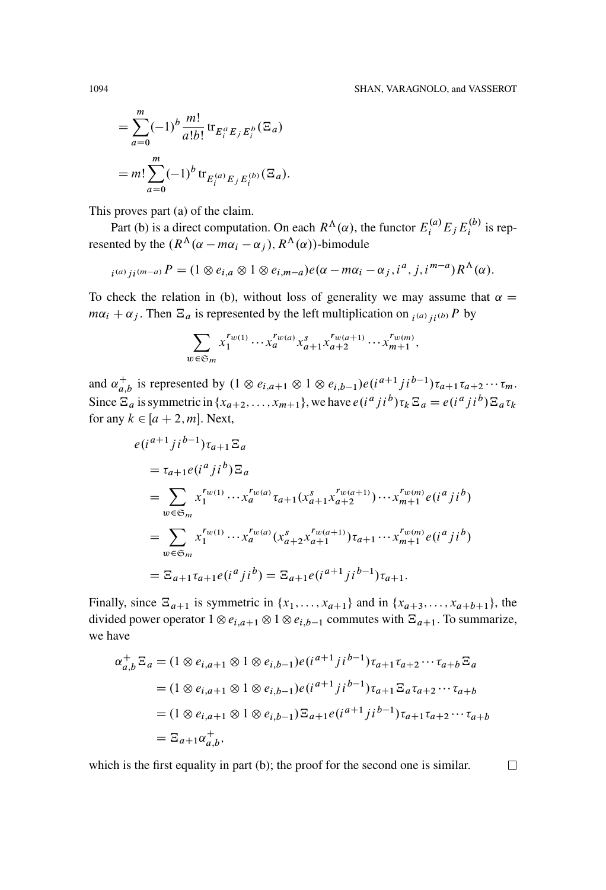$\Box$ 

$$
= \sum_{a=0}^{m} (-1)^{b} \frac{m!}{a!b!} \text{tr}_{E_{i}^{a}E_{j}E_{i}^{b}}(\Xi_{a})
$$

$$
= m! \sum_{a=0}^{m} (-1)^{b} \text{tr}_{E_{i}^{(a)}E_{j}E_{i}^{(b)}}(\Xi_{a}).
$$

This proves part (a) of the claim.

Part (b) is a direct computation. On each  $R^{\Lambda}(\alpha)$ , the functor  $E_i^{(a)} E_j E_j^{(b)}$  is represented by the  $(R^{\Lambda}(\alpha - m\alpha_i - \alpha_i), R^{\Lambda}(\alpha))$ -bimodule

$$
_{i^{(a)}ji^{(m-a)}}P=(1\otimes e_{i,a}\otimes 1\otimes e_{i,m-a})e(\alpha-m\alpha_i-\alpha_j,i^a,j,i^{m-a})R^{\Lambda}(\alpha).
$$

To check the relation in (b), without loss of generality we may assume that  $\alpha =$  $m\alpha_i + \alpha_j$ . Then  $\Xi_a$  is represented by the left multiplication on  $_{i^{(a)}i^{(b)}}P$  by

$$
\sum_{w \in \mathfrak{S}_m} x_1^{r_{w(1)}} \cdots x_a^{r_{w(a)}} x_{a+1}^s x_{a+2}^{r_{w(a+1)}} \cdots x_{m+1}^{r_{w(m)}},
$$

and  $\alpha_{a,b}^+$  is represented by  $(1 \otimes e_{i,a+1} \otimes 1 \otimes e_{i,b-1})e(i^{a+1}ji^{b-1})\tau_{a+1}\tau_{a+2}\cdots\tau_m$ . Since  $\Xi_a$  is symmetric in  $\{x_{a+2},...,x_{m+1}\}$ , we have  $e(i^a j i^b) \tau_k \Xi_a = e(i^a j i^b) \Xi_a \tau_k$ for any  $k \in [a + 2, m]$ . Next,

$$
e(i^{a+1}ji^{b-1})\tau_{a+1}\Xi_a
$$
  
\n
$$
= \tau_{a+1}e(i^aj_i^b)\Xi_a
$$
  
\n
$$
= \sum_{w \in \mathfrak{S}_m} x_1^{r_w(1)} \cdots x_a^{r_w(a)} \tau_{a+1}(x_{a+1}^s x_{a+2}^{r_w(a+1)}) \cdots x_{m+1}^{r_w(m)} e(i^aj_i^b)
$$
  
\n
$$
= \sum_{w \in \mathfrak{S}_m} x_1^{r_w(1)} \cdots x_a^{r_w(a)} (x_{a+2}^s x_{a+1}^{r_w(a+1)}) \tau_{a+1} \cdots x_{m+1}^{r_w(m)} e(i^aj_i^b)
$$
  
\n
$$
= \Xi_{a+1} \tau_{a+1} e(i^aj_i^b) = \Xi_{a+1} e(i^{a+1}ji^{b-1}) \tau_{a+1}.
$$

Finally, since  $\Xi_{a+1}$  is symmetric in  $\{x_1, \ldots, x_{a+1}\}\$  and in  $\{x_{a+3}, \ldots, x_{a+b+1}\}\$ , the divided power operator  $1 \otimes e_{i,a+1} \otimes 1 \otimes e_{i,b-1}$  commutes with  $\Xi_{a+1}$ . To summarize, we have

$$
\alpha_{a,b}^{+} \Xi_{a} = (1 \otimes e_{i,a+1} \otimes 1 \otimes e_{i,b-1}) e(i^{a+1} j i^{b-1}) \tau_{a+1} \tau_{a+2} \cdots \tau_{a+b} \Xi_{a}
$$
  
\n
$$
= (1 \otimes e_{i,a+1} \otimes 1 \otimes e_{i,b-1}) e(i^{a+1} j i^{b-1}) \tau_{a+1} \Xi_{a} \tau_{a+2} \cdots \tau_{a+b}
$$
  
\n
$$
= (1 \otimes e_{i,a+1} \otimes 1 \otimes e_{i,b-1}) \Xi_{a+1} e(i^{a+1} j i^{b-1}) \tau_{a+1} \tau_{a+2} \cdots \tau_{a+b}
$$
  
\n
$$
= \Xi_{a+1} \alpha_{a,b}^{+},
$$

which is the first equality in part (b); the proof for the second one is similar.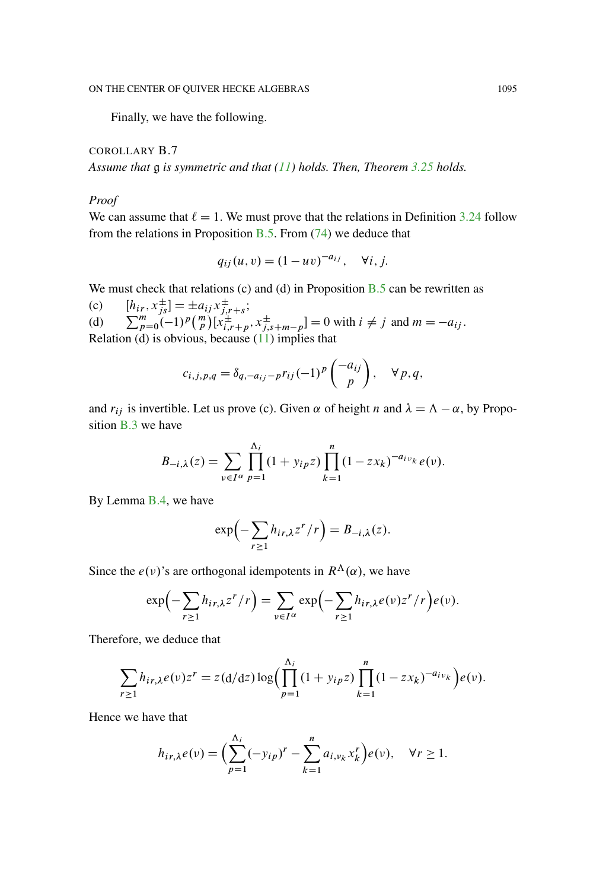Finally, we have the following.

COROLLARY B.7 *Assume that* g *is symmetric and that [\(11\)](#page-20-0) holds. Then, Theorem [3.25](#page-29-0) holds.*

### *Proof*

We can assume that  $\ell = 1$ . We must prove that the relations in Definition [3.24](#page-29-1) follow from the relations in Proposition [B.5.](#page-83-0) From  $(74)$  we deduce that

$$
q_{ij}(u, v) = (1 - uv)^{-a_{ij}}, \quad \forall i, j.
$$

We must check that relations (c) and (d) in Proposition  $B.5$  can be rewritten as

(c)  $[h_{ir}, x_{js}^{\pm}] = \pm a_{ij} x_{j,r+s}^{\pm}$ ;<br>(d)  $\sum_{p=0}^{m} (-1)^p {n \choose p} [x_{i,r+p}^{\pm}, x_{j,s+m-p}^{\pm}] = 0$  with  $i \neq j$  and  $m = -a_{ij}$ . Relation (d) is obvious, because  $(11)$  implies that

$$
c_{i,j,p,q} = \delta_{q,-a_{ij}-p} r_{ij} (-1)^p \begin{pmatrix} -a_{ij} \\ p \end{pmatrix}, \quad \forall p,q,
$$

and  $r_{ij}$  is invertible. Let us prove (c). Given  $\alpha$  of height n and  $\lambda = \Lambda - \alpha$ , by Proposition [B.3](#page-81-0) we have

$$
B_{-i,\lambda}(z) = \sum_{\nu \in I^{\alpha}} \prod_{p=1}^{\Lambda_i} (1 + y_{ip}z) \prod_{k=1}^n (1 - zx_k)^{-a_{i\nu_k}} e(\nu).
$$

By Lemma [B.4,](#page-82-1) we have

$$
\exp\left(-\sum_{r\geq 1}h_{ir,\lambda}z^r/r\right)=B_{-i,\lambda}(z).
$$

Since the  $e(\nu)$ 's are orthogonal idempotents in  $R^{\Lambda}(\alpha)$ , we have

$$
\exp\left(-\sum_{r\geq 1}h_{ir,\lambda}z^r/r\right)=\sum_{\nu\in I^{\alpha}}\exp\left(-\sum_{r\geq 1}h_{ir,\lambda}e(\nu)z^r/r\right)e(\nu).
$$

Therefore, we deduce that

$$
\sum_{r\geq 1} h_{ir,\lambda}e(\nu)z^r = z(d/dz)\log\Big(\prod_{p=1}^{\Lambda_i} (1+y_{ip}z)\prod_{k=1}^n (1-zx_k)^{-a_{iv_k}}\Big)e(\nu).
$$

Hence we have that

$$
h_{ir,\lambda}e(\nu) = \left(\sum_{p=1}^{\Lambda_i}(-y_{ip})^r - \sum_{k=1}^n a_{i,\nu_k}x_k^r\right)e(\nu), \quad \forall r \ge 1.
$$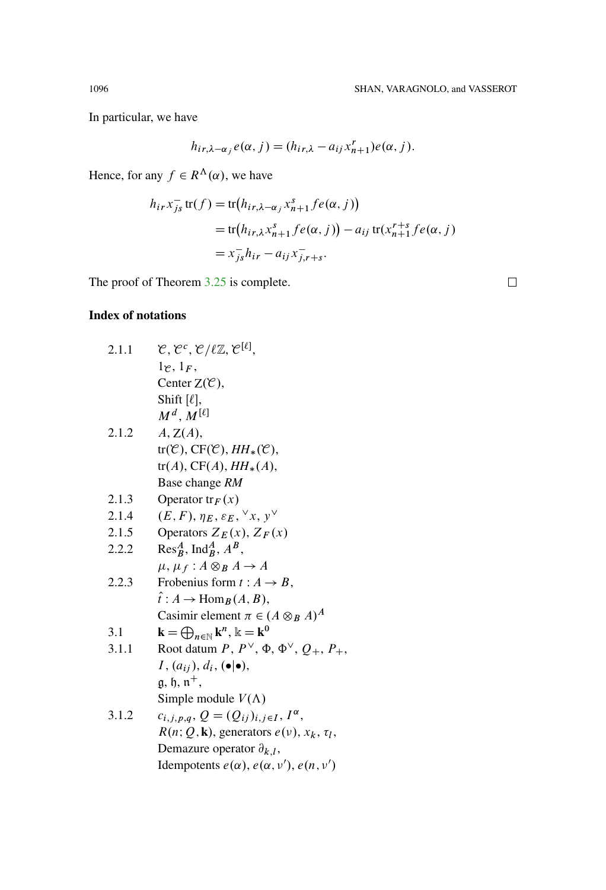In particular, we have

$$
h_{ir,\lambda-\alpha_j}e(\alpha,j)=(h_{ir,\lambda}-a_{ij}x_{n+1}^r)e(\alpha,j).
$$

Hence, for any  $f \in R^{\Lambda}(\alpha)$ , we have

$$
h_{ir}x_{js}^- \operatorname{tr}(f) = \operatorname{tr}(h_{ir,\lambda-\alpha_j}x_{n+1}^s f e(\alpha, j))
$$
  
= 
$$
\operatorname{tr}(h_{ir,\lambda}x_{n+1}^s f e(\alpha, j)) - a_{ij} \operatorname{tr}(x_{n+1}^{r+s} f e(\alpha, j))
$$
  
= 
$$
x_{js}^- h_{ir} - a_{ij}x_{j,r+s}^-.
$$

The proof of Theorem 3.25 is complete.

 $\Box$ 

# **Index of notations**

| $\mathcal{C}, \mathcal{C}^c, \mathcal{C}/\ell \mathbb{Z}, \mathcal{C}^{[\ell]},$<br>2.1.1     |  |
|-----------------------------------------------------------------------------------------------|--|
| 1e, 1F                                                                                        |  |
| Center $Z(\mathcal{C})$ ,                                                                     |  |
| Shift $[\ell],$                                                                               |  |
| $M^d, M^{[\ell]}$                                                                             |  |
| 2.1.2<br>A, Z(A),                                                                             |  |
| $tr(\mathcal{C}), CF(\mathcal{C}), HH_*(\mathcal{C}),$                                        |  |
| $tr(A), CF(A), HH_*(A),$                                                                      |  |
| Base change RM                                                                                |  |
| 2.1.3<br>Operator $tr_F(x)$                                                                   |  |
| $(E, F), \eta_E, \varepsilon_E, \forall x, y^{\vee}$<br>2.1.4                                 |  |
| Operators $Z_E(x)$ , $Z_F(x)$<br>2.1.5                                                        |  |
| $Res^A_B$ , Ind <sup>A</sup> <sub>B</sub> , A <sup>B</sup> ,<br>2.2.2                         |  |
| $\mu, \mu_f: A \otimes_B A \rightarrow A$                                                     |  |
| Frobenius form $t: A \rightarrow B$ ,<br>2.2.3                                                |  |
| $\hat{i}: A \to \text{Hom}_B(A, B),$                                                          |  |
| Casimir element $\pi \in (A \otimes_B A)^A$                                                   |  |
| $\mathbf{k} = \bigoplus_{n \in \mathbb{N}} \mathbf{k}^n$ , $\mathbb{k} = \mathbf{k}^0$<br>3.1 |  |
| Root datum P, $P^{\vee}$ , $\Phi$ , $\Phi^{\vee}$ , $Q_+$ , $P_+$ ,<br>3.1.1                  |  |
| $I, (a_{ij}), d_i, (\bullet   \bullet),$                                                      |  |
| $\mathfrak{g}, \mathfrak{h}, \mathfrak{n}^+,$                                                 |  |
| Simple module $V(\Lambda)$                                                                    |  |
| 3.1.2<br>$c_{i,j,p,q}, Q = (Q_{ij})_{i,j \in I}, I^{\alpha},$                                 |  |
| $R(n; Q, \mathbf{k})$ , generators $e(\nu)$ , $x_k$ , $\tau_l$ ,                              |  |
| Demazure operator $\partial_{k,l}$ ,                                                          |  |
|                                                                                               |  |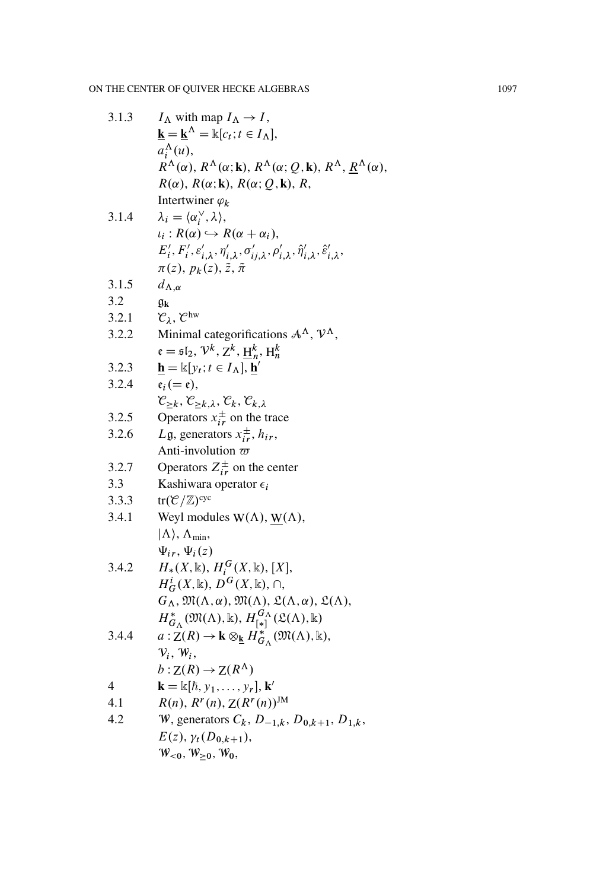| 3.1.3 | $I_{\Lambda}$ with map $I_{\Lambda} \rightarrow I$ ,                                                                                                          |
|-------|---------------------------------------------------------------------------------------------------------------------------------------------------------------|
|       | $\mathbf{k} = \underline{\mathbf{k}}^{\Lambda} = \mathbb{k}[c_t; t \in I_{\Lambda}],$                                                                         |
|       | $a_i^{\Lambda}(u)$ ,                                                                                                                                          |
|       | $R^{\Lambda}(\alpha)$ , $R^{\Lambda}(\alpha;k)$ , $R^{\Lambda}(\alpha;Q,k)$ , $R^{\Lambda}$ , $R^{\Lambda}(\alpha)$ ,                                         |
|       | $R(\alpha)$ , $R(\alpha; \mathbf{k})$ , $R(\alpha; Q, \mathbf{k})$ , $R$ ,                                                                                    |
|       | Intertwiner $\varphi_k$                                                                                                                                       |
| 3.1.4 | $\lambda_i = \langle \alpha_i^{\vee}, \lambda \rangle$ ,                                                                                                      |
|       | $\iota_i: R(\alpha) \hookrightarrow R(\alpha + \alpha_i),$                                                                                                    |
|       | $E'_i, F'_i, \varepsilon'_{i,\lambda}, \eta'_{i,\lambda}, \sigma'_{i,j,\lambda}, \rho'_{i,\lambda}, \hat{\eta}'_{i,\lambda}, \hat{\varepsilon}'_{i,\lambda},$ |
|       | $\pi(z), p_k(z), \tilde{z}, \tilde{\pi}$                                                                                                                      |
| 3.1.5 | $d_{\Lambda,\alpha}$                                                                                                                                          |
| 3.2   | gk                                                                                                                                                            |
| 3.2.1 | $\mathcal{C}_{\lambda}, \mathcal{C}^{\text{hw}}$                                                                                                              |
| 3.2.2 | Minimal categorifications $A^{\Lambda}$ , $V^{\Lambda}$ ,                                                                                                     |
|       | $\mathfrak{e} = \mathfrak{sl}_2, \mathcal{V}^k, \mathcal{Z}^k, \mathcal{H}^k_n, \mathcal{H}^k_n$                                                              |
| 3.2.3 | $\mathbf{h} = \mathbb{k}[y_t; t \in I_\Lambda], \mathbf{h}'$                                                                                                  |
| 3.2.4 | $e_i (= \mathfrak{e}),$                                                                                                                                       |
|       | $\mathcal{C}_{\geq k}, \mathcal{C}_{\geq k,\lambda}, \mathcal{C}_k, \mathcal{C}_{k,\lambda}$                                                                  |
| 3.2.5 | Operators $x_{ir}^{\pm}$ on the trace                                                                                                                         |
| 3.2.6 | Lg, generators $x_{ir}^{\pm}$ , $h_{ir}$ ,                                                                                                                    |
|       | Anti-involution $\varpi$                                                                                                                                      |
| 3.2.7 | Operators $Z_{ir}^{\pm}$ on the center                                                                                                                        |
| 3.3   | Kashiwara operator $\epsilon_i$                                                                                                                               |
| 3.3.3 | $tr(\mathcal{C}/\mathbb{Z})^{cyc}$                                                                                                                            |
| 3.4.1 | Weyl modules $W(\Lambda)$ , $W(\Lambda)$ ,                                                                                                                    |
|       | $ \Lambda\rangle$ , $\Lambda_{\min}$ ,                                                                                                                        |
|       | $\Psi_{ir}, \Psi_i(z)$                                                                                                                                        |
| 3.4.2 | $H_*(X,\mathbb{k}), H_i^G(X,\mathbb{k}), [X],$                                                                                                                |
|       | $H^i_G(X,\mathbb{k}), D^G(X,\mathbb{k}), \cap,$                                                                                                               |
|       | $G_{\Lambda}$ , $\mathfrak{M}(\Lambda, \alpha)$ , $\mathfrak{M}(\Lambda)$ , $\mathfrak{L}(\Lambda, \alpha)$ , $\mathfrak{L}(\Lambda)$ ,                       |
|       | $H^*_{G_\Lambda}(\mathfrak{M}(\Lambda), \Bbbk), H^{G_\Lambda}_{[\ast]}(\mathfrak{L}(\Lambda), \Bbbk)$                                                         |
| 3.4.4 | $a: Z(R) \to \mathbf{k} \otimes_{\mathbf{k}} H^*_{G_\Lambda}(\mathfrak{M}(\Lambda), \mathbf{k}),$                                                             |
|       | $V_i, W_i,$                                                                                                                                                   |
|       | $b:Z(R)\to Z(R^{\Lambda})$                                                                                                                                    |
| 4     | $\mathbf{k} = \mathbb{k}[\hbar, y_1, \dots, y_r], \mathbf{k}'$                                                                                                |
| 4.1   | $R(n), R^{r}(n), Z(R^{r}(n))^{JM}$                                                                                                                            |
| 4.2   | W, generators $C_k$ , $D_{-1,k}$ , $D_{0,k+1}$ , $D_{1,k}$ ,                                                                                                  |
|       | $E(z), \gamma_t(D_{0,k+1}),$                                                                                                                                  |
|       | $W_{\leq 0}$ , $W_{\geq 0}$ , $W_0$ ,                                                                                                                         |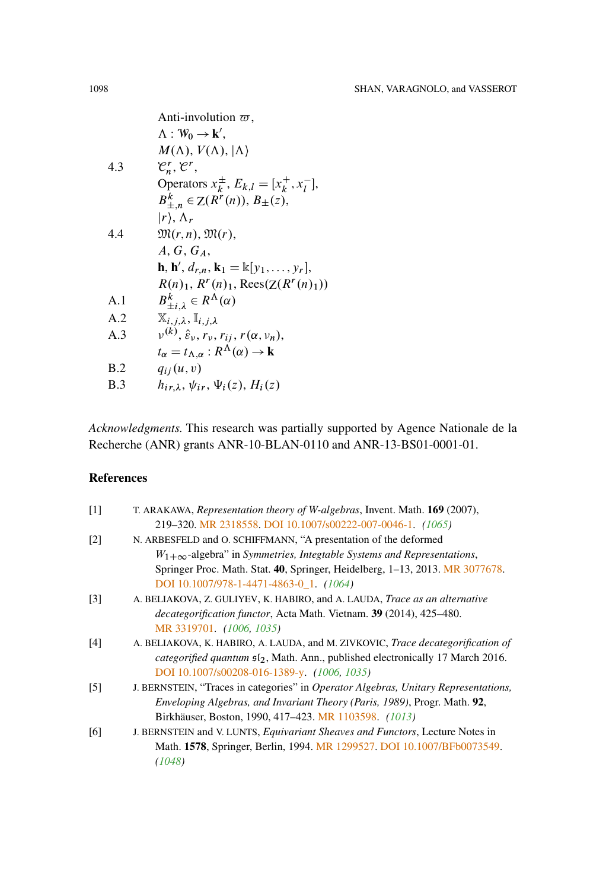Anti-involution 
$$
\varpi
$$
,

\n
$$
\Lambda : \mathcal{W}_0 \rightarrow \mathbf{k}',
$$
\n
$$
M(\Lambda), V(\Lambda), |\Lambda\rangle
$$
\n4.3  $\mathcal{C}_n^r, \mathcal{C}^r$ , Operators  $x_k^{\pm}, E_{k,l} = [x_k^+, x_l^-],$ \n
$$
B_{\pm,n}^k \in \mathbb{Z}(R^r(n)), B_{\pm}(z),
$$
\n
$$
|r\rangle, \Lambda_r
$$
\n4.4  $\mathfrak{M}(r, n), \mathfrak{M}(r),$ \n
$$
A, G, G_A,
$$
\n
$$
\mathbf{h}, \mathbf{h}', d_{r,n}, \mathbf{k}_1 = \mathbb{k}[y_1, \ldots, y_r],
$$
\n
$$
R(n)_1, R^r(n)_1, \text{Rees}(\mathbb{Z}(R^r(n)_1))
$$
\nA.1 
$$
B_{\pm i,\lambda}^k \in R^\Lambda(\alpha)
$$

\nA.2 
$$
\mathbb{X}_{i,j,\lambda}, \mathbb{I}_{i,j,\lambda}
$$

\nA.3 
$$
v^{(k)}, \hat{\varepsilon}_v, r_v, r_{ij}, r(\alpha, v_n),
$$
\n
$$
t_\alpha = t_{\Lambda,\alpha} : R^\Lambda(\alpha) \rightarrow \mathbf{k}
$$
\nB.2 
$$
q_{ij}(u, v)
$$

\nB.3 
$$
h_{ir,\lambda}, \psi_{ir}, \psi_i(z), H_i(z)
$$

*Acknowledgments.* This research was partially supported by Agence Nationale de la Recherche (ANR) grants ANR-10-BLAN-0110 and ANR-13-BS01-0001-01.

## **References**

| $\lceil 1 \rceil$ | T. ARAKAWA, <i>Representation theory of W-algebras</i> , Invent. Math. <b>169</b> (2007),           |
|-------------------|-----------------------------------------------------------------------------------------------------|
|                   | 219-320. MR 2318558. DOI 10.1007/s00222-007-0046-1. (1065)                                          |
| $\lceil 2 \rceil$ | N. ARBESFELD and O. SCHIFFMANN, "A presentation of the deformed                                     |
|                   | $W_{1+\infty}$ -algebra" in Symmetries, Integrable Systems and Representations,                     |
|                   | Springer Proc. Math. Stat. 40, Springer, Heidelberg, 1-13, 2013. MR 3077678.                        |
|                   | DOI 10.1007/978-1-4471-4863-0_1. $(1064)$                                                           |
| $\lceil 3 \rceil$ | A. BELIAKOVA, Z. GULIYEV, K. HABIRO, and A. LAUDA, <i>Trace as an alternative</i>                   |
|                   | <i>decategorification functor</i> , Acta Math. Vietnam. <b>39</b> (2014), 425–480.                  |
|                   | MR 3319701. (1006, 1035)                                                                            |
| [4]               | A. BELIAKOVA, K. HABIRO, A. LAUDA, and M. ZIVKOVIC, <i>Trace decategorification of</i>              |
|                   | <i>categorified quantum</i> $\mathfrak{sl}_2$ , Math. Ann., published electronically 17 March 2016. |
|                   | DOI 10.1007/s00208-016-1389-y. (1006, 1035)                                                         |
| $\lceil 5 \rceil$ | J. BERNSTEIN, "Traces in categories" in <i>Operator Algebras, Unitary Representations</i> ,         |
|                   | Enveloping Algebras, and Invariant Theory (Paris, 1989), Progr. Math. 92,                           |
|                   | Birkhäuser, Boston, 1990, 417–423. MR 1103598. (1013)                                               |
| [6]               | J. BERNSTEIN and V. LUNTS, Equivariant Sheaves and Functors, Lecture Notes in                       |
|                   | Math. 1578, Springer, Berlin, 1994. MR 1299527. DOI 10.1007/BFb0073549.                             |
|                   | (1048)                                                                                              |
|                   |                                                                                                     |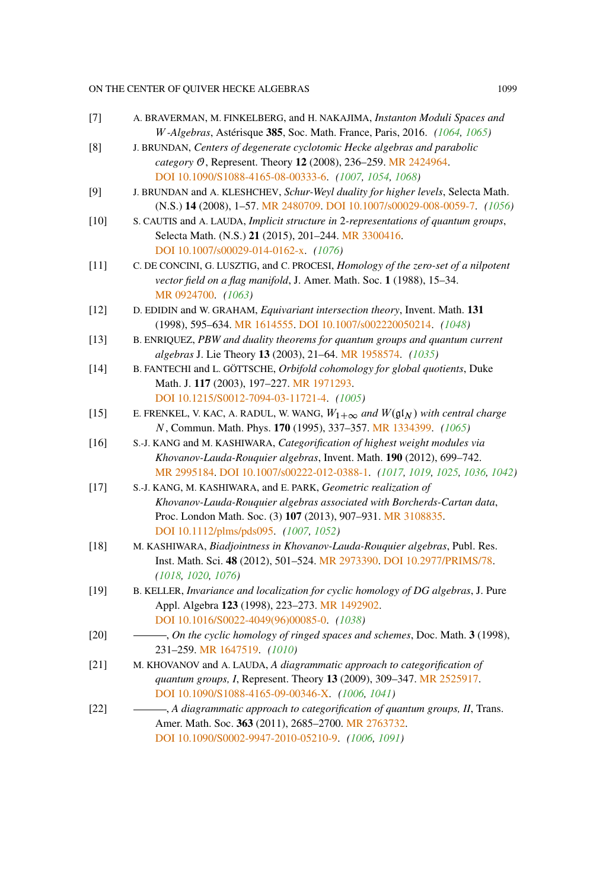## ON THE CENTER OF QUIVER HECKE ALGEBRAS 1099

<span id="page-94-0"></span>

| $[7]$  | A. BRAVERMAN, M. FINKELBERG, and H. NAKAJIMA, Instanton Moduli Spaces and<br>W-Algebras, Astérisque 385, Soc. Math. France, Paris, 2016. (1064, 1065)                                                                                               |
|--------|-----------------------------------------------------------------------------------------------------------------------------------------------------------------------------------------------------------------------------------------------------|
| [8]    | J. BRUNDAN, Centers of degenerate cyclotomic Hecke algebras and parabolic<br>category O, Represent. Theory 12 (2008), 236-259. MR 2424964.<br>DOI 10.1090/S1088-4165-08-00333-6. (1007, 1054, 1068)                                                 |
| [9]    | J. BRUNDAN and A. KLESHCHEV, Schur-Weyl duality for higher levels, Selecta Math.<br>(N.S.) 14 (2008), 1-57. MR 2480709. DOI 10.1007/s00029-008-0059-7. (1056)                                                                                       |
| $[10]$ | S. CAUTIS and A. LAUDA, Implicit structure in 2-representations of quantum groups,<br>Selecta Math. (N.S.) 21 (2015), 201-244. MR 3300416.                                                                                                          |
| $[11]$ | DOI 10.1007/s00029-014-0162-x. (1076)<br>C. DE CONCINI, G. LUSZTIG, and C. PROCESI, Homology of the zero-set of a nilpotent<br>vector field on a flag manifold, J. Amer. Math. Soc. 1 (1988), 15-34.<br>MR 0924700. (1063)                          |
| $[12]$ | D. EDIDIN and W. GRAHAM, Equivariant intersection theory, Invent. Math. 131<br>(1998), 595-634. MR 1614555. DOI 10.1007/s002220050214. (1048)                                                                                                       |
| $[13]$ | B. ENRIQUEZ, PBW and duality theorems for quantum groups and quantum current<br>algebras J. Lie Theory 13 (2003), 21-64. MR 1958574. (1035)                                                                                                         |
| $[14]$ | B. FANTECHI and L. GÖTTSCHE, Orbifold cohomology for global quotients, Duke<br>Math. J. 117 (2003), 197-227. MR 1971293.<br>DOI 10.1215/S0012-7094-03-11721-4. (1005)                                                                               |
| $[15]$ | E. FRENKEL, V. KAC, A. RADUL, W. WANG, $W_{1+\infty}$ and $W(\mathfrak{gl}_N)$ with central charge<br>N, Commun. Math. Phys. 170 (1995), 337-357. MR 1334399. (1065)                                                                                |
| $[16]$ | S.-J. KANG and M. KASHIWARA, Categorification of highest weight modules via<br>Khovanov-Lauda-Rouquier algebras, Invent. Math. 190 (2012), 699-742.<br>MR 2995184. DOI 10.1007/s00222-012-0388-1. (1017, 1019, 1025, 1036, 1042)                    |
| $[17]$ | S.-J. KANG, M. KASHIWARA, and E. PARK, Geometric realization of<br>Khovanov-Lauda-Rouquier algebras associated with Borcherds-Cartan data,<br>Proc. London Math. Soc. (3) 107 (2013), 907-931. MR 3108835.<br>DOI 10.1112/plms/pds095. (1007, 1052) |
| $[18]$ | M. KASHIWARA, Biadjointness in Khovanov-Lauda-Rouquier algebras, Publ. Res.<br>Inst. Math. Sci. 48 (2012), 501-524. MR 2973390. DOI 10.2977/PRIMS/78.<br>(1018, 1020, 1076)                                                                         |
| $[19]$ | B. KELLER, Invariance and localization for cyclic homology of DG algebras, J. Pure<br>Appl. Algebra 123 (1998), 223-273. MR 1492902.<br>DOI 10.1016/S0022-4049(96)00085-0. (1038)                                                                   |
| $[20]$ | -, On the cyclic homology of ringed spaces and schemes, Doc. Math. 3 (1998),<br>231-259. MR 1647519. (1010)                                                                                                                                         |
| $[21]$ | M. KHOVANOV and A. LAUDA, A diagrammatic approach to categorification of<br>quantum groups, I, Represent. Theory 13 (2009), 309-347. MR 2525917.<br>DOI 10.1090/S1088-4165-09-00346-X. (1006, 1041)                                                 |
| $[22]$ | -, A diagrammatic approach to categorification of quantum groups, II, Trans.<br>Amer. Math. Soc. 363 (2011), 2685-2700. MR 2763732.<br>DOI 10.1090/S0002-9947-2010-05210-9. (1006, 1091)                                                            |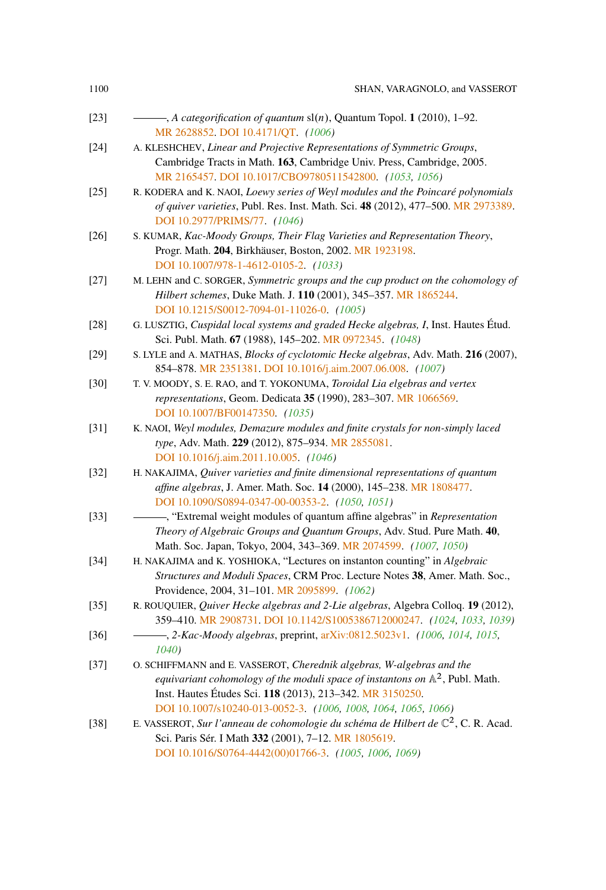|  | SHAN, VARAGNOLO, and VASSEROT |
|--|-------------------------------|

| $[23]$ | $\overline{\phantom{a}}$ , A categorification of quantum sl(n), Quantum Topol. 1 (2010), 1–92. |
|--------|------------------------------------------------------------------------------------------------|
|        | MR 2628852. DOI 10.4171/QT. (1006)                                                             |

- [24] A. KLESHCHEV, *Linear and Projective Representations of Symmetric Groups*, Cambridge Tracts in Math. **163**, Cambridge Univ. Press, Cambridge, 2005. [MR 2165457.](http://www.ams.org/mathscinet-getitem?mr=2165457) [DOI 10.1017/CBO9780511542800.](http://dx.doi.org/10.1017/CBO9780511542800) *[\(1053,](#page-48-0) [1056\)](#page-51-0)*
- [25] R. KODERA and K. NAOI, *Loewy series of Weyl modules and the Poincaré polynomials of quiver varieties*, Publ. Res. Inst. Math. Sci. **48** (2012), 477–500. [MR 2973389.](http://www.ams.org/mathscinet-getitem?mr=2973389) [DOI 10.2977/PRIMS/77.](http://dx.doi.org/10.2977/PRIMS/77) *[\(1046\)](#page-41-0)*
- [26] S. KUMAR, *Kac-Moody Groups, Their Flag Varieties and Representation Theory*, Progr. Math. **204**, Birkhäuser, Boston, 2002. [MR 1923198.](http://www.ams.org/mathscinet-getitem?mr=1923198) [DOI 10.1007/978-1-4612-0105-2.](http://dx.doi.org/10.1007/978-1-4612-0105-2) *[\(1033\)](#page-28-0)*
- [27] M. LEHN and C. SORGER, *Symmetric groups and the cup product on the cohomology of Hilbert schemes*, Duke Math. J. **110** (2001), 345–357. [MR 1865244.](http://www.ams.org/mathscinet-getitem?mr=1865244) [DOI 10.1215/S0012-7094-01-11026-0.](http://dx.doi.org/10.1215/S0012-7094-01-11026-0) *[\(1005\)](#page-0-0)*
- [28] G. LUSZTIG, *Cuspidal local systems and graded Hecke algebras, I*, Inst. Hautes Étud. Sci. Publ. Math. **67** (1988), 145–202. [MR 0972345.](http://www.ams.org/mathscinet-getitem?mr=0972345) *[\(1048\)](#page-43-0)*
- [29] S. LYLE and A. MATHAS, *Blocks of cyclotomic Hecke algebras*, Adv. Math. **216** (2007), 854–878. [MR 2351381.](http://www.ams.org/mathscinet-getitem?mr=2351381) [DOI 10.1016/j.aim.2007.06.008.](http://dx.doi.org/10.1016/j.aim.2007.06.008) *[\(1007\)](#page-2-0)*
- [30] T. V. MOODY, S. E. RAO, and T. YOKONUMA, *Toroidal Lia elgebras and vertex representations*, Geom. Dedicata **35** (1990), 283–307. [MR 1066569.](http://www.ams.org/mathscinet-getitem?mr=1066569) [DOI 10.1007/BF00147350.](http://dx.doi.org/10.1007/BF00147350) *[\(1035\)](#page-30-0)*
- [31] K. NAOI, *Weyl modules, Demazure modules and finite crystals for non-simply laced type*, Adv. Math. **229** (2012), 875–934. [MR 2855081.](http://www.ams.org/mathscinet-getitem?mr=2855081) [DOI 10.1016/j.aim.2011.10.005.](http://dx.doi.org/10.1016/j.aim.2011.10.005) *[\(1046\)](#page-41-0)*
- [32] H. NAKAJIMA, *Quiver varieties and finite dimensional representations of quantum affine algebras*, J. Amer. Math. Soc. **14** (2000), 145–238. [MR 1808477.](http://www.ams.org/mathscinet-getitem?mr=1808477) [DOI 10.1090/S0894-0347-00-00353-2.](http://dx.doi.org/10.1090/S0894-0347-00-00353-2) *[\(1050,](#page-45-0) [1051\)](#page-46-0)*
- [33] , "Extremal weight modules of quantum affine algebras" in *Representation Theory of Algebraic Groups and Quantum Groups*, Adv. Stud. Pure Math. **40**, Math. Soc. Japan, Tokyo, 2004, 343–369. [MR 2074599.](http://www.ams.org/mathscinet-getitem?mr=2074599) *[\(1007,](#page-2-0) [1050\)](#page-45-0)*
- [34] H. NAKAJIMA and K. YOSHIOKA, "Lectures on instanton counting" in *Algebraic Structures and Moduli Spaces*, CRM Proc. Lecture Notes **38**, Amer. Math. Soc., Providence, 2004, 31–101. [MR 2095899.](http://www.ams.org/mathscinet-getitem?mr=2095899) *[\(1062\)](#page-57-0)*
- [35] R. ROUQUIER, *Quiver Hecke algebras and 2-Lie algebras*, Algebra Colloq. **19** (2012), 359–410. [MR 2908731.](http://www.ams.org/mathscinet-getitem?mr=2908731) [DOI 10.1142/S1005386712000247.](http://dx.doi.org/10.1142/S1005386712000247) *[\(1024,](#page-19-0) [1033,](#page-28-0) [1039\)](#page-34-0)*
- [36] , *2-Kac-Moody algebras*, preprint, [arXiv:0812.5023v1.](http://arxiv.org/abs/arXiv:0812.5023v1) *[\(1006,](#page-1-0) [1014,](#page-9-1) [1015,](#page-10-0) [1040\)](#page-35-0)*
- [37] O. SCHIFFMANN and E. VASSEROT, *Cherednik algebras, W-algebras and the equivariant cohomology of the moduli space of instantons on*  $\mathbb{A}^2$ , Publ. Math. Inst. Hautes Études Sci. **118** (2013), 213–342. [MR 3150250.](http://www.ams.org/mathscinet-getitem?mr=3150250) [DOI 10.1007/s10240-013-0052-3.](http://dx.doi.org/10.1007/s10240-013-0052-3) *[\(1006,](#page-1-0) [1008,](#page-3-0) [1064,](#page-59-0) [1065,](#page-60-0) [1066\)](#page-61-0)*
- [38] E. VASSEROT, *Sur l'anneau de cohomologie du schéma de Hilbert de*  $\mathbb{C}^2$ , C. R. Acad. Sci. Paris Sér. I Math **332** (2001), 7–12. [MR 1805619.](http://www.ams.org/mathscinet-getitem?mr=1805619) [DOI 10.1016/S0764-4442\(00\)01766-3.](http://dx.doi.org/10.1016/S0764-4442(00)01766-3) *[\(1005,](#page-0-0) [1006,](#page-1-0) [1069\)](#page-64-1)*